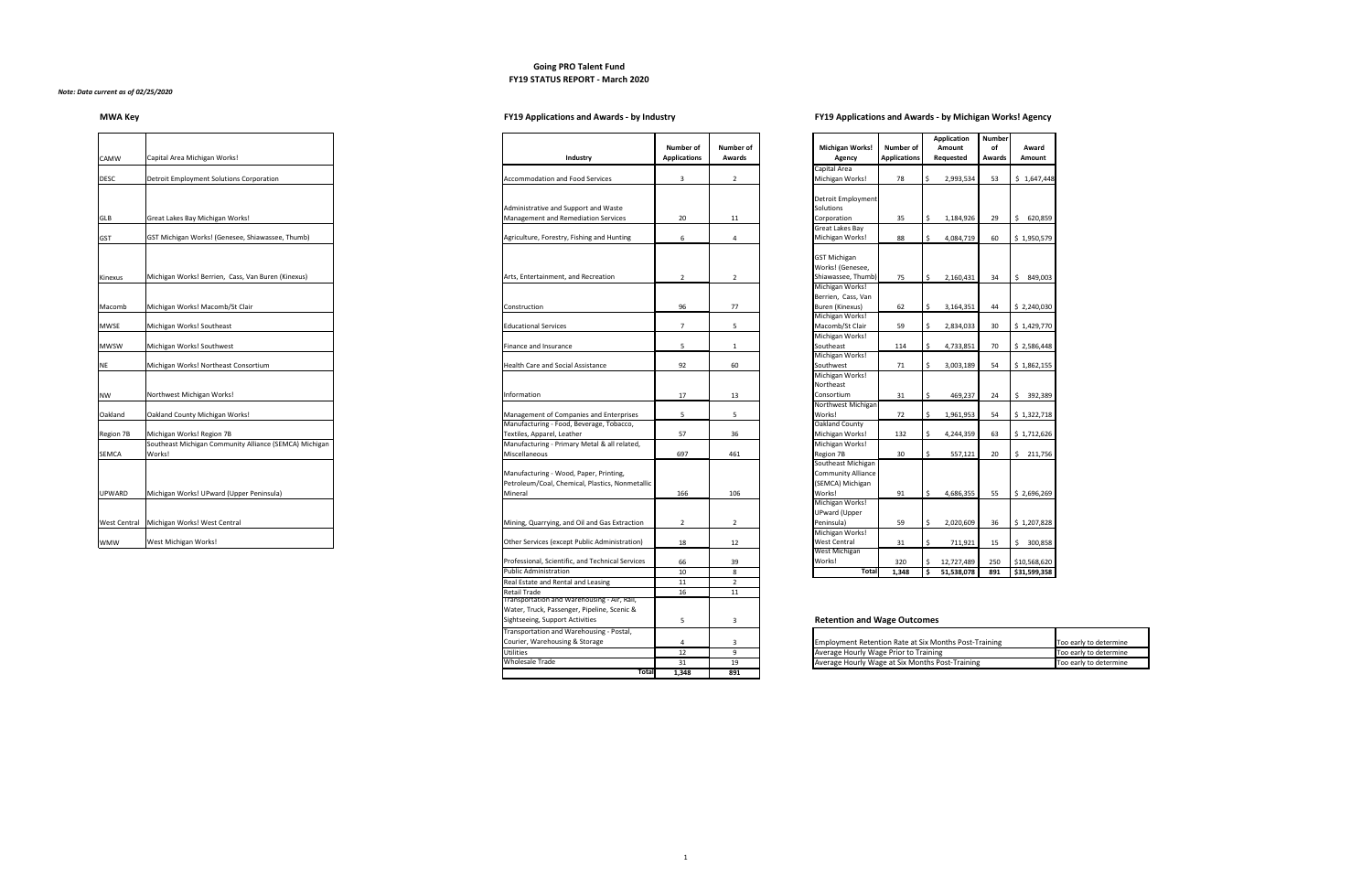### **Going PRO Talent Fund FY19 STATUS REPORT - March 2020**

### *Note: Data current as of 02/25/2020*

# **MWA Key FY19 Applications and Awards - by Industry FY19 Applications and Awards - by Michigan Works! Agency**

| <b>CAMW</b>         | Capital Area Michigan Works!                                                        | Industry                                                                                |
|---------------------|-------------------------------------------------------------------------------------|-----------------------------------------------------------------------------------------|
| <b>DESC</b>         | <b>Detroit Employment Solutions Corporation</b>                                     | Accommodation and Food S                                                                |
| <b>GLB</b>          | Great Lakes Bay Michigan Works!                                                     | Administrative and Support a<br>Management and Remediati                                |
| <b>GST</b>          | GST Michigan Works! (Genesee, Shiawassee, Thumb)                                    | Agriculture, Forestry, Fishing                                                          |
| Kinexus             | Michigan Works! Berrien, Cass, Van Buren (Kinexus)                                  | Arts, Entertainment, and Red                                                            |
| Macomb              | Michigan Works! Macomb/St Clair                                                     | Construction                                                                            |
| <b>MWSE</b>         | Michigan Works! Southeast                                                           | <b>Educational Services</b>                                                             |
| <b>MWSW</b>         | Michigan Works! Southwest                                                           | Finance and Insurance                                                                   |
| <b>NE</b>           | Michigan Works! Northeast Consortium                                                | <b>Health Care and Social Assist</b>                                                    |
| <b>NW</b>           | Northwest Michigan Works!                                                           | Information                                                                             |
| Oakland             | Oakland County Michigan Works!                                                      | Management of Companies                                                                 |
| <b>Region 7B</b>    | Michigan Works! Region 7B<br>Southeast Michigan Community Alliance (SEMCA) Michigan | Manufacturing - Food, Bever<br>Textiles, Apparel, Leather<br>Manufacturing - Primary Me |
| <b>SEMCA</b>        | Works!                                                                              | Miscellaneous                                                                           |
|                     |                                                                                     | Manufacturing - Wood, Pape<br>Petroleum/Coal, Chemical, P                               |
| <b>UPWARD</b>       | Michigan Works! UPward (Upper Peninsula)                                            | Mineral                                                                                 |
| <b>West Central</b> | Michigan Works! West Central                                                        | Mining, Quarrying, and Oil ar                                                           |
| <b>WMW</b>          | West Michigan Works!                                                                | Other Services (except Publid                                                           |

|                           |                     | <b>Application</b> | <b>Number</b> |               |
|---------------------------|---------------------|--------------------|---------------|---------------|
| <b>Michigan Works!</b>    | <b>Number of</b>    | <b>Amount</b>      | of            | Award         |
| <b>Agency</b>             | <b>Applications</b> | Requested          | <b>Awards</b> | <b>Amount</b> |
| Capital Area              |                     |                    |               |               |
| Michigan Works!           | 78                  | \$<br>2,993,534    | 53            | \$1,647,448   |
|                           |                     |                    |               |               |
| Detroit Employment        |                     |                    |               |               |
| Solutions                 |                     |                    |               |               |
| Corporation               | 35                  | \$<br>1,184,926    | 29            | \$<br>620,859 |
| Great Lakes Bay           |                     |                    |               |               |
| Michigan Works!           | 88                  | \$<br>4,084,719    | 60            | \$1,950,579   |
|                           |                     |                    |               |               |
| <b>GST Michigan</b>       |                     |                    |               |               |
| Works! (Genesee,          |                     |                    |               |               |
| Shiawassee, Thumb)        | 75                  | \$<br>2,160,431    | 34            | \$<br>849,003 |
| Michigan Works!           |                     |                    |               |               |
| Berrien, Cass, Van        |                     |                    |               |               |
| Buren (Kinexus)           | 62                  | \$<br>3,164,351    | 44            | \$2,240,030   |
| Michigan Works!           |                     |                    |               |               |
| Macomb/St Clair           | 59                  | \$<br>2,834,033    | 30            | \$1,429,770   |
| Michigan Works!           |                     |                    |               |               |
| Southeast                 | 114                 | \$<br>4,733,851    | 70            | \$2,586,448   |
| Michigan Works!           |                     |                    |               |               |
| Southwest                 | 71                  | \$<br>3,003,189    | 54            | \$1,862,155   |
| Michigan Works!           |                     |                    |               |               |
| Northeast                 |                     |                    |               |               |
| Consortium                | 31                  | \$<br>469,237      | 24            | \$<br>392,389 |
| Northwest Michigan        |                     |                    |               |               |
| Works!                    | 72                  | \$<br>1,961,953    | 54            | \$1,322,718   |
| Oakland County            |                     |                    |               |               |
| Michigan Works!           | 132                 | \$<br>4,244,359    | 63            | \$1,712,626   |
| Michigan Works!           |                     |                    |               |               |
| Region 7B                 | 30                  | \$<br>557,121      | 20            | \$<br>211,756 |
| Southeast Michigan        |                     |                    |               |               |
| <b>Community Alliance</b> |                     |                    |               |               |
| (SEMCA) Michigan          |                     |                    |               |               |
| Works!                    | 91                  | \$<br>4,686,355    | 55            | \$2,696,269   |
| Michigan Works!           |                     |                    |               |               |
| <b>UPward (Upper</b>      |                     |                    |               |               |
| Peninsula)                | 59                  | \$<br>2,020,609    | 36            | \$1,207,828   |
| Michigan Works!           |                     |                    |               |               |
| <b>West Central</b>       | 31                  | \$<br>711,921      | 15            | \$<br>300,858 |
| <b>West Michigan</b>      |                     |                    |               |               |
| Works!                    | 320                 | \$<br>12,727,489   | 250           | \$10,568,620  |
| <b>Total</b>              | 1,348               | \$<br>51,538,078   | 891           | \$31,599,358  |

# **Retention and Wage Outcomes**

|           |                                                        |                                                  | <b>Number of</b>    | <b>Number of</b> | <b>Michigan Works!</b>                                       | <b>Number of</b>    | <b>Application</b><br><b>Amount</b> | <b>Number</b><br>оf | Award                      |
|-----------|--------------------------------------------------------|--------------------------------------------------|---------------------|------------------|--------------------------------------------------------------|---------------------|-------------------------------------|---------------------|----------------------------|
| CAMW      | Capital Area Michigan Works!                           | Industry                                         | <b>Applications</b> | <b>Awards</b>    | <b>Agency</b>                                                | <b>Applications</b> | Requested                           | <b>Awards</b>       | Amount                     |
|           |                                                        |                                                  |                     |                  | Capital Area                                                 |                     |                                     |                     |                            |
|           |                                                        | <b>Accommodation and Food Services</b>           |                     |                  |                                                              |                     |                                     |                     |                            |
| DESC      | Detroit Employment Solutions Corporation               |                                                  | -3                  |                  | Michigan Works!                                              | 78                  | 2,993,534                           | 53                  | \$1,647,44                 |
|           |                                                        |                                                  |                     |                  |                                                              |                     |                                     |                     |                            |
|           |                                                        |                                                  |                     |                  | Detroit Employment                                           |                     |                                     |                     |                            |
|           |                                                        | Administrative and Support and Waste             |                     |                  | Solutions                                                    |                     |                                     |                     |                            |
| GLB       | Great Lakes Bay Michigan Works!                        | <b>Management and Remediation Services</b>       | 20                  | 11               | Corporation                                                  | 35                  | 1,184,926<br>$\mathsf{S}$           | 29                  | 620,859<br>Ş.              |
|           |                                                        |                                                  |                     |                  | <b>Great Lakes Bay</b>                                       |                     |                                     |                     |                            |
| GST       | GST Michigan Works! (Genesee, Shiawassee, Thumb)       | Agriculture, Forestry, Fishing and Hunting       | 6                   |                  | Michigan Works!                                              | 88                  | 4,084,719<br>S.                     | 60                  | $\frac{1}{2}$ \$ 1,950,579 |
|           |                                                        |                                                  |                     |                  |                                                              |                     |                                     |                     |                            |
|           |                                                        |                                                  |                     |                  | <b>GST Michigan</b>                                          |                     |                                     |                     |                            |
|           |                                                        |                                                  |                     |                  | Works! (Genesee,                                             |                     |                                     |                     |                            |
| Kinexus   | Michigan Works! Berrien, Cass, Van Buren (Kinexus)     | Arts, Entertainment, and Recreation              | $\overline{2}$      |                  | Shiawassee, Thumb)                                           | 75                  | 2,160,431<br>S.                     | 34                  | \$49,003                   |
|           |                                                        |                                                  |                     |                  | Michigan Works!                                              |                     |                                     |                     |                            |
|           |                                                        |                                                  |                     |                  | Berrien, Cass, Van                                           |                     |                                     |                     |                            |
| Macomb    | Michigan Works! Macomb/St Clair                        | Construction                                     | 96                  | 77               | Buren (Kinexus)                                              | 62                  | 3,164,351<br>\$                     | 44                  | $\frac{1}{2}$ \$ 2,240,030 |
|           |                                                        |                                                  |                     |                  | Michigan Works!                                              |                     |                                     |                     |                            |
| MWSE      | Michigan Works! Southeast                              | <b>Educational Services</b>                      | $\overline{7}$      |                  | Macomb/St Clair                                              | 59                  | 2,834,033                           | 30 <sup>°</sup>     | $\frac{1}{2}$ \$ 1,429,770 |
|           |                                                        |                                                  |                     |                  | Michigan Works!                                              |                     |                                     |                     |                            |
| MWSW      | Michigan Works! Southwest                              | Finance and Insurance                            | -5                  |                  | Southeast                                                    | 114                 | 4,733,851<br>S.                     | 70                  | \$2,586,448                |
|           |                                                        |                                                  |                     |                  | Michigan Works!                                              |                     |                                     |                     |                            |
| NE        | Michigan Works! Northeast Consortium                   | <b>Health Care and Social Assistance</b>         | 92                  | 60               | Southwest                                                    | 71                  | 3,003,189<br>\$                     | 54                  | \$1,862,155                |
|           |                                                        |                                                  |                     |                  | Michigan Works!                                              |                     |                                     |                     |                            |
|           |                                                        |                                                  |                     |                  | Northeast                                                    |                     |                                     |                     |                            |
| NW        | Northwest Michigan Works!                              | Information                                      | 17                  | 13               | Consortium                                                   | 31                  | 469,237<br>$\zeta$                  | 24                  | \$392,389                  |
|           |                                                        |                                                  |                     |                  | Northwest Michigan                                           |                     |                                     |                     |                            |
| Oakland   | Oakland County Michigan Works!                         | Management of Companies and Enterprises          | $5\overline{)}$     | -5               | Works!                                                       | 72                  | 1,961,953<br>\$                     | 54                  | $\frac{1}{2}$ \$ 1,322,718 |
|           |                                                        | Manufacturing - Food, Beverage, Tobacco,         |                     |                  | Oakland County                                               |                     |                                     |                     |                            |
| Region 7B | Michigan Works! Region 7B                              | Textiles, Apparel, Leather                       | 57                  | 36               | Michigan Works!                                              | 132                 | 4,244,359<br>\$                     |                     | $63 \mid 5 \n1,712,626$    |
|           | Southeast Michigan Community Alliance (SEMCA) Michigan | Manufacturing - Primary Metal & all related,     |                     |                  | Michigan Works!                                              |                     |                                     |                     |                            |
| SEMCA     | Works!                                                 | Miscellaneous                                    | 697                 | 461              | Region 7B                                                    | 30 <sup>°</sup>     | 557,121<br>S.                       | 20                  | \$211,756                  |
|           |                                                        |                                                  |                     |                  | Southeast Michigan                                           |                     |                                     |                     |                            |
|           |                                                        | Manufacturing - Wood, Paper, Printing,           |                     |                  | <b>Community Alliance</b>                                    |                     |                                     |                     |                            |
|           |                                                        | Petroleum/Coal, Chemical, Plastics, Nonmetallic  |                     |                  | (SEMCA) Michigan                                             |                     |                                     |                     |                            |
| UPWARD    | Michigan Works! UPward (Upper Peninsula)               | Mineral                                          | 166                 | 106              | Works!                                                       | 91                  | 4,686,355<br>\$                     | 55                  | \$2,696,269                |
|           |                                                        |                                                  |                     |                  | Michigan Works!                                              |                     |                                     |                     |                            |
|           |                                                        |                                                  |                     |                  | <b>UPward (Upper</b>                                         |                     |                                     |                     |                            |
|           | West Central   Michigan Works! West Central            | Mining, Quarrying, and Oil and Gas Extraction    | $\overline{2}$      | 2                | Peninsula)                                                   | 59                  | 2,020,609<br>\$                     | 36                  | \$1,207,828                |
|           |                                                        |                                                  |                     |                  | Michigan Works!                                              |                     |                                     |                     |                            |
| WMW       | West Michigan Works!                                   | Other Services (except Public Administration)    | 18                  | 12               | <b>West Central</b>                                          | 31                  | 711,921<br>S.                       | 15                  | \$300,858                  |
|           |                                                        |                                                  |                     |                  | West Michigan                                                |                     |                                     |                     |                            |
|           |                                                        | Professional, Scientific, and Technical Services | 66                  | 39               | Works!                                                       | 320                 | 12,727,489<br>S.                    | 250                 | \$10,568,620               |
|           |                                                        | <b>Public Administration</b>                     | 10                  | 8                | <b>Total</b>                                                 | 1,348               | 51,538,078<br>S.                    | 891                 | \$31,599,358               |
|           |                                                        | Real Estate and Rental and Leasing               | 11                  | $\overline{2}$   |                                                              |                     |                                     |                     |                            |
|           |                                                        | <b>Retail Trade</b>                              | 16                  | 11               |                                                              |                     |                                     |                     |                            |
|           |                                                        | Transportation and Warehousing - Air, Rail,      |                     |                  |                                                              |                     |                                     |                     |                            |
|           |                                                        | Water, Truck, Passenger, Pipeline, Scenic &      |                     |                  |                                                              |                     |                                     |                     |                            |
|           |                                                        | Sightseeing, Support Activities                  | 5                   |                  | <b>Retention and Wage Outcomes</b>                           |                     |                                     |                     |                            |
|           |                                                        | Transportation and Warehousing - Postal,         |                     |                  |                                                              |                     |                                     |                     |                            |
|           |                                                        |                                                  |                     |                  |                                                              |                     |                                     |                     |                            |
|           |                                                        | Courier, Warehousing & Storage                   |                     |                  | <b>Employment Retention Rate at Six Months Post-Training</b> |                     |                                     |                     |                            |
|           |                                                        | <b>Utilities</b>                                 | 12                  | $\mathsf{q}$     | Average Hourly Wage Prior to Training                        |                     |                                     |                     |                            |
|           |                                                        | <b>Wholesale Trade</b>                           | 31                  | 19               | Average Hourly Wage at Six Months Post-Training              |                     |                                     |                     |                            |
|           |                                                        | <b>Total</b>                                     | 1,348               | 891              |                                                              |                     |                                     |                     |                            |

| Transportation and Warehousing - Postal, |    |                                                              |                               |
|------------------------------------------|----|--------------------------------------------------------------|-------------------------------|
| Courier, Warehousing & Storage           |    | <b>Employment Retention Rate at Six Months Post-Training</b> | Too early to determine        |
| <b>Utilities</b>                         | ∸  | Average Hourly Wage Prior to Training                        | <b>Too early to determine</b> |
| Wholesale Trade                          | ᇰᆂ | Average Hourly Wage at Six Months Post-Training              | Too early to determine        |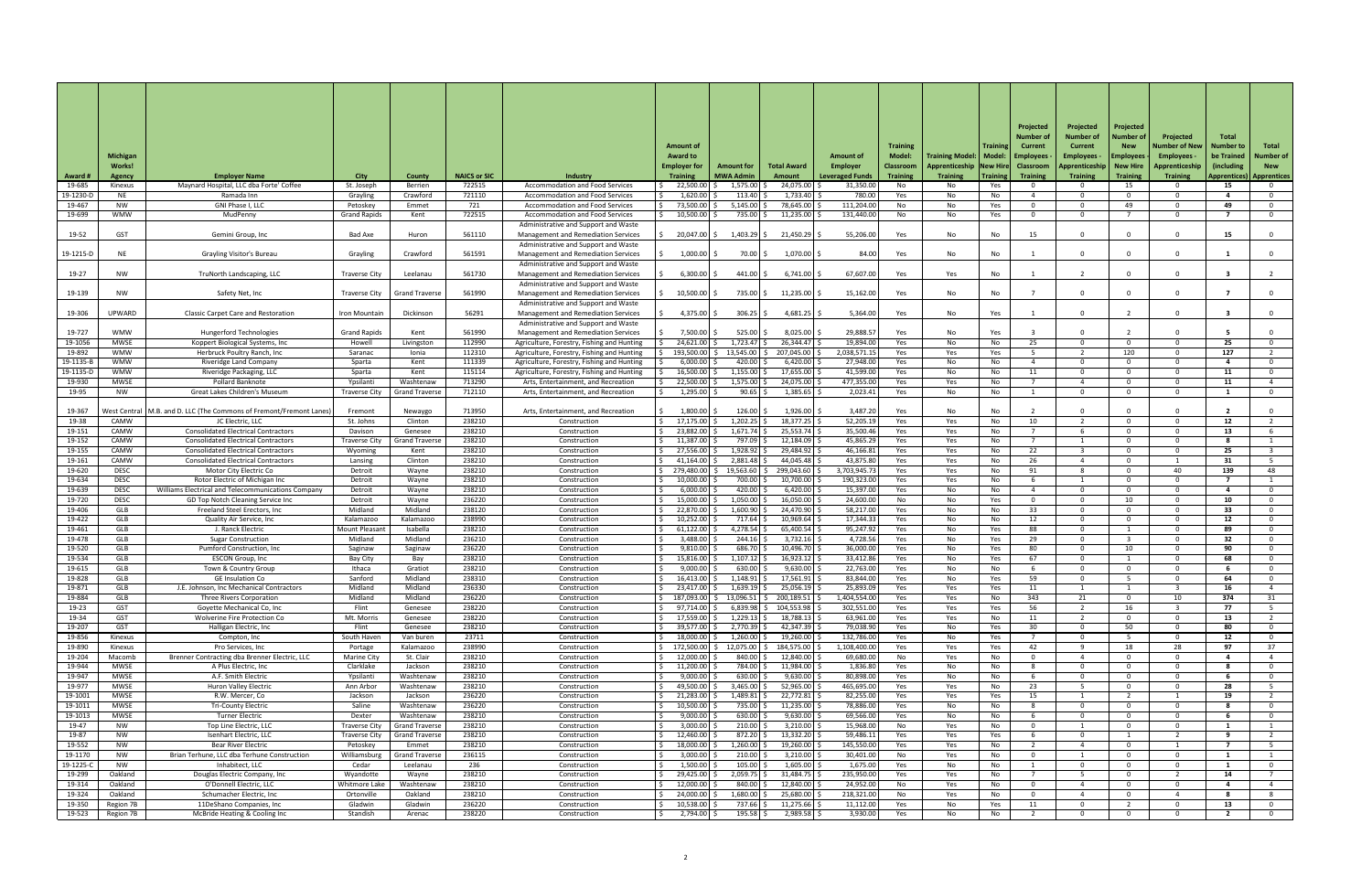|                     |                                |                                                                                          |                                 |                                |                     |                                                                                          |                                        |                                       |                              |                                           |                                     |                                                       |                 | Projected<br>Number of              | Projected<br><b>Number of</b>      | Projected<br>Number o              | Projected                                | <b>Total</b>                   |                                  |
|---------------------|--------------------------------|------------------------------------------------------------------------------------------|---------------------------------|--------------------------------|---------------------|------------------------------------------------------------------------------------------|----------------------------------------|---------------------------------------|------------------------------|-------------------------------------------|-------------------------------------|-------------------------------------------------------|-----------------|-------------------------------------|------------------------------------|------------------------------------|------------------------------------------|--------------------------------|----------------------------------|
|                     | <b>Michigan</b>                |                                                                                          |                                 |                                |                     |                                                                                          | <b>Amount of</b><br><b>Award to</b>    |                                       |                              | <b>Amount of</b>                          | <b>Training</b><br><b>Model:</b>    | Training Model:   Model:   Employees                  | <b>Training</b> | <b>Current</b>                      | <b>Current</b><br><b>Employees</b> | <b>New</b><br><b>Employees</b>     | <b>Number of New</b><br><b>Employees</b> | <b>Number to</b><br>be Trained | Total<br><b>Number of</b>        |
| <b>Award #</b>      | <b>Works!</b><br><b>Agency</b> | <b>Employer Name</b>                                                                     | <b>City</b>                     | <b>County</b>                  | <b>NAICS or SIC</b> | <b>Industry</b>                                                                          | <b>Employer for</b><br><b>Training</b> | <b>Amount for</b><br><b>MWA Admin</b> | <b>Total Award</b><br>Amount | <b>Employer</b><br><b>Leveraged Funds</b> | <b>Classroom</b><br><b>Training</b> | <b>Apprenticeship   New Hire  </b><br><b>Training</b> | Training        | <b>Classroom</b><br><b>Training</b> | Apprenticeship<br><b>Training</b>  | <b>New Hire</b><br><b>Training</b> | Apprenticeship<br><b>Training</b>        | (including)<br>Apprentices)    | <b>New</b><br><b>Apprentices</b> |
| 19-685              | Kinexus                        | Maynard Hospital, LLC dba Forte' Coffee                                                  | St. Joseph                      | Berrien                        | 722515              | <b>Accommodation and Food Services</b>                                                   | 22,500.00                              | 1,575.00                              | 24,075.00                    | 31,350.00                                 | No                                  | No                                                    | Yes             |                                     |                                    | 15                                 |                                          | 15                             | 0                                |
| 19-1230-D<br>19-467 | NE<br><b>NW</b>                | Ramada Inn<br>GNI Phase I, LLC                                                           | Grayling<br>Petoskey            | Crawford<br>Emmet              | 721110<br>721       | <b>Accommodation and Food Services</b><br><b>Accommodation and Food Services</b>         | 1,620.00<br>73,500.00                  | 113.40<br>5,145.00                    | 1,733.40<br>78,645.00        | 780.00<br>111,204.00                      | Yes<br>No                           | No<br>No                                              | No<br>Yes       |                                     |                                    | $\Omega$<br>49                     |                                          | 49                             | $\Omega$<br>$\overline{0}$       |
| 19-699              | <b>WMW</b>                     | MudPenny                                                                                 | <b>Grand Rapids</b>             | Kent                           | 722515              | <b>Accommodation and Food Services</b>                                                   | 10,500.00                              | 735.00                                | 11,235.00                    | 131,440.00                                | No                                  | No                                                    | Yes             | റ                                   | $\Omega$                           |                                    |                                          |                                | $\overline{0}$                   |
| 19-52               | <b>GST</b>                     | Gemini Group, Inc                                                                        | Bad Axe                         | Huron                          | 561110              | Administrative and Support and Waste<br><b>Management and Remediation Services</b>       | $20,047.00$ \$                         | 1,403.29                              | 21,450.29 \$                 | 55,206.00                                 | Yes                                 | No                                                    | No              | 15                                  |                                    |                                    |                                          | 15                             | 0                                |
|                     |                                |                                                                                          |                                 |                                |                     | Administrative and Support and Waste                                                     |                                        |                                       |                              |                                           |                                     |                                                       |                 |                                     |                                    |                                    |                                          |                                |                                  |
| 19-1215-D           | <b>NE</b>                      | <b>Grayling Visitor's Bureau</b>                                                         | Grayling                        | Crawford                       | 561591              | <b>Management and Remediation Services</b><br>Administrative and Support and Waste       | 1,000.00                               | 70.00                                 | $1,070.00$ \$                | 84.00                                     | Yes                                 | No                                                    | No              |                                     |                                    |                                    |                                          |                                | $\mathbf 0$                      |
| 19-27               | <b>NW</b>                      | TruNorth Landscaping, LLC                                                                | <b>Traverse City</b>            | Leelanau                       | 561730              | <b>Management and Remediation Services</b>                                               | 6,300.00                               | 441.00                                | $6,741.00$ \$                | 67,607.00                                 | Yes                                 | Yes                                                   | No              |                                     |                                    |                                    |                                          |                                |                                  |
| 19-139              | NW                             | Safety Net, Inc                                                                          | <b>Traverse City</b>            | <b>Grand Traverse</b>          | 561990              | Administrative and Support and Waste<br><b>Management and Remediation Services</b>       | 10,500.00                              | 735.00 \$                             | $11,235.00$ \$               | 15,162.00                                 | Yes                                 | No                                                    | No              |                                     |                                    |                                    |                                          |                                | $\overline{0}$                   |
| 19-306              | UPWARD                         | <b>Classic Carpet Care and Restoration</b>                                               | Iron Mountain                   | Dickinson                      | 56291               | Administrative and Support and Waste<br><b>Management and Remediation Services</b>       | $4,375.00$ \$                          | $306.25$ \$                           | $4,681.25$ \$                | 5,364.00                                  | Yes                                 | No                                                    | Yes             |                                     |                                    |                                    |                                          |                                | $\mathbf 0$                      |
|                     |                                |                                                                                          |                                 |                                |                     | Administrative and Support and Waste                                                     |                                        |                                       |                              |                                           |                                     |                                                       |                 |                                     |                                    |                                    |                                          |                                |                                  |
| 19-727<br>19-1056   | <b>WMW</b><br><b>MWSE</b>      | <b>Hungerford Technologies</b><br>Koppert Biological Systems, Inc                        | <b>Grand Rapids</b><br>Howell   | Kent<br>Livingston             | 561990<br>112990    | <b>Management and Remediation Services</b><br>Agriculture, Forestry, Fishing and Hunting | 7,500.00<br>24,621.00                  | 525.00<br>1,723.47                    | 8,025.00<br>26,344.47        | 29,888.57<br>19,894.00                    | Yes<br>Yes                          | No<br>No                                              | Yes<br>No       | 25                                  | $\cap$                             | $\Omega$                           |                                          | 25                             | $\mathbf 0$<br>$\overline{0}$    |
| 19-892              | WMW                            | Herbruck Poultry Ranch, Inc                                                              | Saranac                         | Ionia                          | 112310              | Agriculture, Forestry, Fishing and Hunting                                               |                                        | 193,500.00 \$ 13,545.00               | 207,045.00                   | 2,038,571.15                              | Yes                                 | Yes                                                   | Yes             |                                     | $\mathcal{D}$                      | 120                                |                                          | 127                            | $\overline{2}$                   |
| 19-1135-E           | <b>WMW</b>                     | Riveridge Land Company                                                                   | Sparta                          | Kent                           | 111339              | Agriculture, Forestry, Fishing and Hunting                                               | 6,000.00                               | 420.00                                | 6,420.00                     | 27,948.00                                 | Yes                                 | No                                                    | No              |                                     | $\Omega$                           | $\Omega$                           |                                          |                                | $\overline{0}$                   |
| 19-1135-D<br>19-930 | <b>WMW</b><br><b>MWSE</b>      | Riveridge Packaging, LLC<br>Pollard Banknote                                             | Sparta<br>Ypsilanti             | Kent<br>Washtenaw              | 115114<br>713290    | Agriculture, Forestry, Fishing and Hunting<br>Arts, Entertainment, and Recreation        | 16,500.00<br>$\overline{22,500.00}$    | 1,155.00<br>1.575.00                  | 17,655.00<br>24.075.00       | 41,599.00<br>477,355.00                   | Yes<br>Yes                          | No<br>Yes                                             | No.<br>No.      | 11                                  |                                    | $\Omega$                           |                                          | 11                             | $\mathbf{0}$                     |
| 19-95               | NW.                            | <b>Great Lakes Children's Museum</b>                                                     | Traverse City                   | <b>Grand Traverse</b>          | 712110              | Arts, Entertainment, and Recreation                                                      | 1,295.00                               | 90.65                                 | 1,385.65                     | 2,023.41                                  | Yes                                 | No.                                                   | No              |                                     |                                    |                                    |                                          |                                |                                  |
| 19-367              |                                | West Central   M.B. and D. LLC (The Commons of Fremont/Fremont Lanes)                    | Fremont                         | Newaygo                        | 713950              | Arts, Entertainment, and Recreation                                                      | 1,800.00                               | 126.00                                | 1,926.00                     | 3,487.20                                  | Yes                                 | No                                                    | No              |                                     |                                    |                                    |                                          |                                |                                  |
| 19-38               | <b>CAMW</b>                    | JC Electric, LLC                                                                         | St. Johns                       | Clinton                        | 238210              | Construction                                                                             | 17,175.00                              | 1,202.25                              | 18,377.25                    | 52,205.19                                 | Yes                                 | Yes                                                   | No.             | 10                                  |                                    |                                    |                                          | 12                             |                                  |
| 19-151              | CAMW                           | <b>Consolidated Electrical Contractors</b>                                               | Davison                         | Genesee                        | 238210              | Construction                                                                             | 23,882.00                              | 1,671.74                              | 25,553.74                    | 35,500.46                                 | Yes                                 | Yes                                                   | No              |                                     |                                    |                                    |                                          | 13                             |                                  |
| 19-152              | CAMW                           | <b>Consolidated Electrical Contractors</b>                                               | <b>Traverse City</b>            | <b>Grand Travers</b>           | 238210              | Construction                                                                             | 11,387.00                              | 797.09                                | 12,184.09                    | 45,865.29                                 | Yes                                 | Yes                                                   | No              |                                     |                                    | $\cap$                             |                                          |                                |                                  |
| 19-155<br>19-161    | CAMW<br>CAMW                   | <b>Consolidated Electrical Contractors</b><br><b>Consolidated Electrical Contractors</b> | Wyoming<br>Lansing              | Kent<br>Clinton                | 238210<br>238210    | Construction<br>Construction                                                             | 27,556.00<br>41,164.00                 | 1,928.92<br>2,881.48                  | 29,484.92<br>44,045.48       | 46,166.81<br>43,875.80                    | Yes<br>Yes                          | Yes<br>Yes                                            | No<br>No.       | 22<br>26                            |                                    | <u>റ</u><br>റ                      |                                          | 25<br>-31                      |                                  |
| 19-620              | <b>DESC</b>                    | Motor City Electric Co                                                                   | Detroit                         | Wayne                          | 238210              | Construction                                                                             | 279,480.00                             | 19,563.60                             | 299,043.60                   | ,703,945.73                               | Yes                                 | Yes                                                   | No              | 91                                  |                                    | റ                                  | 40                                       | 139                            | 48                               |
| 19-634              | <b>DESC</b>                    | Rotor Electric of Michigan Inc                                                           | Detroit                         | Wayne                          | 238210              | Construction                                                                             | 10,000.00                              | 700.00                                | 10,700.00                    | 190,323.00                                | Yes                                 | Yes                                                   | No.             |                                     |                                    |                                    |                                          |                                |                                  |
| 19-639<br>19-720    | <b>DESC</b><br><b>DESC</b>     | Williams Electrical and Telecommunications Company<br>GD Top Notch Cleaning Service Inc  | Detroit<br>Detroit              | Wayne<br>Wayne                 | 238210<br>236220    | Construction<br>Construction                                                             | 6,000.00<br>15,000.00                  | 420.00<br>1,050.00                    | 6,420.00<br>16,050.00        | 15,397.00<br>24,600.00                    | Yes<br>No                           | No<br>No                                              | No<br>Yes       |                                     |                                    | റ<br>10                            |                                          | 10                             | $\Omega$<br>റ                    |
| 19-406              | <b>GLB</b>                     | Freeland Steel Erectors, Inc.                                                            | Midland                         | Midland                        | 238120              | Construction                                                                             | 22,870.00                              | 1,600.90                              | 24,470.90                    | 58,217.00                                 | Yes                                 | No                                                    | No.             | 33                                  |                                    | റ                                  |                                          | 33                             | $\Omega$                         |
| 19-422              | <b>GLB</b>                     | <b>Quality Air Service, Inc</b>                                                          | Kalamazoo                       | Kalamazoo                      | 238990              | Construction                                                                             | 10,252.00                              | 717.64                                | 10,969.64                    | 17,344.33                                 | Yes                                 | No l                                                  | No.             | 12                                  |                                    |                                    |                                          | 12                             | $\Omega$                         |
| 19-461<br>19-478    | <b>GLB</b><br><b>GLB</b>       | J. Ranck Electric<br><b>Sugar Construction</b>                                           | Mount Pleasan<br>Midland        | Isabella<br>Midland            | 238210<br>236210    | Construction                                                                             | 61,122.00<br>3,488.00                  | 4,278.54<br>244.16                    | 65,400.54<br>3,732.16        | 95,247.92<br>4,728.56                     | Yes                                 | No                                                    | Yes             | 88<br>29                            | n.                                 |                                    |                                          | 89<br>32.                      | $\Omega$<br>$\Omega$             |
| 19-520              | <b>GLB</b>                     | <b>Pumford Construction, Inc.</b>                                                        | Saginaw                         | Saginaw                        | 236220              | Construction<br>Construction                                                             | 9,810.00                               | 686.70                                | 10,496.70                    | 36,000.00                                 | Yes<br>Yes                          | No<br>No                                              | Yes<br>Yes      | 80                                  |                                    | 10                                 |                                          | 90                             | $\Omega$                         |
| 19-534              | <b>GLB</b>                     | <b>ESCON Group, Inc</b>                                                                  | Bay City                        | Bay                            | 238210              | Construction                                                                             | 15,816.00                              | 1,107.12                              | 16,923.12                    | 33,412.86                                 | Yes                                 | No                                                    | Yes             | -67                                 |                                    |                                    |                                          | 68.                            | $\Omega$                         |
| 19-615              | <b>GLB</b>                     | Town & Country Group                                                                     | Ithaca                          | Gratiot                        | 238210              | Construction                                                                             | 9,000.00                               | 630.00                                | 9,630.00                     | 22,763.00                                 | Yes                                 | No                                                    | No.             |                                     |                                    |                                    |                                          |                                | $\Omega$                         |
| 19-828<br>19-871    | GLB<br><b>GLB</b>              | <b>GE Insulation Co</b><br>J.E. Johnson, Inc Mechanical Contractors                      | Sanford<br>Midland              | Midland<br>Midland             | 238310<br>236330    | Construction<br>Construction                                                             | 16,413.00<br>23,417.00                 | 1,148.91<br>1,639.19                  | 17,561.91<br>25,056.19       | 83,844.00<br>25,893.09                    | Yes<br>Yes                          | No<br>Yes                                             | Yes<br>Yes      | 59<br>11                            |                                    |                                    |                                          | 64<br>16                       | $\Omega$                         |
| 19-884              | GLB                            | Three Rivers Corporation                                                                 | Midland                         | Midland                        | 236220              | Construction                                                                             | 187,093.00                             | 13,096.51                             | 200,189.51                   | L,404,554.00                              | Yes                                 | Yes                                                   | No.             | 343                                 | 21                                 | റ                                  | 1 $\cap$                                 | 374                            | 31                               |
| $19-23$             | <b>GST</b>                     | Goyette Mechanical Co, Inc                                                               | Flint                           | Genesee                        | 238220              | Construction                                                                             | 97,714.00                              | 6,839.98                              | 104,553.98                   | 302,551.00                                | Yes                                 | Yes                                                   | Yes             | 56                                  |                                    | 16                                 |                                          | 77                             |                                  |
| 19-34<br>19-207     | <b>GST</b><br><b>GST</b>       | <b>Wolverine Fire Protection Co</b><br>Halligan Electric, Inc                            | Mt. Morris<br>Flint             | Genesee<br>Genesee             | 238220<br>238210    | Construction<br>Construction                                                             | 17,559.00<br>39,577.00                 | 1,229.13<br>2,770.39                  | 18,788.1<br>42,347.39        | 63,961.00<br>79,038.90                    | Yes<br>Yes                          | Yes<br>No                                             | No.<br>Yes      | 11<br>30                            |                                    | . റ<br>50                          |                                          | 13<br>80                       | $\Omega$                         |
| 19-856              | Kinexus                        | Compton, Inc.                                                                            | South Haven                     | Van buren                      | 23711               | Construction                                                                             | 18,000.00                              | 1,260.00                              | 19,260.00                    | 132,786.00                                | Yes                                 | No                                                    | Yes             |                                     | . വ                                |                                    |                                          | 12                             | $\Omega$                         |
| 19-890              | Kinexus                        | Pro Services, Inc.                                                                       | Portage                         | Kalamazoo                      | 238990              | Construction                                                                             | 172,500.00                             | 12,075.00                             | 184,575.00                   | L,108,400.00                              | Yes                                 | Yes                                                   | Yes             | 42                                  |                                    | 18                                 | 28                                       | 97                             | 37                               |
| 19-204<br>19-944    | Macomb<br><b>MWSE</b>          | Brenner Contracting dba Brenner Electric, LLC<br>A Plus Electric, Inc                    | <b>Marine City</b><br>Clarklake | St. Clair<br>Jackson           | 238210<br>238210    | Construction<br>Construction                                                             | 12,000.00<br>11,200.00                 | 840.00<br>784.00                      | 12,840.00<br>11,984.00       | 69,680.00<br>1,836.80                     | No<br>Yes                           | Yes<br>No                                             | No<br>No        |                                     |                                    | റ                                  |                                          |                                | $\Omega$                         |
| 19-947              | <b>MWSE</b>                    | A.F. Smith Electric                                                                      | Ypsilanti                       | Washtenaw                      | 238210              | Construction                                                                             | 9,000.00                               | 630.00                                | 9,630.00                     | 80,898.00                                 | Yes                                 | No                                                    | No              |                                     |                                    | റ                                  |                                          |                                | റ                                |
| 19-977              | <b>MWSE</b>                    | <b>Huron Valley Electric</b>                                                             | Ann Arbor                       | Washtenaw                      | 238210              | Construction                                                                             | 49,500.00                              | 3,465.00                              | 52,965.00                    | 465,695.00                                | Yes                                 | Yes                                                   | No              | フ3                                  |                                    |                                    |                                          | 28                             |                                  |
| 19-1001             | <b>MWSE</b>                    | R.W. Mercer, Co                                                                          | Jackson                         | Jackson                        | 236220              | Construction                                                                             | $21,283.00$ \$                         | $1,489.81$ \$                         | 22,772.81 \$                 | 82,255.00                                 | Yes                                 | Yes                                                   | Yes             | 15                                  |                                    | റ                                  |                                          | 19                             |                                  |
| 19-1011<br>19-1013  | <b>MWSE</b><br><b>MWSE</b>     | <b>Tri-County Electric</b><br><b>Turner Electric</b>                                     | Saline<br>Dexter                | Washtenaw<br>Washtenaw         | 236220<br>238210    | Construction<br>Construction                                                             | 10,500.00<br>9,000.00                  | 735.00<br>630.00                      | 11,235.00<br>9,630.00        | 78,886.00<br>69,566.00                    | Yes<br>Yes                          | No<br>No                                              | No<br>No        |                                     |                                    | $\Omega$                           |                                          |                                | 0                                |
| 19-47               | NW                             | Top Line Electric, LLC                                                                   | <b>Traverse City</b>            | <b>Grand Traverse</b>          | 238210              | Construction                                                                             | 3,000.00                               | 210.00                                | 3,210.00                     | 15,968.00                                 | No                                  | Yes                                                   | No              |                                     |                                    | റ                                  |                                          |                                |                                  |
| 19-87               | NW                             | Isenhart Electric, LLC                                                                   | <b>Traverse City</b>            | <b>Grand Traverse</b>          | 238210              | Construction                                                                             | 12,460.00                              | 872.20 \$                             | 13,332.20                    | 59,486.11                                 | Yes                                 | Yes                                                   | Yes             |                                     | റ                                  |                                    |                                          | - Q                            |                                  |
| 19-552<br>19-1170   | <b>NW</b><br>NW                | <b>Bear River Electric</b><br>Brian Terhune, LLC dba Terhune Construction                | Petoskey<br>Williamsburg        | Emmet<br><b>Grand Traverse</b> | 238210<br>236115    | Construction<br>Construction                                                             | 18,000.00<br>3,000.00                  | 1,260.00<br>210.00                    | 19,260.00<br>3,210.00        | 145,550.00<br>30,401.00                   | Yes<br>No                           | Yes<br>Yes                                            | No<br>No        |                                     |                                    | റ<br>- 0                           |                                          |                                |                                  |
| 19-1225-C           | <b>NW</b>                      | Inhabitect, LLC                                                                          | Cedar                           | Leelanau                       | 236                 | Construction                                                                             | 1,500.00                               | 105.00                                | 1,605.00                     | 1,675.00                                  | Yes                                 | No                                                    | No              |                                     | റ                                  | $\Omega$                           |                                          |                                | $\mathbf 0$                      |
| 19-299              | Oakland                        | Douglas Electric Company, Inc                                                            | Wyandotte                       | Wayne                          | 238210              | Construction                                                                             | 29,425.00 \$                           | $2,059.75$ \$                         | 31,484.75   \$               | 235,950.00                                | Yes                                 | Yes                                                   | No              |                                     |                                    | $\overline{0}$                     |                                          | 14                             |                                  |
| 19-314<br>19-324    | Oakland<br>Oakland             | O'Donnell Electric, LLC<br>Schumacher Electric, Inc                                      | Whitmore Lake<br>Ortonville     | Washtenaw<br>Oakland           | 238210<br>238210    | Construction<br>Construction                                                             | 12,000.00<br>24,000.00                 | 840.00<br>1,680.00                    | 12,840.00<br>25,680.00       | 24,952.00<br>218,321.00                   | No<br>No                            | Yes<br>Yes                                            | No<br>No        |                                     |                                    | $\Omega$<br>$\Omega$               |                                          |                                |                                  |
| 19-350              | Region 7B                      | 11DeShano Companies, Inc                                                                 | Gladwin                         | Gladwin                        | 236220              | Construction                                                                             | 10,538.00                              | 737.66                                | 11,275.66                    | 11,112.00                                 | Yes                                 | No                                                    | Yes             | 11                                  |                                    |                                    |                                          | 13                             | - 0                              |
| 19-523              | Region 7B                      | McBride Heating & Cooling Inc                                                            | Standish                        | Arenac                         | 238220              | Construction                                                                             | 2,794.00 \$                            | $195.58$ \$                           | 2,989.58 \$                  | 3,930.00                                  | Yes                                 | No                                                    | No              |                                     | റ                                  | - 0                                |                                          |                                | $\overline{0}$                   |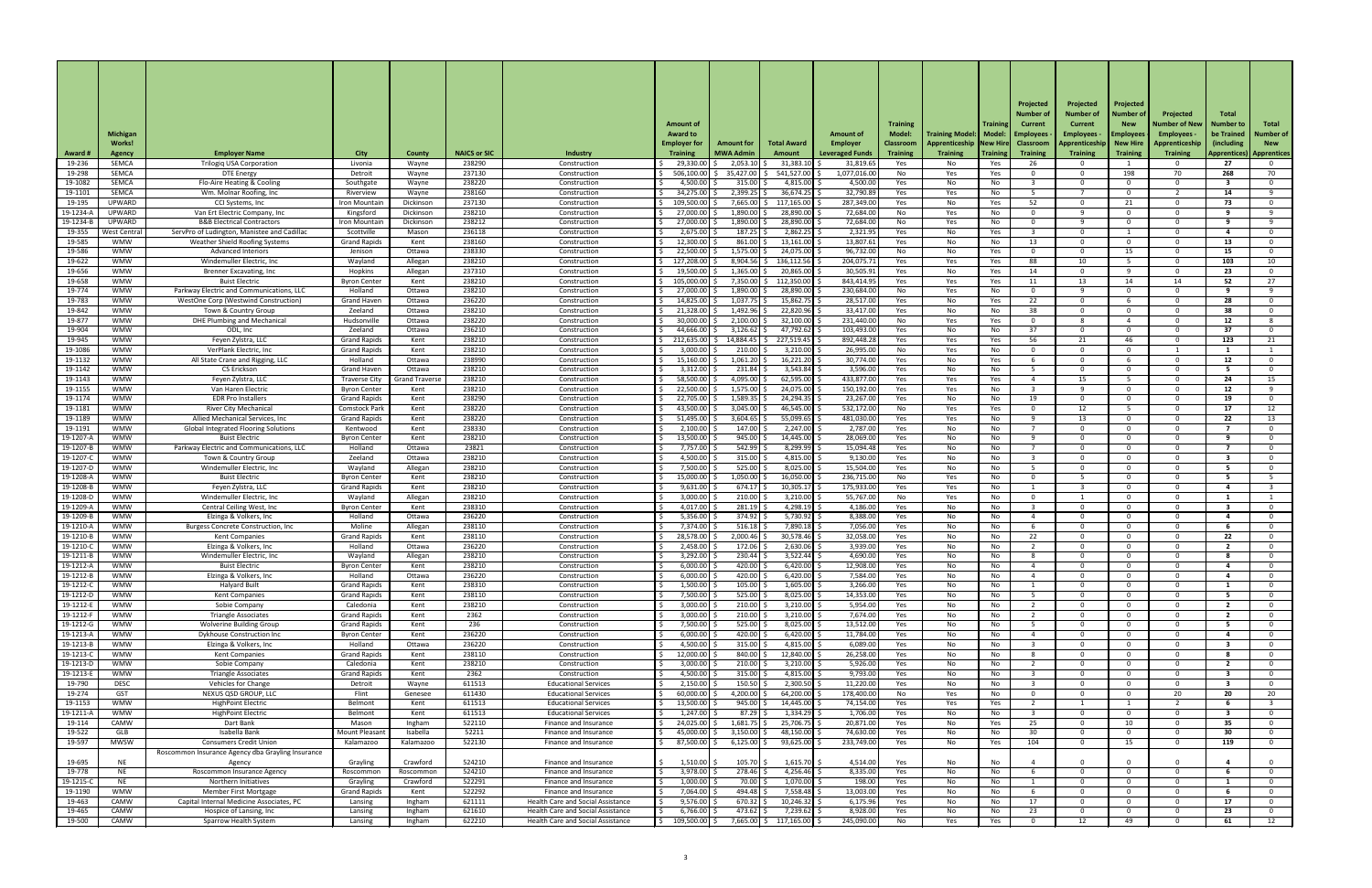|                              |                              |                                                                     |                                             |                                |                     |                                                                                      |                                        |                                       |                                                         |                                           |                                     |                                                |                 | Projected<br>Number of              | Projected<br><b>Number of</b>     | Projected<br>Number o       | Projected                         | Total                      |                             |
|------------------------------|------------------------------|---------------------------------------------------------------------|---------------------------------------------|--------------------------------|---------------------|--------------------------------------------------------------------------------------|----------------------------------------|---------------------------------------|---------------------------------------------------------|-------------------------------------------|-------------------------------------|------------------------------------------------|-----------------|-------------------------------------|-----------------------------------|-----------------------------|-----------------------------------|----------------------------|-----------------------------|
|                              | Michigan                     |                                                                     |                                             |                                |                     |                                                                                      | <b>Amount of</b><br><b>Award to</b>    |                                       |                                                         | <b>Amount of</b>                          | <b>Training</b><br><b>Model:</b>    | <b>Training Model:   Model:</b>                | <b>Trainir</b>  | <b>Current</b><br>  Employees       | Current<br>Employees ·            | <b>New</b><br>Employee:     | Number of New<br><b>Employees</b> | Number to<br>be Trained    | Total<br><b>Number of</b>   |
| <b>Award#</b>                | Works!<br><b>Agency</b>      | <b>Employer Name</b>                                                | <b>City</b>                                 | <b>County</b>                  | <b>NAICS or SIC</b> | Industry                                                                             | <b>Employer for</b><br><b>Training</b> | <b>Amount for</b><br><b>MWA Admin</b> | <b>Total Award</b><br>Amount                            | <b>Employer</b><br><b>Leveraged Funds</b> | <b>Classroom</b><br><b>Training</b> | Apprenticeship   New Hire  <br><b>Training</b> | <b>Training</b> | <b>Classroom</b><br><b>Training</b> | Apprenticeship<br><b>Training</b> | New Hire<br><b>Training</b> | Apprenticeship<br><b>Training</b> | (including<br>Apprentices) | <b>New</b><br>  Apprentices |
| 19-236                       | <b>SEMCA</b>                 | <b>Trilogiq USA Corporation</b>                                     | Livonia                                     | Wayne                          | 238290              | Construction                                                                         | 29,330.00                              | 2,053.10                              | 31,383.10                                               | 31,819.65                                 | Yes                                 | No                                             | Yes             | 26                                  |                                   |                             |                                   | 27                         |                             |
| 19-298<br>19-1082            | <b>SEMCA</b><br><b>SEMCA</b> | <b>DTE Energy</b><br>Flo-Aire Heating & Cooling                     | Detroit<br>Southgate                        | Wayne<br>Wayne                 | 237130<br>238220    | Construction<br>Construction                                                         | 506,100.00<br>4,500.00                 | 35,427.00<br>315.00                   | 541,527.00<br>4,815.00                                  | 1,077,016.00<br>4,500.00                  | No.<br>Yes                          | Yes<br>No                                      | Yes<br>No.      |                                     |                                   | 198<br>റ                    | 70                                | 268                        | 70<br>$\Omega$              |
| 19-1101                      | <b>SEMCA</b>                 | Wm. Molnar Roofing, Inc                                             | Riverview                                   | Wayne                          | 238160              | Construction                                                                         | 34,275.00                              | 2,399.25                              | 36,674.25                                               | 32,790.89                                 | Yes                                 | Yes                                            | No.             |                                     |                                   | റ                           |                                   | 14                         | - q                         |
| 19-195<br>19-1234-/          | UPWARD<br>UPWARD             | CCI Systems, Inc<br>Van Ert Electric Company, Inc                   | Iron Mountain<br>Kingsford                  | Dickinson<br>Dickinson         | 237130<br>238210    | Construction<br>Construction                                                         | 109,500.00<br>27,000.00                | 7,665.00<br>1,890.00                  | 117,165.00<br>28,890.00                                 | 287,349.00<br>72,684.00                   | Yes<br>No                           | No                                             | Yes<br>No.      | 52<br>$\cap$                        |                                   | 21<br>$\Omega$              |                                   | 73<br>Q                    | $\Omega$<br>- q             |
| 19-1234-E                    | <b>UPWARD</b>                | <b>B&amp;B Electrical Contractors</b>                               | Iron Mountain                               | Dickinson                      | 238212              | Construction                                                                         | 27,000.00                              | 1,890.00                              | 28,890.00                                               | 72,684.00                                 | No                                  | Yes<br>Yes                                     | No              |                                     |                                   | $\Omega$                    |                                   |                            | - Q                         |
| 19-355                       | West Centra                  | ServPro of Ludington, Manistee and Cadillac                         | Scottville                                  | Mason                          | 236118              | Construction                                                                         | 2,675.00                               | 187.25                                | 2,862.25                                                | 2,321.95                                  | Yes                                 | No                                             | Yes             |                                     |                                   |                             |                                   |                            | റ                           |
| 19-585<br>19-586             | <b>WMW</b><br><b>WMW</b>     | <b>Weather Shield Roofing Systems</b><br><b>Advanced Interiors</b>  | <b>Grand Rapids</b><br>Jenison              | Kent<br>Ottawa                 | 238160<br>238330    | Construction<br>Construction                                                         | 12,300.00<br>22,500.00                 | 861.00<br>1,575.00                    | 13,161.00<br>24,075.00                                  | 13,807.61<br>96,732.00                    | Yes<br>No                           | No<br>No                                       | No<br>Yes       | 13                                  |                                   | $\Omega$<br>15              |                                   | 13<br>15                   | $\mathbf{0}$<br>$\Omega$    |
| 19-622                       | <b>WMW</b>                   | Windemuller Electric, Inc.                                          | Wayland                                     | Allegan                        | 238210              | Construction                                                                         | 127,208.00                             | $8,904.56$ \$                         | 136,112.56                                              | 204,075.71                                | Yes                                 | Yes                                            | Yes             | 88                                  | 10 <sup>1</sup>                   |                             |                                   | 103                        | 10                          |
| 19-656<br>19-658             | <b>WMW</b><br><b>WMW</b>     | Brenner Excavating, Inc<br><b>Buist Electric</b>                    | Hopkins<br><b>Byron Center</b>              | Allegan<br>Kent                | 237310<br>238210    | Construction<br>Construction                                                         | 19,500.00<br>105,000.00                | 1,365.00<br>7,350.00                  | 20,865.00<br>112,350.00                                 | 30,505.91<br>843,414.95                   | Yes<br>Yes                          | No<br>Yes                                      | Yes<br>Yes      | 14<br>11                            | 13                                | <b>Q</b><br>14              | 14                                | 23<br>52                   | $\Omega$<br>27              |
| 19-774                       | <b>WMW</b>                   | Parkway Electric and Communications, LLC                            | Holland                                     | Ottawa                         | 238210              | Construction                                                                         | 27,000.00                              | 1,890.00                              | 28,890.00                                               | 230,684.00                                | No                                  | Yes                                            | No              | റ                                   |                                   | റ                           |                                   |                            | -9                          |
| 19-783<br>19-842             | <b>WMW</b><br><b>WMW</b>     | WestOne Corp (Westwind Construction)<br>Town & Country Group        | <b>Grand Haven</b><br>Zeeland               | Ottawa<br>Ottawa               | 236220<br>238210    | Construction<br>Construction                                                         | 14,825.00<br>21,328.00                 | 1,037.75<br>1,492.96                  | 15,862.75<br>22,820.96                                  | 28,517.00<br>33,417.00                    | Yes<br>Yes                          | No<br>No                                       | Yes<br>No.      | 22<br>38                            | റ<br>റ                            | $\Omega$                    |                                   | 28<br>38                   | $\Omega$<br>$\Omega$        |
| 19-877                       | <b>WMW</b>                   | <b>DHE Plumbing and Mechanical</b>                                  | Hudsonville                                 | Ottawa                         | 238220              | Construction                                                                         | 30,000.00                              | 2,100.00                              | 32,100.00                                               | 231,440.00                                | No                                  | Yes                                            | Yes             |                                     |                                   |                             |                                   | 12                         |                             |
| 19-904                       | <b>WMW</b>                   | ODL, Inc                                                            | Zeeland                                     | Ottawa                         | 236210              | Construction                                                                         | 44,666.00                              | 3,126.62                              | 47,792.62                                               | 103,493.00                                | Yes                                 | No                                             | No.             | 37                                  |                                   | . വ                         |                                   | 37                         | . റ                         |
| 19-945<br>19-1086            | <b>WMW</b><br><b>WMW</b>     | Feyen Zylstra, LLC<br>VerPlank Electric, Inc                        | <b>Grand Rapids</b><br><b>Grand Rapids</b>  | Kent<br>Kent                   | 238210<br>238210    | Construction<br>Construction                                                         | 212,635.00<br>3,000.00                 | 14,884.45<br>210.00                   | 227,519.45<br>3,210.00                                  | 892,448.28<br>26,995.00                   | Yes<br>No                           | Yes<br>Yes                                     | Yes<br>No       | 56                                  | 21                                | 46<br>റ                     |                                   | 123                        | 21                          |
| 19-1132                      | <b>WMW</b>                   | All State Crane and Rigging, LLC                                    | Holland                                     | Ottawa                         | 238990              | Construction                                                                         | 15,160.00                              | 1,061.20                              | 16,221.20                                               | 30,774.00                                 | Yes                                 | No                                             | Yes             |                                     |                                   |                             |                                   | 12                         |                             |
| 19-1142<br>19-1143           | <b>WMW</b><br><b>WMW</b>     | <b>CS Erickson</b><br>Feyen Zylstra, LLC                            | <b>Grand Haven</b><br><b>Traverse City</b>  | Ottawa<br><b>Grand Travers</b> | 238210<br>238210    | Construction<br>Construction                                                         | 3,312.00<br>58,500.0                   | 231.84<br>4,095.00                    | $3,543.84$ \$<br>62,595.00                              | 3,596.00<br>433,877.00                    | Yes<br>Yes                          | No<br>Yes                                      | No<br>Yes       |                                     | 15                                |                             |                                   | 24                         | 15                          |
| 19-1155                      | <b>WMW</b>                   | Van Haren Electric                                                  | <b>Byron Center</b>                         | Kent                           | 238210              | Construction                                                                         | 22,500.00                              | 1,575.00                              | 24,075.00                                               | 150,192.00                                | Yes                                 | Yes                                            | No.             |                                     |                                   | $\cap$                      |                                   | 12                         |                             |
| 19-1174<br>19-1181           | <b>WMW</b><br><b>WMW</b>     | <b>EDR Pro Installers</b><br><b>River City Mechanical</b>           | <b>Grand Rapids</b><br><b>Comstock Park</b> | Kent<br>Kent                   | 238290<br>238220    | Construction<br>Construction                                                         | 22,705.00<br>43,500.00                 | 1,589.35<br>3,045.00                  | 24,294.35<br>46,545.00                                  | 23,267.00<br>532,172.00                   | Yes<br>No.                          | No<br>Yes                                      | No<br>Yes       | 19                                  | 12                                |                             |                                   | 19<br>17                   | 12                          |
| 19-1189                      | <b>WMW</b>                   | Allied Mechanical Services, Inc.                                    | <b>Grand Rapids</b>                         | Kent                           | 238220              | Construction                                                                         | 51,495.00                              | 3,604.65                              | 55,099.65                                               | 481,030.00                                | Yes                                 | Yes                                            | No.             |                                     | 13                                |                             |                                   | 22                         | 13                          |
| 19-1191                      | <b>WMW</b>                   | <b>Global Integrated Flooring Solutions</b>                         | Kentwood                                    | Kent                           | 238330              | Construction                                                                         | 2,100.00                               | 147.00                                | 2,247.00                                                | 2,787.00                                  | Yes                                 | No                                             | No.             |                                     |                                   | റ                           |                                   |                            | - 0<br>റ                    |
| 19-1207-<br>19-1207-         | <b>WMW</b><br><b>WMW</b>     | <b>Buist Electric</b><br>Parkway Electric and Communications, LLC   | <b>Byron Center</b><br>Holland              | Kent<br>Ottawa                 | 238210<br>23821     | Construction<br>Construction                                                         | 13,500.00<br>7,757.00                  | 945.00<br>542.99                      | 14,445.00<br>8,299.99                                   | 28,069.00<br>15,094.48                    | Yes<br>Yes                          | No<br>No                                       | No<br>No        |                                     |                                   | $\Omega$                    |                                   |                            |                             |
| 19-1207-                     | <b>WMW</b>                   | Town & Country Group                                                | Zeeland                                     | Ottawa                         | 238210              | Construction                                                                         | 4,500.00                               | 315.00                                | 4,815.00                                                | 9,130.00                                  | Yes                                 | No                                             | No.             |                                     |                                   | $\cap$                      |                                   |                            |                             |
| 19-1207-D<br>19-1208-        | <b>WMW</b><br><b>WMW</b>     | Windemuller Electric, Inc.<br><b>Buist Electric</b>                 | Wayland<br><b>Byron Center</b>              | Allegan<br>Kent                | 238210<br>238210    | Construction<br>Construction                                                         | 7,500.00<br>15,000.00                  | 525.00<br>1,050.00                    | 8,025.00<br>16,050.00                                   | 15,504.00<br>236,715.00                   | Yes<br>No.                          | No<br>Yes                                      | No.<br>No       |                                     |                                   | $\cap$                      |                                   |                            |                             |
| 19-1208-                     | <b>WMW</b>                   | Feyen Zylstra, LLC                                                  | <b>Grand Rapids</b>                         | Kent                           | 238210              | Construction                                                                         | 9,631.00                               | 674.17                                | 10,305.17                                               | 175,933.00                                | Yes                                 | Yes                                            | No              |                                     |                                   | $\cap$                      |                                   |                            |                             |
| 19-1208-D<br>19-1209-        | <b>WMW</b><br><b>WMW</b>     | Windemuller Electric, Inc.<br>Central Ceiling West, Inc             | Wayland<br><b>Byron Center</b>              | Allegan<br>Kent                | 238210<br>238310    | Construction<br>Construction                                                         | 3,000.00<br>4,017.00                   | 210.00<br>281.19                      | 3,210.00<br>4,298.19                                    | 55,767.00<br>4,186.00                     | No.<br>Yes                          | Yes<br>No                                      | No.<br>No.      |                                     |                                   | $\cap$                      |                                   |                            | $\Omega$                    |
| 19-1209-                     | <b>WMW</b>                   | Elzinga & Volkers, Inc                                              | Holland                                     | Ottawa                         | 236220              | Construction                                                                         | 5,356.00                               | 374.92                                | 5,730.92                                                | 8,388.00                                  | Yes                                 | No                                             | No.             |                                     |                                   |                             |                                   |                            |                             |
| 19-1210-<br>19-1210-1        | <b>WMW</b><br><b>WMW</b>     | Burgess Concrete Construction, Inc.<br><b>Kent Companies</b>        | Moline<br><b>Grand Rapids</b>               | Allegan<br>Kent                | 238110<br>238110    | Construction<br>Construction                                                         | 7,374.00<br>28,578.00                  | 516.18<br>2,000.46                    | 7,890.18<br>30,578.46                                   | 7,056.00<br>32,058.00                     | Yes<br>Yes                          | No<br>No                                       | No.<br>No       | 22                                  |                                   | $\cap$                      |                                   | 22                         | $\Omega$                    |
| 19-1210-0                    | <b>WMW</b>                   | Elzinga & Volkers, Inc                                              | Holland                                     | Ottawa                         | 236220              | Construction                                                                         | 2,458.00                               | 172.06                                | 2,630.06                                                | 3,939.00                                  | Yes                                 | No                                             | No.             |                                     |                                   | $\Omega$                    |                                   |                            |                             |
| 19-1211-                     | <b>WMW</b>                   | Windemuller Electric, Inc.                                          | Wayland                                     | Allegan                        | 238210              | Construction                                                                         | 3,292.00                               | 230.44                                | 3,522.44                                                | 4,690.00                                  | Yes                                 | No                                             | No.             |                                     |                                   |                             |                                   |                            |                             |
| 19-1212-<br>19-1212-         | <b>WMW</b><br><b>WMW</b>     | <b>Buist Electric</b><br>Elzinga & Volkers, Inc                     | <b>Byron Center</b><br>Holland              | Kent<br>Ottawa                 | 238210<br>236220    | Construction<br>Construction                                                         | 6,000.00<br>6,000.00                   | 420.00<br>420.00                      | 6,420.00<br>6,420.00                                    | 12,908.00<br>7,584.00                     | Yes<br>Yes                          | No<br>No                                       | No.<br>No       |                                     |                                   |                             |                                   |                            |                             |
| 19-1212-0                    | <b>WMW</b>                   | <b>Halyard Built</b>                                                | <b>Grand Rapids</b>                         | Kent                           | 238310              | Construction                                                                         | 1,500.00                               | 105.00                                | 1,605.00                                                | 3,266.00                                  | Yes                                 | No                                             | No.             |                                     |                                   | റ                           |                                   |                            | റ                           |
| 19-1212-D<br>19-1212-1       | <b>WMW</b><br><b>WMW</b>     | <b>Kent Companies</b><br>Sobie Company                              | <b>Grand Rapids</b><br>Caledonia            | Kent<br>Kent                   | 238110<br>238210    | Construction<br>Construction                                                         | 7,500.00<br>3,000.00                   | 525.00<br>210.00                      | 8,025.00<br>3,210.00                                    | 14,353.00<br>5,954.00                     | Yes<br>Yes                          | No<br>No                                       | No.<br>No       |                                     |                                   | $\cap$                      |                                   |                            | $\Omega$                    |
| 19-1212-F                    | <b>WMW</b>                   | <b>Triangle Associates</b>                                          | <b>Grand Rapids</b>                         | Kent                           | 2362                | Construction                                                                         | 3,000.00                               | 210.00                                | 3,210.00                                                | 7,674.00                                  | Yes                                 | No                                             | No.             |                                     |                                   |                             |                                   |                            | $\Omega$                    |
| 19-1212-G<br>$19 - 1213 - 4$ | <b>WMW</b><br><b>WMW</b>     | <b>Wolverine Building Group</b><br>Dykhouse Construction Inc        | <b>Grand Rapids</b><br><b>Byron Center</b>  | Kent<br>Kent                   | 236<br>236220       | Construction<br>Construction                                                         | 7,500.00<br>6,000.00                   | 525.00<br>420.00                      | 8,025.00<br>6,420.00                                    | 13,512.00<br>11,784.00                    | Yes<br>Yes                          | No<br>No                                       | No<br>No.       |                                     |                                   | റ<br>$\cap$                 |                                   |                            | റ                           |
| 19-1213-                     | <b>WMW</b>                   | Elzinga & Volkers, Inc                                              | Holland                                     | Ottawa                         | 236220              | Construction                                                                         | 4,500.00                               | 315.00                                | 4,815.00                                                | 6,089.00                                  | Yes                                 | No                                             | No.             |                                     |                                   | $\cap$                      |                                   |                            |                             |
| 19-1213-                     | <b>WMW</b><br><b>WMW</b>     | <b>Kent Companies</b>                                               | <b>Grand Rapids</b><br>Caledonia            | Kent                           | 238110<br>238210    | Construction                                                                         | 12,000.00                              | 840.00<br>210.00                      | 12,840.00                                               | 26,258.00<br>5,926.00                     | Yes                                 | No                                             | No.             |                                     |                                   | $\Omega$                    |                                   |                            |                             |
| 19-1213-D<br>$19-1213-E$     | <b>WMW</b>                   | Sobie Company<br><b>Triangle Associates</b>                         | <b>Grand Rapids</b>                         | Kent<br>Kent                   | 2362                | Construction<br>Construction                                                         | 3,000.00<br>4,500.00 \$                | $315.00$ \$                           | 3,210.00<br>4,815.00 \$                                 | 9,793.00                                  | Yes<br>Yes                          | No<br>No                                       | No.<br>No       |                                     | $\mathbf{0}$                      | $\overline{0}$              | $\sim$                            | $\overline{\mathbf{3}}$    |                             |
| 19-790                       | <b>DESC</b>                  | <b>Vehicles for Change</b>                                          | Detroit                                     | Wayne                          | 611513              | <b>Educational Services</b>                                                          | 2,150.00                               | 150.50                                | $2,300.50$ \$                                           | 11,220.00                                 | Yes                                 | No                                             | No              |                                     |                                   | $\Omega$                    |                                   |                            | $\Omega$                    |
| 19-274<br>19-1153            | <b>GST</b><br><b>WMW</b>     | NEXUS QSD GROUP, LLC<br><b>HighPoint Electric</b>                   | Flint<br>Belmont                            | Genesee<br>Kent                | 611430<br>611513    | <b>Educational Services</b><br><b>Educational Services</b>                           | 60,000.00<br>13,500.00                 | $4,200.00$ :<br>945.00                | 64,200.00<br>14,445.00                                  | 178,400.00<br>74,154.00                   | No<br>Yes                           | Yes<br>Yes                                     | No<br>Yes       |                                     |                                   | . വ                         | 20                                | 20                         | 20                          |
| 19-1211-A                    | <b>WMW</b>                   | <b>HighPoint Electric</b>                                           | Belmont                                     | Kent                           | 611513              | <b>Educational Services</b>                                                          | 1,247.00                               | $87.29$ \$                            | $1,334.29$ \$                                           | 1,706.00                                  | Yes                                 | No                                             | No              |                                     | റ                                 | റ                           |                                   |                            | $\mathbf{0}$                |
| 19-114<br>19-522             | CAMW<br>GLB                  | Dart Bank<br>Isabella Bank                                          | Mason<br><b>Mount Pleasant</b>              | Ingham<br>Isabella             | 522110<br>52211     | Finance and Insurance<br>Finance and Insurance                                       | 24,025.00 \$<br>45,000.00              | $1,681.75$ \$<br>3,150.00             | 25,706.75 \$<br>48,150.00                               | 20,871.00<br>74,630.00                    | Yes<br>Yes                          | No<br>No                                       | Yes<br>No.      | 25<br>30                            | റ                                 | 10 <sup>°</sup><br>$\Omega$ |                                   | 35<br>30                   | $\mathbf 0$<br>$\mathbf{0}$ |
| 19-597                       | <b>MWSW</b>                  | <b>Consumers Credit Union</b>                                       | Kalamazoo                                   | Kalamazoo                      | 522130              | Finance and Insurance                                                                | $87,500.00$ $\mid$ \$                  | $6,125.00$ \$                         | $93,625.00$ \$                                          | 233,749.00                                | Yes                                 | No                                             | Yes             | 104                                 | $\Omega$                          | 15                          |                                   | 119                        | $\mathbf{0}$                |
| 19-695                       | NE.                          | Roscommon Insurance Agency dba Grayling Insurance<br>Agency         | Grayling                                    | Crawford                       | 524210              | Finance and Insurance                                                                | $1,510.00$ \$                          | $105.70$ \$                           | $1,615.70$ \$                                           | 4,514.00                                  | Yes                                 | No                                             | No              |                                     |                                   |                             |                                   |                            | 0                           |
| 19-778<br>19-1215-C          | <b>NE</b><br><b>NE</b>       | Roscommon Insurance Agency<br>Northern Initiatives                  | Roscommon<br>Grayling                       | Roscommon<br>Crawford          | 524210<br>522291    | Finance and Insurance<br>Finance and Insurance                                       | $3,978.00$ $\mid$<br>1,000.00          | 278.46<br>70.00                       | 4,256.46 \$<br>$1,070.00$ \$                            | 8,335.00<br>198.00                        | Yes<br>Yes                          | No<br>No                                       | No<br>No        |                                     |                                   | $\Omega$<br>$\Omega$        |                                   |                            | $\Omega$<br>$\Omega$        |
| 19-1190                      | <b>WMW</b>                   | Member First Mortgage                                               | <b>Grand Rapids</b>                         | Kent                           | 522292              | Finance and Insurance                                                                | 7,064.00                               | 494.48                                | $7,558.48$ \$                                           | 13,003.00                                 | Yes                                 | No                                             | No              |                                     |                                   | $\Omega$                    |                                   |                            | $\mathbf{0}$                |
| 19-463<br>19-465             | CAMW<br>CAMW                 | Capital Internal Medicine Associates, PC<br>Hospice of Lansing, Inc | Lansing<br>Lansing                          | Ingham<br>Ingham               | 621111<br>621610    | <b>Health Care and Social Assistance</b><br><b>Health Care and Social Assistance</b> | 9,576.00<br>6,766.00                   | $670.32$ :<br>$473.62$ \$             | $10,246.32$ \$<br>$7,239.62$ \$                         | 6,175.96<br>8,928.00                      | Yes<br>Yes                          | No<br>No                                       | No<br>No        | 17<br>23                            | $\cap$                            | $\Omega$<br>$\Omega$        |                                   | 17<br>23                   | $\Omega$<br>$\overline{0}$  |
| 19-500                       | CAMW                         | Sparrow Health System                                               | Lansing                                     | Ingham                         | 622210              | Health Care and Social Assistance                                                    | 109,500.00 \$                          |                                       | 7,665.00 $\vert \xi \vert$ 117,165.00 $\vert \xi \vert$ | 245,090.00                                | No                                  | Yes                                            | Yes             |                                     | 12                                | 49                          |                                   | 61                         | 12                          |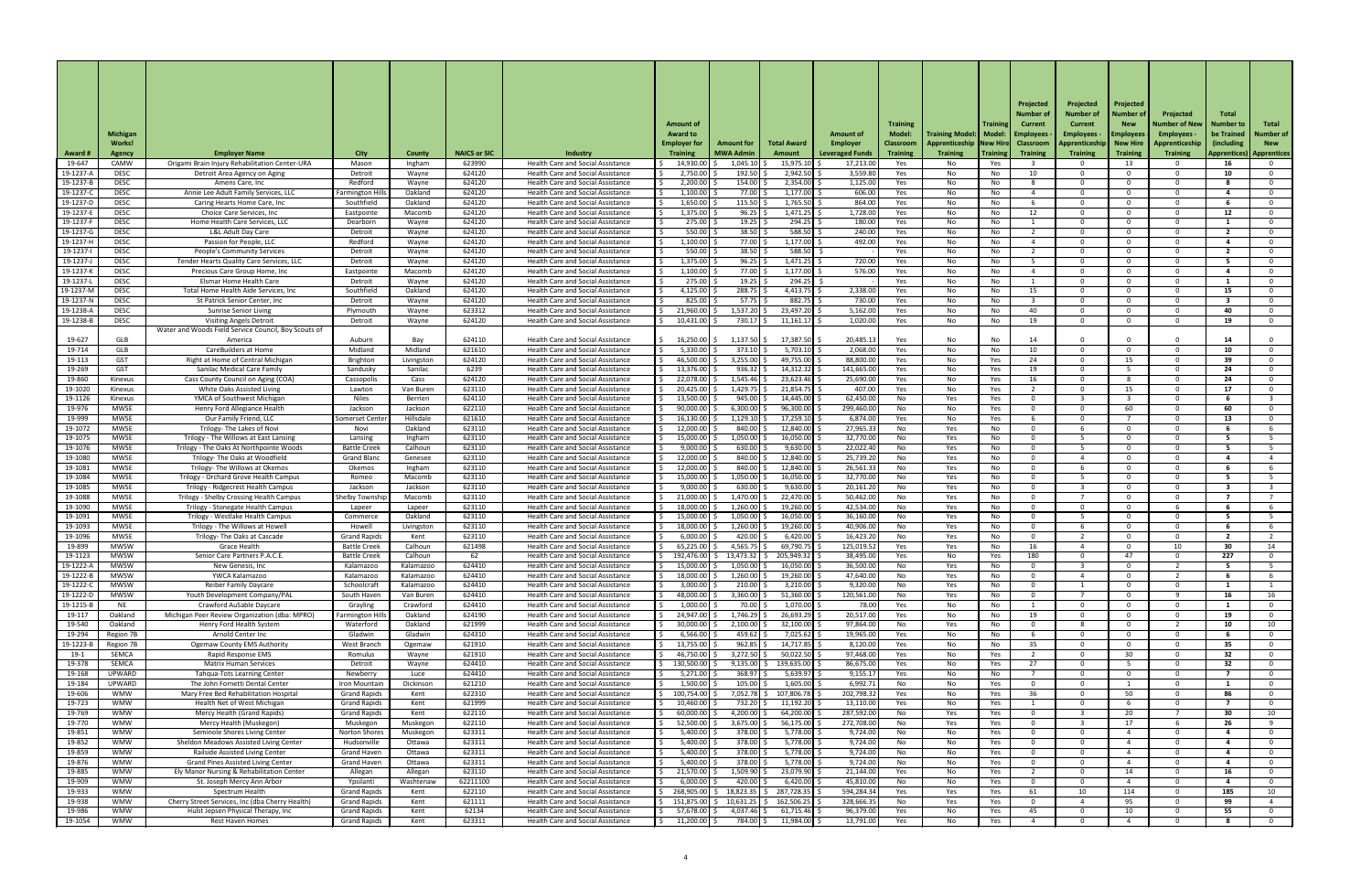|                       | <b>Michigan</b><br>Works!  |                                                                                        |                                            |                       |                     |                                                                                      | <b>Amount of</b><br><b>Award to</b><br><b>Employer for</b> | <b>Amount for</b>      | <b>Total Award</b>             | <b>Amount of</b><br><b>Employer</b> | <b>Training</b><br><b>Model:</b><br><b>Classroom</b> | <b>Training Model:   Model:</b><br><b>Apprenticeship New Hire</b> | <b>Trainin</b> | Projected<br>Number of<br><b>Current</b><br>  Employees<br><b>Classroom</b> | Projected<br><b>Number of</b><br><b>Current</b><br><b>Employees -</b><br>Apprenticeship | Projected<br>Number c<br><b>New</b><br><b>Employees</b><br><b>New Hire</b> | Projected<br>Number of New  <br>Employees -<br>Apprenticeship | Total<br>Number to<br>be Trained<br>(including) | Total<br>Number o<br><b>New</b> |
|-----------------------|----------------------------|----------------------------------------------------------------------------------------|--------------------------------------------|-----------------------|---------------------|--------------------------------------------------------------------------------------|------------------------------------------------------------|------------------------|--------------------------------|-------------------------------------|------------------------------------------------------|-------------------------------------------------------------------|----------------|-----------------------------------------------------------------------------|-----------------------------------------------------------------------------------------|----------------------------------------------------------------------------|---------------------------------------------------------------|-------------------------------------------------|---------------------------------|
| Award #               | <b>Agency</b>              | <b>Employer Name</b>                                                                   | <b>City</b>                                | <b>County</b>         | <b>NAICS or SIC</b> | Industry                                                                             | <b>Training</b>                                            | <b>MWA Admin</b>       | <b>Amount</b>                  | <b>Leveraged Funds</b>              | <b>Training</b>                                      | <b>Training</b>                                                   | Training       | <b>Training</b>                                                             | <b>Training</b>                                                                         | <b>Training</b>                                                            | <b>Training</b>                                               | <b>Apprentices</b> )                            | Apprentices                     |
| 19-647<br>19-1237-    | CAMW<br><b>DESC</b>        | Origami Brain Injury Rehabilitation Center-URA                                         | Mason<br>Detroit                           | Ingham                | 623990<br>624120    | Health Care and Social Assistance<br>Health Care and Social Assistance               | 14,930.00<br>2,750.00                                      | 1,045.10<br>192.50     | 15,975.10<br>2,942.50          | 17,213.00<br>3,559.80               | Yes<br>Yes                                           | No.                                                               | Yes            | 10                                                                          |                                                                                         | 13<br>റ                                                                    |                                                               | 16<br>10                                        | റ                               |
| 19-1237-              | <b>DESC</b>                | Detroit Area Agency on Aging<br>Amens Care, Inc.                                       | Redford                                    | Wayne<br>Wayne        | 624120              | <b>Health Care and Social Assistance</b>                                             | 2,200.00                                                   | 154.00                 | 2,354.00                       | 1,125.00                            | Yes                                                  | No<br>No                                                          | No.<br>No.     |                                                                             | റ                                                                                       | $\Omega$                                                                   |                                                               |                                                 | - 0                             |
| 19-1237-0             | <b>DESC</b>                | Annie Lee Adult Family Services, LLC                                                   | Farmington Hil                             | Oakland               | 624120              | <b>Health Care and Social Assistance</b>                                             | 1,100.00                                                   | 77.00                  | 1,177.00                       | 606.00                              | Yes                                                  | No                                                                | No.            |                                                                             |                                                                                         | റ                                                                          |                                                               |                                                 | $\Omega$                        |
| 19-1237-D<br>19-1237- | <b>DESC</b><br><b>DESC</b> | Caring Hearts Home Care, Inc.<br>Choice Care Services, Inc                             | Southfield<br>Eastpointe                   | Oakland<br>Macomb     | 624120<br>624120    | Health Care and Social Assistance<br>Health Care and Social Assistance               | 1,650.00<br>1,375.00                                       | 115.50<br>96.25        | $1,765.50$ \$<br>1,471.25      | 864.00<br>1,728.00                  | Yes<br>Yes                                           | No<br>No                                                          | No.<br>No      | 12                                                                          | റ                                                                                       | $\Omega$<br>റ                                                              |                                                               | 12                                              | $\mathbf{0}$<br>$\Omega$        |
| 19-1237-              | <b>DESC</b>                | Home Health Care Services, LLC                                                         | Dearborn                                   | Wayne                 | 624120              | <b>Health Care and Social Assistance</b>                                             | 275.00                                                     | 19.25                  | $294.25$ \$                    | 180.00                              | Yes                                                  | No                                                                | No.            |                                                                             |                                                                                         | $\Omega$                                                                   |                                                               |                                                 | $\Omega$                        |
| 19-1237-0             | <b>DESC</b>                | L&L Adult Day Care                                                                     | Detroit                                    | Wayne                 | 624120              | Health Care and Social Assistance                                                    | 550.00                                                     | 38.50                  | 588.50 \$                      | 240.00                              | Yes                                                  | No                                                                | No             |                                                                             |                                                                                         | റ                                                                          |                                                               |                                                 | . റ                             |
| 19-1237-H<br>19-1237- | <b>DESC</b><br><b>DESC</b> | Passion for People, LLC<br><b>People's Community Services</b>                          | Redford<br>Detroit                         | Wayne<br>Wayne        | 624120<br>624120    | Health Care and Social Assistance<br>Health Care and Social Assistance               | 1,100.00<br>550.00                                         | 77.00<br>38.50         | $1,177.00$ \$<br>588.50        | 492.00                              | Yes<br>Yes                                           | No<br>No                                                          | No.<br>No      |                                                                             | $\cap$                                                                                  | <u>__</u><br>$\Omega$                                                      |                                                               | $\mathbf{z}$                                    | - 0<br>$\Omega$                 |
| 19-1237-.             | <b>DESC</b>                | Tender Hearts Quality Care Services, LLC                                               | Detroit                                    | Wayne                 | 624120              | <b>Health Care and Social Assistance</b>                                             | 1,375.00                                                   | 96.25                  | $1,471.25$ \$                  | 720.00                              | Yes                                                  | No                                                                | No             |                                                                             | റ                                                                                       | - 0                                                                        |                                                               |                                                 | $\Omega$                        |
| 19-1237-              | <b>DESC</b>                | Precious Care Group Home, Inc                                                          | Eastpointe                                 | Macomb                | 624120              | Health Care and Social Assistance                                                    | 1,100.00                                                   | 77.00                  | 1,177.00                       | 576.00                              | Yes                                                  | No                                                                | No.            |                                                                             |                                                                                         | റ                                                                          |                                                               |                                                 | - റ                             |
| 19-1237-<br>19-1237-M | <b>DESC</b><br><b>DESC</b> | <b>Elsmar Home Health Care</b><br>Total Home Health Aide Services, Inc                 | Detroit<br>Southfield                      | Wayne<br>Oakland      | 624120<br>624120    | <b>Health Care and Social Assistance</b><br>Health Care and Social Assistance        | 275.00<br>4,125.00                                         | 19.25<br>288.75        | $294.25$ \$<br>$4,413.75$ \$   | 2,338.00                            | Yes<br>Yes                                           | No<br>No                                                          | No<br>No       | 15                                                                          |                                                                                         | $\Omega$<br>റ                                                              |                                                               | 15                                              | $\Omega$<br>$\Omega$            |
| 19-1237-N             | <b>DESC</b>                | St Patrick Senior Center, Inc                                                          | Detroit                                    | Wayne                 | 624120              | <b>Health Care and Social Assistance</b>                                             | 825.00                                                     | 57.75                  | 882.75 \$                      | 730.00                              | Yes                                                  | No                                                                | No.            |                                                                             | . റ                                                                                     | $\Omega$                                                                   |                                                               |                                                 | $\Omega$                        |
| 19-1238-              | <b>DESC</b>                | <b>Sunrise Senior Living</b>                                                           | Plymouth                                   | Wayne                 | 623312              | Health Care and Social Assistance                                                    | 21,960.00                                                  | 1,537.20               | 23,497.20                      | 5,162.00                            | Yes                                                  | No                                                                | No.            | 40                                                                          |                                                                                         | $\Omega$                                                                   |                                                               | 40                                              | . റ                             |
| 19-1238-              | <b>DESC</b>                | <b>Visiting Angels Detroit</b><br>Water and Woods Field Service Council, Boy Scouts of | Detroit                                    | Wayne                 | 624120              | <b>Health Care and Social Assistance</b>                                             | 10,431.00                                                  | 730.17                 | 11,161.17                      | 1,020.00                            | Yes                                                  | No l                                                              | No.            | 19                                                                          | . വ                                                                                     | <u>റ</u>                                                                   |                                                               | 19                                              | $\Omega$                        |
| 19-627                | GLB                        | America                                                                                | Auburn                                     | Bay                   | 624110              | <b>Health Care and Social Assistance</b>                                             | 16,250.00                                                  | 1,137.50               | 17,387.50                      | 20,485.13                           | Yes                                                  | No                                                                | No             | 14                                                                          |                                                                                         |                                                                            |                                                               | 14                                              | $\Omega$                        |
| 19-714                | <b>GLB</b>                 | <b>CareBuilders at Home</b>                                                            | Midland                                    | Midland               | 621610              | <b>Health Care and Social Assistance</b>                                             | 5,330.00                                                   | 373.10                 | 5,703.10                       | 2,068.00                            | Yes                                                  | No                                                                | No             | 10                                                                          | റ                                                                                       | $\Omega$                                                                   |                                                               | 10                                              | $\Omega$                        |
| 19-113<br>19-269      | <b>GST</b><br><b>GST</b>   | Right at Home of Central Michigan<br><b>Sanilac Medical Care Family</b>                | Brighton<br>Sandusky                       | Livingston<br>Sanilac | 624120<br>6239      | Health Care and Social Assistance<br><b>Health Care and Social Assistance</b>        | 46,500.00<br>13,376.00                                     | 3,255.00<br>936.32     | 49,755.00<br>14,312.32         | 88,800.00<br>141,665.00             | Yes                                                  | No                                                                | Yes            | 24                                                                          |                                                                                         | 15                                                                         |                                                               | 39<br>-24                                       | 0                               |
| 19-860                | Kinexus                    | Cass County Council on Aging (COA)                                                     | Cassopolis                                 | Cass                  | 624120              | <b>Health Care and Social Assistance</b>                                             | 22,078.00                                                  | 1,545.46               | 23,623.46                      | 25,690.00                           | Yes<br>Yes                                           | No<br>No                                                          | Yes<br>Yes     | 16                                                                          |                                                                                         | - 8                                                                        |                                                               | 24                                              |                                 |
| 19-1020               | Kinexus                    | White Oaks Assisted Living                                                             | Lawton                                     | Van Buren             | 623110              | <b>Health Care and Social Assistance</b>                                             | 20,425.00                                                  | 1,429.75               | 21,854.75                      | 407.00                              | Yes                                                  | No                                                                | Yes            |                                                                             |                                                                                         | 15                                                                         |                                                               | 17                                              |                                 |
| 19-1126<br>19-976     | Kinexus<br><b>MWSE</b>     | YMCA of Southwest Michigan<br>Henry Ford Allegiance Health                             | <b>Niles</b><br>Jackson                    | Berrien<br>Jackson    | 624110<br>622110    | <b>Health Care and Social Assistance</b><br>Health Care and Social Assistance        | 13,500.00<br>90,000.00                                     | 945.00<br>6,300.00     | 14,445.00<br>96,300.00         | 62,450.00<br>299,460.00             | No<br>No                                             | Yes<br>No                                                         | Yes            |                                                                             |                                                                                         | 60                                                                         |                                                               | 60 I                                            |                                 |
| 19-999                | <b>MWSE</b>                | Our Family Friend, LLC                                                                 | Somerset Cente                             | Hillsdale             | 621610              | Health Care and Social Assistance                                                    | 16,130.00                                                  | 1,129.10               | 17,259.10                      | 6,874.00                            | Yes                                                  | No                                                                | Yes<br>Yes     |                                                                             |                                                                                         |                                                                            |                                                               | 13                                              |                                 |
| 19-1072               | <b>MWSE</b>                | Trilogy- The Lakes of Novi                                                             | Novi                                       | Oakland               | 623110              | Health Care and Social Assistance                                                    | 12,000.00                                                  | 840.00                 | 12,840.00                      | 27,965.33                           | No                                                   | Yes                                                               | No.            |                                                                             |                                                                                         | റ                                                                          |                                                               |                                                 |                                 |
| 19-1075<br>19-1076    | <b>MWSE</b><br><b>MWSE</b> | Trilogy - The Willows at East Lansing<br>Trilogy - The Oaks At Northpointe Woods       | Lansing<br><b>Battle Creek</b>             | Ingham<br>Calhoun     | 623110<br>623110    | <b>Health Care and Social Assistance</b><br><b>Health Care and Social Assistance</b> | 15,000.00<br>9,000.00                                      | 1,050.00<br>630.00     | 16,050.00<br>9,630.00          | 32,770.00<br>22,022.40              | No<br>No                                             | Yes                                                               | No             |                                                                             |                                                                                         | <u>റ</u><br>റ                                                              |                                                               |                                                 |                                 |
| 19-1080               | <b>MWSE</b>                | Trilogy- The Oaks at Woodfield                                                         | <b>Grand Blanc</b>                         | Genesee               | 623110              | <b>Health Care and Social Assistance</b>                                             | 12,000.00                                                  | 840.00                 | 12,840.00                      | 25,739.20                           | No                                                   | Yes<br>Yes                                                        | No<br>No       |                                                                             |                                                                                         | $\Omega$                                                                   |                                                               |                                                 |                                 |
| 19-1081               | <b>MWSE</b>                | Trilogy- The Willows at Okemos                                                         | Okemos                                     | Ingham                | 623110              | Health Care and Social Assistance                                                    | 12,000.00                                                  | 840.00                 | 12,840.00                      | 26,561.33                           | No                                                   | Yes                                                               | No.            |                                                                             |                                                                                         |                                                                            |                                                               |                                                 |                                 |
| 19-1084<br>19-1085    | <b>MWSE</b><br><b>MWSE</b> | Trilogy - Orchard Grove Health Campus<br>Trilogy - Ridgecrest Health Campus            | Romeo<br>Jackson                           | Macomb<br>Jackson     | 623110<br>623110    | <b>Health Care and Social Assistance</b><br>Health Care and Social Assistance        | 15,000.00<br>9,000.00                                      | 1,050.00<br>630.00     | 16,050.00<br>9,630.00          | 32,770.00<br>20,161.20              | No<br>No                                             | Yes                                                               | No             |                                                                             |                                                                                         | റ<br>റ                                                                     |                                                               |                                                 |                                 |
| 19-1088               | <b>MWSE</b>                | Trilogy - Shelby Crossing Health Campus                                                | <b>Shelby Township</b>                     | Macomb                | 623110              | Health Care and Social Assistance                                                    | 21,000.00                                                  | 1,470.00               | 22,470.00                      | 50,462.00                           | No                                                   | Yes<br>Yes                                                        | No<br>No       |                                                                             |                                                                                         | റ                                                                          |                                                               |                                                 |                                 |
| 19-1090               | <b>MWSE</b>                | Trilogy - Stonegate Health Campus                                                      | Lapeer                                     | Lapeer                | 623110              | Health Care and Social Assistance                                                    | 18,000.00                                                  | 1,260.00               | 19,260.00                      | 42,534.00                           | No                                                   | Yes                                                               | No             |                                                                             |                                                                                         |                                                                            |                                                               |                                                 |                                 |
| 19-1091<br>19-1093    | <b>MWSE</b><br><b>MWSE</b> | Trilogy - Westlake Health Campus<br>Trilogy - The Willows at Howell                    | Commerce<br>Howel                          | Oakland<br>Livingston | 623110<br>623110    | <b>Health Care and Social Assistance</b><br>Health Care and Social Assistance        | 15,000.00<br>18,000.00                                     | 1,050.00<br>1,260.00   | 16,050.00<br>19,260.00         | 36,160.00<br>40,906.00              | No<br>No                                             | Yes                                                               | No             |                                                                             |                                                                                         | റ                                                                          |                                                               |                                                 |                                 |
| 19-1096               | <b>MWSE</b>                | Trilogy- The Oaks at Cascade                                                           | <b>Grand Rapids</b>                        | Kent                  | 623110              | <b>Health Care and Social Assistance</b>                                             | 6,000.00                                                   | 420.00                 | 6,420.00                       | 16,423.20                           | No                                                   | Yes<br>Yes                                                        | No<br>No       |                                                                             |                                                                                         | $\Omega$                                                                   |                                                               |                                                 |                                 |
| 19-899                | <b>MWSW</b>                | Grace Health                                                                           | <b>Battle Creek</b>                        | Calhoun               | 621498              | Health Care and Social Assistance                                                    | 65,225.00                                                  | 4,565.75               | 69,790.7                       | 125,019.52                          | Yes                                                  | Yes                                                               | No.            | 16                                                                          |                                                                                         | $\Omega$                                                                   | 1∩                                                            | 30 I                                            | -14                             |
| 19-1123<br>19-1222-   | <b>MWSW</b><br><b>MWSW</b> | Senior Care Partners P.A.C.E.<br>New Genesis, Inc                                      | <b>Battle Creek</b><br>Kalamazoo           | Calhoun<br>Kalamazoo  | 62<br>624410        | <b>Health Care and Social Assistance</b><br>Health Care and Social Assistance        | 192,476.00<br>15,000.00                                    | 13,473.32<br>1,050.00  | 205,949.32<br>16,050.00        | 38,495.00<br>36,500.00              | Yes<br>No                                            | No<br>Yes                                                         | Yes<br>No      | 180                                                                         |                                                                                         | 47                                                                         |                                                               | 227                                             |                                 |
| 19-1222-              | <b>MWSW</b>                | YWCA Kalamazoo                                                                         | Kalamazoo                                  | Kalamazoo             | 624410              | Health Care and Social Assistance                                                    | 18,000.00                                                  | 1,260.00               | 19,260.00                      | 47,640.00                           | No                                                   | Yes                                                               | No             |                                                                             |                                                                                         | $\Omega$                                                                   |                                                               |                                                 |                                 |
| 19-1222-              | <b>MWSW</b>                | <b>Reiber Family Daycare</b>                                                           | Schoolcraft                                | Kalamazoo             | 624410              | <b>Health Care and Social Assistance</b>                                             | 3,000.00                                                   | 210.00                 | 3,210.00                       | 9,320.00                            | No                                                   | Yes                                                               | No             |                                                                             |                                                                                         | $\Omega$                                                                   |                                                               |                                                 |                                 |
| 19-1222-<br>19-1215-B | <b>MWSW</b><br>NE.         | Youth Development Company/PAL<br>Crawford AuSable Daycare                              | South Haven<br>Grayling                    | Van Buren<br>Crawford | 624410<br>624410    | Health Care and Social Assistance<br>Health Care and Social Assistance               | 48,000.00<br>1,000.00                                      | 3,360.00<br>70.00      | 51,360.00<br>1,070.00          | 120,561.00<br>78.00                 | No<br>Yes                                            | Yes<br>No                                                         | No<br>No       |                                                                             |                                                                                         | $\Omega$                                                                   |                                                               | 16                                              | 16<br>$\Omega$                  |
| 19-117                | Oakland                    | Michigan Peer Review Organization (dba: MPRO)                                          | <b>Farmington Hil</b>                      | Oakland               | 624190              | <b>Health Care and Social Assistance</b>                                             | 24,947.00                                                  | 1,746.29               | 26,693.29                      | 20,517.00                           | Yes                                                  | No                                                                | No             | 19                                                                          |                                                                                         | റ                                                                          |                                                               | 19                                              | $\Omega$                        |
| 19-540                | Oakland                    | <b>Henry Ford Health System</b>                                                        | Waterford                                  | Oakland               | 621999              | Health Care and Social Assistance                                                    | 30,000.00                                                  | 2,100.00               | 32,100.00                      | 97,864.00                           | No                                                   | Yes                                                               | No             |                                                                             |                                                                                         | $\Omega$                                                                   |                                                               | 10                                              | 10                              |
| 19-294<br>19-1223-    | Region 7B<br>Region 7B     | Arnold Center Inc<br><b>Ogemaw County EMS Authority</b>                                | Gladwin<br>West Branch                     | Gladwin<br>Ogemaw     | 624310<br>621910    | Health Care and Social Assistance<br>Health Care and Social Assistance               | 6,566.00<br>13,755.00                                      | 459.62<br>962.85       | 7,025.62<br>14,717.85          | 19,965.00<br>8,120.00               | Yes<br>Yes                                           | No<br>No                                                          | No<br>No       | 35                                                                          |                                                                                         | $\Omega$<br>റ                                                              |                                                               | 35                                              | $\Omega$                        |
| $19-1$                | <b>SEMCA</b>               | Rapid Response EMS                                                                     | Romulus                                    | Wayne                 | 621910              | Health Care and Social Assistance                                                    | 46,750.00                                                  | 3,272.50               | 50,022.50                      | 97,468.00                           | Yes                                                  | No                                                                | Yes            |                                                                             |                                                                                         | 30                                                                         |                                                               | 32                                              |                                 |
| 19-378                | <b>SEMCA</b>               | Matrix Human Services                                                                  | Detroit                                    | Wayne                 | 624410              | <b>Health Care and Social Assistance</b>                                             | 130,500.00                                                 | 9,135.00               | 139,635.00                     | 86,675.00                           | Yes                                                  | No                                                                | Yes            | 27                                                                          |                                                                                         |                                                                            |                                                               | 32                                              |                                 |
| 19-168<br>19-184      | UPWARD<br>UPWARD           | <b>Tahqua-Tots Learning Center</b><br>The John Fornetti Dental Center                  | Newberry<br>Iron Mountain                  | Luce<br>Dickinson     | 624410<br>621210    | <b>Health Care and Social Assistance</b><br>Health Care and Social Assistance        | $5,271.00$   \$<br>$1,500.00$ \$                           | $368.97$ \$<br>105.00  | $5,639.97$ \$<br>$1,605.00$ \$ | 9,155.17<br>6,992.71                | Yes<br>No                                            | No<br>No                                                          | No<br>Yes      | റ                                                                           |                                                                                         |                                                                            |                                                               |                                                 | $\Omega$                        |
| 19-606                | <b>WMW</b>                 | Mary Free Bed Rehabilitation Hospital                                                  | <b>Grand Rapids</b>                        | Kent                  | 622310              | <b>Health Care and Social Assistance</b>                                             | 100,754.00                                                 | 7,052.78               | 107,806.78<br>-S               | 202,798.32                          | Yes                                                  | No                                                                | Yes            | 36                                                                          |                                                                                         | 50                                                                         |                                                               |                                                 | $\Omega$                        |
| 19-723                | <b>WMW</b>                 | Health Net of West Michigan                                                            | <b>Grand Rapids</b>                        | Kent                  | 621999              | Health Care and Social Assistance                                                    | 10,460.00                                                  | 732.20                 | 11,192.20                      | 13,110.00                           | Yes                                                  | No                                                                | Yes            |                                                                             |                                                                                         | -6                                                                         |                                                               |                                                 | $\mathbf 0$                     |
| 19-769<br>19-770      | <b>WMW</b><br><b>WMW</b>   | Mercy Health (Grand Rapids)<br>Mercy Health (Muskegon)                                 | <b>Grand Rapids</b><br>Muskegon            | Kent<br>Muskegon      | 622110<br>622110    | Health Care and Social Assistance<br>Health Care and Social Assistance               | 60,000.00<br>52,500.00                                     | 4,200.00<br>3,675.00   | 64,200.00<br>56,175.00         | 287,592.00<br>272,708.00            | No<br>No                                             | Yes<br>Yes                                                        | Yes<br>Yes     |                                                                             |                                                                                         | 20<br>17                                                                   |                                                               | 30<br>26                                        | 10<br>9                         |
| 19-851                | <b>WMW</b>                 | Seminole Shores Living Center                                                          | Norton Shores                              | Muskegon              | 623311              | Health Care and Social Assistance                                                    | 5,400.00                                                   | 378.00                 | 5,778.00                       | 9,724.00                            | No                                                   | No                                                                | Yes            |                                                                             |                                                                                         |                                                                            |                                                               |                                                 | 0                               |
| 19-852                | <b>WMW</b>                 | Sheldon Meadows Assisted Living Center                                                 | Hudsonville                                | Ottawa                | 623311              | <b>Health Care and Social Assistance</b>                                             | 5,400.00                                                   | 378.00                 | 5,778.00                       | 9,724.00                            | No                                                   | No                                                                | Yes            |                                                                             |                                                                                         |                                                                            |                                                               |                                                 | 0                               |
| 19-859<br>19-876      | <b>WMW</b><br><b>WMW</b>   | Railside Assisted Living Center<br><b>Grand Pines Assisted Living Center</b>           | <b>Grand Haven</b><br><b>Grand Haven</b>   | Ottawa<br>Ottawa      | 623311<br>623311    | <b>Health Care and Social Assistance</b><br>Health Care and Social Assistance        | 5,400.00<br>5,400.00                                       | 378.00<br>378.00       | 5,778.00<br>5,778.00           | 9,724.00<br>9,724.00                | No<br>No                                             | No<br>No                                                          | Yes<br>Yes     |                                                                             | $\Omega$<br>റ                                                                           |                                                                            |                                                               |                                                 | $\mathbf{0}$<br>$\mathbf{0}$    |
| 19-885                | <b>WMW</b>                 | Ely Manor Nursing & Rehabilitation Center                                              | Allegan                                    | Allegan               | 623110              | Health Care and Social Assistance                                                    | 21,570.00                                                  | 1,509.90               | 23,079.90                      | 21,144.00                           | Yes                                                  | No                                                                | Yes            |                                                                             |                                                                                         | 14                                                                         |                                                               | 16                                              | $\Omega$                        |
| 19-909                | <b>WMW</b>                 | St. Joseph Mercy Ann Arbor                                                             | Ypsilanti                                  | Washtenaw             | 62211100            | Health Care and Social Assistance                                                    | 6,000.00                                                   | 420.00                 | 6,420.00                       | 45,810.00                           | No                                                   | No                                                                | Yes            | റ                                                                           | റ                                                                                       |                                                                            |                                                               |                                                 | $\mathbf{0}$                    |
| 19-933<br>19-938      | <b>WMW</b><br><b>WMW</b>   | Spectrum Health<br>Cherry Street Services, Inc (dba Cherry Health)                     | <b>Grand Rapids</b><br><b>Grand Rapids</b> | Kent<br>Kent          | 622110<br>621111    | <b>Health Care and Social Assistance</b><br>Health Care and Social Assistance        | 268,905.00<br>$$151,875.00$ \$                             | 18,823.35<br>10,631.25 | 287,728.35<br>162,506.25<br>S. | 594,284.34<br>328,666.35            | Yes<br>No                                            | Yes<br>Yes                                                        | Yes<br>Yes     | 61<br>$\cap$                                                                | 10                                                                                      | 114<br>95                                                                  |                                                               | 185<br>99                                       | 10                              |
| 19-986                | <b>WMW</b>                 | Hulst Jepsen Physical Therapy, Inc                                                     | <b>Grand Rapids</b>                        | Kent                  | 62134               | Health Care and Social Assistance                                                    | 57,678.00 \$                                               | 4,037.46               | 61,715.46                      | 96,379.00                           | Yes                                                  | No                                                                | Yes            | 45                                                                          |                                                                                         | 10                                                                         |                                                               | 55                                              | $\overline{0}$                  |
| 19-1054               | <b>WMW</b>                 | Rest Haven Homes                                                                       | <b>Grand Rapids</b>                        | Kent                  | 623311              | Health Care and Social Assistance                                                    | $11,200.00$ \$                                             | 784.00 \$              | 11,984.00 \$                   | 13,791.00                           | Yes                                                  | No                                                                | Yes            |                                                                             |                                                                                         |                                                                            |                                                               |                                                 | $\overline{0}$                  |

4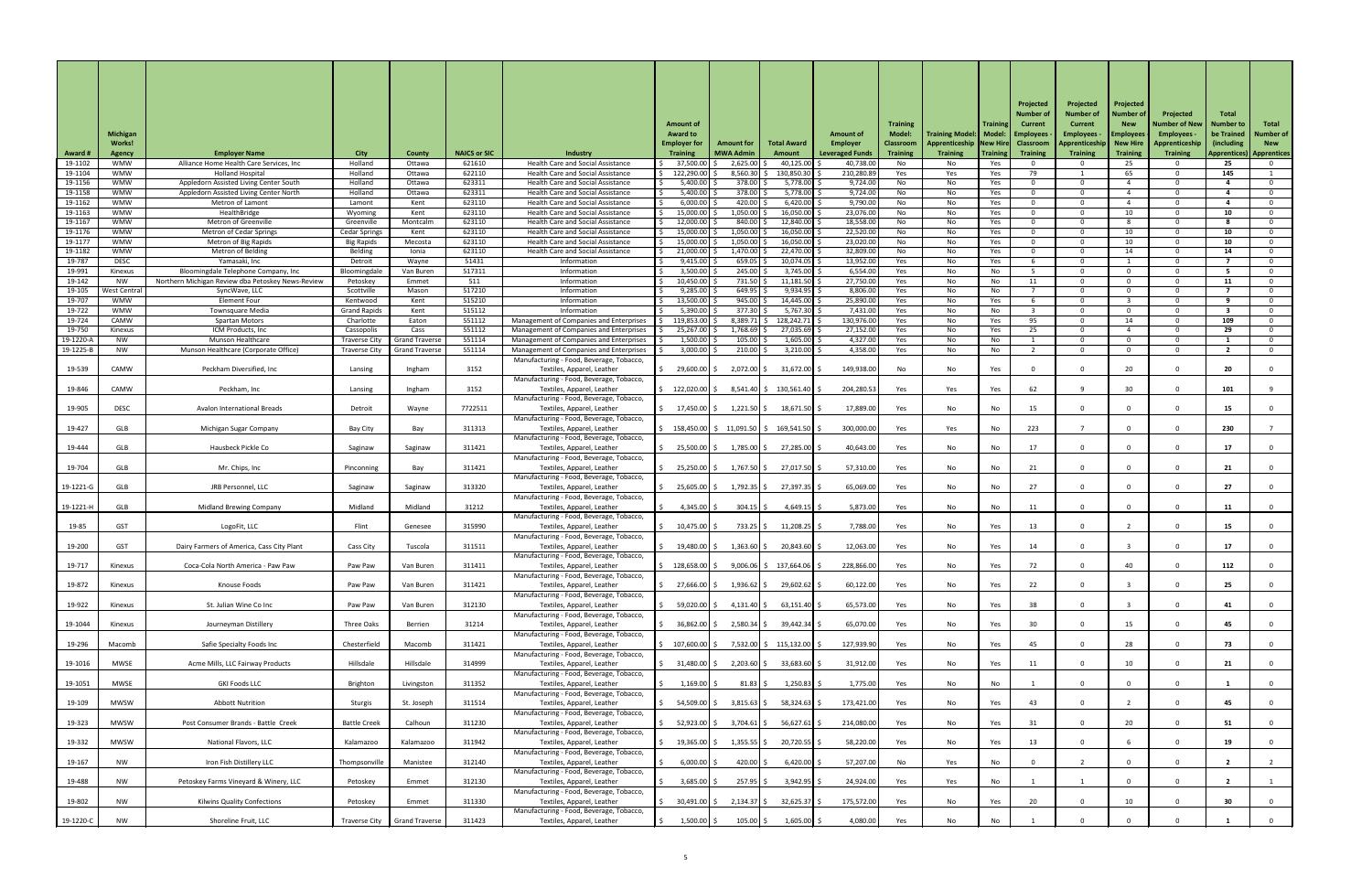|                       | <b>Michigan</b><br><b>Works!</b> |                                                                    |                                 |                                                |                     |                                                                                           | <b>Amount of</b><br><b>Award to</b><br><b>Employer for</b> | <b>Amount for</b>    | <b>Total Award</b>          | <b>Amount of</b><br><b>Employer</b> | <b>Training</b><br><b>Model:</b><br><b>Classroom</b> | Training Model:   Model:   Employees<br>Apprenticeship   New Hire | Trainin    | Projected<br><b>Number</b><br>Current<br><b>Classroom</b> | Projected<br><b>Number of</b><br><b>Current</b><br>Employees $\cdot$<br>Apprenticeship | Projected<br>Number (<br><b>New</b><br><b>Employees</b><br><b>New Hire</b> | Projected<br>Number of New  <br><b>Employees</b><br><b>Apprenticeship</b> | <b>Total</b><br>∣Number to<br>be Trained<br>(including) | Total<br><b>Number of</b><br><b>New</b> |
|-----------------------|----------------------------------|--------------------------------------------------------------------|---------------------------------|------------------------------------------------|---------------------|-------------------------------------------------------------------------------------------|------------------------------------------------------------|----------------------|-----------------------------|-------------------------------------|------------------------------------------------------|-------------------------------------------------------------------|------------|-----------------------------------------------------------|----------------------------------------------------------------------------------------|----------------------------------------------------------------------------|---------------------------------------------------------------------------|---------------------------------------------------------|-----------------------------------------|
| <b>Award #</b>        | <b>Agency</b>                    | <b>Employer Name</b>                                               | <b>City</b>                     | <b>County</b>                                  | <b>NAICS or SIC</b> | Industry                                                                                  | <b>Training</b>                                            | <b>MWA Admin</b>     | Amount                      | <b>Leveraged Funds</b>              | <b>Training</b>                                      | <b>Training</b>                                                   | Training   | <b>Training</b>                                           | <b>Training</b>                                                                        | <b>Training</b>                                                            | <b>Training</b>                                                           | Apprentices)                                            | Apprentices                             |
| 19-1102<br>19-1104    | WMW<br><b>WMW</b>                | Alliance Home Health Care Services, Inc<br><b>Holland Hospital</b> | Holland<br>Holland              | Ottawa<br>Ottawa                               | 621610<br>622110    | Health Care and Social Assistance<br><b>Health Care and Social Assistance</b>             | 37,500.0<br>122,290.00                                     | 2,625.00<br>8,560.30 | 40,125.00<br>130,850.30     | 40,738.00<br>210,280.89             | No<br>Yes                                            | No.<br>Yes                                                        | Yes<br>Yes | 79                                                        |                                                                                        | 25<br>65                                                                   |                                                                           | 25<br>145                                               | - റ                                     |
| 19-1156               | <b>WMW</b>                       | Appledorn Assisted Living Center South                             | Holland                         | Ottawa                                         | 623311              | <b>Health Care and Social Assistance</b>                                                  | 5,400.00                                                   | $378.00$ \$          | $5,778.00$ \$               | 9,724.00                            | No                                                   | No                                                                | Yes        | റ                                                         | റ                                                                                      |                                                                            |                                                                           |                                                         | $\Omega$                                |
| 19-1158               | <b>WMW</b>                       | Appledorn Assisted Living Center North                             | Holland                         | Ottawa                                         | 623311              | <b>Health Care and Social Assistance</b>                                                  | 5,400.00                                                   | 378.00               | 5,778.00                    | 9,724.00                            | No                                                   | No                                                                | Yes        | റ                                                         |                                                                                        |                                                                            |                                                                           |                                                         | $\Omega$                                |
| 19-1162               | <b>WMW</b>                       | Metron of Lamont                                                   | Lamont                          | Kent                                           | 623110              | Health Care and Social Assistance                                                         | 6,000.00                                                   | 420.00               | $6,420.00$ \$               | 9,790.00                            | No                                                   | No                                                                | Yes        | റ                                                         |                                                                                        |                                                                            |                                                                           |                                                         | $\Omega$                                |
| 19-1163<br>19-1167    | <b>WMW</b><br><b>WMW</b>         | HealthBridge<br><b>Metron of Greenville</b>                        | Wyoming<br>Greenville           | Kent<br>Montcalm                               | 623110<br>623110    | Health Care and Social Assistance<br><b>Health Care and Social Assistance</b>             | 15,000.00<br>12,000.00                                     | 1,050.00<br>840.00   | 16,050.00<br>12,840.00      | 23,076.00<br>18,558.00              | No<br>No                                             | No<br>No                                                          | Yes<br>Yes | റ                                                         | റ                                                                                      | 10<br>8                                                                    |                                                                           | 10<br>-8                                                | $\Omega$<br>$\mathbf 0$                 |
| 19-1176               | <b>WMW</b>                       | <b>Metron of Cedar Springs</b>                                     | <b>Cedar Springs</b>            | Kent                                           | 623110              | <b>Health Care and Social Assistance</b>                                                  | 15,000.00                                                  | 1,050.00             | 16,050.00                   | 22,520.00                           | No                                                   | No                                                                | Yes        |                                                           |                                                                                        | 10                                                                         |                                                                           | 10                                                      | $\Omega$                                |
| 19-1177               | <b>WMW</b>                       | Metron of Big Rapids                                               | Big Rapids                      | Mecosta                                        | 623110              | <b>Health Care and Social Assistance</b>                                                  | 15,000.00                                                  | 1,050.00             | 16,050.00                   | 23,020.00                           | No                                                   | No                                                                | Yes        | റ                                                         |                                                                                        | 10                                                                         |                                                                           | 10                                                      | $\Omega$                                |
| 19-1182<br>19-787     | <b>WMW</b><br><b>DESC</b>        | Metron of Belding<br>Yamasaki, Inc                                 | Belding<br>Detroit              | Ionia<br>Wayne                                 | 623110<br>51431     | <b>Health Care and Social Assistance</b><br>Information                                   | 21,000.00<br>9,415.00                                      | 1,470.00<br>659.05   | 22,470.00<br>10,074.05      | 32,809.00<br>13,952.00              | No<br>Yes                                            | No                                                                | Yes<br>Yes |                                                           |                                                                                        | 14                                                                         |                                                                           | 14                                                      | $\Omega$<br>- 0                         |
| 19-991                | Kinexus                          | Bloomingdale Telephone Company, Inc                                | Bloomingdale                    | Van Buren                                      | 517311              | Information                                                                               | 3,500.00                                                   | 245.00               | 3,745.00                    | 6,554.00                            | Yes                                                  | No<br>No                                                          | No         |                                                           | റ                                                                                      | $\Omega$                                                                   |                                                                           |                                                         | $\Omega$                                |
| 19-142                | NW                               | Northern Michigan Review dba Petoskey News-Review                  | Petoskey                        | Emmet                                          | 511                 | Information                                                                               | 10,450.00                                                  | 731.50               | $11,181.50$ \$              | 27,750.00                           | Yes                                                  | No                                                                | No         | 11                                                        | റ                                                                                      | $\Omega$                                                                   |                                                                           | 11                                                      | . റ                                     |
| 19-105                | West Centra                      | SyncWave, LLC                                                      | Scottville                      | Mason                                          | 517210              | Information                                                                               | 9,285.00                                                   | 649.95               | 9,934.95                    | 8,806.00                            | Yes                                                  | No                                                                | No.        |                                                           |                                                                                        | റ                                                                          |                                                                           |                                                         | $\Omega$                                |
| 19-707<br>19-722      | <b>WMW</b><br><b>WMW</b>         | <b>Element Four</b><br><b>Townsquare Media</b>                     | Kentwood<br><b>Grand Rapids</b> | Kent<br>Kent                                   | 515210<br>515112    | Information<br>Information                                                                | 13,500.00<br>5,390.00                                      | 945.00<br>377.30     | 14,445.00<br>5,767.30       | 25,890.00<br>7,431.00               | Yes<br>Yes                                           | No<br>No                                                          | Yes<br>No. |                                                           | റ                                                                                      | റ                                                                          |                                                                           | - 9                                                     | $\mathbf{0}$<br>$\Omega$                |
| 19-724                | CAMW                             | <b>Spartan Motors</b>                                              | Charlotte                       | Eaton                                          | 551112              | Management of Companies and Enterprises                                                   | 119,853.00                                                 | $8,389.71$ \$        | 128,242.71                  | 130,976.00                          | Yes                                                  | No                                                                | Yes        | 95                                                        | റ                                                                                      | 14                                                                         |                                                                           | 109                                                     | $\mathbf{0}$                            |
| 19-750                | Kinexus                          | ICM Products, Inc                                                  | Cassopolis                      | Cass                                           | 551112              | <b>Management of Companies and Enterprises</b>                                            | 25,267.00 \$                                               | 1,768.69             | 27,035.69                   | 27,152.00                           | Yes                                                  | No                                                                | Yes        | 25                                                        |                                                                                        |                                                                            |                                                                           | 29                                                      | $\Omega$                                |
| 19-1220-<br>19-1225-1 | NW .<br>NW.                      | Munson Healthcare<br>Munson Healthcare (Corporate Office)          | Traverse City<br>Traverse City  | <b>Grand Traverse</b><br><b>Grand Traverse</b> | 551114<br>551114    | <b>Management of Companies and Enterprises</b><br>Management of Companies and Enterprises | 1,500.00<br>3,000.00                                       | 105.00<br>210.00     | 1,605.00<br>3,210.00        | 4,327.00<br>4,358.00                | Yes<br>Yes                                           | No l<br>No                                                        | No.<br>No. |                                                           |                                                                                        | . റ<br>റ                                                                   |                                                                           |                                                         | $\Omega$<br>$\Omega$                    |
|                       |                                  |                                                                    |                                 |                                                |                     | Manufacturing - Food, Beverage, Tobacco,                                                  |                                                            |                      |                             |                                     |                                                      |                                                                   |            |                                                           |                                                                                        |                                                                            |                                                                           |                                                         |                                         |
| 19-539                | CAMW                             | Peckham Diversified, Inc                                           | Lansing                         | Ingham                                         | 3152                | Textiles, Apparel, Leather                                                                | 29,600.00                                                  | 2,072.00             | 31,672.00                   | 149,938.00                          | No                                                   | No                                                                | Yes        |                                                           |                                                                                        | 20                                                                         |                                                                           | 20                                                      |                                         |
| 19-846                | CAMW                             | Peckham, Inc                                                       | Lansing                         | Ingham                                         | 3152                | Manufacturing - Food, Beverage, Tobacco,<br>Textiles, Apparel, Leather                    | 122,020.00 \$                                              |                      | $8,541.40$ \$ 130,561.40 \$ | 204,280.53                          | Yes                                                  | Yes                                                               | Yes        | 62                                                        |                                                                                        | 30 <sup>°</sup>                                                            |                                                                           | 101                                                     |                                         |
| 19-905                | <b>DESC</b>                      | <b>Avalon International Breads</b>                                 | Detroit                         | Wayne                                          | 7722511             | Manufacturing - Food, Beverage, Tobacco,<br>Textiles, Apparel, Leather                    | 17,450.00                                                  | $1,221.50$ \$        | 18,671.50                   | 17,889.0                            | Yes                                                  | No                                                                | No         | 15                                                        |                                                                                        |                                                                            |                                                                           | 15                                                      | $\mathbf 0$                             |
| 19-427                | GLB                              | Michigan Sugar Company                                             | <b>Bay City</b>                 | Bay                                            | 311313              | Manufacturing - Food, Beverage, Tobacco,<br>Textiles, Apparel, Leather                    | 158,450.00 \$ 11,091.50 \$                                 |                      | 169,541.50 \$               | 300,000.0                           | Yes                                                  | Yes                                                               | No         | 223                                                       |                                                                                        |                                                                            |                                                                           | 230                                                     |                                         |
| 19-444                | GLB                              | Hausbeck Pickle Co                                                 | Saginaw                         | Saginaw                                        | 311421              | Manufacturing - Food, Beverage, Tobacco,<br>Textiles, Apparel, Leather                    | 25,500.00 \$                                               | $1,785.00$ \$        | 27,285.00 \$                | 40,643.00                           | Yes                                                  | No                                                                | No         | 17                                                        |                                                                                        |                                                                            |                                                                           | 17                                                      | 0                                       |
| 19-704                | GLB                              | Mr. Chips, Inc                                                     | Pinconning                      | Bay                                            | 311421              | Manufacturing - Food, Beverage, Tobacco,<br>Textiles, Apparel, Leather                    | $25,250.00$ \$                                             | $1,767.50$ \$        | 27,017.50 \$                | 57,310.00                           | Yes                                                  | No                                                                | No         | 21                                                        |                                                                                        |                                                                            |                                                                           | 21                                                      | $\Omega$                                |
| 19-1221-G             | GLB                              | JRB Personnel, LLC                                                 | Saginaw                         | Saginaw                                        | 313320              | Manufacturing - Food, Beverage, Tobacco,<br>Textiles, Apparel, Leather                    | 25,605.00 \$                                               | $1,792.35$ \$        | 27,397.35 \$                | 65,069.00                           | Yes                                                  | No                                                                | No         | 27                                                        |                                                                                        |                                                                            |                                                                           | 27                                                      | $\mathbf 0$                             |
| 19-1221-H             | GLB                              | <b>Midland Brewing Company</b>                                     | Midland                         | Midland                                        | 31212               | Manufacturing - Food, Beverage, Tobacco,<br>Textiles, Apparel, Leather                    | 4,345.00 $\vert$ \$                                        | 304.15               | $4,649.15$ \$               | 5,873.00                            | Yes                                                  | No                                                                | No         | 11                                                        |                                                                                        |                                                                            |                                                                           | 11                                                      | $\mathbf 0$                             |
|                       | <b>GST</b>                       |                                                                    | Flint                           |                                                | 315990              | Manufacturing - Food, Beverage, Tobacco,                                                  | $10,475.00$ \$                                             | 733.25 \$            | $11,208.25$ \$              | 7,788.00                            |                                                      |                                                                   |            |                                                           |                                                                                        |                                                                            |                                                                           |                                                         |                                         |
| 19-85                 |                                  | LogoFit, LLC                                                       |                                 | Genesee                                        |                     | Textiles, Apparel, Leather<br>Manufacturing - Food, Beverage, Tobacco,                    |                                                            |                      |                             |                                     | Yes                                                  | No                                                                | Yes        | 13                                                        |                                                                                        |                                                                            |                                                                           | 15                                                      |                                         |
| 19-200                | <b>GST</b>                       | Dairy Farmers of America, Cass City Plant                          | Cass City                       | Tuscola                                        | 311511              | Textiles, Apparel, Leather<br>Manufacturing - Food, Beverage, Tobacco,                    | 19,480.00 \$                                               | 1,363.60             | $20,843.60$ \$              | 12,063.00                           | Yes                                                  | No                                                                | Yes        | 14                                                        |                                                                                        |                                                                            |                                                                           | 17                                                      | 0                                       |
| 19-717                | Kinexus                          | Coca-Cola North America - Paw Paw                                  | Paw Paw                         | Van Buren                                      | 311411              | Textiles, Apparel, Leather<br>Manufacturing - Food, Beverage, Tobacco,                    | 128,658.00 \$                                              |                      | $9,006.06$ \$ 137,664.06 \$ | 228,866.00                          | Yes                                                  | No                                                                | Yes        | 72                                                        |                                                                                        | 40                                                                         |                                                                           | 112                                                     | $\Omega$                                |
| 19-872                | Kinexus                          | Knouse Foods                                                       | Paw Paw                         | Van Buren                                      | 311421              | Textiles, Apparel, Leather<br>Manufacturing - Food, Beverage, Tobacco,                    | 27,666.00                                                  | 1,936.62             | 29,602.62 \$                | 60,122.00                           | Yes                                                  | No                                                                | Yes        | 22                                                        |                                                                                        |                                                                            |                                                                           | 25                                                      | $\overline{0}$                          |
| 19-922                | Kinexus                          | St. Julian Wine Co Inc                                             | Paw Paw                         | Van Buren                                      | 312130              | Textiles, Apparel, Leather<br>Manufacturing - Food, Beverage, Tobacco,                    | 59,020.00 \$                                               | $4,131.40$ \$        | $63,151.40$ \$              | 65,573.00                           | Yes                                                  | No                                                                | Yes        | 38                                                        |                                                                                        |                                                                            |                                                                           | 41                                                      | $\mathbf{0}$                            |
| 19-1044               | Kinexus                          | Journeyman Distillery                                              | Three Oaks                      | Berrien                                        | 31214               | Textiles, Apparel, Leather<br>Manufacturing - Food, Beverage, Tobacco,                    | 36,862.00 \$                                               | 2,580.34 \$          | 39,442.34 \$                | 65,070.00                           | Yes                                                  | No                                                                | Yes        | 30 <sub>o</sub>                                           |                                                                                        | 15                                                                         |                                                                           | 45                                                      | $\mathbf{0}$                            |
| 19-296                | Macomb                           | Safie Specialty Foods Inc                                          | Chesterfield                    | Macomb                                         | 311421              | Textiles, Apparel, Leather<br>Manufacturing - Food, Beverage, Tobacco,                    | 107,600.00   \$                                            |                      | 7,532.00 \$ 115,132.00 \$   | 127,939.90                          | Yes                                                  | No                                                                | Yes        | 45                                                        |                                                                                        | 28                                                                         |                                                                           | 73                                                      | $\Omega$                                |
| 19-1016               | <b>MWSE</b>                      | Acme Mills, LLC Fairway Products                                   | Hillsdale                       | Hillsdale                                      | 314999              | Textiles, Apparel, Leather                                                                | $31,480.00$ \$                                             | 2,203.60 \$          | $33,683.60$ \$              | 31,912.00                           | Yes                                                  | No                                                                | Yes        | 11                                                        |                                                                                        | 10 <sup>°</sup>                                                            |                                                                           | 21                                                      |                                         |
| 19-1051               | MWSE                             | <b>GKI Foods LLC</b>                                               | Brighton                        | Livingston                                     | 311352              | Manufacturing - Food, Beverage, Tobacco,<br>Textiles, Apparel, Leather                    | $1,169.00$ \$                                              | $81.83$ \$           | $1,250.83$ \$               | 1,775.00                            | Yes                                                  | No                                                                | No         |                                                           |                                                                                        | $\mathbf{0}$                                                               |                                                                           |                                                         | $\overline{0}$                          |
| 19-109                | <b>MWSW</b>                      | <b>Abbott Nutrition</b>                                            | Sturgis                         | St. Joseph                                     | 311514              | Manufacturing - Food, Beverage, Tobacco,<br>Textiles, Apparel, Leather                    | 54,509.00 \$                                               | $3,815.63$ \$        | $58,324.63$ \$              | 173,421.00                          | Yes                                                  | No                                                                | Yes        | 43                                                        | $\Omega$                                                                               |                                                                            |                                                                           | 45                                                      | $\overline{0}$                          |
| 19-323                | <b>MWSW</b>                      | Post Consumer Brands - Battle Creek                                | <b>Battle Creek</b>             | Calhoun                                        | 311230              | Manufacturing - Food, Beverage, Tobacco,<br>Textiles, Apparel, Leather                    | 52,923.00 \$                                               | $3,704.61$ \$        | $56,627.61$ \$              | 214,080.00                          | Yes                                                  | No                                                                | Yes        | 31                                                        |                                                                                        | 20 <sub>2</sub>                                                            |                                                                           | 51                                                      | $\overline{0}$                          |
| 19-332                | <b>MWSW</b>                      | National Flavors, LLC                                              | Kalamazoo                       | Kalamazoo                                      | 311942              | Manufacturing - Food, Beverage, Tobacco,<br>Textiles, Apparel, Leather                    | 19,365.00 \$                                               | $1,355.55$ \$        | 20,720.55 \$                | 58,220.00                           | Yes                                                  | No                                                                | Yes        | 13                                                        | $\Omega$                                                                               |                                                                            |                                                                           | 19                                                      | $\mathbf{0}$                            |
| 19-167                | <b>NW</b>                        | Iron Fish Distillery LLC                                           | Thompsonville                   | Manistee                                       | 312140              | Manufacturing - Food, Beverage, Tobacco,<br>Textiles, Apparel, Leather                    | $6,000.00$ \$                                              | 420.00 \$            | $6,420.00$ \$               | 57,207.00                           | No                                                   | Yes                                                               | No         |                                                           |                                                                                        | $\Omega$                                                                   |                                                                           |                                                         |                                         |
| 19-488                | <b>NW</b>                        | Petoskey Farms Vineyard & Winery, LLC                              | Petoskey                        | Emmet                                          | 312130              | Manufacturing - Food, Beverage, Tobacco,<br>Textiles, Apparel, Leather                    | $3,685.00$ \$                                              | $257.95$ \$          | $3,942.95$ \$               | 24,924.00                           | Yes                                                  | Yes                                                               | No         |                                                           |                                                                                        |                                                                            |                                                                           |                                                         |                                         |
| 19-802                | <b>NW</b>                        | <b>Kilwins Quality Confections</b>                                 | Petoskey                        | Emmet                                          | 311330              | Manufacturing - Food, Beverage, Tobacco,<br>Textiles, Apparel, Leather                    | 30,491.00 \$                                               | 2,134.37             | $32,625.37$ \$              | 175,572.00                          | Yes                                                  | No                                                                | Yes        | 20                                                        |                                                                                        | 10                                                                         |                                                                           | 30                                                      | $\overline{0}$                          |
| 19-1220-C             | NW                               | Shoreline Fruit, LLC                                               |                                 | Traverse City   Grand Traverse                 | 311423              | Manufacturing - Food, Beverage, Tobacco,<br>Textiles, Apparel, Leather                    | $1,500.00$ \$                                              | $105.00$   \$        | $1,605.00$ \$               | 4,080.00                            | Yes                                                  | No                                                                | No         |                                                           |                                                                                        |                                                                            |                                                                           |                                                         |                                         |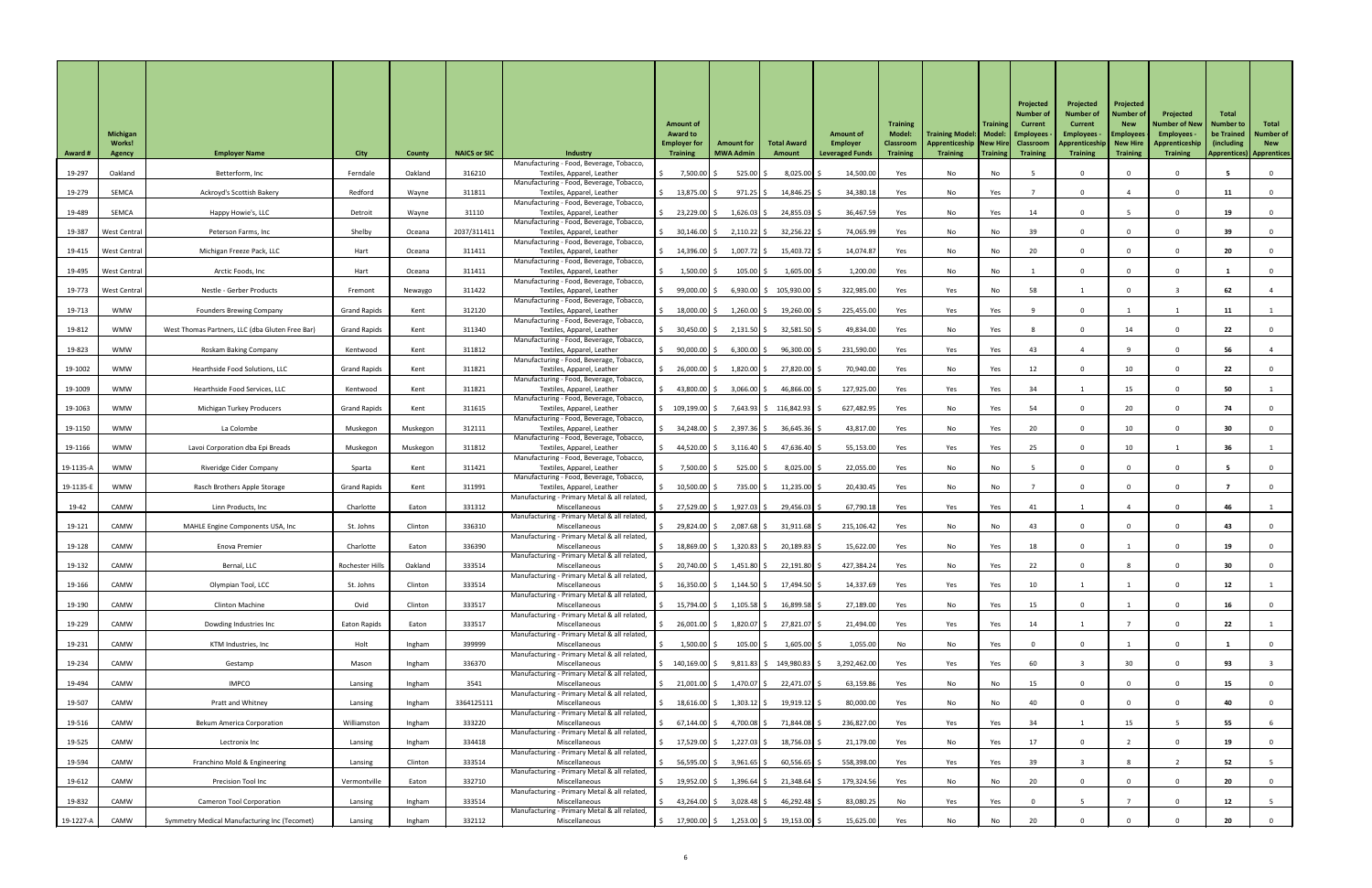|                | <b>Michigan</b>         |                                                     |                     |               |                     |                                                                           | <b>Amount of</b><br><b>Award to</b>    |                                       |                                                         | <b>Amount of</b>                          | <b>Training</b><br><b>Model:</b>    | <b>Training Model:   Model:   Employees</b>              | <b>Training</b> | Projected<br><b>Number o</b><br><b>Current</b> | Projected<br><b>Number of</b><br><b>Current</b><br><b>Employees</b> | Projected<br><b>Number of</b><br><b>New</b><br><b>Employees</b> | Projected<br><b>Number of New</b><br>Employees - | Total<br><b>Number to</b><br>be Trained        | Total<br><b>Number of</b> |
|----------------|-------------------------|-----------------------------------------------------|---------------------|---------------|---------------------|---------------------------------------------------------------------------|----------------------------------------|---------------------------------------|---------------------------------------------------------|-------------------------------------------|-------------------------------------|----------------------------------------------------------|-----------------|------------------------------------------------|---------------------------------------------------------------------|-----------------------------------------------------------------|--------------------------------------------------|------------------------------------------------|---------------------------|
| <b>Award #</b> | Works!<br><b>Agency</b> | <b>Employer Name</b>                                | <b>City</b>         | <b>County</b> | <b>NAICS or SIC</b> | <b>Industry</b>                                                           | <b>Employer for</b><br><b>Training</b> | <b>Amount for</b><br><b>MWA Admin</b> | <b>Total Award</b><br>Amount                            | <b>Employer</b><br><b>Leveraged Funds</b> | <b>Classroom</b><br><b>Training</b> | Apprenticeship   New Hire   Classroom<br><b>Training</b> | Training        | <b>Training</b>                                | Apprenticeship   New Hire<br><b>Training</b>                        | <b>Training</b>                                                 | Apprenticeship<br><b>Training</b>                | (including)<br><b>Apprentices) Apprentices</b> | <b>New</b>                |
| 19-297         | Oakland                 | Betterform, Inc                                     | Ferndale            | Oakland       | 316210              | Manufacturing - Food, Beverage, Tobacco,<br>Textiles, Apparel, Leather    | 7,500.00                               | 525.00                                | $8,025.00$ \$                                           | 14,500.00                                 | Yes                                 | No                                                       | No              |                                                |                                                                     |                                                                 |                                                  |                                                |                           |
| 19-279         | SEMCA                   | Ackroyd's Scottish Bakery                           | Redford             | Wayne         | 311811              | Manufacturing - Food, Beverage, Tobacco,<br>Textiles, Apparel, Leather    | $13,875.00$ \$                         | $971.25$ \$                           | $14,846.25$ \$                                          | 34,380.18                                 | Yes                                 | No                                                       | Yes             |                                                |                                                                     |                                                                 |                                                  |                                                |                           |
| 19-489         | SEMCA                   | Happy Howie's, LLC                                  | Detroit             | Wayne         | 31110               | Manufacturing - Food, Beverage, Tobacco,<br>Textiles, Apparel, Leather    | 23,229.00 \$                           | $1,626.03$ \$                         | 24,855.03 \$                                            | 36,467.59                                 | Yes                                 | No                                                       | Yes             | 14                                             |                                                                     |                                                                 |                                                  | 19                                             |                           |
| 19-387         | West Central            | Peterson Farms, Inc                                 | Shelby              | Oceana        | 2037/311411         | Manufacturing - Food, Beverage, Tobacco,<br>Textiles, Apparel, Leather    | $30,146.00$ \$                         | $2,110.22$ \$                         | $32,256.22$ \$                                          | 74,065.99                                 | Yes                                 | No                                                       | No              | 39                                             |                                                                     | $\cap$                                                          |                                                  | 39                                             |                           |
|                | 19-415   West Central   | Michigan Freeze Pack, LLC                           | Hart                | Oceana        | 311411              | Manufacturing - Food, Beverage, Tobacco,<br>Textiles, Apparel, Leather    | $14,396.00$ \$                         | $1,007.72$ \$                         | $15,403.72$ \$                                          | 14,074.87                                 | Yes                                 | No                                                       | No              | 20                                             |                                                                     |                                                                 |                                                  | 20                                             |                           |
| 19-495         | <b>West Central</b>     | Arctic Foods, Inc                                   | Hart                | Oceana        | 311411              | Manufacturing - Food, Beverage, Tobacco,<br>Textiles, Apparel, Leather    | 1,500.00                               | $105.00$ \$                           | $1,605.00$ \$                                           | 1,200.00                                  | Yes                                 | No                                                       | No              |                                                |                                                                     |                                                                 |                                                  |                                                |                           |
| 19-773         | West Central            | Nestle - Gerber Products                            | Fremont             | Newaygo       | 311422              | Manufacturing - Food, Beverage, Tobacco,<br>Textiles, Apparel, Leather    | $99,000.00$ \$                         |                                       | 6,930.00 $\vert \xi \vert$ 105,930.00 $\vert \xi \vert$ | 322,985.00                                | Yes                                 | Yes                                                      | No              | 58                                             |                                                                     |                                                                 |                                                  | 62                                             |                           |
| 19-713         | <b>WMW</b>              | <b>Founders Brewing Company</b>                     | <b>Grand Rapids</b> | Kent          | 312120              | Manufacturing - Food, Beverage, Tobacco,<br>Textiles, Apparel, Leather    | $18,000.00$ \$                         | $1,260.00$ \$                         | $19,260.00$ \$                                          | 225,455.00                                | Yes                                 | Yes                                                      | Yes             |                                                |                                                                     |                                                                 |                                                  | 11                                             |                           |
| 19-812         | <b>WMW</b>              | West Thomas Partners, LLC (dba Gluten Free Bar)     | <b>Grand Rapids</b> | Kent          | 311340              | Manufacturing - Food, Beverage, Tobacco,<br>Textiles, Apparel, Leather    | $30,450.00$ \$                         | $2,131.50$ \$                         | $32,581.50$ \$                                          | 49,834.00                                 | Yes                                 | No                                                       | Yes             |                                                |                                                                     | 14                                                              |                                                  | 22                                             |                           |
|                |                         |                                                     |                     |               |                     | Manufacturing - Food, Beverage, Tobacco,                                  |                                        |                                       |                                                         |                                           |                                     |                                                          |                 |                                                |                                                                     |                                                                 |                                                  |                                                |                           |
| 19-823         | <b>WMW</b>              | Roskam Baking Company                               | Kentwood            | Kent          | 311812              | Textiles, Apparel, Leather<br>Manufacturing - Food, Beverage, Tobacco,    | 90,000.00 \$                           | $6,300.00$ \$                         | $96,300.00$ \$                                          | 231,590.00                                | Yes                                 | Yes                                                      | Yes             | 43                                             |                                                                     |                                                                 |                                                  | 56                                             |                           |
| 19-1002        | <b>WMW</b>              | Hearthside Food Solutions, LLC                      | <b>Grand Rapids</b> | Kent          | 311821              | Textiles, Apparel, Leather<br>Manufacturing - Food, Beverage, Tobacco,    | $26,000.00$ $\mid$ \$                  | $1,820.00$ \$                         | 27,820.00                                               | 70,940.00                                 | Yes                                 | No                                                       | Yes             | 12                                             |                                                                     | 10                                                              |                                                  | 22                                             |                           |
| 19-1009        | <b>WMW</b>              | Hearthside Food Services, LLC                       | Kentwood            | Kent          | 311821              | Textiles, Apparel, Leather<br>Manufacturing - Food, Beverage, Tobacco,    | 43,800.00 \$                           | $3,066.00$ \$                         | $46,866.00$ \$                                          | 127,925.00                                | Yes                                 | Yes                                                      | Yes             | 34                                             |                                                                     | 15                                                              |                                                  | 50                                             |                           |
| 19-1063        | <b>WMW</b>              | Michigan Turkey Producers                           | <b>Grand Rapids</b> | Kent          | 311615              | Textiles, Apparel, Leather<br>Manufacturing - Food, Beverage, Tobacco,    | $\frac{109,199.00}{5}$                 |                                       | 7,643.93 \$116,842.93 \$                                | 627,482.95                                | Yes                                 | No                                                       | Yes             | 54                                             |                                                                     | 20                                                              |                                                  | 74                                             |                           |
| 19-1150        | <b>WMW</b>              | La Colombe                                          | Muskegon            | Muskegon      | 312111              | Textiles, Apparel, Leather<br>Manufacturing - Food, Beverage, Tobacco,    | 34,248.00 \$                           | 2,397.36 \$                           | $36,645.36$ \$                                          | 43,817.00                                 | Yes                                 | No                                                       | Yes             | 20                                             |                                                                     | 10                                                              |                                                  | 30                                             |                           |
| 19-1166        | <b>WMW</b>              | Lavoi Corporation dba Epi Breads                    | Muskegon            | Muskegon      | 311812              | Textiles, Apparel, Leather<br>Manufacturing - Food, Beverage, Tobacco,    | 44,520.00 \$                           | $3,116.40$ \$                         | 47,636.40 \$                                            | 55,153.00                                 | Yes                                 | Yes                                                      | Yes             | 25                                             |                                                                     | 10                                                              |                                                  | 36                                             |                           |
| 19-1135-A      | <b>WMW</b>              | Riveridge Cider Company                             | Sparta              | Kent          | 311421              | Textiles, Apparel, Leather<br>Manufacturing - Food, Beverage, Tobacco,    | 7,500.00                               | 525.00                                | $8,025.00$ \$                                           | 22,055.00                                 | Yes                                 | No                                                       | No              |                                                |                                                                     |                                                                 |                                                  |                                                |                           |
| 19-1135-E      | <b>WMW</b>              | Rasch Brothers Apple Storage                        | <b>Grand Rapids</b> | Kent          | 311991              | Textiles, Apparel, Leather<br>Manufacturing - Primary Metal & all related | $10,500.00$ \$                         | 735.00 \$                             | $11,235.00$ \$                                          | 20,430.45                                 | Yes                                 | No                                                       | No              |                                                |                                                                     |                                                                 |                                                  |                                                |                           |
| 19-42          | CAMW                    | Linn Products, Inc                                  | Charlotte           | Eaton         | 331312              | Miscellaneous                                                             | 27,529.00 \$                           | 1,927.03 \$                           | 29,456.03 \$                                            | 67,790.18                                 | Yes                                 | Yes                                                      | Yes             | 41                                             |                                                                     |                                                                 |                                                  | 46                                             |                           |
| 19-121         | CAMW                    | MAHLE Engine Components USA, Inc                    | St. Johns           | Clinton       | 336310              | Manufacturing - Primary Metal & all related<br>Miscellaneous              | 29,824.00 \$                           | 2,087.68 \$                           | $31,911.68$ \$                                          | 215,106.42                                | Yes                                 | No                                                       | No              | 43                                             |                                                                     |                                                                 |                                                  | 43                                             |                           |
| 19-128         | CAMW                    | Enova Premier                                       | Charlotte           | Eaton         | 336390              | Manufacturing - Primary Metal & all related<br>Miscellaneous              | $18,869.00$ \$                         | $1,320.83$ \$                         | 20,189.83 \$                                            | 15,622.00                                 | Yes                                 | No                                                       | Yes             | 18                                             |                                                                     |                                                                 |                                                  | 19                                             |                           |
| 19-132         | CAMW                    | Bernal, LLC                                         | Rochester Hills     | Oakland       | 333514              | Manufacturing - Primary Metal & all related<br>Miscellaneous              | 20,740.00 \$                           | $1,451.80$ \$                         | 22,191.80 \$                                            | 427,384.24                                | Yes                                 | No                                                       | Yes             | 22                                             |                                                                     |                                                                 |                                                  | 30                                             |                           |
| 19-166         | CAMW                    | Olympian Tool, LCC                                  | St. Johns           | Clinton       | 333514              | Manufacturing - Primary Metal & all related<br>Miscellaneous              | 16,350.00 \$                           | $1,144.50$ \$                         | 17,494.50 \$                                            | 14,337.69                                 | Yes                                 | Yes                                                      | Yes             | 10                                             |                                                                     |                                                                 |                                                  | 12                                             |                           |
| 19-190         | CAMW                    | <b>Clinton Machine</b>                              | Ovid                | Clinton       | 333517              | Manufacturing - Primary Metal & all related<br>Miscellaneous              | 15,794.00 \$                           | $1,105.58$ \$                         | $16,899.58$ \$                                          | 27,189.00                                 | Yes                                 | No                                                       | Yes             | 15                                             |                                                                     |                                                                 |                                                  | 16                                             |                           |
| 19-229         | CAMW                    | Dowding Industries Inc                              | Eaton Rapids        | Eaton         | 333517              | Manufacturing - Primary Metal & all related<br>Miscellaneous              | 26,001.00 \$                           | $1,820.07$ \$                         | 27,821.07 \$                                            | 21,494.00                                 | Yes                                 | Yes                                                      | Yes             | 14                                             |                                                                     |                                                                 |                                                  | 22                                             |                           |
| 19-231         | CAMW                    | KTM Industries, Inc                                 | Holt                | Ingham        | 399999              | Manufacturing - Primary Metal & all related<br>Miscellaneous              | $1,500.00$ \$                          | $105.00$ \$                           | $1,605.00$ \$                                           | 1,055.00                                  | No                                  | No                                                       | Yes             |                                                |                                                                     |                                                                 |                                                  |                                                |                           |
| 19-234         | CAMW                    | Gestamp                                             | Mason               | Ingham        | 336370              | Manufacturing - Primary Metal & all related,<br>Miscellaneous             | 140,169.00 \$                          |                                       | $9,811.83$ \$ 149,980.83 \$                             | 3,292,462.00                              | Yes                                 | Yes                                                      | Yes             | 60                                             |                                                                     | 30                                                              |                                                  | 93                                             |                           |
| 19-494         | CAMW                    | <b>IMPCO</b>                                        | Lansing             | Ingham        | 3541                | Manufacturing - Primary Metal & all related,<br>Miscellaneous             | 21,001.00   \$                         | 1,470.07   \$                         | 22,471.07 \$                                            | 63,159.86                                 | Yes                                 | No                                                       | No              | 15                                             |                                                                     | $\mathbf{0}$                                                    |                                                  | 15                                             |                           |
|                |                         |                                                     |                     |               |                     | Manufacturing - Primary Metal & all related,                              |                                        |                                       |                                                         |                                           |                                     |                                                          |                 |                                                |                                                                     |                                                                 |                                                  |                                                |                           |
| 19-507         | CAMW                    | Pratt and Whitney                                   | Lansing             | Ingham        | 3364125111          | Miscellaneous<br>Manufacturing - Primary Metal & all related              |                                        | $18,616.00$ \$ $1,303.12$ \$          | $19,919.12$ \$                                          | 80,000.00                                 | Yes                                 | No                                                       | No              | 40                                             |                                                                     |                                                                 |                                                  | 40                                             |                           |
| 19-516         | CAMW                    | <b>Bekum America Corporation</b>                    | Williamston         | Ingham        | 333220              | Miscellaneous<br>Manufacturing - Primary Metal & all related,             | 67,144.00   \$                         | 4,700.08   \$                         | 71,844.08 \$                                            | 236,827.00                                | Yes                                 | Yes                                                      | Yes             | 34                                             |                                                                     | 15                                                              |                                                  | 55                                             |                           |
| 19-525         | CAMW                    | Lectronix Inc                                       | Lansing             | Ingham        | 334418              | Miscellaneous<br>Manufacturing - Primary Metal & all related,             | 17,529.00 \$                           | $1,227.03$ \$                         | $18,756.03$ \$                                          | 21,179.00                                 | Yes                                 | No                                                       | Yes             | 17                                             |                                                                     |                                                                 |                                                  | 19                                             |                           |
| 19-594         | CAMW                    | Franchino Mold & Engineering                        | Lansing             | Clinton       | 333514              | Miscellaneous<br>Manufacturing - Primary Metal & all related              | 56,595.00 \$                           | $3,961.65$ \$                         | $60,556.65$ \$                                          | 558,398.00                                | Yes                                 | Yes                                                      | Yes             | 39                                             |                                                                     |                                                                 |                                                  | 52                                             |                           |
| 19-612         | CAMW                    | Precision Tool Inc                                  | Vermontville        | Eaton         | 332710              | Miscellaneous<br>Manufacturing - Primary Metal & all related,             | 19,952.00 \$                           | 1,396.64 \$                           | $21,348.64$ \$                                          | 179,324.56                                | Yes                                 | No                                                       | No              | 20                                             |                                                                     | $\Omega$                                                        |                                                  | 20                                             |                           |
| 19-832         | CAMW                    | <b>Cameron Tool Corporation</b>                     | Lansing             | Ingham        | 333514              | Miscellaneous<br>Manufacturing - Primary Metal & all related,             | 43,264.00 \$                           | $3,028.48$ \$                         | $46,292.48$ \$                                          | 83,080.25                                 | No                                  | Yes                                                      | Yes             |                                                |                                                                     |                                                                 |                                                  | 12                                             |                           |
| 19-1227-A      | CAMW                    | <b>Symmetry Medical Manufacturing Inc (Tecomet)</b> | Lansing             | Ingham        | 332112              | Miscellaneous                                                             |                                        | 17,900.00 \$ 1,253.00 \$              | 19,153.00 \$                                            | 15,625.00                                 | Yes                                 | No                                                       | No              | 20                                             |                                                                     |                                                                 |                                                  | 20                                             |                           |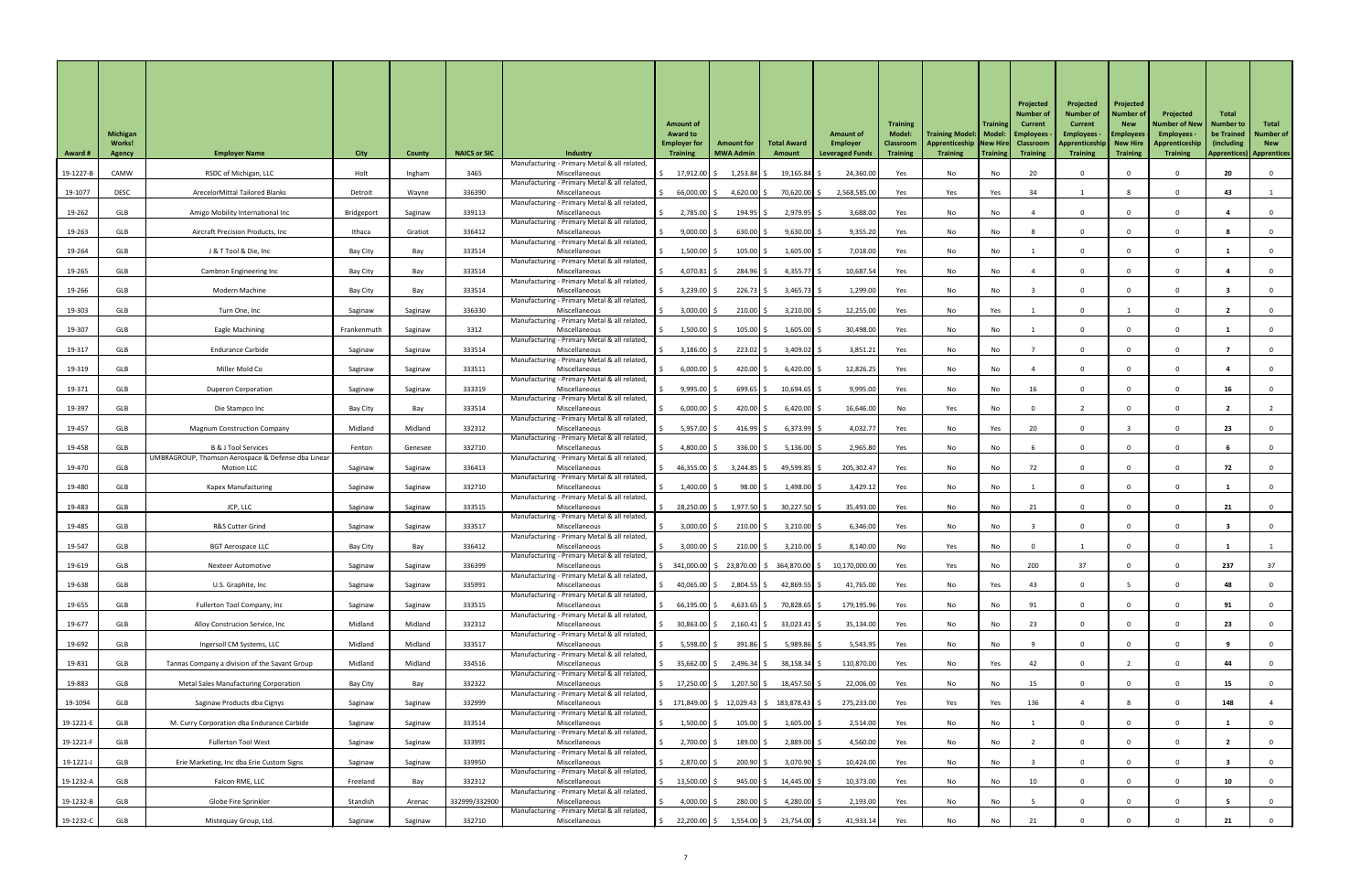| <b>Award #</b> | <b>Michigan</b><br><b>Works!</b><br>Agency | <b>Employer Name</b>                                                    | <b>City</b> | <b>County</b> | <b>NAICS or SIC</b> | <b>Industry</b><br>Manufacturing - Primary Metal & all related | <b>Amount of</b><br><b>Award to</b><br><b>Employer for</b><br><b>Training</b>           | <b>Amount for</b><br><b>MWA Admin</b>    | <b>Total Award</b><br>Amount | <b>Amount of</b><br>Employer<br><b>Leveraged Funds</b> | <b>Training</b><br><b>Model:</b><br><b>Classroom</b><br><b>Training</b> | Training Model:   Model:   Employees<br>Apprenticeship New Hire Classroom<br><b>Training</b> | <b>Training</b><br>  Training | Projected<br>Number of<br>Current<br><b>Training</b> | Projected<br><b>Number of</b><br><b>Current</b><br><b>Employees</b><br><b>Apprenticeship</b><br><b>Training</b> | Projected<br><b>Number of</b><br><b>New</b><br><b>Employees</b><br>New Hire<br><b>Training</b> | Projected<br><b>Number of New</b><br>Employees -<br>Apprenticeship<br><b>Training</b> | <b>Total</b><br><b>Number to</b><br>be Trained<br>(including)<br><b>Apprentices) Apprentices</b> | Total<br><b>Number of</b><br><b>New</b> |
|----------------|--------------------------------------------|-------------------------------------------------------------------------|-------------|---------------|---------------------|----------------------------------------------------------------|-----------------------------------------------------------------------------------------|------------------------------------------|------------------------------|--------------------------------------------------------|-------------------------------------------------------------------------|----------------------------------------------------------------------------------------------|-------------------------------|------------------------------------------------------|-----------------------------------------------------------------------------------------------------------------|------------------------------------------------------------------------------------------------|---------------------------------------------------------------------------------------|--------------------------------------------------------------------------------------------------|-----------------------------------------|
| 19-1227-B      | CAMW                                       | RSDC of Michigan, LLC                                                   | Holt        | Ingham        | 3465                | Miscellaneous                                                  | 17,912.00 \$                                                                            | $1,253.84$ \$                            | $19,165.84$ \$               | 24,360.00                                              | Yes                                                                     | No                                                                                           | No                            | 20                                                   |                                                                                                                 |                                                                                                |                                                                                       | 20                                                                                               |                                         |
| 19-1077        | <b>DESC</b>                                | ArecelorMittal Tailored Blanks                                          | Detroit     | Wayne         | 336390              | Manufacturing - Primary Metal & all related<br>Miscellaneous   | 66,000.00 \$                                                                            | 4,620.00 \$                              | 70,620.00 \$                 | 2,568,585.00                                           | Yes                                                                     | Yes                                                                                          | Yes                           | 34                                                   |                                                                                                                 |                                                                                                |                                                                                       | 43                                                                                               |                                         |
| 19-262         | GLB                                        | Amigo Mobility International Inc                                        | Bridgeport  | Saginaw       | 339113              | Manufacturing - Primary Metal & all related<br>Miscellaneous   | $2,785.00$ \$                                                                           | 194.95 \$                                | $2,979.95$ \$                | 3,688.00                                               | Yes                                                                     | No                                                                                           | No                            |                                                      |                                                                                                                 |                                                                                                |                                                                                       |                                                                                                  |                                         |
| 19-263         | GLB                                        | Aircraft Precision Products, Inc                                        | Ithaca      | Gratiot       | 336412              | Manufacturing - Primary Metal & all related,<br>Miscellaneous  | $9,000.00$ \$                                                                           | $630.00$ \$                              | $9,630.00$ \$                | 9,355.20                                               | Yes                                                                     | No                                                                                           | No                            |                                                      |                                                                                                                 |                                                                                                |                                                                                       |                                                                                                  |                                         |
| 19-264         | GLB                                        | J & T Tool & Die, Inc                                                   | Bay City    | Bay           | 333514              | Manufacturing - Primary Metal & all related<br>Miscellaneous   | $1,500.00$ \$                                                                           | $105.00$ \$                              | $1,605.00$ \$                | 7,018.00                                               | Yes                                                                     | No                                                                                           | No                            |                                                      |                                                                                                                 | $\Omega$                                                                                       |                                                                                       |                                                                                                  |                                         |
| 19-265         | GLB                                        | <b>Cambron Engineering Inc</b>                                          | Bay City    | Bay           | 333514              | Manufacturing - Primary Metal & all related,<br>Miscellaneous  | $4,070.81$ \$                                                                           | $284.96$ \$                              | 4,355.77 \$                  | 10,687.54                                              | Yes                                                                     | No                                                                                           | No                            |                                                      |                                                                                                                 |                                                                                                |                                                                                       |                                                                                                  |                                         |
| 19-266         | GLB                                        | Modern Machine                                                          | Bay City    |               | 333514              | Manufacturing - Primary Metal & all related<br>Miscellaneous   | $3,239.00$ \$                                                                           | $226.73$ \$                              | $3,465.73$ \$                | 1,299.00                                               | Yes                                                                     | No                                                                                           | No                            |                                                      |                                                                                                                 |                                                                                                |                                                                                       |                                                                                                  |                                         |
|                |                                            |                                                                         |             | Bay           |                     | Manufacturing - Primary Metal & all related                    |                                                                                         |                                          |                              |                                                        |                                                                         |                                                                                              |                               |                                                      |                                                                                                                 |                                                                                                |                                                                                       |                                                                                                  |                                         |
| 19-303         | GLB                                        | Turn One, Inc                                                           | Saginaw     | Saginaw       | 336330              | Miscellaneous<br>Manufacturing - Primary Metal & all related,  | $3,000.00$ \$                                                                           | $210.00$ \$                              | $3,210.00$ \$                | 12,255.00                                              | Yes                                                                     | No                                                                                           | Yes                           |                                                      |                                                                                                                 |                                                                                                |                                                                                       |                                                                                                  |                                         |
| 19-307         | GLB                                        | Eagle Machining                                                         | Frankenmuth | Saginaw       | 3312                | Miscellaneous<br>Manufacturing - Primary Metal & all related   | $1,500.00$ \$                                                                           | $105.00$ \$                              | $1,605.00$ \$                | 30,498.00                                              | Yes                                                                     | No                                                                                           | No                            |                                                      |                                                                                                                 | $\Omega$                                                                                       |                                                                                       |                                                                                                  |                                         |
| 19-317         | <b>GLB</b>                                 | <b>Endurance Carbide</b>                                                | Saginaw     | Saginaw       | 333514              | Miscellaneous<br>Manufacturing - Primary Metal & all related,  | $3,186.00$ \$                                                                           | $223.02$ \$                              | $3,409.02$ \$                | 3,851.21                                               | Yes                                                                     | No                                                                                           | No                            |                                                      |                                                                                                                 |                                                                                                |                                                                                       |                                                                                                  |                                         |
| 19-319         | <b>GLB</b>                                 | Miller Mold Co                                                          | Saginaw     | Saginaw       | 333511              | Miscellaneous<br>Manufacturing - Primary Metal & all related   | 6,000.00                                                                                | 420.00 $\vert$ \$                        | $6,420.00$ \$                | 12,826.25                                              | Yes                                                                     | No                                                                                           | No                            |                                                      |                                                                                                                 |                                                                                                |                                                                                       |                                                                                                  |                                         |
| 19-371         | GLB                                        | <b>Duperon Corporation</b>                                              | Saginaw     | Saginaw       | 333319              | Miscellaneous<br>Manufacturing - Primary Metal & all related,  | 9,995.00                                                                                | 699.65                                   | $10,694.65$ \$               | 9,995.00                                               | Yes                                                                     | No                                                                                           | No                            | 16                                                   |                                                                                                                 |                                                                                                |                                                                                       | 16                                                                                               |                                         |
| 19-397         | GLB                                        | Die Stampco Inc                                                         | Bay City    | Bay           | 333514              | Miscellaneous<br>Manufacturing - Primary Metal & all related   | 6,000.00                                                                                | 420.00 \$                                | $6,420.00$ \$                | 16,646.00                                              | No                                                                      | Yes                                                                                          | No                            |                                                      |                                                                                                                 |                                                                                                |                                                                                       |                                                                                                  |                                         |
| 19-457         | <b>GLB</b>                                 | <b>Magnum Construction Company</b>                                      | Midland     | Midland       | 332312              | Miscellaneous                                                  | $5,957.00$ \$                                                                           | 416.99 $\frac{1}{2}$                     | $6,373.99$ \$                | 4,032.77                                               | Yes                                                                     | No                                                                                           | Yes                           | 20                                                   |                                                                                                                 |                                                                                                |                                                                                       | 23                                                                                               |                                         |
| 19-458         | <b>GLB</b>                                 | <b>B &amp; J Tool Services</b>                                          | Fenton      | Genesee       | 332710              | Manufacturing - Primary Metal & all related<br>Miscellaneous   | 4,800.00                                                                                | $336.00$ \$                              | $5,136.00$ \$                | 2,965.80                                               | Yes                                                                     | No                                                                                           | No                            |                                                      |                                                                                                                 |                                                                                                |                                                                                       |                                                                                                  |                                         |
| 19-470         | GLB                                        | UMBRAGROUP, Thomson Aerospace & Defense dba Linear<br><b>Motion LLC</b> | Saginaw     | Saginaw       | 336413              | Manufacturing - Primary Metal & all related<br>Miscellaneous   | 46,355.00 $\frac{1}{2}$                                                                 | 3,244.85                                 | $49,599.85$ \$               | 205,302.47                                             | Yes                                                                     | No                                                                                           | No                            | 72                                                   |                                                                                                                 |                                                                                                |                                                                                       | 72                                                                                               |                                         |
| 19-480         | GLB                                        | <b>Kapex Manufacturing</b>                                              | Saginaw     | Saginaw       | 332710              | Manufacturing - Primary Metal & all related<br>Miscellaneous   | 1,400.00                                                                                | 98.00                                    | $1,498.00$ \$                | 3,429.12                                               | Yes                                                                     | No                                                                                           | No                            |                                                      |                                                                                                                 |                                                                                                |                                                                                       |                                                                                                  |                                         |
| 19-483         | GLB                                        | JCP, LLC                                                                | Saginaw     | Saginaw       | 333515              | Manufacturing - Primary Metal & all related,<br>Miscellaneous  | 28,250.00 \$                                                                            | $1,977.50$ \$                            | $30,227.50$ \$               | 35,493.00                                              | Yes                                                                     | No                                                                                           | No                            | 21                                                   |                                                                                                                 |                                                                                                |                                                                                       | 21                                                                                               |                                         |
| 19-485         | GLB                                        | R&S Cutter Grind                                                        | Saginaw     | Saginaw       | 333517              | Manufacturing - Primary Metal & all related<br>Miscellaneous   | $3,000.00$ \$                                                                           | $210.00$ \$                              | $3,210.00$ \$                | 6,346.00                                               | Yes                                                                     | No                                                                                           | No                            |                                                      |                                                                                                                 |                                                                                                |                                                                                       |                                                                                                  |                                         |
| 19-547         | GLB                                        | <b>BGT Aerospace LLC</b>                                                | Bay City    | Bay           | 336412              | Manufacturing - Primary Metal & all related,<br>Miscellaneous  | $3,000.00$ \$                                                                           | $210.00$ \$                              | $3,210.00$ \$                | 8,140.00                                               | No                                                                      | Yes                                                                                          | No                            |                                                      |                                                                                                                 |                                                                                                |                                                                                       |                                                                                                  |                                         |
|                |                                            |                                                                         |             |               | 336399              | Manufacturing - Primary Metal & all related                    |                                                                                         |                                          |                              |                                                        |                                                                         |                                                                                              |                               |                                                      | 37                                                                                                              |                                                                                                |                                                                                       |                                                                                                  |                                         |
| 19-619         | <b>GLB</b>                                 | <b>Nexteer Automotive</b>                                               | Saginaw     | Saginaw       |                     | Miscellaneous<br>Manufacturing - Primary Metal & all related   |                                                                                         | 341,000.00 \$ 23,870.00 \$ 364,870.00 \$ |                              | 10,170,000.00                                          | Yes                                                                     | Yes                                                                                          | No                            | 200                                                  |                                                                                                                 |                                                                                                |                                                                                       | 237                                                                                              | 37                                      |
| 19-638         | GLB                                        | U.S. Graphite, Inc                                                      | Saginaw     | Saginaw       | 335991              | Miscellaneous<br>Manufacturing - Primary Metal & all related   | $40,065.00$ \$                                                                          | $2,804.55$ \$                            | $42,869.55$ \$               | 41,765.00                                              | Yes                                                                     | No                                                                                           | Yes                           | 43                                                   |                                                                                                                 |                                                                                                |                                                                                       | 48                                                                                               |                                         |
| 19-655         | <b>GLB</b>                                 | Fullerton Tool Company, Inc                                             | Saginaw     | Saginaw       | 333515              | Miscellaneous<br>Manufacturing - Primary Metal & all related   | 66,195.00 \$                                                                            | 4,633.65 \$                              | 70,828.65 \$                 | 179,195.9                                              | Yes                                                                     | No                                                                                           | No                            | 91                                                   |                                                                                                                 |                                                                                                |                                                                                       | 91                                                                                               |                                         |
| 19-677         | GLB                                        | Alloy Construcion Service, Inc.                                         | Midland     | Midland       | 332312              | Miscellaneous<br>Manufacturing - Primary Metal & all related   | 30,863.00 \$                                                                            | $2,160.41$ \$                            | $33,023.41$ \$               | 35,134.00                                              | Yes                                                                     | No                                                                                           | No                            | 23                                                   |                                                                                                                 |                                                                                                |                                                                                       | 23                                                                                               |                                         |
| 19-692         | GLB                                        | Ingersoll CM Systems, LLC                                               | Midland     | Midland       | 333517              | Miscellaneous<br>Manufacturing - Primary Metal & all related   | $5,598.00$ \$                                                                           | $391.86$ \$                              | $5,989.86$ \$                | 5,543.95                                               | Yes                                                                     | No                                                                                           | No                            |                                                      |                                                                                                                 |                                                                                                |                                                                                       |                                                                                                  |                                         |
| 19-831         | <b>GLB</b>                                 | Tannas Company a division of the Savant Group                           | Midland     | Midland       | 334516              | Miscellaneous<br>Manufacturing - Primary Metal & all related,  | 35,662.00 \$                                                                            | $2,496.34$ \$                            | $38,158.34$ \$               | 110,870.00                                             | Yes                                                                     | No                                                                                           | Yes                           | 42                                                   |                                                                                                                 |                                                                                                |                                                                                       |                                                                                                  |                                         |
| 19-883         | GLB                                        | <b>Metal Sales Manufacturing Corporation</b>                            | Bay City    | Bay           | 332322              | Miscellaneous<br>Manufacturing - Primary Metal & all related,  | 17,250.00 \$                                                                            | 1,207.50 \$                              | $18,457.50$ \$               | 22,006.00                                              | Yes                                                                     | No                                                                                           | No                            | 15                                                   |                                                                                                                 | $\Omega$                                                                                       |                                                                                       | 15                                                                                               |                                         |
| 19-1094        | GLB                                        | Saginaw Products dba Cignys                                             | Saginaw     | Saginaw       | 332999              | Miscellaneous                                                  | $\frac{1}{2}$ 171,849.00 $\frac{1}{2}$ 12,029.43 $\frac{1}{2}$ 183,878.43 $\frac{1}{2}$ |                                          |                              | 275,233.00                                             | Yes                                                                     | Yes                                                                                          | Yes                           | 136                                                  |                                                                                                                 |                                                                                                |                                                                                       | 148                                                                                              |                                         |
| 19-1221-E      | GLB                                        | M. Curry Corporation dba Endurance Carbide                              | Saginaw     | Saginaw       | 333514              | Manufacturing - Primary Metal & all related,<br>Miscellaneous  | $1,500.00$ \$                                                                           | $105.00$ \$                              | $1,605.00$ \$                | 2,514.00                                               | Yes                                                                     | No                                                                                           | No                            |                                                      |                                                                                                                 |                                                                                                |                                                                                       |                                                                                                  |                                         |
| 19-1221-F      | GLB                                        | <b>Fullerton Tool West</b>                                              | Saginaw     | Saginaw       | 333991              | Manufacturing - Primary Metal & all related<br>Miscellaneous   | $2,700.00$ \$                                                                           | $189.00$ \$                              | $2,889.00$ \$                | 4,560.00                                               | Yes                                                                     | No                                                                                           | No                            |                                                      |                                                                                                                 |                                                                                                |                                                                                       |                                                                                                  |                                         |
| 19-1221-J      | GLB                                        | Erie Marketing, Inc dba Erie Custom Signs                               | Saginaw     | Saginaw       | 339950              | Manufacturing - Primary Metal & all related,<br>Miscellaneous  | $2,870.00$ \$                                                                           | $200.90$ \$                              | $3,070.90$ \$                | 10,424.00                                              | Yes                                                                     | No                                                                                           | No                            |                                                      |                                                                                                                 |                                                                                                |                                                                                       |                                                                                                  |                                         |
| 19-1232-A      | GLB                                        | Falcon RME, LLC                                                         | Freeland    | Bay           | 332312              | Manufacturing - Primary Metal & all related,<br>Miscellaneous  | 13,500.00 \$                                                                            | $945.00$ \$                              | $14,445.00$ \$               | 10,373.00                                              | Yes                                                                     | No                                                                                           | No                            | 10 <sup>°</sup>                                      |                                                                                                                 |                                                                                                |                                                                                       | 10                                                                                               |                                         |
| 19-1232-B      | GLB                                        | Globe Fire Sprinkler                                                    | Standish    | Arenac        | 332999/332900       | Manufacturing - Primary Metal & all related,<br>Miscellaneous  | 4,000.00 $\vert$ \$                                                                     | 280.00 \$                                | 4,280.00 \$                  | 2,193.00                                               | Yes                                                                     | No                                                                                           | No                            |                                                      |                                                                                                                 | $\Omega$                                                                                       |                                                                                       |                                                                                                  | $\overline{0}$                          |
| 19-1232-C      | GLB                                        | Mistequay Group, Ltd.                                                   | Saginaw     | Saginaw       | 332710              | Manufacturing - Primary Metal & all related,<br>Miscellaneous  | 22,200.00 \$<br>S.                                                                      | 1,554.00 \$                              | 23,754.00 \$                 | 41,933.14                                              | Yes                                                                     | No                                                                                           | No                            | 21                                                   |                                                                                                                 |                                                                                                |                                                                                       | 21                                                                                               |                                         |
|                |                                            |                                                                         |             |               |                     |                                                                |                                                                                         |                                          |                              |                                                        |                                                                         |                                                                                              |                               |                                                      |                                                                                                                 |                                                                                                |                                                                                       |                                                                                                  |                                         |

7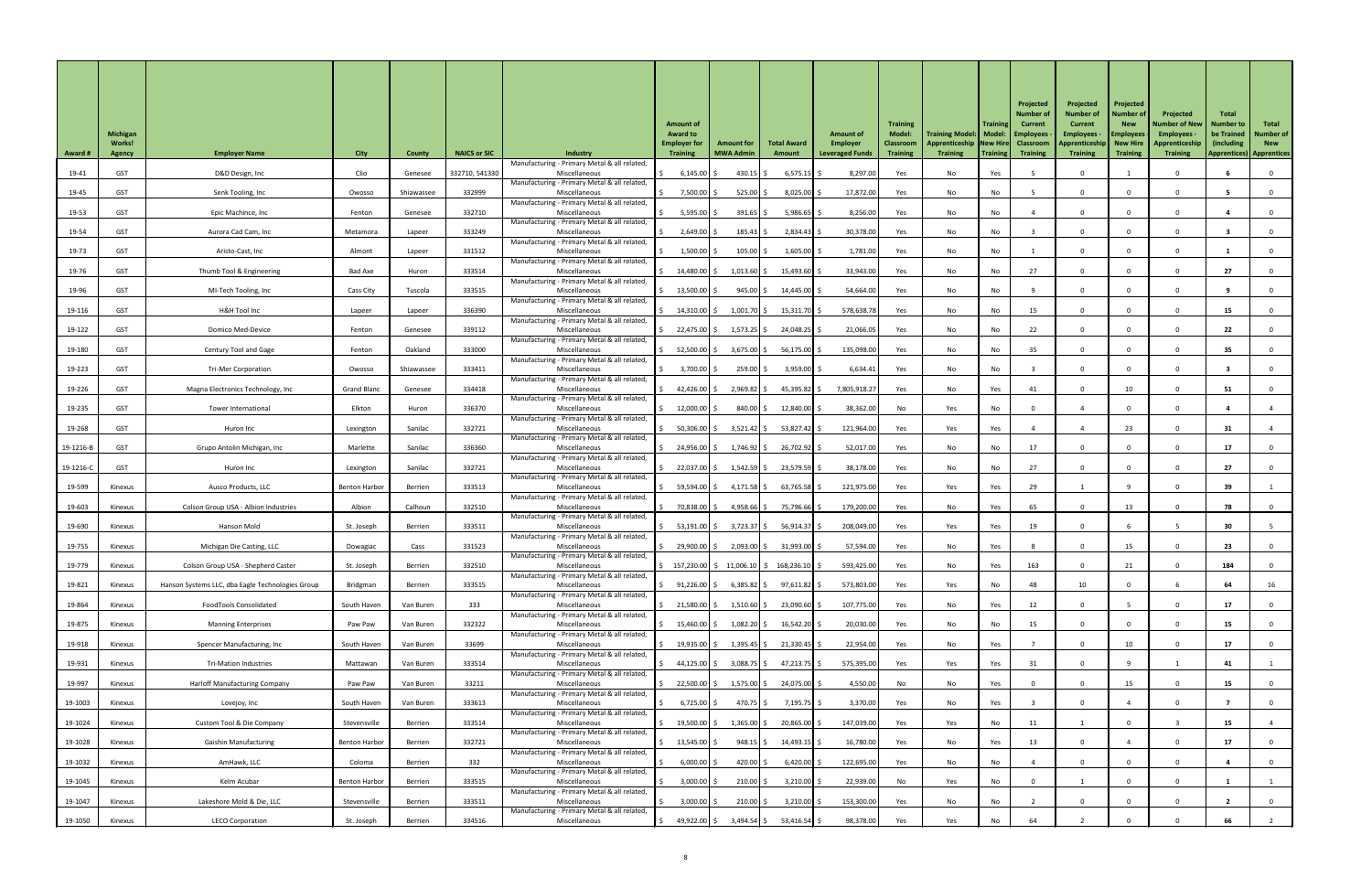| Manufacturing - Primary Metal & all related,<br><b>GST</b><br>332710, 541330<br>8,297.00<br>19-41<br>Clio<br>$6,145.00$ \$<br>430.15 $\frac{1}{2}$<br>$6,575.15$ \$<br>Yes<br>D&D Design, Inc<br>Yes<br>No<br>Genesee<br>Miscellaneous<br>Manufacturing - Primary Metal & all related,<br>332999<br>17,872.00<br>19-45<br><b>GST</b><br>7,500.00 \$<br>$525.00$ \$<br>$8,025.00$ \$<br>Senk Tooling, Inc<br>Yes<br>No<br>No<br>Shiawassee<br>Miscellaneous<br>Owosso<br>Manufacturing - Primary Metal & all related<br>5,595.00 \$<br>$391.65$ \$<br>$5,986.65$ \$<br>8,256.00<br>19-53<br><b>GST</b><br>332710<br>No<br>Epic Machince, Inc<br>Miscellaneous<br>Yes<br>No<br>Fenton<br>Genesee<br>Manufacturing - Primary Metal & all related<br>19-54<br><b>GST</b><br>333249<br>$2,649.00$ \$<br>$185.43$ \$<br>$2,834.43$ \$<br>30,378.00<br>Aurora Cad Cam, Inc<br>Miscellaneous<br>No<br>No<br>Metamora<br>Yes<br>$\Omega$<br>Lapeer<br>Manufacturing - Primary Metal & all related,<br>331512<br>1,781.00<br>19-73<br><b>GST</b><br>$1,500.00$ \$<br>$105.00$ \$<br>$1,605.00$ \$<br>No<br>Miscellaneous<br>No<br>Aristo-Cast, Inc<br>Almont<br>Yes<br>Lapeer<br>$\Omega$<br>Manufacturing - Primary Metal & all related<br>27<br>19-76<br>GST<br>333514<br>14,480.00 \$<br>$1,013.60$ \$<br>$15,493.60$ \$<br>33,943.00<br>No<br>27<br>Thumb Tool & Engineering<br>Bad Axe<br>Yes<br>No<br>Huron<br>Miscellaneous<br>Manufacturing - Primary Metal & all related<br>333515<br>54,664.00<br>19-96<br><b>GST</b><br>$13,500.00$ \$<br>$945.00$ \$<br>$14,445.00$ \$<br>No<br>Cass City<br>Tuscola<br>Yes<br>No<br>MI-Tech Tooling, Inc<br>Miscellaneous<br>$\Omega$<br>Manufacturing - Primary Metal & all related<br>$1,001.70$ \$<br>$15,311.70$ \$<br>578,638.78<br>15<br>19-116<br><b>GST</b><br>H&H Tool Inc<br>336390<br>14,310.00 \$<br>Yes<br>No<br>Miscellaneous<br>No<br>15<br>Lapeer<br>Lapeer<br>Manufacturing - Primary Metal & all related<br>19-122<br><b>GST</b><br>339112<br>22,475.00 \$<br>$1,573.25$ \$<br>24,048.25 \$<br>21,066.05<br>22<br>22<br>Domico Med-Device<br>Miscellaneous<br>No<br>No<br>Fenton<br>Genesee<br>Yes<br>$\Omega$<br>Manufacturing - Primary Metal & all related<br>19-180<br><b>GST</b><br>333000<br>52,500.00 \$<br>3,675.00 \$<br>56,175.00 \$<br>135,098.00<br>35 <sub>2</sub><br>Oakland<br>Miscellaneous<br>No<br>35 <sub>2</sub><br><b>Century Tool and Gage</b><br>Fenton<br>Yes<br>No<br>Manufacturing - Primary Metal & all related<br>333411<br>Miscellaneous<br>19-223<br><b>GST</b><br>Shiawassee<br>3,700.00<br>259.00 \$<br>$3,959.00$ \$<br>6,634.41<br><b>Tri-Mer Corporation</b><br>Yes<br>No<br>Owosso<br>No<br>Manufacturing - Primary Metal & all related<br>42,426.00 $\vert$ \$<br>$2,969.82$ \$<br>$45,395.82$ \$<br>7,805,918.27<br>19-226<br><b>GST</b><br><b>Grand Blanc</b><br>334418<br>No<br>10<br>Magna Electronics Technology, Inc<br>Yes<br>Yes<br>41<br>51<br>Genesee<br>Miscellaneous<br>Manufacturing - Primary Metal & all related<br>336370<br>38,362.00<br>19-235<br><b>GST</b><br>12,000.00<br>840.00 \$<br>$12,840.00$ \$<br>Elkton<br>Miscellaneous<br>No<br>Yes<br>No<br>Tower International<br>Huron<br>Manufacturing - Primary Metal & all related<br>332721<br>121,964.00<br>19-268<br>GST<br>Sanilac<br>50,306.00 \$<br>$3,521.42$ \$<br>$53,827.42$ \$<br>Yes<br>23<br>Yes<br>Yes<br>Huron Inc<br>Lexington<br>Miscellaneous<br>Manufacturing - Primary Metal & all related<br>19-1216-B<br>336360<br>26,702.92 \$<br>52,017.00<br>17<br><b>GST</b><br>Marlette<br>24,956.00 \$<br>1,746.92 \$<br>Grupo Antolin Michigan, Inc<br>Sanilac<br>Miscellaneous<br>Yes<br>No<br>No<br>17<br>Manufacturing - Primary Metal & all related<br>332721<br>19-1216-C<br><b>GST</b><br>Sanilac<br>$1,542.59$ \$<br>23,579.59 \$<br>38,178.00<br>27<br>Miscellaneous<br>22,037.00 \$<br>Yes<br>No<br>No<br>27<br>Huron Inc<br>Lexington<br>Manufacturing - Primary Metal & all related<br>$4,171.58$ \$<br>$63,765.58$ \$<br>121,975.00<br>29<br>19-599<br>333513<br>59,594.00 \$<br>Yes<br>Yes<br>39<br>Ausco Products, LLC<br><b>Benton Harbor</b><br>Berrien<br>Miscellaneous<br>Yes<br>Kinexus<br>Manufacturing - Primary Metal & all related<br>332510<br>4,958.66 \$<br>179,200.00<br>19-603<br>Albion<br>70,838.00 \$<br>75,796.66 \$<br>No<br>65<br>78<br>Colson Group USA - Albion Industries<br>Calhoun<br>Miscellaneous<br>Yes<br>Yes<br>13<br>Kinexus<br>Manufacturing - Primary Metal & all related<br>333511<br>3,723.37 \$<br>208,049.00<br>19-690<br>53,191.00 \$<br>56,914.37 \$<br>Yes<br>Yes<br>Yes<br>19<br>30<br>Hanson Mold<br>St. Joseph<br>Berrien<br>Miscellaneous<br>Kinexus<br>Manufacturing - Primary Metal & all related |    |
|-------------------------------------------------------------------------------------------------------------------------------------------------------------------------------------------------------------------------------------------------------------------------------------------------------------------------------------------------------------------------------------------------------------------------------------------------------------------------------------------------------------------------------------------------------------------------------------------------------------------------------------------------------------------------------------------------------------------------------------------------------------------------------------------------------------------------------------------------------------------------------------------------------------------------------------------------------------------------------------------------------------------------------------------------------------------------------------------------------------------------------------------------------------------------------------------------------------------------------------------------------------------------------------------------------------------------------------------------------------------------------------------------------------------------------------------------------------------------------------------------------------------------------------------------------------------------------------------------------------------------------------------------------------------------------------------------------------------------------------------------------------------------------------------------------------------------------------------------------------------------------------------------------------------------------------------------------------------------------------------------------------------------------------------------------------------------------------------------------------------------------------------------------------------------------------------------------------------------------------------------------------------------------------------------------------------------------------------------------------------------------------------------------------------------------------------------------------------------------------------------------------------------------------------------------------------------------------------------------------------------------------------------------------------------------------------------------------------------------------------------------------------------------------------------------------------------------------------------------------------------------------------------------------------------------------------------------------------------------------------------------------------------------------------------------------------------------------------------------------------------------------------------------------------------------------------------------------------------------------------------------------------------------------------------------------------------------------------------------------------------------------------------------------------------------------------------------------------------------------------------------------------------------------------------------------------------------------------------------------------------------------------------------------------------------------------------------------------------------------------------------------------------------------------------------------------------------------------------------------------------------------------------------------------------------------------------------------------------------------------------------------------------------------------------------------------------------------------------------------------------------------------------------------------------------------------------------------------------------------------------------------------------------------------------------------------------------------------------------------------------------------------------------------------------------------------------------------------------------------------------------------------------------------------------------------------------------------------------------------------------------------------------------------------------------------------------------------------------------------------|----|
|                                                                                                                                                                                                                                                                                                                                                                                                                                                                                                                                                                                                                                                                                                                                                                                                                                                                                                                                                                                                                                                                                                                                                                                                                                                                                                                                                                                                                                                                                                                                                                                                                                                                                                                                                                                                                                                                                                                                                                                                                                                                                                                                                                                                                                                                                                                                                                                                                                                                                                                                                                                                                                                                                                                                                                                                                                                                                                                                                                                                                                                                                                                                                                                                                                                                                                                                                                                                                                                                                                                                                                                                                                                                                                                                                                                                                                                                                                                                                                                                                                                                                                                                                                                                                                                                                                                                                                                                                                                                                                                                                                                                                                                                                                                                           |    |
|                                                                                                                                                                                                                                                                                                                                                                                                                                                                                                                                                                                                                                                                                                                                                                                                                                                                                                                                                                                                                                                                                                                                                                                                                                                                                                                                                                                                                                                                                                                                                                                                                                                                                                                                                                                                                                                                                                                                                                                                                                                                                                                                                                                                                                                                                                                                                                                                                                                                                                                                                                                                                                                                                                                                                                                                                                                                                                                                                                                                                                                                                                                                                                                                                                                                                                                                                                                                                                                                                                                                                                                                                                                                                                                                                                                                                                                                                                                                                                                                                                                                                                                                                                                                                                                                                                                                                                                                                                                                                                                                                                                                                                                                                                                                           |    |
|                                                                                                                                                                                                                                                                                                                                                                                                                                                                                                                                                                                                                                                                                                                                                                                                                                                                                                                                                                                                                                                                                                                                                                                                                                                                                                                                                                                                                                                                                                                                                                                                                                                                                                                                                                                                                                                                                                                                                                                                                                                                                                                                                                                                                                                                                                                                                                                                                                                                                                                                                                                                                                                                                                                                                                                                                                                                                                                                                                                                                                                                                                                                                                                                                                                                                                                                                                                                                                                                                                                                                                                                                                                                                                                                                                                                                                                                                                                                                                                                                                                                                                                                                                                                                                                                                                                                                                                                                                                                                                                                                                                                                                                                                                                                           |    |
|                                                                                                                                                                                                                                                                                                                                                                                                                                                                                                                                                                                                                                                                                                                                                                                                                                                                                                                                                                                                                                                                                                                                                                                                                                                                                                                                                                                                                                                                                                                                                                                                                                                                                                                                                                                                                                                                                                                                                                                                                                                                                                                                                                                                                                                                                                                                                                                                                                                                                                                                                                                                                                                                                                                                                                                                                                                                                                                                                                                                                                                                                                                                                                                                                                                                                                                                                                                                                                                                                                                                                                                                                                                                                                                                                                                                                                                                                                                                                                                                                                                                                                                                                                                                                                                                                                                                                                                                                                                                                                                                                                                                                                                                                                                                           |    |
|                                                                                                                                                                                                                                                                                                                                                                                                                                                                                                                                                                                                                                                                                                                                                                                                                                                                                                                                                                                                                                                                                                                                                                                                                                                                                                                                                                                                                                                                                                                                                                                                                                                                                                                                                                                                                                                                                                                                                                                                                                                                                                                                                                                                                                                                                                                                                                                                                                                                                                                                                                                                                                                                                                                                                                                                                                                                                                                                                                                                                                                                                                                                                                                                                                                                                                                                                                                                                                                                                                                                                                                                                                                                                                                                                                                                                                                                                                                                                                                                                                                                                                                                                                                                                                                                                                                                                                                                                                                                                                                                                                                                                                                                                                                                           |    |
|                                                                                                                                                                                                                                                                                                                                                                                                                                                                                                                                                                                                                                                                                                                                                                                                                                                                                                                                                                                                                                                                                                                                                                                                                                                                                                                                                                                                                                                                                                                                                                                                                                                                                                                                                                                                                                                                                                                                                                                                                                                                                                                                                                                                                                                                                                                                                                                                                                                                                                                                                                                                                                                                                                                                                                                                                                                                                                                                                                                                                                                                                                                                                                                                                                                                                                                                                                                                                                                                                                                                                                                                                                                                                                                                                                                                                                                                                                                                                                                                                                                                                                                                                                                                                                                                                                                                                                                                                                                                                                                                                                                                                                                                                                                                           |    |
|                                                                                                                                                                                                                                                                                                                                                                                                                                                                                                                                                                                                                                                                                                                                                                                                                                                                                                                                                                                                                                                                                                                                                                                                                                                                                                                                                                                                                                                                                                                                                                                                                                                                                                                                                                                                                                                                                                                                                                                                                                                                                                                                                                                                                                                                                                                                                                                                                                                                                                                                                                                                                                                                                                                                                                                                                                                                                                                                                                                                                                                                                                                                                                                                                                                                                                                                                                                                                                                                                                                                                                                                                                                                                                                                                                                                                                                                                                                                                                                                                                                                                                                                                                                                                                                                                                                                                                                                                                                                                                                                                                                                                                                                                                                                           |    |
|                                                                                                                                                                                                                                                                                                                                                                                                                                                                                                                                                                                                                                                                                                                                                                                                                                                                                                                                                                                                                                                                                                                                                                                                                                                                                                                                                                                                                                                                                                                                                                                                                                                                                                                                                                                                                                                                                                                                                                                                                                                                                                                                                                                                                                                                                                                                                                                                                                                                                                                                                                                                                                                                                                                                                                                                                                                                                                                                                                                                                                                                                                                                                                                                                                                                                                                                                                                                                                                                                                                                                                                                                                                                                                                                                                                                                                                                                                                                                                                                                                                                                                                                                                                                                                                                                                                                                                                                                                                                                                                                                                                                                                                                                                                                           |    |
|                                                                                                                                                                                                                                                                                                                                                                                                                                                                                                                                                                                                                                                                                                                                                                                                                                                                                                                                                                                                                                                                                                                                                                                                                                                                                                                                                                                                                                                                                                                                                                                                                                                                                                                                                                                                                                                                                                                                                                                                                                                                                                                                                                                                                                                                                                                                                                                                                                                                                                                                                                                                                                                                                                                                                                                                                                                                                                                                                                                                                                                                                                                                                                                                                                                                                                                                                                                                                                                                                                                                                                                                                                                                                                                                                                                                                                                                                                                                                                                                                                                                                                                                                                                                                                                                                                                                                                                                                                                                                                                                                                                                                                                                                                                                           |    |
|                                                                                                                                                                                                                                                                                                                                                                                                                                                                                                                                                                                                                                                                                                                                                                                                                                                                                                                                                                                                                                                                                                                                                                                                                                                                                                                                                                                                                                                                                                                                                                                                                                                                                                                                                                                                                                                                                                                                                                                                                                                                                                                                                                                                                                                                                                                                                                                                                                                                                                                                                                                                                                                                                                                                                                                                                                                                                                                                                                                                                                                                                                                                                                                                                                                                                                                                                                                                                                                                                                                                                                                                                                                                                                                                                                                                                                                                                                                                                                                                                                                                                                                                                                                                                                                                                                                                                                                                                                                                                                                                                                                                                                                                                                                                           |    |
|                                                                                                                                                                                                                                                                                                                                                                                                                                                                                                                                                                                                                                                                                                                                                                                                                                                                                                                                                                                                                                                                                                                                                                                                                                                                                                                                                                                                                                                                                                                                                                                                                                                                                                                                                                                                                                                                                                                                                                                                                                                                                                                                                                                                                                                                                                                                                                                                                                                                                                                                                                                                                                                                                                                                                                                                                                                                                                                                                                                                                                                                                                                                                                                                                                                                                                                                                                                                                                                                                                                                                                                                                                                                                                                                                                                                                                                                                                                                                                                                                                                                                                                                                                                                                                                                                                                                                                                                                                                                                                                                                                                                                                                                                                                                           |    |
|                                                                                                                                                                                                                                                                                                                                                                                                                                                                                                                                                                                                                                                                                                                                                                                                                                                                                                                                                                                                                                                                                                                                                                                                                                                                                                                                                                                                                                                                                                                                                                                                                                                                                                                                                                                                                                                                                                                                                                                                                                                                                                                                                                                                                                                                                                                                                                                                                                                                                                                                                                                                                                                                                                                                                                                                                                                                                                                                                                                                                                                                                                                                                                                                                                                                                                                                                                                                                                                                                                                                                                                                                                                                                                                                                                                                                                                                                                                                                                                                                                                                                                                                                                                                                                                                                                                                                                                                                                                                                                                                                                                                                                                                                                                                           |    |
|                                                                                                                                                                                                                                                                                                                                                                                                                                                                                                                                                                                                                                                                                                                                                                                                                                                                                                                                                                                                                                                                                                                                                                                                                                                                                                                                                                                                                                                                                                                                                                                                                                                                                                                                                                                                                                                                                                                                                                                                                                                                                                                                                                                                                                                                                                                                                                                                                                                                                                                                                                                                                                                                                                                                                                                                                                                                                                                                                                                                                                                                                                                                                                                                                                                                                                                                                                                                                                                                                                                                                                                                                                                                                                                                                                                                                                                                                                                                                                                                                                                                                                                                                                                                                                                                                                                                                                                                                                                                                                                                                                                                                                                                                                                                           |    |
|                                                                                                                                                                                                                                                                                                                                                                                                                                                                                                                                                                                                                                                                                                                                                                                                                                                                                                                                                                                                                                                                                                                                                                                                                                                                                                                                                                                                                                                                                                                                                                                                                                                                                                                                                                                                                                                                                                                                                                                                                                                                                                                                                                                                                                                                                                                                                                                                                                                                                                                                                                                                                                                                                                                                                                                                                                                                                                                                                                                                                                                                                                                                                                                                                                                                                                                                                                                                                                                                                                                                                                                                                                                                                                                                                                                                                                                                                                                                                                                                                                                                                                                                                                                                                                                                                                                                                                                                                                                                                                                                                                                                                                                                                                                                           |    |
|                                                                                                                                                                                                                                                                                                                                                                                                                                                                                                                                                                                                                                                                                                                                                                                                                                                                                                                                                                                                                                                                                                                                                                                                                                                                                                                                                                                                                                                                                                                                                                                                                                                                                                                                                                                                                                                                                                                                                                                                                                                                                                                                                                                                                                                                                                                                                                                                                                                                                                                                                                                                                                                                                                                                                                                                                                                                                                                                                                                                                                                                                                                                                                                                                                                                                                                                                                                                                                                                                                                                                                                                                                                                                                                                                                                                                                                                                                                                                                                                                                                                                                                                                                                                                                                                                                                                                                                                                                                                                                                                                                                                                                                                                                                                           |    |
|                                                                                                                                                                                                                                                                                                                                                                                                                                                                                                                                                                                                                                                                                                                                                                                                                                                                                                                                                                                                                                                                                                                                                                                                                                                                                                                                                                                                                                                                                                                                                                                                                                                                                                                                                                                                                                                                                                                                                                                                                                                                                                                                                                                                                                                                                                                                                                                                                                                                                                                                                                                                                                                                                                                                                                                                                                                                                                                                                                                                                                                                                                                                                                                                                                                                                                                                                                                                                                                                                                                                                                                                                                                                                                                                                                                                                                                                                                                                                                                                                                                                                                                                                                                                                                                                                                                                                                                                                                                                                                                                                                                                                                                                                                                                           |    |
|                                                                                                                                                                                                                                                                                                                                                                                                                                                                                                                                                                                                                                                                                                                                                                                                                                                                                                                                                                                                                                                                                                                                                                                                                                                                                                                                                                                                                                                                                                                                                                                                                                                                                                                                                                                                                                                                                                                                                                                                                                                                                                                                                                                                                                                                                                                                                                                                                                                                                                                                                                                                                                                                                                                                                                                                                                                                                                                                                                                                                                                                                                                                                                                                                                                                                                                                                                                                                                                                                                                                                                                                                                                                                                                                                                                                                                                                                                                                                                                                                                                                                                                                                                                                                                                                                                                                                                                                                                                                                                                                                                                                                                                                                                                                           |    |
|                                                                                                                                                                                                                                                                                                                                                                                                                                                                                                                                                                                                                                                                                                                                                                                                                                                                                                                                                                                                                                                                                                                                                                                                                                                                                                                                                                                                                                                                                                                                                                                                                                                                                                                                                                                                                                                                                                                                                                                                                                                                                                                                                                                                                                                                                                                                                                                                                                                                                                                                                                                                                                                                                                                                                                                                                                                                                                                                                                                                                                                                                                                                                                                                                                                                                                                                                                                                                                                                                                                                                                                                                                                                                                                                                                                                                                                                                                                                                                                                                                                                                                                                                                                                                                                                                                                                                                                                                                                                                                                                                                                                                                                                                                                                           |    |
|                                                                                                                                                                                                                                                                                                                                                                                                                                                                                                                                                                                                                                                                                                                                                                                                                                                                                                                                                                                                                                                                                                                                                                                                                                                                                                                                                                                                                                                                                                                                                                                                                                                                                                                                                                                                                                                                                                                                                                                                                                                                                                                                                                                                                                                                                                                                                                                                                                                                                                                                                                                                                                                                                                                                                                                                                                                                                                                                                                                                                                                                                                                                                                                                                                                                                                                                                                                                                                                                                                                                                                                                                                                                                                                                                                                                                                                                                                                                                                                                                                                                                                                                                                                                                                                                                                                                                                                                                                                                                                                                                                                                                                                                                                                                           |    |
|                                                                                                                                                                                                                                                                                                                                                                                                                                                                                                                                                                                                                                                                                                                                                                                                                                                                                                                                                                                                                                                                                                                                                                                                                                                                                                                                                                                                                                                                                                                                                                                                                                                                                                                                                                                                                                                                                                                                                                                                                                                                                                                                                                                                                                                                                                                                                                                                                                                                                                                                                                                                                                                                                                                                                                                                                                                                                                                                                                                                                                                                                                                                                                                                                                                                                                                                                                                                                                                                                                                                                                                                                                                                                                                                                                                                                                                                                                                                                                                                                                                                                                                                                                                                                                                                                                                                                                                                                                                                                                                                                                                                                                                                                                                                           |    |
|                                                                                                                                                                                                                                                                                                                                                                                                                                                                                                                                                                                                                                                                                                                                                                                                                                                                                                                                                                                                                                                                                                                                                                                                                                                                                                                                                                                                                                                                                                                                                                                                                                                                                                                                                                                                                                                                                                                                                                                                                                                                                                                                                                                                                                                                                                                                                                                                                                                                                                                                                                                                                                                                                                                                                                                                                                                                                                                                                                                                                                                                                                                                                                                                                                                                                                                                                                                                                                                                                                                                                                                                                                                                                                                                                                                                                                                                                                                                                                                                                                                                                                                                                                                                                                                                                                                                                                                                                                                                                                                                                                                                                                                                                                                                           |    |
| 19-755<br>331523<br>2,093.00 \$<br>31,993.00 \$<br>57,594.00<br>29,900.00 \$<br>Yes<br>No<br>Yes<br>23<br>Michigan Die Casting, LLC<br>Miscellaneous<br>15 <sub>1</sub><br>Kinexus<br>Dowagiac<br>Cass                                                                                                                                                                                                                                                                                                                                                                                                                                                                                                                                                                                                                                                                                                                                                                                                                                                                                                                                                                                                                                                                                                                                                                                                                                                                                                                                                                                                                                                                                                                                                                                                                                                                                                                                                                                                                                                                                                                                                                                                                                                                                                                                                                                                                                                                                                                                                                                                                                                                                                                                                                                                                                                                                                                                                                                                                                                                                                                                                                                                                                                                                                                                                                                                                                                                                                                                                                                                                                                                                                                                                                                                                                                                                                                                                                                                                                                                                                                                                                                                                                                                                                                                                                                                                                                                                                                                                                                                                                                                                                                                    |    |
| Manufacturing - Primary Metal & all related<br>332510<br>593,425.00<br>163<br>19-779<br>Berrien<br>$\frac{157}{230.00}$ \$ 11,006.10   \$ 168,236.10   \$<br>Yes<br>No<br>Yes<br>184<br>Colson Group USA - Shepherd Caster<br>St. Joseph<br>Miscellaneous<br>21<br>Kinexus                                                                                                                                                                                                                                                                                                                                                                                                                                                                                                                                                                                                                                                                                                                                                                                                                                                                                                                                                                                                                                                                                                                                                                                                                                                                                                                                                                                                                                                                                                                                                                                                                                                                                                                                                                                                                                                                                                                                                                                                                                                                                                                                                                                                                                                                                                                                                                                                                                                                                                                                                                                                                                                                                                                                                                                                                                                                                                                                                                                                                                                                                                                                                                                                                                                                                                                                                                                                                                                                                                                                                                                                                                                                                                                                                                                                                                                                                                                                                                                                                                                                                                                                                                                                                                                                                                                                                                                                                                                                |    |
| Manufacturing - Primary Metal & all related<br>333515<br>$91,226.00$ \$<br>$6,385.82$ \$<br>$97,611.82$ \$<br>573,803.00<br>48<br>10 <sub>1</sub><br>64<br>19-821<br>Berrien<br>Yes<br>Hanson Systems LLC, dba Eagle Technologies Group<br>Bridgman<br>Miscellaneous<br>Yes<br>No<br>Kinexus                                                                                                                                                                                                                                                                                                                                                                                                                                                                                                                                                                                                                                                                                                                                                                                                                                                                                                                                                                                                                                                                                                                                                                                                                                                                                                                                                                                                                                                                                                                                                                                                                                                                                                                                                                                                                                                                                                                                                                                                                                                                                                                                                                                                                                                                                                                                                                                                                                                                                                                                                                                                                                                                                                                                                                                                                                                                                                                                                                                                                                                                                                                                                                                                                                                                                                                                                                                                                                                                                                                                                                                                                                                                                                                                                                                                                                                                                                                                                                                                                                                                                                                                                                                                                                                                                                                                                                                                                                              | 16 |
| Manufacturing - Primary Metal & all related<br>333<br>107,775.00<br>19-864<br>21,580.00 \$<br>$1,510.60$ \$<br>23,090.60 \$<br>12<br><b>FoodTools Consolidated</b><br>Yes<br>No<br>South Haven<br>Van Buren<br>Miscellaneous<br>Yes<br>Kinexus                                                                                                                                                                                                                                                                                                                                                                                                                                                                                                                                                                                                                                                                                                                                                                                                                                                                                                                                                                                                                                                                                                                                                                                                                                                                                                                                                                                                                                                                                                                                                                                                                                                                                                                                                                                                                                                                                                                                                                                                                                                                                                                                                                                                                                                                                                                                                                                                                                                                                                                                                                                                                                                                                                                                                                                                                                                                                                                                                                                                                                                                                                                                                                                                                                                                                                                                                                                                                                                                                                                                                                                                                                                                                                                                                                                                                                                                                                                                                                                                                                                                                                                                                                                                                                                                                                                                                                                                                                                                                            |    |
| Manufacturing - Primary Metal & all related<br>332322<br>19-875<br>1,082.20 \$<br>20,030.00<br>$15,460.00$ \$<br>$16,542.20$ \$<br>Yes<br>No<br>15<br><b>Manning Enterprises</b><br>Paw Paw<br>Van Buren<br>Miscellaneous<br>No<br>15<br>Kinexus                                                                                                                                                                                                                                                                                                                                                                                                                                                                                                                                                                                                                                                                                                                                                                                                                                                                                                                                                                                                                                                                                                                                                                                                                                                                                                                                                                                                                                                                                                                                                                                                                                                                                                                                                                                                                                                                                                                                                                                                                                                                                                                                                                                                                                                                                                                                                                                                                                                                                                                                                                                                                                                                                                                                                                                                                                                                                                                                                                                                                                                                                                                                                                                                                                                                                                                                                                                                                                                                                                                                                                                                                                                                                                                                                                                                                                                                                                                                                                                                                                                                                                                                                                                                                                                                                                                                                                                                                                                                                          |    |
| Manufacturing - Primary Metal & all related                                                                                                                                                                                                                                                                                                                                                                                                                                                                                                                                                                                                                                                                                                                                                                                                                                                                                                                                                                                                                                                                                                                                                                                                                                                                                                                                                                                                                                                                                                                                                                                                                                                                                                                                                                                                                                                                                                                                                                                                                                                                                                                                                                                                                                                                                                                                                                                                                                                                                                                                                                                                                                                                                                                                                                                                                                                                                                                                                                                                                                                                                                                                                                                                                                                                                                                                                                                                                                                                                                                                                                                                                                                                                                                                                                                                                                                                                                                                                                                                                                                                                                                                                                                                                                                                                                                                                                                                                                                                                                                                                                                                                                                                                               |    |
| 33699<br>19-918<br>$1,395.45$ \$<br>$21,330.45$ \$<br>22,954.00<br>10<br>19,935.00 \$<br>17<br>South Haven<br>Van Buren<br>Miscellaneous<br>Yes<br>No<br>Yes<br>Kinexus<br>Spencer Manufacturing, Inc<br>Manufacturing - Primary Metal & all related                                                                                                                                                                                                                                                                                                                                                                                                                                                                                                                                                                                                                                                                                                                                                                                                                                                                                                                                                                                                                                                                                                                                                                                                                                                                                                                                                                                                                                                                                                                                                                                                                                                                                                                                                                                                                                                                                                                                                                                                                                                                                                                                                                                                                                                                                                                                                                                                                                                                                                                                                                                                                                                                                                                                                                                                                                                                                                                                                                                                                                                                                                                                                                                                                                                                                                                                                                                                                                                                                                                                                                                                                                                                                                                                                                                                                                                                                                                                                                                                                                                                                                                                                                                                                                                                                                                                                                                                                                                                                      |    |
| 19-931<br>333514<br>44,125.00 $\vert$ \$<br>$3,088.75$ \$<br>$47,213.75$ \$<br>575,395.00<br>Mattawan<br>Van Buren<br>Miscellaneous<br>Yes<br>Yes<br>Yes<br>31<br>Kinexus<br><b>Tri-Mation Industries</b><br>Manufacturing - Primary Metal & all related,                                                                                                                                                                                                                                                                                                                                                                                                                                                                                                                                                                                                                                                                                                                                                                                                                                                                                                                                                                                                                                                                                                                                                                                                                                                                                                                                                                                                                                                                                                                                                                                                                                                                                                                                                                                                                                                                                                                                                                                                                                                                                                                                                                                                                                                                                                                                                                                                                                                                                                                                                                                                                                                                                                                                                                                                                                                                                                                                                                                                                                                                                                                                                                                                                                                                                                                                                                                                                                                                                                                                                                                                                                                                                                                                                                                                                                                                                                                                                                                                                                                                                                                                                                                                                                                                                                                                                                                                                                                                                 |    |
| 19-997<br>33211<br>1,575.00 \$<br>24,075.00 \$<br>4,550.00<br>Yes<br><b>Harloff Manufacturing Company</b><br>Paw Paw<br>Miscellaneous<br>22,500.00 \$<br>No<br>15<br>15<br>Kinexus<br>Van Buren<br>No<br>Manufacturing - Primary Metal & all related,                                                                                                                                                                                                                                                                                                                                                                                                                                                                                                                                                                                                                                                                                                                                                                                                                                                                                                                                                                                                                                                                                                                                                                                                                                                                                                                                                                                                                                                                                                                                                                                                                                                                                                                                                                                                                                                                                                                                                                                                                                                                                                                                                                                                                                                                                                                                                                                                                                                                                                                                                                                                                                                                                                                                                                                                                                                                                                                                                                                                                                                                                                                                                                                                                                                                                                                                                                                                                                                                                                                                                                                                                                                                                                                                                                                                                                                                                                                                                                                                                                                                                                                                                                                                                                                                                                                                                                                                                                                                                     |    |
| 333613<br>3,370.00<br>$6,725.00$ \$<br>$7,195.75$ \$<br>19-1003<br>Van Buren<br>470.75   \$<br>No<br>South Haven<br>Yes<br>Yes<br>Kinexus<br>Lovejoy, Inc<br>Miscellaneous<br>Manufacturing - Primary Metal & all related,                                                                                                                                                                                                                                                                                                                                                                                                                                                                                                                                                                                                                                                                                                                                                                                                                                                                                                                                                                                                                                                                                                                                                                                                                                                                                                                                                                                                                                                                                                                                                                                                                                                                                                                                                                                                                                                                                                                                                                                                                                                                                                                                                                                                                                                                                                                                                                                                                                                                                                                                                                                                                                                                                                                                                                                                                                                                                                                                                                                                                                                                                                                                                                                                                                                                                                                                                                                                                                                                                                                                                                                                                                                                                                                                                                                                                                                                                                                                                                                                                                                                                                                                                                                                                                                                                                                                                                                                                                                                                                                |    |
| $1,365.00$ \$<br>147,039.00<br>19-1024<br>333514<br>$19,500.00$ \$<br>20,865.00 \$<br>Berrien<br>Miscellaneous<br>Yes<br>Yes<br>11<br>15<br>Custom Tool & Die Company<br>Stevensville<br>No<br>Kinexus                                                                                                                                                                                                                                                                                                                                                                                                                                                                                                                                                                                                                                                                                                                                                                                                                                                                                                                                                                                                                                                                                                                                                                                                                                                                                                                                                                                                                                                                                                                                                                                                                                                                                                                                                                                                                                                                                                                                                                                                                                                                                                                                                                                                                                                                                                                                                                                                                                                                                                                                                                                                                                                                                                                                                                                                                                                                                                                                                                                                                                                                                                                                                                                                                                                                                                                                                                                                                                                                                                                                                                                                                                                                                                                                                                                                                                                                                                                                                                                                                                                                                                                                                                                                                                                                                                                                                                                                                                                                                                                                    |    |
| Manufacturing - Primary Metal & all related,<br>16,780.00<br>332721<br>19-1028<br>Berrien<br>13,545.00<br>$948.15$ \$<br>$14,493.15$ \$<br>13<br>Yes<br>No<br>Kinexus<br><b>Gaishin Manufacturing</b><br><b>Benton Harbor</b><br>Miscellaneous<br>Yes                                                                                                                                                                                                                                                                                                                                                                                                                                                                                                                                                                                                                                                                                                                                                                                                                                                                                                                                                                                                                                                                                                                                                                                                                                                                                                                                                                                                                                                                                                                                                                                                                                                                                                                                                                                                                                                                                                                                                                                                                                                                                                                                                                                                                                                                                                                                                                                                                                                                                                                                                                                                                                                                                                                                                                                                                                                                                                                                                                                                                                                                                                                                                                                                                                                                                                                                                                                                                                                                                                                                                                                                                                                                                                                                                                                                                                                                                                                                                                                                                                                                                                                                                                                                                                                                                                                                                                                                                                                                                     |    |
| Manufacturing - Primary Metal & all related,<br>122,695.00<br>332<br>$6,000.00$ \$<br>420.00 \$<br>$6,420.00$ \$<br>19-1032<br>Berrien<br>No<br>AmHawk, LLC<br>Coloma<br>Yes<br>Kinexus<br>Miscellaneous<br>No                                                                                                                                                                                                                                                                                                                                                                                                                                                                                                                                                                                                                                                                                                                                                                                                                                                                                                                                                                                                                                                                                                                                                                                                                                                                                                                                                                                                                                                                                                                                                                                                                                                                                                                                                                                                                                                                                                                                                                                                                                                                                                                                                                                                                                                                                                                                                                                                                                                                                                                                                                                                                                                                                                                                                                                                                                                                                                                                                                                                                                                                                                                                                                                                                                                                                                                                                                                                                                                                                                                                                                                                                                                                                                                                                                                                                                                                                                                                                                                                                                                                                                                                                                                                                                                                                                                                                                                                                                                                                                                            |    |
| Manufacturing - Primary Metal & all related,<br>$3,000.00$ \$<br>$210.00$ \$<br>22,939.00<br>19-1045<br>333515<br>$3,210.00$ \$<br>Kelm Acubar<br>Berrien<br>Miscellaneous<br>Yes<br><b>Benton Harbor</b><br>No<br>No<br>Kinexus                                                                                                                                                                                                                                                                                                                                                                                                                                                                                                                                                                                                                                                                                                                                                                                                                                                                                                                                                                                                                                                                                                                                                                                                                                                                                                                                                                                                                                                                                                                                                                                                                                                                                                                                                                                                                                                                                                                                                                                                                                                                                                                                                                                                                                                                                                                                                                                                                                                                                                                                                                                                                                                                                                                                                                                                                                                                                                                                                                                                                                                                                                                                                                                                                                                                                                                                                                                                                                                                                                                                                                                                                                                                                                                                                                                                                                                                                                                                                                                                                                                                                                                                                                                                                                                                                                                                                                                                                                                                                                          |    |
| Manufacturing - Primary Metal & all related,<br>333511<br>$3,000.00$ \$<br>$3,210.00$ \$<br>153,300.00<br>19-1047<br>Berrien<br>$210.00$ \$<br>No<br>Lakeshore Mold & Die, LLC<br>Yes<br>No<br>Kinexus<br>Stevensville<br>Miscellaneous<br>$\Omega$                                                                                                                                                                                                                                                                                                                                                                                                                                                                                                                                                                                                                                                                                                                                                                                                                                                                                                                                                                                                                                                                                                                                                                                                                                                                                                                                                                                                                                                                                                                                                                                                                                                                                                                                                                                                                                                                                                                                                                                                                                                                                                                                                                                                                                                                                                                                                                                                                                                                                                                                                                                                                                                                                                                                                                                                                                                                                                                                                                                                                                                                                                                                                                                                                                                                                                                                                                                                                                                                                                                                                                                                                                                                                                                                                                                                                                                                                                                                                                                                                                                                                                                                                                                                                                                                                                                                                                                                                                                                                       |    |
| Manufacturing - Primary Metal & all related,<br>334516<br>98,378.00<br>66<br>49,922.00 \$ 3,494.54 \$<br>53,416.54 \$<br>64<br>19-1050<br>Berrien<br>Yes<br>Yes<br>No<br><b>LECO Corporation</b><br>St. Joseph<br>Miscellaneous<br>S.<br>Kinexus                                                                                                                                                                                                                                                                                                                                                                                                                                                                                                                                                                                                                                                                                                                                                                                                                                                                                                                                                                                                                                                                                                                                                                                                                                                                                                                                                                                                                                                                                                                                                                                                                                                                                                                                                                                                                                                                                                                                                                                                                                                                                                                                                                                                                                                                                                                                                                                                                                                                                                                                                                                                                                                                                                                                                                                                                                                                                                                                                                                                                                                                                                                                                                                                                                                                                                                                                                                                                                                                                                                                                                                                                                                                                                                                                                                                                                                                                                                                                                                                                                                                                                                                                                                                                                                                                                                                                                                                                                                                                          |    |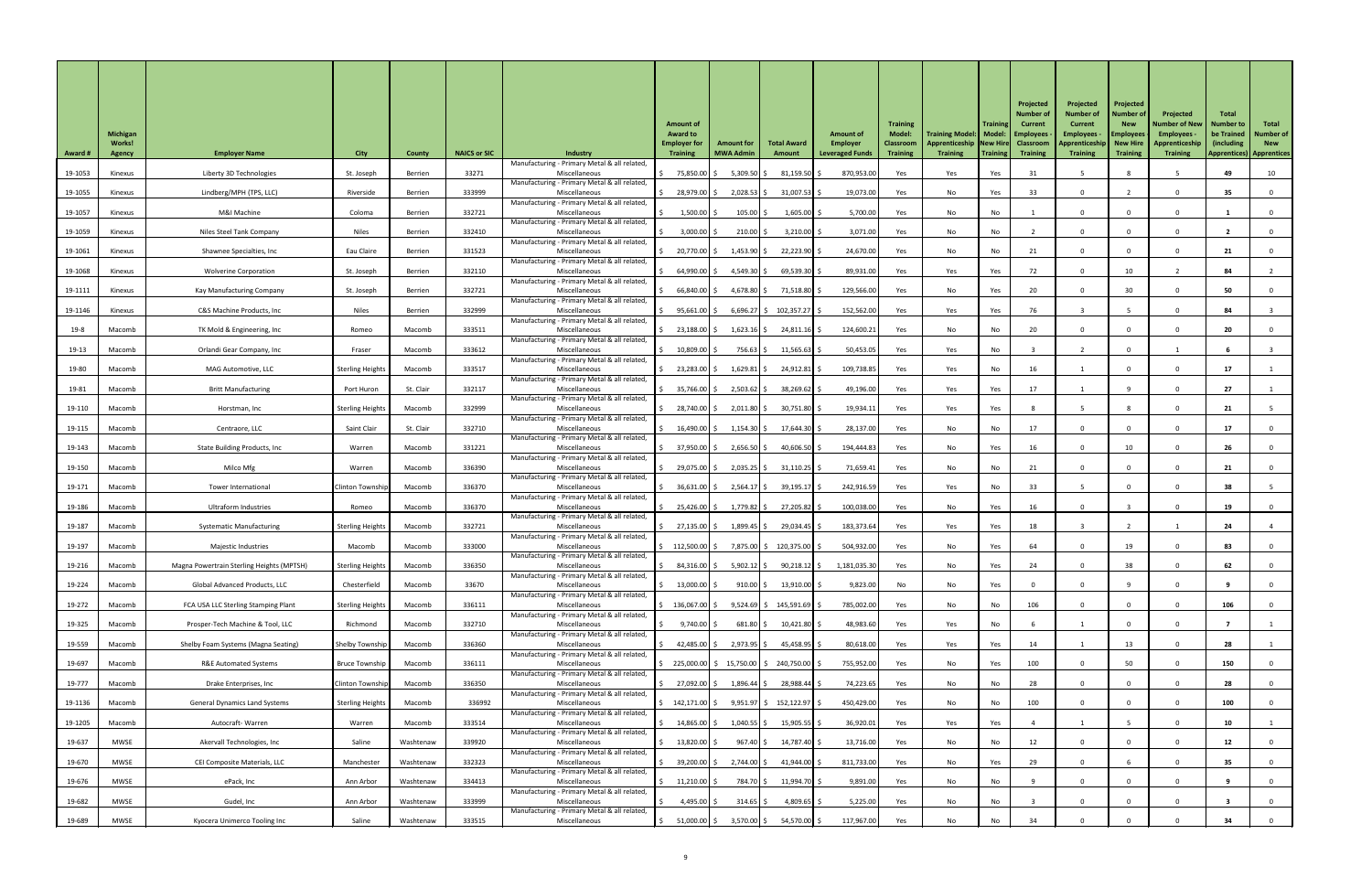| 33271<br>5,309.50 \$<br>870,953.00<br>19-1053<br>75,850.00 \$<br>$81,159.50$ \$<br>49<br>10<br>Liberty 3D Technologies<br>Yes<br>Yes<br>Yes<br>31<br>St. Joseph<br>Berrien<br>Miscellaneous<br>Kinexus<br>Manufacturing - Primary Metal & all related,<br>333999<br>28,979.00 \$<br>$2,028.53$ \$<br>$31,007.53$ \$<br>19,073.00<br>33<br>19-1055<br>Lindberg/MPH (TPS, LLC)<br>Riverside<br>No<br>Yes<br>35<br>Berrien<br>Miscellaneous<br>Yes<br>Kinexus<br>Manufacturing - Primary Metal & all related<br>5,700.00<br>19-1057<br>M&I Machine<br>332721<br>$1,500.00$ \$<br>$105.00$ \$<br>$1,605.00$ \$<br>Yes<br>No<br>No<br>Coloma<br>Berrien<br>Miscellaneous<br>Kinexus<br>Manufacturing - Primary Metal & all related,<br><b>Niles</b><br>332410<br>$3,000.00$ \$<br>$210.00$ \$<br>$3,210.00$ \$<br>3,071.00<br>19-1059<br>Niles Steel Tank Company<br>No<br>No<br>Miscellaneous<br>Yes<br><sup>n</sup><br>Berrien<br>Kinexus<br>Manufacturing - Primary Metal & all related<br>19-1061<br>331523<br>20,770.00 \$<br>$1,453.90$ \$<br>22,223.90 \$<br>24,670.00<br>Eau Claire<br>No<br>No<br>21<br>21<br>Kinexus<br>Shawnee Specialties, Inc<br>Berrien<br>Miscellaneous<br>Yes<br>$\Omega$<br>Manufacturing - Primary Metal & all related<br>19-1068<br>332110<br>$64,990.00$ \$<br>4,549.30 \$<br>$69,539.30$ \$<br>89,931.00<br>72<br>10<br>84<br>Yes<br>Yes<br>Yes<br>St. Joseph<br>Berrien<br>Miscellaneous<br>Kinexus<br><b>Wolverine Corporation</b><br>Manufacturing - Primary Metal & all related<br>332721<br>129,566.00<br>20<br>30<br>19-1111<br>66,840.00 \$<br>4,678.80 \$<br>71,518.80   \$<br>50<br>Yes<br>No<br>Yes<br>Kay Manufacturing Company<br>St. Joseph<br>Berrien<br>Miscellaneous<br>Kinexus<br>Manufacturing - Primary Metal & all related<br>$6,696.27$ \$ 102,357.27 \$<br>152,562.00<br>19-1146<br><b>Niles</b><br>332999<br>$95,661.00$ \$<br>76<br>84<br>C&S Machine Products, Inc<br>Miscellaneous<br>Yes<br>Yes<br>Yes<br>Berrien<br>Kinexus<br>Manufacturing - Primary Metal & all related<br>333511<br>23,188.00 \$<br>$1,623.16$ \$<br>24,811.16 \$<br>124,600.21<br>20<br>20<br>19-8<br>Yes<br>No<br>TK Mold & Engineering, Inc<br>Macomb<br>Miscellaneous<br>No<br>$\Omega$<br>Macomb<br>Romeo<br>Manufacturing - Primary Metal & all related<br>333612<br>756.63   \$<br>$11,565.63$ \$<br>50,453.05<br>19-13<br>$10,809.00$ \$<br>Yes<br>Macomb<br>Orlandi Gear Company, Inc<br>Macomb<br>Miscellaneous<br>Yes<br>No<br>Fraser<br>Manufacturing - Primary Metal & all related,<br>333517<br>Miscellaneous<br>$1,629.81$ \$<br><b>Sterling Heights</b><br>$23,283.00$ \$<br>$24,912.81$ \$<br>109,738.85<br>19-80<br>Macomb<br>MAG Automotive, LLC<br>Macomb<br>Yes<br>Yes<br>16<br>No<br>Manufacturing - Primary Metal & all related<br>332117<br>$2,503.62$ \$<br>38,269.62 \$<br>49,196.00<br>19-81<br>St. Clair<br>35,766.00 \$<br>17<br>27<br><b>Britt Manufacturing</b><br>Port Huron<br>Yes<br>Yes<br>Yes<br>Macomb<br>Miscellaneous<br>Manufacturing - Primary Metal & all related<br>332999<br>19,934.11<br>19-110<br>28,740.00 \$<br>2,011.80 \$<br>$30,751.80$ \$<br><b>Sterling Heights</b><br>Macomb<br>Miscellaneous<br>Yes<br>Yes<br>Yes<br>Macomb<br>Horstman, Inc<br>21<br>Manufacturing - Primary Metal & all related<br>332710<br>28,137.00<br>19-115<br>Saint Clair<br>St. Clair<br>$16,490.00$ \$<br>$1,154.30$ \$<br>17,644.30 \$<br>No<br>17<br>Yes<br>No<br>17<br>Macomb<br>Centraore, LLC<br>Miscellaneous<br><sup>n</sup><br>Manufacturing - Primary Metal & all related<br>331221<br>$2,656.50$ \$<br>194,444.83<br>16<br>10<br>19-143<br>37,950.00 \$<br>$40,606.50$ \$<br>Yes<br>26<br>State Building Products, Inc<br>Macomb<br>Miscellaneous<br>Yes<br>No<br>Macomb<br>Warren<br>Manufacturing - Primary Metal & all related<br>336390<br>71,659.41<br>19-150<br>29,075.00 \$<br>$2,035.25$ \$<br>$31,110.25$ \$<br>21<br>Milco Mfg<br>Warren<br>Macomb<br>Miscellaneous<br>Yes<br>No<br>No<br>Macomb<br>Manufacturing - Primary Metal & all related<br>336370<br>$2,564.17$ \$<br>$39,195.17$ \$<br>242,916.59<br>19-171<br>36,631.00 \$<br>Yes<br>33<br>38<br>Macomb<br><b>Clinton Township</b><br>Macomb<br>Miscellaneous<br>Yes<br>No<br>Tower International<br>Manufacturing - Primary Metal & all related<br>336370<br>1,779.82 \$<br>100,038.00<br>19-186<br>25,426.00 \$<br>27,205.82 \$<br>No<br>16<br>19<br>Macomb<br>Miscellaneous<br>Yes<br>Yes<br>Macomb<br>Ultraform Industries<br>Romeo<br>Manufacturing - Primary Metal & all related<br>332721<br>1,899.45 \$<br>183,373.64<br>19-187<br>$27,135.00$ \$<br>29,034.45 \$<br>Yes<br>Yes<br>Yes<br>18<br>24<br>Macomb<br>Miscellaneous<br>Macomb<br><b>Systematic Manufacturing</b><br><b>Sterling Heights</b><br>Manufacturing - Primary Metal & all related<br>19-197<br>333000<br>7,875.00 \$ 120,375.00 \$<br>504,932.00<br>19<br>\$112,500.00 \$<br>Yes<br>No<br>Yes<br>64<br>83<br>Macomb<br>Macomb<br>Miscellaneous<br>Macomb<br>Majestic Industries<br>Manufacturing - Primary Metal & all related<br>336350<br>$5,902.12$ \$<br>38<br>19-216<br>84,316.00 \$<br>$90,218.12$ \$<br>1,181,035.30<br>Yes<br>No<br>Yes<br>24<br>62<br>Macomb<br>Macomb<br>Miscellaneous<br>Magna Powertrain Sterling Heights (MPTSH)<br><b>Sterling Heights</b><br>Manufacturing - Primary Metal & all related<br>19-224<br>33670<br>$13,000.00$ \$<br>$910.00$ \$<br>$13,910.00$ \$<br>9,823.00<br>Chesterfield<br>No<br>Yes<br>Macomb<br><b>Global Advanced Products, LLC</b><br>Macomb<br>Miscellaneous<br>No<br>Manufacturing - Primary Metal & all related<br>336111<br>785,002.00<br>19-272<br>$9,524.69$ \$ 145,591.69 \$<br>106<br>106<br>$\frac{136,067.00}{5}$<br>Yes<br>No<br>Macomb<br>FCA USA LLC Sterling Stamping Plant<br><b>Sterling Heights</b><br>Macomb<br>Miscellaneous<br>No<br>Manufacturing - Primary Metal & all related<br>19-325<br>332710<br>681.80   \$<br>48,983.60<br>$9,740.00$ \$<br>$10,421.80$ \$<br>Yes<br>Yes<br>Macomb<br>Prosper-Tech Machine & Tool, LLC<br>Richmond<br>Macomb<br>Miscellaneous<br>No<br>Manufacturing - Primary Metal & all related<br>336360<br>2,973.95 \$<br>80,618.00<br>28<br>19-559<br>$42,485.00$ \$<br>$45,458.95$ \$<br>14<br>13<br>Macomb<br>Shelby Township<br>Macomb<br>Miscellaneous<br>Yes<br>Yes<br>Yes<br>Shelby Foam Systems (Magna Seating)<br>Manufacturing - Primary Metal & all related<br>336111<br>225,000.00 \$ 15,750.00 \$ 240,750.00 \$<br>755,952.00<br>100<br>50<br>19-697<br>No<br>150<br><b>R&amp;E Automated Systems</b><br><b>Bruce Township</b><br>Miscellaneous<br>Yes<br>Yes<br>Macomb<br>Macomb<br>Manufacturing - Primary Metal & all related,<br>74,223.65<br>19-777<br>336350<br>1,896.44   \$<br>28,988.44 \$<br>28<br>28<br>Miscellaneous<br>27,092.00 \$<br>Yes<br>No<br>No<br>Macomb<br>Drake Enterprises, Inc<br><b>Clinton Township</b><br>Macomb<br>0<br>Manufacturing - Primary Metal & all related,<br>336992<br>450,429.00<br>19-1136<br>Macomb<br>$\frac{1}{2}$ 142,171.00 \$ 9,951.97 \$ 152,122.97 \$<br>Yes<br>No<br>100<br>100<br>Macomb<br><b>General Dynamics Land Systems</b><br><b>Sterling Heights</b><br>Miscellaneous<br>No<br>Manufacturing - Primary Metal & all related,<br>333514<br>36,920.01<br>19-1205<br>14,865.00 \$<br>1,040.55 \$<br>15,905.55 \$<br>Macomb<br>Autocraft-Warren<br>Macomb<br>Yes<br>Yes<br>Yes<br>10<br>Warren<br>Miscellaneous<br>Manufacturing - Primary Metal & all related,<br>339920<br>19-637<br>Saline<br>$967.40$ \$<br>14,787.40 \$<br>13,716.00<br><b>MWSE</b><br>$13,820.00$ \$<br>12<br>Akervall Technologies, Inc<br>Washtenaw<br>Yes<br>No<br>Miscellaneous<br>No<br>12<br>Manufacturing - Primary Metal & all related,<br>811,733.00<br>19-670<br><b>MWSE</b><br>332323<br>39,200.00 \$<br>$2,744.00$ \$<br>$41,944.00$ \$<br>29<br>Yes<br>No<br>35 <sub>2</sub><br>Manchester<br>Washtenaw<br>Yes<br>CEI Composite Materials, LLC<br>Miscellaneous<br>Manufacturing - Primary Metal & all related,<br>784.70 \$<br>11,994.70 \$<br>9,891.00<br>19-676<br><b>MWSE</b><br>334413<br>$11,210.00$ \$<br>ePack, Inc<br>Washtenaw<br>Miscellaneous<br>No<br>Ann Arbor<br>Yes<br>No<br>Manufacturing - Primary Metal & all related,<br>333999<br>5,225.00<br>4,495.00 $\vert$ \$<br>$4,809.65$ \$<br>19-682<br><b>MWSE</b><br>Gudel, Inc<br>$314.65$ \$<br>No<br>Washtenaw<br>Yes<br>No<br>Ann Arbor<br>Miscellaneous<br>Manufacturing - Primary Metal & all related,<br>333515<br>117,967.00<br>19-689<br>51,000.00 \$<br>3,570.00 \$<br>54,570.00 \$<br>MWSE<br>Saline<br>Yes<br>No<br>34<br>34<br>Kyocera Unimerco Tooling Inc<br>Washtenaw<br>\$<br>No<br>Miscellaneous | <b>Award #</b> | <b>Michigan</b><br><b>Works!</b><br><b>Agency</b> | <b>Employer Name</b> | <b>City</b> | <b>County</b> | <b>NAICS or SIC</b> | <b>Industry</b>                              | <b>Amount of</b><br><b>Award to</b><br><b>Employer for</b><br><b>Training</b> | <b>Amount for</b><br><b>MWA Admin</b> | <b>Total Award</b><br>Amount | <b>Amount of</b><br>Employer<br><b>Leveraged Funds</b> | <b>Training</b><br><b>Model:</b><br><b>Classroom</b><br><b>Training</b> | Training Model:   Model:   Employees<br>Apprenticeship New Hire Classroom<br><b>Training</b> | <b>Training</b><br>  Training | Projected<br><b>Number of</b><br><b>Current</b><br><b>Training</b> | Projected<br><b>Number of</b><br><b>Current</b><br><b>Employees</b><br>Apprenticeship New Hire<br><b>Training</b> | Projected<br><b>Number of</b><br><b>New</b><br><b>Employees</b><br><b>Training</b> | Projected<br><b>Number of New</b><br><b>Employees</b><br>Apprenticeship<br><b>Training</b> | <b>Total</b><br><b>Number to</b><br>be Trained<br>(including)<br><b>Apprentices) Apprentices</b> | Total<br><b>Number of</b><br><b>New</b> |
|---------------------------------------------------------------------------------------------------------------------------------------------------------------------------------------------------------------------------------------------------------------------------------------------------------------------------------------------------------------------------------------------------------------------------------------------------------------------------------------------------------------------------------------------------------------------------------------------------------------------------------------------------------------------------------------------------------------------------------------------------------------------------------------------------------------------------------------------------------------------------------------------------------------------------------------------------------------------------------------------------------------------------------------------------------------------------------------------------------------------------------------------------------------------------------------------------------------------------------------------------------------------------------------------------------------------------------------------------------------------------------------------------------------------------------------------------------------------------------------------------------------------------------------------------------------------------------------------------------------------------------------------------------------------------------------------------------------------------------------------------------------------------------------------------------------------------------------------------------------------------------------------------------------------------------------------------------------------------------------------------------------------------------------------------------------------------------------------------------------------------------------------------------------------------------------------------------------------------------------------------------------------------------------------------------------------------------------------------------------------------------------------------------------------------------------------------------------------------------------------------------------------------------------------------------------------------------------------------------------------------------------------------------------------------------------------------------------------------------------------------------------------------------------------------------------------------------------------------------------------------------------------------------------------------------------------------------------------------------------------------------------------------------------------------------------------------------------------------------------------------------------------------------------------------------------------------------------------------------------------------------------------------------------------------------------------------------------------------------------------------------------------------------------------------------------------------------------------------------------------------------------------------------------------------------------------------------------------------------------------------------------------------------------------------------------------------------------------------------------------------------------------------------------------------------------------------------------------------------------------------------------------------------------------------------------------------------------------------------------------------------------------------------------------------------------------------------------------------------------------------------------------------------------------------------------------------------------------------------------------------------------------------------------------------------------------------------------------------------------------------------------------------------------------------------------------------------------------------------------------------------------------------------------------------------------------------------------------------------------------------------------------------------------------------------------------------------------------------------------------------------------------------------------------------------------------------------------------------------------------------------------------------------------------------------------------------------------------------------------------------------------------------------------------------------------------------------------------------------------------------------------------------------------------------------------------------------------------------------------------------------------------------------------------------------------------------------------------------------------------------------------------------------------------------------------------------------------------------------------------------------------------------------------------------------------------------------------------------------------------------------------------------------------------------------------------------------------------------------------------------------------------------------------------------------------------------------------------------------------------------------------------------------------------------------------------------------------------------------------------------------------------------------------------------------------------------------------------------------------------------------------------------------------------------------------------------------------------------------------------------------------------------------------------------------------------------------------------------------------------------------------------------------------------------------------------------------------------------------------------------------------------------------------------------------------------------------------------------------------------------------------------------------------------------------------------------------------------------------------------------------------------------------------------------------------------------------------------------------------------------------------------------------------------------------------------------------------------------------------------------------------------------------------------------------------------------------------------------------------------------------------------------------------------------------------------------------------------------------------------------------------------------------------------------------------------------------------------------------------------------------------------------------------------------------------------------------------------------------------------------------------------------------------------------------------------------------------------------------------------------------------------------------------------------------------------------------------------------------------------------------------------------------------------------------------------------------------------------------------------------------------------------------------------------------------------------------------------------------------------------------------------------------------------------------------------------------------------------------------------------------------------------------------------------------------------------------------------------------------------------------------------------------------------------------------------------------------------------------------------------------------------------------------------------------------------------------------------------------------------------------------------------------------------------------------------------------------------------------------------------------------------------------------------------|----------------|---------------------------------------------------|----------------------|-------------|---------------|---------------------|----------------------------------------------|-------------------------------------------------------------------------------|---------------------------------------|------------------------------|--------------------------------------------------------|-------------------------------------------------------------------------|----------------------------------------------------------------------------------------------|-------------------------------|--------------------------------------------------------------------|-------------------------------------------------------------------------------------------------------------------|------------------------------------------------------------------------------------|--------------------------------------------------------------------------------------------|--------------------------------------------------------------------------------------------------|-----------------------------------------|
|                                                                                                                                                                                                                                                                                                                                                                                                                                                                                                                                                                                                                                                                                                                                                                                                                                                                                                                                                                                                                                                                                                                                                                                                                                                                                                                                                                                                                                                                                                                                                                                                                                                                                                                                                                                                                                                                                                                                                                                                                                                                                                                                                                                                                                                                                                                                                                                                                                                                                                                                                                                                                                                                                                                                                                                                                                                                                                                                                                                                                                                                                                                                                                                                                                                                                                                                                                                                                                                                                                                                                                                                                                                                                                                                                                                                                                                                                                                                                                                                                                                                                                                                                                                                                                                                                                                                                                                                                                                                                                                                                                                                                                                                                                                                                                                                                                                                                                                                                                                                                                                                                                                                                                                                                                                                                                                                                                                                                                                                                                                                                                                                                                                                                                                                                                                                                                                                                                                                                                                                                                                                                                                                                                                                                                                                                                                                                                                                                                                                                                                                                                                                                                                                                                                                                                                                                                                                                                                                                                                                                                                                                                                                                                                                                                                                                                                                                                                                                                                                                                                                                                                                                                                                                                                                                                                                                                                                                                                                                                                                                                                                                                                                                                                                                                                                                                                                                                                                                                                                                                                                                                                                                                                                           |                |                                                   |                      |             |               |                     | Manufacturing - Primary Metal & all related, |                                                                               |                                       |                              |                                                        |                                                                         |                                                                                              |                               |                                                                    |                                                                                                                   |                                                                                    |                                                                                            |                                                                                                  |                                         |
|                                                                                                                                                                                                                                                                                                                                                                                                                                                                                                                                                                                                                                                                                                                                                                                                                                                                                                                                                                                                                                                                                                                                                                                                                                                                                                                                                                                                                                                                                                                                                                                                                                                                                                                                                                                                                                                                                                                                                                                                                                                                                                                                                                                                                                                                                                                                                                                                                                                                                                                                                                                                                                                                                                                                                                                                                                                                                                                                                                                                                                                                                                                                                                                                                                                                                                                                                                                                                                                                                                                                                                                                                                                                                                                                                                                                                                                                                                                                                                                                                                                                                                                                                                                                                                                                                                                                                                                                                                                                                                                                                                                                                                                                                                                                                                                                                                                                                                                                                                                                                                                                                                                                                                                                                                                                                                                                                                                                                                                                                                                                                                                                                                                                                                                                                                                                                                                                                                                                                                                                                                                                                                                                                                                                                                                                                                                                                                                                                                                                                                                                                                                                                                                                                                                                                                                                                                                                                                                                                                                                                                                                                                                                                                                                                                                                                                                                                                                                                                                                                                                                                                                                                                                                                                                                                                                                                                                                                                                                                                                                                                                                                                                                                                                                                                                                                                                                                                                                                                                                                                                                                                                                                                                                           |                |                                                   |                      |             |               |                     |                                              |                                                                               |                                       |                              |                                                        |                                                                         |                                                                                              |                               |                                                                    |                                                                                                                   |                                                                                    |                                                                                            |                                                                                                  |                                         |
|                                                                                                                                                                                                                                                                                                                                                                                                                                                                                                                                                                                                                                                                                                                                                                                                                                                                                                                                                                                                                                                                                                                                                                                                                                                                                                                                                                                                                                                                                                                                                                                                                                                                                                                                                                                                                                                                                                                                                                                                                                                                                                                                                                                                                                                                                                                                                                                                                                                                                                                                                                                                                                                                                                                                                                                                                                                                                                                                                                                                                                                                                                                                                                                                                                                                                                                                                                                                                                                                                                                                                                                                                                                                                                                                                                                                                                                                                                                                                                                                                                                                                                                                                                                                                                                                                                                                                                                                                                                                                                                                                                                                                                                                                                                                                                                                                                                                                                                                                                                                                                                                                                                                                                                                                                                                                                                                                                                                                                                                                                                                                                                                                                                                                                                                                                                                                                                                                                                                                                                                                                                                                                                                                                                                                                                                                                                                                                                                                                                                                                                                                                                                                                                                                                                                                                                                                                                                                                                                                                                                                                                                                                                                                                                                                                                                                                                                                                                                                                                                                                                                                                                                                                                                                                                                                                                                                                                                                                                                                                                                                                                                                                                                                                                                                                                                                                                                                                                                                                                                                                                                                                                                                                                                           |                |                                                   |                      |             |               |                     |                                              |                                                                               |                                       |                              |                                                        |                                                                         |                                                                                              |                               |                                                                    |                                                                                                                   |                                                                                    |                                                                                            |                                                                                                  |                                         |
|                                                                                                                                                                                                                                                                                                                                                                                                                                                                                                                                                                                                                                                                                                                                                                                                                                                                                                                                                                                                                                                                                                                                                                                                                                                                                                                                                                                                                                                                                                                                                                                                                                                                                                                                                                                                                                                                                                                                                                                                                                                                                                                                                                                                                                                                                                                                                                                                                                                                                                                                                                                                                                                                                                                                                                                                                                                                                                                                                                                                                                                                                                                                                                                                                                                                                                                                                                                                                                                                                                                                                                                                                                                                                                                                                                                                                                                                                                                                                                                                                                                                                                                                                                                                                                                                                                                                                                                                                                                                                                                                                                                                                                                                                                                                                                                                                                                                                                                                                                                                                                                                                                                                                                                                                                                                                                                                                                                                                                                                                                                                                                                                                                                                                                                                                                                                                                                                                                                                                                                                                                                                                                                                                                                                                                                                                                                                                                                                                                                                                                                                                                                                                                                                                                                                                                                                                                                                                                                                                                                                                                                                                                                                                                                                                                                                                                                                                                                                                                                                                                                                                                                                                                                                                                                                                                                                                                                                                                                                                                                                                                                                                                                                                                                                                                                                                                                                                                                                                                                                                                                                                                                                                                                                           |                |                                                   |                      |             |               |                     |                                              |                                                                               |                                       |                              |                                                        |                                                                         |                                                                                              |                               |                                                                    |                                                                                                                   |                                                                                    |                                                                                            |                                                                                                  |                                         |
|                                                                                                                                                                                                                                                                                                                                                                                                                                                                                                                                                                                                                                                                                                                                                                                                                                                                                                                                                                                                                                                                                                                                                                                                                                                                                                                                                                                                                                                                                                                                                                                                                                                                                                                                                                                                                                                                                                                                                                                                                                                                                                                                                                                                                                                                                                                                                                                                                                                                                                                                                                                                                                                                                                                                                                                                                                                                                                                                                                                                                                                                                                                                                                                                                                                                                                                                                                                                                                                                                                                                                                                                                                                                                                                                                                                                                                                                                                                                                                                                                                                                                                                                                                                                                                                                                                                                                                                                                                                                                                                                                                                                                                                                                                                                                                                                                                                                                                                                                                                                                                                                                                                                                                                                                                                                                                                                                                                                                                                                                                                                                                                                                                                                                                                                                                                                                                                                                                                                                                                                                                                                                                                                                                                                                                                                                                                                                                                                                                                                                                                                                                                                                                                                                                                                                                                                                                                                                                                                                                                                                                                                                                                                                                                                                                                                                                                                                                                                                                                                                                                                                                                                                                                                                                                                                                                                                                                                                                                                                                                                                                                                                                                                                                                                                                                                                                                                                                                                                                                                                                                                                                                                                                                                           |                |                                                   |                      |             |               |                     |                                              |                                                                               |                                       |                              |                                                        |                                                                         |                                                                                              |                               |                                                                    |                                                                                                                   |                                                                                    |                                                                                            |                                                                                                  |                                         |
|                                                                                                                                                                                                                                                                                                                                                                                                                                                                                                                                                                                                                                                                                                                                                                                                                                                                                                                                                                                                                                                                                                                                                                                                                                                                                                                                                                                                                                                                                                                                                                                                                                                                                                                                                                                                                                                                                                                                                                                                                                                                                                                                                                                                                                                                                                                                                                                                                                                                                                                                                                                                                                                                                                                                                                                                                                                                                                                                                                                                                                                                                                                                                                                                                                                                                                                                                                                                                                                                                                                                                                                                                                                                                                                                                                                                                                                                                                                                                                                                                                                                                                                                                                                                                                                                                                                                                                                                                                                                                                                                                                                                                                                                                                                                                                                                                                                                                                                                                                                                                                                                                                                                                                                                                                                                                                                                                                                                                                                                                                                                                                                                                                                                                                                                                                                                                                                                                                                                                                                                                                                                                                                                                                                                                                                                                                                                                                                                                                                                                                                                                                                                                                                                                                                                                                                                                                                                                                                                                                                                                                                                                                                                                                                                                                                                                                                                                                                                                                                                                                                                                                                                                                                                                                                                                                                                                                                                                                                                                                                                                                                                                                                                                                                                                                                                                                                                                                                                                                                                                                                                                                                                                                                                           |                |                                                   |                      |             |               |                     |                                              |                                                                               |                                       |                              |                                                        |                                                                         |                                                                                              |                               |                                                                    |                                                                                                                   |                                                                                    |                                                                                            |                                                                                                  |                                         |
|                                                                                                                                                                                                                                                                                                                                                                                                                                                                                                                                                                                                                                                                                                                                                                                                                                                                                                                                                                                                                                                                                                                                                                                                                                                                                                                                                                                                                                                                                                                                                                                                                                                                                                                                                                                                                                                                                                                                                                                                                                                                                                                                                                                                                                                                                                                                                                                                                                                                                                                                                                                                                                                                                                                                                                                                                                                                                                                                                                                                                                                                                                                                                                                                                                                                                                                                                                                                                                                                                                                                                                                                                                                                                                                                                                                                                                                                                                                                                                                                                                                                                                                                                                                                                                                                                                                                                                                                                                                                                                                                                                                                                                                                                                                                                                                                                                                                                                                                                                                                                                                                                                                                                                                                                                                                                                                                                                                                                                                                                                                                                                                                                                                                                                                                                                                                                                                                                                                                                                                                                                                                                                                                                                                                                                                                                                                                                                                                                                                                                                                                                                                                                                                                                                                                                                                                                                                                                                                                                                                                                                                                                                                                                                                                                                                                                                                                                                                                                                                                                                                                                                                                                                                                                                                                                                                                                                                                                                                                                                                                                                                                                                                                                                                                                                                                                                                                                                                                                                                                                                                                                                                                                                                                           |                |                                                   |                      |             |               |                     |                                              |                                                                               |                                       |                              |                                                        |                                                                         |                                                                                              |                               |                                                                    |                                                                                                                   |                                                                                    |                                                                                            |                                                                                                  |                                         |
|                                                                                                                                                                                                                                                                                                                                                                                                                                                                                                                                                                                                                                                                                                                                                                                                                                                                                                                                                                                                                                                                                                                                                                                                                                                                                                                                                                                                                                                                                                                                                                                                                                                                                                                                                                                                                                                                                                                                                                                                                                                                                                                                                                                                                                                                                                                                                                                                                                                                                                                                                                                                                                                                                                                                                                                                                                                                                                                                                                                                                                                                                                                                                                                                                                                                                                                                                                                                                                                                                                                                                                                                                                                                                                                                                                                                                                                                                                                                                                                                                                                                                                                                                                                                                                                                                                                                                                                                                                                                                                                                                                                                                                                                                                                                                                                                                                                                                                                                                                                                                                                                                                                                                                                                                                                                                                                                                                                                                                                                                                                                                                                                                                                                                                                                                                                                                                                                                                                                                                                                                                                                                                                                                                                                                                                                                                                                                                                                                                                                                                                                                                                                                                                                                                                                                                                                                                                                                                                                                                                                                                                                                                                                                                                                                                                                                                                                                                                                                                                                                                                                                                                                                                                                                                                                                                                                                                                                                                                                                                                                                                                                                                                                                                                                                                                                                                                                                                                                                                                                                                                                                                                                                                                                           |                |                                                   |                      |             |               |                     |                                              |                                                                               |                                       |                              |                                                        |                                                                         |                                                                                              |                               |                                                                    |                                                                                                                   |                                                                                    |                                                                                            |                                                                                                  |                                         |
|                                                                                                                                                                                                                                                                                                                                                                                                                                                                                                                                                                                                                                                                                                                                                                                                                                                                                                                                                                                                                                                                                                                                                                                                                                                                                                                                                                                                                                                                                                                                                                                                                                                                                                                                                                                                                                                                                                                                                                                                                                                                                                                                                                                                                                                                                                                                                                                                                                                                                                                                                                                                                                                                                                                                                                                                                                                                                                                                                                                                                                                                                                                                                                                                                                                                                                                                                                                                                                                                                                                                                                                                                                                                                                                                                                                                                                                                                                                                                                                                                                                                                                                                                                                                                                                                                                                                                                                                                                                                                                                                                                                                                                                                                                                                                                                                                                                                                                                                                                                                                                                                                                                                                                                                                                                                                                                                                                                                                                                                                                                                                                                                                                                                                                                                                                                                                                                                                                                                                                                                                                                                                                                                                                                                                                                                                                                                                                                                                                                                                                                                                                                                                                                                                                                                                                                                                                                                                                                                                                                                                                                                                                                                                                                                                                                                                                                                                                                                                                                                                                                                                                                                                                                                                                                                                                                                                                                                                                                                                                                                                                                                                                                                                                                                                                                                                                                                                                                                                                                                                                                                                                                                                                                                           |                |                                                   |                      |             |               |                     |                                              |                                                                               |                                       |                              |                                                        |                                                                         |                                                                                              |                               |                                                                    |                                                                                                                   |                                                                                    |                                                                                            |                                                                                                  |                                         |
|                                                                                                                                                                                                                                                                                                                                                                                                                                                                                                                                                                                                                                                                                                                                                                                                                                                                                                                                                                                                                                                                                                                                                                                                                                                                                                                                                                                                                                                                                                                                                                                                                                                                                                                                                                                                                                                                                                                                                                                                                                                                                                                                                                                                                                                                                                                                                                                                                                                                                                                                                                                                                                                                                                                                                                                                                                                                                                                                                                                                                                                                                                                                                                                                                                                                                                                                                                                                                                                                                                                                                                                                                                                                                                                                                                                                                                                                                                                                                                                                                                                                                                                                                                                                                                                                                                                                                                                                                                                                                                                                                                                                                                                                                                                                                                                                                                                                                                                                                                                                                                                                                                                                                                                                                                                                                                                                                                                                                                                                                                                                                                                                                                                                                                                                                                                                                                                                                                                                                                                                                                                                                                                                                                                                                                                                                                                                                                                                                                                                                                                                                                                                                                                                                                                                                                                                                                                                                                                                                                                                                                                                                                                                                                                                                                                                                                                                                                                                                                                                                                                                                                                                                                                                                                                                                                                                                                                                                                                                                                                                                                                                                                                                                                                                                                                                                                                                                                                                                                                                                                                                                                                                                                                                           |                |                                                   |                      |             |               |                     |                                              |                                                                               |                                       |                              |                                                        |                                                                         |                                                                                              |                               |                                                                    |                                                                                                                   |                                                                                    |                                                                                            |                                                                                                  |                                         |
|                                                                                                                                                                                                                                                                                                                                                                                                                                                                                                                                                                                                                                                                                                                                                                                                                                                                                                                                                                                                                                                                                                                                                                                                                                                                                                                                                                                                                                                                                                                                                                                                                                                                                                                                                                                                                                                                                                                                                                                                                                                                                                                                                                                                                                                                                                                                                                                                                                                                                                                                                                                                                                                                                                                                                                                                                                                                                                                                                                                                                                                                                                                                                                                                                                                                                                                                                                                                                                                                                                                                                                                                                                                                                                                                                                                                                                                                                                                                                                                                                                                                                                                                                                                                                                                                                                                                                                                                                                                                                                                                                                                                                                                                                                                                                                                                                                                                                                                                                                                                                                                                                                                                                                                                                                                                                                                                                                                                                                                                                                                                                                                                                                                                                                                                                                                                                                                                                                                                                                                                                                                                                                                                                                                                                                                                                                                                                                                                                                                                                                                                                                                                                                                                                                                                                                                                                                                                                                                                                                                                                                                                                                                                                                                                                                                                                                                                                                                                                                                                                                                                                                                                                                                                                                                                                                                                                                                                                                                                                                                                                                                                                                                                                                                                                                                                                                                                                                                                                                                                                                                                                                                                                                                                           |                |                                                   |                      |             |               |                     |                                              |                                                                               |                                       |                              |                                                        |                                                                         |                                                                                              |                               |                                                                    |                                                                                                                   |                                                                                    |                                                                                            |                                                                                                  |                                         |
|                                                                                                                                                                                                                                                                                                                                                                                                                                                                                                                                                                                                                                                                                                                                                                                                                                                                                                                                                                                                                                                                                                                                                                                                                                                                                                                                                                                                                                                                                                                                                                                                                                                                                                                                                                                                                                                                                                                                                                                                                                                                                                                                                                                                                                                                                                                                                                                                                                                                                                                                                                                                                                                                                                                                                                                                                                                                                                                                                                                                                                                                                                                                                                                                                                                                                                                                                                                                                                                                                                                                                                                                                                                                                                                                                                                                                                                                                                                                                                                                                                                                                                                                                                                                                                                                                                                                                                                                                                                                                                                                                                                                                                                                                                                                                                                                                                                                                                                                                                                                                                                                                                                                                                                                                                                                                                                                                                                                                                                                                                                                                                                                                                                                                                                                                                                                                                                                                                                                                                                                                                                                                                                                                                                                                                                                                                                                                                                                                                                                                                                                                                                                                                                                                                                                                                                                                                                                                                                                                                                                                                                                                                                                                                                                                                                                                                                                                                                                                                                                                                                                                                                                                                                                                                                                                                                                                                                                                                                                                                                                                                                                                                                                                                                                                                                                                                                                                                                                                                                                                                                                                                                                                                                                           |                |                                                   |                      |             |               |                     |                                              |                                                                               |                                       |                              |                                                        |                                                                         |                                                                                              |                               |                                                                    |                                                                                                                   |                                                                                    |                                                                                            |                                                                                                  |                                         |
|                                                                                                                                                                                                                                                                                                                                                                                                                                                                                                                                                                                                                                                                                                                                                                                                                                                                                                                                                                                                                                                                                                                                                                                                                                                                                                                                                                                                                                                                                                                                                                                                                                                                                                                                                                                                                                                                                                                                                                                                                                                                                                                                                                                                                                                                                                                                                                                                                                                                                                                                                                                                                                                                                                                                                                                                                                                                                                                                                                                                                                                                                                                                                                                                                                                                                                                                                                                                                                                                                                                                                                                                                                                                                                                                                                                                                                                                                                                                                                                                                                                                                                                                                                                                                                                                                                                                                                                                                                                                                                                                                                                                                                                                                                                                                                                                                                                                                                                                                                                                                                                                                                                                                                                                                                                                                                                                                                                                                                                                                                                                                                                                                                                                                                                                                                                                                                                                                                                                                                                                                                                                                                                                                                                                                                                                                                                                                                                                                                                                                                                                                                                                                                                                                                                                                                                                                                                                                                                                                                                                                                                                                                                                                                                                                                                                                                                                                                                                                                                                                                                                                                                                                                                                                                                                                                                                                                                                                                                                                                                                                                                                                                                                                                                                                                                                                                                                                                                                                                                                                                                                                                                                                                                                           |                |                                                   |                      |             |               |                     |                                              |                                                                               |                                       |                              |                                                        |                                                                         |                                                                                              |                               |                                                                    |                                                                                                                   |                                                                                    |                                                                                            |                                                                                                  |                                         |
|                                                                                                                                                                                                                                                                                                                                                                                                                                                                                                                                                                                                                                                                                                                                                                                                                                                                                                                                                                                                                                                                                                                                                                                                                                                                                                                                                                                                                                                                                                                                                                                                                                                                                                                                                                                                                                                                                                                                                                                                                                                                                                                                                                                                                                                                                                                                                                                                                                                                                                                                                                                                                                                                                                                                                                                                                                                                                                                                                                                                                                                                                                                                                                                                                                                                                                                                                                                                                                                                                                                                                                                                                                                                                                                                                                                                                                                                                                                                                                                                                                                                                                                                                                                                                                                                                                                                                                                                                                                                                                                                                                                                                                                                                                                                                                                                                                                                                                                                                                                                                                                                                                                                                                                                                                                                                                                                                                                                                                                                                                                                                                                                                                                                                                                                                                                                                                                                                                                                                                                                                                                                                                                                                                                                                                                                                                                                                                                                                                                                                                                                                                                                                                                                                                                                                                                                                                                                                                                                                                                                                                                                                                                                                                                                                                                                                                                                                                                                                                                                                                                                                                                                                                                                                                                                                                                                                                                                                                                                                                                                                                                                                                                                                                                                                                                                                                                                                                                                                                                                                                                                                                                                                                                                           |                |                                                   |                      |             |               |                     |                                              |                                                                               |                                       |                              |                                                        |                                                                         |                                                                                              |                               |                                                                    |                                                                                                                   |                                                                                    |                                                                                            |                                                                                                  |                                         |
|                                                                                                                                                                                                                                                                                                                                                                                                                                                                                                                                                                                                                                                                                                                                                                                                                                                                                                                                                                                                                                                                                                                                                                                                                                                                                                                                                                                                                                                                                                                                                                                                                                                                                                                                                                                                                                                                                                                                                                                                                                                                                                                                                                                                                                                                                                                                                                                                                                                                                                                                                                                                                                                                                                                                                                                                                                                                                                                                                                                                                                                                                                                                                                                                                                                                                                                                                                                                                                                                                                                                                                                                                                                                                                                                                                                                                                                                                                                                                                                                                                                                                                                                                                                                                                                                                                                                                                                                                                                                                                                                                                                                                                                                                                                                                                                                                                                                                                                                                                                                                                                                                                                                                                                                                                                                                                                                                                                                                                                                                                                                                                                                                                                                                                                                                                                                                                                                                                                                                                                                                                                                                                                                                                                                                                                                                                                                                                                                                                                                                                                                                                                                                                                                                                                                                                                                                                                                                                                                                                                                                                                                                                                                                                                                                                                                                                                                                                                                                                                                                                                                                                                                                                                                                                                                                                                                                                                                                                                                                                                                                                                                                                                                                                                                                                                                                                                                                                                                                                                                                                                                                                                                                                                                           |                |                                                   |                      |             |               |                     |                                              |                                                                               |                                       |                              |                                                        |                                                                         |                                                                                              |                               |                                                                    |                                                                                                                   |                                                                                    |                                                                                            |                                                                                                  |                                         |
|                                                                                                                                                                                                                                                                                                                                                                                                                                                                                                                                                                                                                                                                                                                                                                                                                                                                                                                                                                                                                                                                                                                                                                                                                                                                                                                                                                                                                                                                                                                                                                                                                                                                                                                                                                                                                                                                                                                                                                                                                                                                                                                                                                                                                                                                                                                                                                                                                                                                                                                                                                                                                                                                                                                                                                                                                                                                                                                                                                                                                                                                                                                                                                                                                                                                                                                                                                                                                                                                                                                                                                                                                                                                                                                                                                                                                                                                                                                                                                                                                                                                                                                                                                                                                                                                                                                                                                                                                                                                                                                                                                                                                                                                                                                                                                                                                                                                                                                                                                                                                                                                                                                                                                                                                                                                                                                                                                                                                                                                                                                                                                                                                                                                                                                                                                                                                                                                                                                                                                                                                                                                                                                                                                                                                                                                                                                                                                                                                                                                                                                                                                                                                                                                                                                                                                                                                                                                                                                                                                                                                                                                                                                                                                                                                                                                                                                                                                                                                                                                                                                                                                                                                                                                                                                                                                                                                                                                                                                                                                                                                                                                                                                                                                                                                                                                                                                                                                                                                                                                                                                                                                                                                                                                           |                |                                                   |                      |             |               |                     |                                              |                                                                               |                                       |                              |                                                        |                                                                         |                                                                                              |                               |                                                                    |                                                                                                                   |                                                                                    |                                                                                            |                                                                                                  |                                         |
|                                                                                                                                                                                                                                                                                                                                                                                                                                                                                                                                                                                                                                                                                                                                                                                                                                                                                                                                                                                                                                                                                                                                                                                                                                                                                                                                                                                                                                                                                                                                                                                                                                                                                                                                                                                                                                                                                                                                                                                                                                                                                                                                                                                                                                                                                                                                                                                                                                                                                                                                                                                                                                                                                                                                                                                                                                                                                                                                                                                                                                                                                                                                                                                                                                                                                                                                                                                                                                                                                                                                                                                                                                                                                                                                                                                                                                                                                                                                                                                                                                                                                                                                                                                                                                                                                                                                                                                                                                                                                                                                                                                                                                                                                                                                                                                                                                                                                                                                                                                                                                                                                                                                                                                                                                                                                                                                                                                                                                                                                                                                                                                                                                                                                                                                                                                                                                                                                                                                                                                                                                                                                                                                                                                                                                                                                                                                                                                                                                                                                                                                                                                                                                                                                                                                                                                                                                                                                                                                                                                                                                                                                                                                                                                                                                                                                                                                                                                                                                                                                                                                                                                                                                                                                                                                                                                                                                                                                                                                                                                                                                                                                                                                                                                                                                                                                                                                                                                                                                                                                                                                                                                                                                                                           |                |                                                   |                      |             |               |                     |                                              |                                                                               |                                       |                              |                                                        |                                                                         |                                                                                              |                               |                                                                    |                                                                                                                   |                                                                                    |                                                                                            |                                                                                                  |                                         |
|                                                                                                                                                                                                                                                                                                                                                                                                                                                                                                                                                                                                                                                                                                                                                                                                                                                                                                                                                                                                                                                                                                                                                                                                                                                                                                                                                                                                                                                                                                                                                                                                                                                                                                                                                                                                                                                                                                                                                                                                                                                                                                                                                                                                                                                                                                                                                                                                                                                                                                                                                                                                                                                                                                                                                                                                                                                                                                                                                                                                                                                                                                                                                                                                                                                                                                                                                                                                                                                                                                                                                                                                                                                                                                                                                                                                                                                                                                                                                                                                                                                                                                                                                                                                                                                                                                                                                                                                                                                                                                                                                                                                                                                                                                                                                                                                                                                                                                                                                                                                                                                                                                                                                                                                                                                                                                                                                                                                                                                                                                                                                                                                                                                                                                                                                                                                                                                                                                                                                                                                                                                                                                                                                                                                                                                                                                                                                                                                                                                                                                                                                                                                                                                                                                                                                                                                                                                                                                                                                                                                                                                                                                                                                                                                                                                                                                                                                                                                                                                                                                                                                                                                                                                                                                                                                                                                                                                                                                                                                                                                                                                                                                                                                                                                                                                                                                                                                                                                                                                                                                                                                                                                                                                                           |                |                                                   |                      |             |               |                     |                                              |                                                                               |                                       |                              |                                                        |                                                                         |                                                                                              |                               |                                                                    |                                                                                                                   |                                                                                    |                                                                                            |                                                                                                  |                                         |
|                                                                                                                                                                                                                                                                                                                                                                                                                                                                                                                                                                                                                                                                                                                                                                                                                                                                                                                                                                                                                                                                                                                                                                                                                                                                                                                                                                                                                                                                                                                                                                                                                                                                                                                                                                                                                                                                                                                                                                                                                                                                                                                                                                                                                                                                                                                                                                                                                                                                                                                                                                                                                                                                                                                                                                                                                                                                                                                                                                                                                                                                                                                                                                                                                                                                                                                                                                                                                                                                                                                                                                                                                                                                                                                                                                                                                                                                                                                                                                                                                                                                                                                                                                                                                                                                                                                                                                                                                                                                                                                                                                                                                                                                                                                                                                                                                                                                                                                                                                                                                                                                                                                                                                                                                                                                                                                                                                                                                                                                                                                                                                                                                                                                                                                                                                                                                                                                                                                                                                                                                                                                                                                                                                                                                                                                                                                                                                                                                                                                                                                                                                                                                                                                                                                                                                                                                                                                                                                                                                                                                                                                                                                                                                                                                                                                                                                                                                                                                                                                                                                                                                                                                                                                                                                                                                                                                                                                                                                                                                                                                                                                                                                                                                                                                                                                                                                                                                                                                                                                                                                                                                                                                                                                           |                |                                                   |                      |             |               |                     |                                              |                                                                               |                                       |                              |                                                        |                                                                         |                                                                                              |                               |                                                                    |                                                                                                                   |                                                                                    |                                                                                            |                                                                                                  |                                         |
|                                                                                                                                                                                                                                                                                                                                                                                                                                                                                                                                                                                                                                                                                                                                                                                                                                                                                                                                                                                                                                                                                                                                                                                                                                                                                                                                                                                                                                                                                                                                                                                                                                                                                                                                                                                                                                                                                                                                                                                                                                                                                                                                                                                                                                                                                                                                                                                                                                                                                                                                                                                                                                                                                                                                                                                                                                                                                                                                                                                                                                                                                                                                                                                                                                                                                                                                                                                                                                                                                                                                                                                                                                                                                                                                                                                                                                                                                                                                                                                                                                                                                                                                                                                                                                                                                                                                                                                                                                                                                                                                                                                                                                                                                                                                                                                                                                                                                                                                                                                                                                                                                                                                                                                                                                                                                                                                                                                                                                                                                                                                                                                                                                                                                                                                                                                                                                                                                                                                                                                                                                                                                                                                                                                                                                                                                                                                                                                                                                                                                                                                                                                                                                                                                                                                                                                                                                                                                                                                                                                                                                                                                                                                                                                                                                                                                                                                                                                                                                                                                                                                                                                                                                                                                                                                                                                                                                                                                                                                                                                                                                                                                                                                                                                                                                                                                                                                                                                                                                                                                                                                                                                                                                                                           |                |                                                   |                      |             |               |                     |                                              |                                                                               |                                       |                              |                                                        |                                                                         |                                                                                              |                               |                                                                    |                                                                                                                   |                                                                                    |                                                                                            |                                                                                                  |                                         |
|                                                                                                                                                                                                                                                                                                                                                                                                                                                                                                                                                                                                                                                                                                                                                                                                                                                                                                                                                                                                                                                                                                                                                                                                                                                                                                                                                                                                                                                                                                                                                                                                                                                                                                                                                                                                                                                                                                                                                                                                                                                                                                                                                                                                                                                                                                                                                                                                                                                                                                                                                                                                                                                                                                                                                                                                                                                                                                                                                                                                                                                                                                                                                                                                                                                                                                                                                                                                                                                                                                                                                                                                                                                                                                                                                                                                                                                                                                                                                                                                                                                                                                                                                                                                                                                                                                                                                                                                                                                                                                                                                                                                                                                                                                                                                                                                                                                                                                                                                                                                                                                                                                                                                                                                                                                                                                                                                                                                                                                                                                                                                                                                                                                                                                                                                                                                                                                                                                                                                                                                                                                                                                                                                                                                                                                                                                                                                                                                                                                                                                                                                                                                                                                                                                                                                                                                                                                                                                                                                                                                                                                                                                                                                                                                                                                                                                                                                                                                                                                                                                                                                                                                                                                                                                                                                                                                                                                                                                                                                                                                                                                                                                                                                                                                                                                                                                                                                                                                                                                                                                                                                                                                                                                                           |                |                                                   |                      |             |               |                     |                                              |                                                                               |                                       |                              |                                                        |                                                                         |                                                                                              |                               |                                                                    |                                                                                                                   |                                                                                    |                                                                                            |                                                                                                  |                                         |
|                                                                                                                                                                                                                                                                                                                                                                                                                                                                                                                                                                                                                                                                                                                                                                                                                                                                                                                                                                                                                                                                                                                                                                                                                                                                                                                                                                                                                                                                                                                                                                                                                                                                                                                                                                                                                                                                                                                                                                                                                                                                                                                                                                                                                                                                                                                                                                                                                                                                                                                                                                                                                                                                                                                                                                                                                                                                                                                                                                                                                                                                                                                                                                                                                                                                                                                                                                                                                                                                                                                                                                                                                                                                                                                                                                                                                                                                                                                                                                                                                                                                                                                                                                                                                                                                                                                                                                                                                                                                                                                                                                                                                                                                                                                                                                                                                                                                                                                                                                                                                                                                                                                                                                                                                                                                                                                                                                                                                                                                                                                                                                                                                                                                                                                                                                                                                                                                                                                                                                                                                                                                                                                                                                                                                                                                                                                                                                                                                                                                                                                                                                                                                                                                                                                                                                                                                                                                                                                                                                                                                                                                                                                                                                                                                                                                                                                                                                                                                                                                                                                                                                                                                                                                                                                                                                                                                                                                                                                                                                                                                                                                                                                                                                                                                                                                                                                                                                                                                                                                                                                                                                                                                                                                           |                |                                                   |                      |             |               |                     |                                              |                                                                               |                                       |                              |                                                        |                                                                         |                                                                                              |                               |                                                                    |                                                                                                                   |                                                                                    |                                                                                            |                                                                                                  |                                         |
|                                                                                                                                                                                                                                                                                                                                                                                                                                                                                                                                                                                                                                                                                                                                                                                                                                                                                                                                                                                                                                                                                                                                                                                                                                                                                                                                                                                                                                                                                                                                                                                                                                                                                                                                                                                                                                                                                                                                                                                                                                                                                                                                                                                                                                                                                                                                                                                                                                                                                                                                                                                                                                                                                                                                                                                                                                                                                                                                                                                                                                                                                                                                                                                                                                                                                                                                                                                                                                                                                                                                                                                                                                                                                                                                                                                                                                                                                                                                                                                                                                                                                                                                                                                                                                                                                                                                                                                                                                                                                                                                                                                                                                                                                                                                                                                                                                                                                                                                                                                                                                                                                                                                                                                                                                                                                                                                                                                                                                                                                                                                                                                                                                                                                                                                                                                                                                                                                                                                                                                                                                                                                                                                                                                                                                                                                                                                                                                                                                                                                                                                                                                                                                                                                                                                                                                                                                                                                                                                                                                                                                                                                                                                                                                                                                                                                                                                                                                                                                                                                                                                                                                                                                                                                                                                                                                                                                                                                                                                                                                                                                                                                                                                                                                                                                                                                                                                                                                                                                                                                                                                                                                                                                                                           |                |                                                   |                      |             |               |                     |                                              |                                                                               |                                       |                              |                                                        |                                                                         |                                                                                              |                               |                                                                    |                                                                                                                   |                                                                                    |                                                                                            |                                                                                                  |                                         |
|                                                                                                                                                                                                                                                                                                                                                                                                                                                                                                                                                                                                                                                                                                                                                                                                                                                                                                                                                                                                                                                                                                                                                                                                                                                                                                                                                                                                                                                                                                                                                                                                                                                                                                                                                                                                                                                                                                                                                                                                                                                                                                                                                                                                                                                                                                                                                                                                                                                                                                                                                                                                                                                                                                                                                                                                                                                                                                                                                                                                                                                                                                                                                                                                                                                                                                                                                                                                                                                                                                                                                                                                                                                                                                                                                                                                                                                                                                                                                                                                                                                                                                                                                                                                                                                                                                                                                                                                                                                                                                                                                                                                                                                                                                                                                                                                                                                                                                                                                                                                                                                                                                                                                                                                                                                                                                                                                                                                                                                                                                                                                                                                                                                                                                                                                                                                                                                                                                                                                                                                                                                                                                                                                                                                                                                                                                                                                                                                                                                                                                                                                                                                                                                                                                                                                                                                                                                                                                                                                                                                                                                                                                                                                                                                                                                                                                                                                                                                                                                                                                                                                                                                                                                                                                                                                                                                                                                                                                                                                                                                                                                                                                                                                                                                                                                                                                                                                                                                                                                                                                                                                                                                                                                                           |                |                                                   |                      |             |               |                     |                                              |                                                                               |                                       |                              |                                                        |                                                                         |                                                                                              |                               |                                                                    |                                                                                                                   |                                                                                    |                                                                                            |                                                                                                  |                                         |
|                                                                                                                                                                                                                                                                                                                                                                                                                                                                                                                                                                                                                                                                                                                                                                                                                                                                                                                                                                                                                                                                                                                                                                                                                                                                                                                                                                                                                                                                                                                                                                                                                                                                                                                                                                                                                                                                                                                                                                                                                                                                                                                                                                                                                                                                                                                                                                                                                                                                                                                                                                                                                                                                                                                                                                                                                                                                                                                                                                                                                                                                                                                                                                                                                                                                                                                                                                                                                                                                                                                                                                                                                                                                                                                                                                                                                                                                                                                                                                                                                                                                                                                                                                                                                                                                                                                                                                                                                                                                                                                                                                                                                                                                                                                                                                                                                                                                                                                                                                                                                                                                                                                                                                                                                                                                                                                                                                                                                                                                                                                                                                                                                                                                                                                                                                                                                                                                                                                                                                                                                                                                                                                                                                                                                                                                                                                                                                                                                                                                                                                                                                                                                                                                                                                                                                                                                                                                                                                                                                                                                                                                                                                                                                                                                                                                                                                                                                                                                                                                                                                                                                                                                                                                                                                                                                                                                                                                                                                                                                                                                                                                                                                                                                                                                                                                                                                                                                                                                                                                                                                                                                                                                                                                           |                |                                                   |                      |             |               |                     |                                              |                                                                               |                                       |                              |                                                        |                                                                         |                                                                                              |                               |                                                                    |                                                                                                                   |                                                                                    |                                                                                            |                                                                                                  |                                         |
|                                                                                                                                                                                                                                                                                                                                                                                                                                                                                                                                                                                                                                                                                                                                                                                                                                                                                                                                                                                                                                                                                                                                                                                                                                                                                                                                                                                                                                                                                                                                                                                                                                                                                                                                                                                                                                                                                                                                                                                                                                                                                                                                                                                                                                                                                                                                                                                                                                                                                                                                                                                                                                                                                                                                                                                                                                                                                                                                                                                                                                                                                                                                                                                                                                                                                                                                                                                                                                                                                                                                                                                                                                                                                                                                                                                                                                                                                                                                                                                                                                                                                                                                                                                                                                                                                                                                                                                                                                                                                                                                                                                                                                                                                                                                                                                                                                                                                                                                                                                                                                                                                                                                                                                                                                                                                                                                                                                                                                                                                                                                                                                                                                                                                                                                                                                                                                                                                                                                                                                                                                                                                                                                                                                                                                                                                                                                                                                                                                                                                                                                                                                                                                                                                                                                                                                                                                                                                                                                                                                                                                                                                                                                                                                                                                                                                                                                                                                                                                                                                                                                                                                                                                                                                                                                                                                                                                                                                                                                                                                                                                                                                                                                                                                                                                                                                                                                                                                                                                                                                                                                                                                                                                                                           |                |                                                   |                      |             |               |                     |                                              |                                                                               |                                       |                              |                                                        |                                                                         |                                                                                              |                               |                                                                    |                                                                                                                   |                                                                                    |                                                                                            |                                                                                                  |                                         |
|                                                                                                                                                                                                                                                                                                                                                                                                                                                                                                                                                                                                                                                                                                                                                                                                                                                                                                                                                                                                                                                                                                                                                                                                                                                                                                                                                                                                                                                                                                                                                                                                                                                                                                                                                                                                                                                                                                                                                                                                                                                                                                                                                                                                                                                                                                                                                                                                                                                                                                                                                                                                                                                                                                                                                                                                                                                                                                                                                                                                                                                                                                                                                                                                                                                                                                                                                                                                                                                                                                                                                                                                                                                                                                                                                                                                                                                                                                                                                                                                                                                                                                                                                                                                                                                                                                                                                                                                                                                                                                                                                                                                                                                                                                                                                                                                                                                                                                                                                                                                                                                                                                                                                                                                                                                                                                                                                                                                                                                                                                                                                                                                                                                                                                                                                                                                                                                                                                                                                                                                                                                                                                                                                                                                                                                                                                                                                                                                                                                                                                                                                                                                                                                                                                                                                                                                                                                                                                                                                                                                                                                                                                                                                                                                                                                                                                                                                                                                                                                                                                                                                                                                                                                                                                                                                                                                                                                                                                                                                                                                                                                                                                                                                                                                                                                                                                                                                                                                                                                                                                                                                                                                                                                                           |                |                                                   |                      |             |               |                     |                                              |                                                                               |                                       |                              |                                                        |                                                                         |                                                                                              |                               |                                                                    |                                                                                                                   |                                                                                    |                                                                                            |                                                                                                  |                                         |
|                                                                                                                                                                                                                                                                                                                                                                                                                                                                                                                                                                                                                                                                                                                                                                                                                                                                                                                                                                                                                                                                                                                                                                                                                                                                                                                                                                                                                                                                                                                                                                                                                                                                                                                                                                                                                                                                                                                                                                                                                                                                                                                                                                                                                                                                                                                                                                                                                                                                                                                                                                                                                                                                                                                                                                                                                                                                                                                                                                                                                                                                                                                                                                                                                                                                                                                                                                                                                                                                                                                                                                                                                                                                                                                                                                                                                                                                                                                                                                                                                                                                                                                                                                                                                                                                                                                                                                                                                                                                                                                                                                                                                                                                                                                                                                                                                                                                                                                                                                                                                                                                                                                                                                                                                                                                                                                                                                                                                                                                                                                                                                                                                                                                                                                                                                                                                                                                                                                                                                                                                                                                                                                                                                                                                                                                                                                                                                                                                                                                                                                                                                                                                                                                                                                                                                                                                                                                                                                                                                                                                                                                                                                                                                                                                                                                                                                                                                                                                                                                                                                                                                                                                                                                                                                                                                                                                                                                                                                                                                                                                                                                                                                                                                                                                                                                                                                                                                                                                                                                                                                                                                                                                                                                           |                |                                                   |                      |             |               |                     |                                              |                                                                               |                                       |                              |                                                        |                                                                         |                                                                                              |                               |                                                                    |                                                                                                                   |                                                                                    |                                                                                            |                                                                                                  |                                         |
|                                                                                                                                                                                                                                                                                                                                                                                                                                                                                                                                                                                                                                                                                                                                                                                                                                                                                                                                                                                                                                                                                                                                                                                                                                                                                                                                                                                                                                                                                                                                                                                                                                                                                                                                                                                                                                                                                                                                                                                                                                                                                                                                                                                                                                                                                                                                                                                                                                                                                                                                                                                                                                                                                                                                                                                                                                                                                                                                                                                                                                                                                                                                                                                                                                                                                                                                                                                                                                                                                                                                                                                                                                                                                                                                                                                                                                                                                                                                                                                                                                                                                                                                                                                                                                                                                                                                                                                                                                                                                                                                                                                                                                                                                                                                                                                                                                                                                                                                                                                                                                                                                                                                                                                                                                                                                                                                                                                                                                                                                                                                                                                                                                                                                                                                                                                                                                                                                                                                                                                                                                                                                                                                                                                                                                                                                                                                                                                                                                                                                                                                                                                                                                                                                                                                                                                                                                                                                                                                                                                                                                                                                                                                                                                                                                                                                                                                                                                                                                                                                                                                                                                                                                                                                                                                                                                                                                                                                                                                                                                                                                                                                                                                                                                                                                                                                                                                                                                                                                                                                                                                                                                                                                                                           |                |                                                   |                      |             |               |                     |                                              |                                                                               |                                       |                              |                                                        |                                                                         |                                                                                              |                               |                                                                    |                                                                                                                   |                                                                                    |                                                                                            |                                                                                                  |                                         |
|                                                                                                                                                                                                                                                                                                                                                                                                                                                                                                                                                                                                                                                                                                                                                                                                                                                                                                                                                                                                                                                                                                                                                                                                                                                                                                                                                                                                                                                                                                                                                                                                                                                                                                                                                                                                                                                                                                                                                                                                                                                                                                                                                                                                                                                                                                                                                                                                                                                                                                                                                                                                                                                                                                                                                                                                                                                                                                                                                                                                                                                                                                                                                                                                                                                                                                                                                                                                                                                                                                                                                                                                                                                                                                                                                                                                                                                                                                                                                                                                                                                                                                                                                                                                                                                                                                                                                                                                                                                                                                                                                                                                                                                                                                                                                                                                                                                                                                                                                                                                                                                                                                                                                                                                                                                                                                                                                                                                                                                                                                                                                                                                                                                                                                                                                                                                                                                                                                                                                                                                                                                                                                                                                                                                                                                                                                                                                                                                                                                                                                                                                                                                                                                                                                                                                                                                                                                                                                                                                                                                                                                                                                                                                                                                                                                                                                                                                                                                                                                                                                                                                                                                                                                                                                                                                                                                                                                                                                                                                                                                                                                                                                                                                                                                                                                                                                                                                                                                                                                                                                                                                                                                                                                                           |                |                                                   |                      |             |               |                     |                                              |                                                                               |                                       |                              |                                                        |                                                                         |                                                                                              |                               |                                                                    |                                                                                                                   |                                                                                    |                                                                                            |                                                                                                  |                                         |
|                                                                                                                                                                                                                                                                                                                                                                                                                                                                                                                                                                                                                                                                                                                                                                                                                                                                                                                                                                                                                                                                                                                                                                                                                                                                                                                                                                                                                                                                                                                                                                                                                                                                                                                                                                                                                                                                                                                                                                                                                                                                                                                                                                                                                                                                                                                                                                                                                                                                                                                                                                                                                                                                                                                                                                                                                                                                                                                                                                                                                                                                                                                                                                                                                                                                                                                                                                                                                                                                                                                                                                                                                                                                                                                                                                                                                                                                                                                                                                                                                                                                                                                                                                                                                                                                                                                                                                                                                                                                                                                                                                                                                                                                                                                                                                                                                                                                                                                                                                                                                                                                                                                                                                                                                                                                                                                                                                                                                                                                                                                                                                                                                                                                                                                                                                                                                                                                                                                                                                                                                                                                                                                                                                                                                                                                                                                                                                                                                                                                                                                                                                                                                                                                                                                                                                                                                                                                                                                                                                                                                                                                                                                                                                                                                                                                                                                                                                                                                                                                                                                                                                                                                                                                                                                                                                                                                                                                                                                                                                                                                                                                                                                                                                                                                                                                                                                                                                                                                                                                                                                                                                                                                                                                           |                |                                                   |                      |             |               |                     |                                              |                                                                               |                                       |                              |                                                        |                                                                         |                                                                                              |                               |                                                                    |                                                                                                                   |                                                                                    |                                                                                            |                                                                                                  |                                         |
|                                                                                                                                                                                                                                                                                                                                                                                                                                                                                                                                                                                                                                                                                                                                                                                                                                                                                                                                                                                                                                                                                                                                                                                                                                                                                                                                                                                                                                                                                                                                                                                                                                                                                                                                                                                                                                                                                                                                                                                                                                                                                                                                                                                                                                                                                                                                                                                                                                                                                                                                                                                                                                                                                                                                                                                                                                                                                                                                                                                                                                                                                                                                                                                                                                                                                                                                                                                                                                                                                                                                                                                                                                                                                                                                                                                                                                                                                                                                                                                                                                                                                                                                                                                                                                                                                                                                                                                                                                                                                                                                                                                                                                                                                                                                                                                                                                                                                                                                                                                                                                                                                                                                                                                                                                                                                                                                                                                                                                                                                                                                                                                                                                                                                                                                                                                                                                                                                                                                                                                                                                                                                                                                                                                                                                                                                                                                                                                                                                                                                                                                                                                                                                                                                                                                                                                                                                                                                                                                                                                                                                                                                                                                                                                                                                                                                                                                                                                                                                                                                                                                                                                                                                                                                                                                                                                                                                                                                                                                                                                                                                                                                                                                                                                                                                                                                                                                                                                                                                                                                                                                                                                                                                                                           |                |                                                   |                      |             |               |                     |                                              |                                                                               |                                       |                              |                                                        |                                                                         |                                                                                              |                               |                                                                    |                                                                                                                   |                                                                                    |                                                                                            |                                                                                                  |                                         |
|                                                                                                                                                                                                                                                                                                                                                                                                                                                                                                                                                                                                                                                                                                                                                                                                                                                                                                                                                                                                                                                                                                                                                                                                                                                                                                                                                                                                                                                                                                                                                                                                                                                                                                                                                                                                                                                                                                                                                                                                                                                                                                                                                                                                                                                                                                                                                                                                                                                                                                                                                                                                                                                                                                                                                                                                                                                                                                                                                                                                                                                                                                                                                                                                                                                                                                                                                                                                                                                                                                                                                                                                                                                                                                                                                                                                                                                                                                                                                                                                                                                                                                                                                                                                                                                                                                                                                                                                                                                                                                                                                                                                                                                                                                                                                                                                                                                                                                                                                                                                                                                                                                                                                                                                                                                                                                                                                                                                                                                                                                                                                                                                                                                                                                                                                                                                                                                                                                                                                                                                                                                                                                                                                                                                                                                                                                                                                                                                                                                                                                                                                                                                                                                                                                                                                                                                                                                                                                                                                                                                                                                                                                                                                                                                                                                                                                                                                                                                                                                                                                                                                                                                                                                                                                                                                                                                                                                                                                                                                                                                                                                                                                                                                                                                                                                                                                                                                                                                                                                                                                                                                                                                                                                                           |                |                                                   |                      |             |               |                     |                                              |                                                                               |                                       |                              |                                                        |                                                                         |                                                                                              |                               |                                                                    |                                                                                                                   |                                                                                    |                                                                                            |                                                                                                  |                                         |
|                                                                                                                                                                                                                                                                                                                                                                                                                                                                                                                                                                                                                                                                                                                                                                                                                                                                                                                                                                                                                                                                                                                                                                                                                                                                                                                                                                                                                                                                                                                                                                                                                                                                                                                                                                                                                                                                                                                                                                                                                                                                                                                                                                                                                                                                                                                                                                                                                                                                                                                                                                                                                                                                                                                                                                                                                                                                                                                                                                                                                                                                                                                                                                                                                                                                                                                                                                                                                                                                                                                                                                                                                                                                                                                                                                                                                                                                                                                                                                                                                                                                                                                                                                                                                                                                                                                                                                                                                                                                                                                                                                                                                                                                                                                                                                                                                                                                                                                                                                                                                                                                                                                                                                                                                                                                                                                                                                                                                                                                                                                                                                                                                                                                                                                                                                                                                                                                                                                                                                                                                                                                                                                                                                                                                                                                                                                                                                                                                                                                                                                                                                                                                                                                                                                                                                                                                                                                                                                                                                                                                                                                                                                                                                                                                                                                                                                                                                                                                                                                                                                                                                                                                                                                                                                                                                                                                                                                                                                                                                                                                                                                                                                                                                                                                                                                                                                                                                                                                                                                                                                                                                                                                                                                           |                |                                                   |                      |             |               |                     |                                              |                                                                               |                                       |                              |                                                        |                                                                         |                                                                                              |                               |                                                                    |                                                                                                                   |                                                                                    |                                                                                            |                                                                                                  |                                         |
|                                                                                                                                                                                                                                                                                                                                                                                                                                                                                                                                                                                                                                                                                                                                                                                                                                                                                                                                                                                                                                                                                                                                                                                                                                                                                                                                                                                                                                                                                                                                                                                                                                                                                                                                                                                                                                                                                                                                                                                                                                                                                                                                                                                                                                                                                                                                                                                                                                                                                                                                                                                                                                                                                                                                                                                                                                                                                                                                                                                                                                                                                                                                                                                                                                                                                                                                                                                                                                                                                                                                                                                                                                                                                                                                                                                                                                                                                                                                                                                                                                                                                                                                                                                                                                                                                                                                                                                                                                                                                                                                                                                                                                                                                                                                                                                                                                                                                                                                                                                                                                                                                                                                                                                                                                                                                                                                                                                                                                                                                                                                                                                                                                                                                                                                                                                                                                                                                                                                                                                                                                                                                                                                                                                                                                                                                                                                                                                                                                                                                                                                                                                                                                                                                                                                                                                                                                                                                                                                                                                                                                                                                                                                                                                                                                                                                                                                                                                                                                                                                                                                                                                                                                                                                                                                                                                                                                                                                                                                                                                                                                                                                                                                                                                                                                                                                                                                                                                                                                                                                                                                                                                                                                                                           |                |                                                   |                      |             |               |                     |                                              |                                                                               |                                       |                              |                                                        |                                                                         |                                                                                              |                               |                                                                    |                                                                                                                   |                                                                                    |                                                                                            |                                                                                                  |                                         |
|                                                                                                                                                                                                                                                                                                                                                                                                                                                                                                                                                                                                                                                                                                                                                                                                                                                                                                                                                                                                                                                                                                                                                                                                                                                                                                                                                                                                                                                                                                                                                                                                                                                                                                                                                                                                                                                                                                                                                                                                                                                                                                                                                                                                                                                                                                                                                                                                                                                                                                                                                                                                                                                                                                                                                                                                                                                                                                                                                                                                                                                                                                                                                                                                                                                                                                                                                                                                                                                                                                                                                                                                                                                                                                                                                                                                                                                                                                                                                                                                                                                                                                                                                                                                                                                                                                                                                                                                                                                                                                                                                                                                                                                                                                                                                                                                                                                                                                                                                                                                                                                                                                                                                                                                                                                                                                                                                                                                                                                                                                                                                                                                                                                                                                                                                                                                                                                                                                                                                                                                                                                                                                                                                                                                                                                                                                                                                                                                                                                                                                                                                                                                                                                                                                                                                                                                                                                                                                                                                                                                                                                                                                                                                                                                                                                                                                                                                                                                                                                                                                                                                                                                                                                                                                                                                                                                                                                                                                                                                                                                                                                                                                                                                                                                                                                                                                                                                                                                                                                                                                                                                                                                                                                                           |                |                                                   |                      |             |               |                     |                                              |                                                                               |                                       |                              |                                                        |                                                                         |                                                                                              |                               |                                                                    |                                                                                                                   |                                                                                    |                                                                                            |                                                                                                  |                                         |

9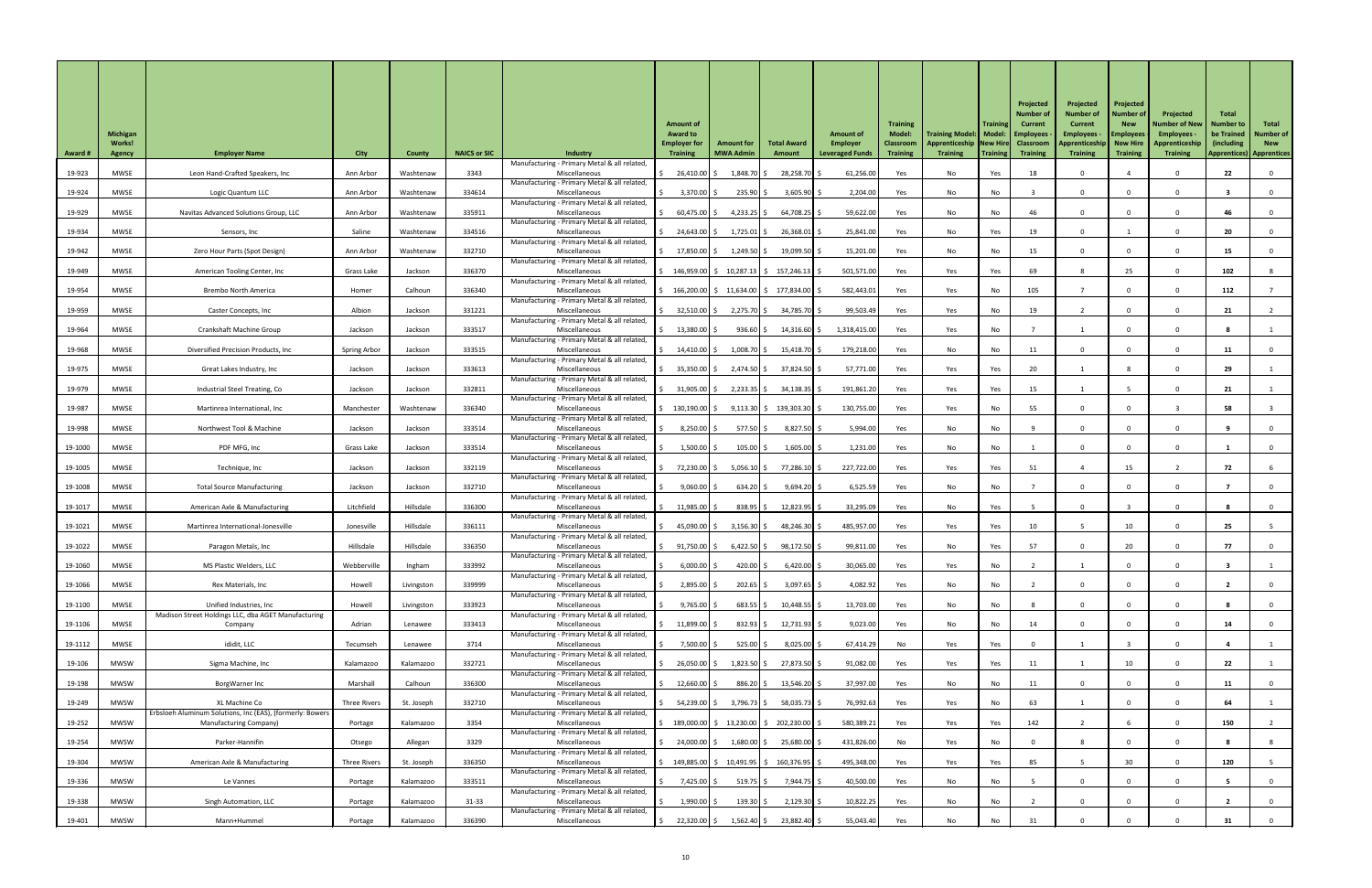|                | <b>Michigan</b><br><b>Works!</b> |                                                                                     |              |               |                     |                                                                 | <b>Amount of</b><br><b>Award to</b><br><b>Employer for</b> | <b>Amount for</b>                                                                       | <b>Total Award</b>                        | <b>Amount of</b><br><b>Employer</b> | <b>Training</b><br><b>Model:</b><br><b>Classroom</b> | Training Model:   Model:   Employees<br>Apprenticeship   New Hire   Classroom | <b>Training</b> | Projected<br>Number o<br><b>Current</b> | Projected<br><b>Number of</b><br><b>Current</b><br><b>Employees</b><br>Apprenticeship   New Hire | Projected<br><b>Number of</b><br><b>New</b><br><b>Employees</b> | Projected<br><b>Number of New</b><br>Employees -<br>Apprenticeship | Total<br><b>Number to</b><br>be Trained<br>(including) | Total<br><b>Number of</b><br><b>New</b> |
|----------------|----------------------------------|-------------------------------------------------------------------------------------|--------------|---------------|---------------------|-----------------------------------------------------------------|------------------------------------------------------------|-----------------------------------------------------------------------------------------|-------------------------------------------|-------------------------------------|------------------------------------------------------|-------------------------------------------------------------------------------|-----------------|-----------------------------------------|--------------------------------------------------------------------------------------------------|-----------------------------------------------------------------|--------------------------------------------------------------------|--------------------------------------------------------|-----------------------------------------|
| <b>Award #</b> | <b>Agency</b>                    | <b>Employer Name</b>                                                                | <b>City</b>  | <b>County</b> | <b>NAICS or SIC</b> | <b>Industry</b><br>Manufacturing - Primary Metal & all related, | <b>Training</b>                                            | <b>MWA Admin</b>                                                                        | Amount                                    | <b>Leveraged Funds</b>              | <b>Training</b>                                      | <b>Training</b>                                                               | Training        | <b>Training</b>                         | <b>Training</b>                                                                                  | <b>Training</b>                                                 | <b>Training</b>                                                    | <b>Apprentices</b> )                                   | <b>Apprentices</b>                      |
| 19-923         | <b>MWSE</b>                      | Leon Hand-Crafted Speakers, Inc                                                     | Ann Arbor    | Washtenaw     | 3343                | Miscellaneous<br>Manufacturing - Primary Metal & all related,   | 26,410.00                                                  | 1,848.70 \$                                                                             | 28,258.70 \$                              | 61,256.00                           | Yes                                                  | No                                                                            | Yes             | 18                                      |                                                                                                  |                                                                 |                                                                    | 22                                                     |                                         |
| 19-924         | <b>MWSE</b>                      | Logic Quantum LLC                                                                   | Ann Arbor    | Washtenaw     | 334614              | Miscellaneous                                                   | $3,370.00$ \$                                              | $235.90$ \$                                                                             | $3,605.90$ \$                             | 2,204.00                            | Yes                                                  | No                                                                            | No              |                                         |                                                                                                  |                                                                 |                                                                    |                                                        |                                         |
| 19-929         | MWSE                             | Navitas Advanced Solutions Group, LLC                                               | Ann Arbor    | Washtenaw     | 335911              | Manufacturing - Primary Metal & all related<br>Miscellaneous    | $60,475.00$ \$                                             | 4,233.25 $\frac{2}{3}$                                                                  | $64,708.25$ \$                            | 59,622.00                           | Yes                                                  | No                                                                            | No              | 46                                      |                                                                                                  |                                                                 |                                                                    | 46                                                     |                                         |
| 19-934         | <b>MWSE</b>                      | Sensors, Inc                                                                        | Saline       | Washtenaw     | 334516              | Manufacturing - Primary Metal & all related<br>Miscellaneous    | 24,643.00 \$                                               | $1,725.01$ \$                                                                           | $26,368.01$ \$                            | 25,841.00                           | Yes                                                  | No                                                                            | Yes             | 19                                      |                                                                                                  |                                                                 |                                                                    | 20                                                     |                                         |
| 19-942         | <b>MWSE</b>                      | Zero Hour Parts (Spot Design)                                                       | Ann Arbor    | Washtenaw     | 332710              | Manufacturing - Primary Metal & all related,<br>Miscellaneous   | 17,850.00 \$                                               | $1,249.50$ \$                                                                           | $19,099.50$ \$                            | 15,201.00                           | Yes                                                  | No                                                                            | No              | 15                                      |                                                                                                  |                                                                 |                                                                    | 15                                                     |                                         |
| 19-949         | <b>MWSE</b>                      | American Tooling Center, Inc                                                        | Grass Lake   | Jackson       | 336370              | Manufacturing - Primary Metal & all related<br>Miscellaneous    |                                                            | $\frac{1}{2}$ 146,959.00 $\frac{1}{2}$ 10,287.13 $\frac{1}{2}$ 157,246.13 $\frac{1}{2}$ |                                           | 501,571.00                          | Yes                                                  | Yes                                                                           | Yes             | 69                                      |                                                                                                  | 25                                                              |                                                                    | 102                                                    |                                         |
| 19-954         | <b>MWSE</b>                      | <b>Brembo North America</b>                                                         | Homer        | Calhoun       | 336340              | Manufacturing - Primary Metal & all related,<br>Miscellaneous   |                                                            | 166,200.00 \$ 11,634.00 \$ 177,834.00 \$                                                |                                           | 582,443.01                          | Yes                                                  | Yes                                                                           | No              | 105                                     |                                                                                                  |                                                                 |                                                                    | 112                                                    |                                         |
|                |                                  |                                                                                     |              |               |                     | Manufacturing - Primary Metal & all related                     |                                                            |                                                                                         |                                           |                                     |                                                      |                                                                               |                 |                                         |                                                                                                  |                                                                 |                                                                    |                                                        |                                         |
| 19-959         | MWSE                             | Caster Concepts, Inc                                                                | Albion       | Jackson       | 331221              | Miscellaneous<br>Manufacturing - Primary Metal & all related,   | 32,510.00 \$                                               | 2,275.70 \$                                                                             | 34,785.70 \$                              | 99,503.49                           | Yes                                                  | Yes                                                                           | No              | 19                                      |                                                                                                  |                                                                 |                                                                    | 21                                                     |                                         |
| 19-964         | <b>MWSE</b>                      | <b>Crankshaft Machine Group</b>                                                     | Jackson      | Jackson       | 333517              | Miscellaneous<br>Manufacturing - Primary Metal & all related,   | $13,380.00$ \$                                             | $936.60$ \$                                                                             | $14,316.60$ \$                            | 1,318,415.00                        | Yes                                                  | Yes                                                                           | No              |                                         |                                                                                                  | $\Omega$                                                        |                                                                    |                                                        |                                         |
| 19-968         | MWSE                             | Diversified Precision Products, Inc                                                 | Spring Arbor | Jackson       | 333515              | Miscellaneous<br>Manufacturing - Primary Metal & all related    | 14,410.00   \$                                             | 1,008.70 \$                                                                             | 15,418.70 \$                              | 179,218.00                          | Yes                                                  | No                                                                            | No              | 11                                      |                                                                                                  |                                                                 |                                                                    | 11                                                     |                                         |
| 19-975         | <b>MWSE</b>                      | Great Lakes Industry, Inc                                                           | Jackson      | Jackson       | 333613              | Miscellaneous<br>Manufacturing - Primary Metal & all related    | $35,350.00$ \$                                             | $2,474.50$ \$                                                                           | 37,824.50 \$                              | 57,771.00                           | Yes                                                  | Yes                                                                           | Yes             | 20                                      |                                                                                                  |                                                                 |                                                                    | 29                                                     |                                         |
| 19-979         | <b>MWSE</b>                      | Industrial Steel Treating, Co                                                       | Jackson      | Jackson       | 332811              | Miscellaneous<br>Manufacturing - Primary Metal & all related    | 31,905.00 \$                                               | $2,233.35$ \$                                                                           | $34,138.35$ \$                            | 191,861.20                          | Yes                                                  | Yes                                                                           | Yes             | 15                                      |                                                                                                  |                                                                 |                                                                    | 21                                                     |                                         |
| 19-987         | <b>MWSE</b>                      | Martinrea International, Inc                                                        | Manchester   | Washtenaw     | 336340              | Miscellaneous<br>Manufacturing - Primary Metal & all related    | $\frac{130,190.00}{5}$                                     |                                                                                         | $9,113.30 \mid \xi$ 139,303.30 $\mid \xi$ | 130,755.00                          | Yes                                                  | Yes                                                                           | No              | 55                                      |                                                                                                  |                                                                 |                                                                    | 58                                                     |                                         |
| 19-998         | MWSE                             | Northwest Tool & Machine                                                            | Jackson      | Jackson       | 333514              | Miscellaneous                                                   | $8,250.00$ \$                                              | 577.50 \$                                                                               | 8,827.50 \$                               | 5,994.00                            | Yes                                                  | No                                                                            | No              |                                         |                                                                                                  |                                                                 |                                                                    |                                                        |                                         |
| 19-1000        | MWSE                             | PDF MFG, Inc                                                                        | Grass Lake   | Jackson       | 333514              | Manufacturing - Primary Metal & all related<br>Miscellaneous    | $1,500.00$ \$                                              | $105.00$ \$                                                                             | $1,605.00$ \$                             | 1,231.00                            | Yes                                                  | No                                                                            | No              |                                         |                                                                                                  |                                                                 |                                                                    |                                                        |                                         |
| 19-1005        | MWSE                             | Technique, Inc                                                                      | Jackson      | Jackson       | 332119              | Manufacturing - Primary Metal & all related<br>Miscellaneous    | 72,230.00 \$                                               | $5,056.10$ \$                                                                           | 77,286.10 \$                              | 227,722.00                          | Yes                                                  | Yes                                                                           | Yes             | 51                                      |                                                                                                  | 15                                                              |                                                                    | 72                                                     |                                         |
| 19-1008        | <b>MWSE</b>                      | <b>Total Source Manufacturing</b>                                                   | Jackson      | Jackson       | 332710              | Manufacturing - Primary Metal & all related<br>Miscellaneous    | $9,060.00$ \$                                              | $634.20$ \$                                                                             | $9,694.20$ \$                             | 6,525.59                            | Yes                                                  | No                                                                            | No              |                                         |                                                                                                  |                                                                 |                                                                    |                                                        |                                         |
| 19-1017        | <b>MWSE</b>                      | American Axle & Manufacturing                                                       | Litchfield   | Hillsdale     | 336300              | Manufacturing - Primary Metal & all related<br>Miscellaneous    | $11,985.00$ \$                                             | $838.95$ \$                                                                             | $12,823.95$ \$                            | 33,295.09                           | Yes                                                  | No                                                                            | Yes             |                                         |                                                                                                  |                                                                 |                                                                    |                                                        |                                         |
| 19-1021        | <b>MWSE</b>                      | Martinrea International-Jonesville                                                  | Jonesville   | Hillsdale     | 336111              | Manufacturing - Primary Metal & all related<br>Miscellaneous    | 45,090.00 \$                                               | $3,156.30$ \$                                                                           | 48,246.30 \$                              | 485,957.00                          | Yes                                                  | Yes                                                                           | Yes             | 10 <sup>°</sup>                         |                                                                                                  | 10                                                              |                                                                    | 25                                                     |                                         |
| 19-1022        | <b>MWSE</b>                      | Paragon Metals, Inc                                                                 | Hillsdale    | Hillsdale     | 336350              | Manufacturing - Primary Metal & all related<br>Miscellaneous    | 91,750.00 \$                                               | $6,422.50$ \$                                                                           | $98,172.50$ \$                            | 99,811.00                           | Yes                                                  | No                                                                            | Yes             | 57                                      |                                                                                                  | 20                                                              |                                                                    | 77                                                     |                                         |
| 19-1060        | <b>MWSE</b>                      | MS Plastic Welders, LLC                                                             | Webberville  | Ingham        | 333992              | Manufacturing - Primary Metal & all related<br>Miscellaneous    | $6,000.00$ \$                                              | 420.00 \$                                                                               | $6,420.00$ \$                             | 30,065.00                           |                                                      |                                                                               | No              |                                         |                                                                                                  |                                                                 |                                                                    |                                                        |                                         |
|                |                                  |                                                                                     |              |               |                     | Manufacturing - Primary Metal & all related                     |                                                            |                                                                                         |                                           |                                     | Yes                                                  | Yes                                                                           |                 |                                         |                                                                                                  |                                                                 |                                                                    |                                                        |                                         |
| 19-1066        | <b>MWSE</b>                      | Rex Materials, Inc                                                                  | Howell       | Livingston    | 339999              | Miscellaneous<br>Manufacturing - Primary Metal & all related    | 2,895.00 \$                                                | $202.65$ \$                                                                             | $3,097.65$ \$                             | 4,082.92                            | Yes                                                  | No                                                                            | No              |                                         |                                                                                                  |                                                                 |                                                                    |                                                        |                                         |
| 19-1100        | <b>MWSE</b>                      | Unified Industries, Inc<br>Madison Street Holdings LLC, dba AGET Manufacturing      | Howell       | Livingston    | 333923              | Miscellaneous<br>Manufacturing - Primary Metal & all related    | $9,765.00$ \$                                              | $683.55$ \$                                                                             | $10,448.55$ \$                            | 13,703.00                           | Yes                                                  | No                                                                            | No              |                                         |                                                                                                  | $\Omega$                                                        |                                                                    |                                                        |                                         |
| 19-1106        | <b>MWSE</b>                      | Company                                                                             | Adrian       | Lenawee       | 333413              | Miscellaneous<br>Manufacturing - Primary Metal & all related    | $11,899.00$ \$                                             | 832.93 \$                                                                               | $12,731.93$ \$                            | 9,023.00                            | Yes                                                  | No                                                                            | No              | 14                                      |                                                                                                  |                                                                 |                                                                    | 14                                                     |                                         |
| 19-1112        | <b>MWSE</b>                      | ididit, LLC                                                                         | Tecumseh     | Lenawee       | 3714                | Miscellaneous<br>Manufacturing - Primary Metal & all related,   | 7,500.00 \$                                                | $525.00$ \$                                                                             | $8,025.00$ \$                             | 67,414.29                           | No                                                   | Yes                                                                           | Yes             |                                         |                                                                                                  |                                                                 |                                                                    |                                                        |                                         |
| 19-106         | <b>MWSW</b>                      | Sigma Machine, Inc                                                                  | Kalamazoo    | Kalamazoo     | 332721              | Miscellaneous<br>Manufacturing - Primary Metal & all related,   | 26,050.00 \$                                               | $1,823.50$ \$                                                                           | 27,873.50 \$                              | 91,082.00                           | Yes                                                  | Yes                                                                           | Yes             | 11                                      |                                                                                                  | 10                                                              |                                                                    | 22                                                     |                                         |
| 19-198         | <b>MWSW</b>                      | BorgWarner Inc                                                                      | Marshall     | Calhoun       | 336300              | Miscellaneous                                                   | $12,660.00$ \$                                             | 886.20 \$                                                                               | $13,546.20$ \$                            | 37,997.00                           | Yes                                                  | No                                                                            | No              | 11                                      |                                                                                                  | $\mathbf{0}$                                                    |                                                                    | 11                                                     |                                         |
| 19-249         | <b>MWSW</b>                      | XL Machine Co                                                                       | Three Rivers | St. Joseph    | 332710              | Manufacturing - Primary Metal & all related,<br>Miscellaneous   |                                                            | $54,239.00$ \$ 3,796.73 \$                                                              | 58,035.73 \$                              | 76,992.63                           | Yes                                                  | Yes                                                                           | No              | 63                                      |                                                                                                  |                                                                 |                                                                    | 64                                                     |                                         |
| 19-252         | <b>MWSW</b>                      | Erbsloeh Aluminum Solutions, Inc (EAS), (formerly: Bowers<br>Manufacturing Company) | Portage      | Kalamazoo     | 3354                | Manufacturing - Primary Metal & all related<br>Miscellaneous    |                                                            | $189,000.00$ \$ $13,230.00$ \$ $202,230.00$ \$                                          |                                           | 580,389.21                          | Yes                                                  | Yes                                                                           | Yes             | 142                                     |                                                                                                  |                                                                 |                                                                    | 150                                                    |                                         |
| 19-254         | <b>MWSW</b>                      | Parker-Hannifin                                                                     | Otsego       | Allegan       | 3329                | Manufacturing - Primary Metal & all related,<br>Miscellaneous   | 24,000.00 \$                                               | $1,680.00$ \$                                                                           | 25,680.00 \$                              | 431,826.00                          | No                                                   | Yes                                                                           | No              |                                         |                                                                                                  |                                                                 |                                                                    |                                                        |                                         |
| 19-304         | <b>MWSW</b>                      | American Axle & Manufacturing                                                       | Three Rivers | St. Joseph    | 336350              | Manufacturing - Primary Metal & all related,<br>Miscellaneous   |                                                            | $\frac{1}{2}$ 149,885.00 $\frac{1}{2}$ 10,491.95 $\frac{1}{2}$ 160,376.95 $\frac{1}{2}$ |                                           | 495,348.00                          | Yes                                                  | Yes                                                                           | Yes             | 85                                      |                                                                                                  | 30                                                              |                                                                    | 120                                                    |                                         |
| 19-336         | <b>MWSW</b>                      | Le Vannes                                                                           | Portage      | Kalamazoo     | 333511              | Manufacturing - Primary Metal & all related<br>Miscellaneous    | 7,425.00 \$                                                | $519.75$ \$                                                                             | 7,944.75 \$                               | 40,500.00                           | Yes                                                  | No                                                                            | No              |                                         |                                                                                                  | $\Omega$                                                        |                                                                    |                                                        |                                         |
| 19-338         | <b>MWSW</b>                      | Singh Automation, LLC                                                               | Portage      | Kalamazoo     | $31 - 33$           | Manufacturing - Primary Metal & all related,<br>Miscellaneous   | $1,990.00$ \$                                              | $139.30$ \$                                                                             | $2,129.30$ \$                             | 10,822.25                           | Yes                                                  | No                                                                            | No              |                                         |                                                                                                  |                                                                 |                                                                    |                                                        |                                         |
|                |                                  |                                                                                     |              |               |                     | Manufacturing - Primary Metal & all related,                    |                                                            |                                                                                         |                                           |                                     |                                                      |                                                                               |                 |                                         |                                                                                                  |                                                                 |                                                                    |                                                        |                                         |
| 19-401         | MWSW                             | Mann+Hummel                                                                         | Portage      | Kalamazoo     | 336390              | Miscellaneous                                                   | 22,320.00 \$<br>\$                                         | $1,562.40$ \$                                                                           | 23,882.40 \$                              | 55,043.40                           | Yes                                                  | No                                                                            | No              | 31                                      |                                                                                                  |                                                                 |                                                                    |                                                        |                                         |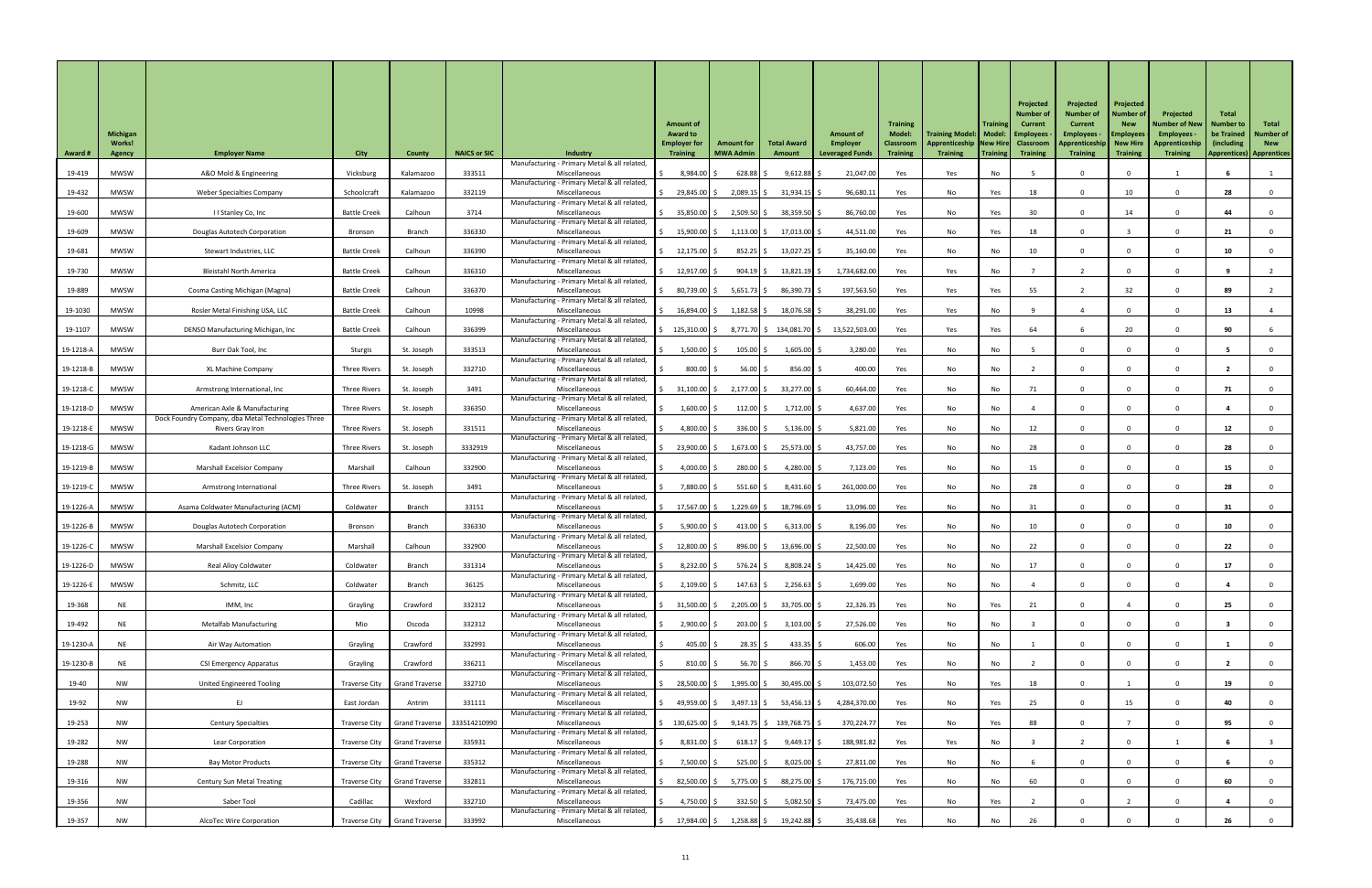| <b>Award #</b> | <b>Michigan</b><br><b>Works!</b><br>Agency | <b>Employer Name</b>                                                   | <b>City</b>          | <b>County</b>                  | <b>NAICS or SIC</b> | <b>Industry</b><br>Manufacturing - Primary Metal & all related | <b>Amount of</b><br><b>Award to</b><br><b>Employer for</b><br><b>Training</b> | <b>Amount for</b><br><b>MWA Admin</b> | <b>Total Award</b><br>Amount | <b>Amount of</b><br><b>Employer</b><br><b>Leveraged Funds</b> | <b>Training</b><br><b>Model:</b><br><b>Classroom</b><br><b>Training</b> | Training Model:   Model:   Employees<br>Apprenticeship New Hire Classroom<br><b>Training</b> | <b>Training</b><br>  Training | Projected<br><b>Number of</b><br>Current<br><b>Training</b> | Projected<br><b>Number of</b><br><b>Current</b><br><b>Employees</b><br>Apprenticeship<br><b>Training</b> | Projected<br><b>Number of</b><br><b>New</b><br><b>Employees</b><br>New Hire<br><b>Training</b> | Projected<br><b>Number of New</b><br>Employees -<br>Apprenticeship<br><b>Training</b> | <b>Total</b><br><b>Number to</b><br>be Trained<br>(including)<br><b>Apprentices) Apprentices</b> | Total<br><b>Number of</b><br><b>New</b> |
|----------------|--------------------------------------------|------------------------------------------------------------------------|----------------------|--------------------------------|---------------------|----------------------------------------------------------------|-------------------------------------------------------------------------------|---------------------------------------|------------------------------|---------------------------------------------------------------|-------------------------------------------------------------------------|----------------------------------------------------------------------------------------------|-------------------------------|-------------------------------------------------------------|----------------------------------------------------------------------------------------------------------|------------------------------------------------------------------------------------------------|---------------------------------------------------------------------------------------|--------------------------------------------------------------------------------------------------|-----------------------------------------|
| 19-419         | <b>MWSW</b>                                | A&O Mold & Engineering                                                 | Vicksburg            | Kalamazoo                      | 333511              | Miscellaneous                                                  | 8,984.00 \$                                                                   | $628.88$ \$                           | $9,612.88$ \$                | 21,047.00                                                     | Yes                                                                     | Yes                                                                                          | No                            |                                                             |                                                                                                          |                                                                                                |                                                                                       |                                                                                                  |                                         |
| 19-432         | MWSW                                       | <b>Weber Specialties Company</b>                                       | Schoolcraft          | Kalamazoo                      | 332119              | Manufacturing - Primary Metal & all related<br>Miscellaneous   | 29,845.00 \$                                                                  | $2,089.15$ \$                         | $31,934.15$ \$               | 96,680.11                                                     | Yes                                                                     | No                                                                                           | Yes                           | 18                                                          |                                                                                                          | 10                                                                                             |                                                                                       | 28                                                                                               |                                         |
| 19-600         | <b>MWSW</b>                                | I I Stanley Co, Inc                                                    | <b>Battle Creek</b>  | Calhoun                        | 3714                | Manufacturing - Primary Metal & all related<br>Miscellaneous   | $35,850.00$ \$                                                                | $2,509.50$ \$                         | 38,359.50 \$                 | 86,760.00                                                     | Yes                                                                     | No                                                                                           | Yes                           | 30 <sup>°</sup>                                             |                                                                                                          | 14                                                                                             |                                                                                       | 44                                                                                               |                                         |
| 19-609         | <b>MWSW</b>                                | <b>Douglas Autotech Corporation</b>                                    | Bronson              | Branch                         | 336330              | Manufacturing - Primary Metal & all related<br>Miscellaneous   | 15,900.00 \$                                                                  | $1,113.00$ \$                         | $17,013.00$ \$               | 44,511.00                                                     | Yes                                                                     | No                                                                                           | Yes                           | 18                                                          |                                                                                                          |                                                                                                |                                                                                       | 21                                                                                               |                                         |
| 19-681         | <b>MWSW</b>                                | Stewart Industries, LLC                                                | <b>Battle Creek</b>  | Calhoun                        | 336390              | Manufacturing - Primary Metal & all related<br>Miscellaneous   | $12,175.00$ \$                                                                | 852.25 \$                             | 13,027.25 \$                 | 35,160.00                                                     | Yes                                                                     | No                                                                                           | No                            | 10 <sup>°</sup>                                             |                                                                                                          | $\Omega$                                                                                       |                                                                                       | 10                                                                                               |                                         |
| 19-730         | MWSW                                       | <b>Bleistahl North America</b>                                         | <b>Battle Creek</b>  | Calhoun                        | 336310              | Manufacturing - Primary Metal & all related,<br>Miscellaneous  | 12,917.00 \$                                                                  | $904.19$ \$                           | 13,821.19 \$                 | 1,734,682.00                                                  | Yes                                                                     | Yes                                                                                          | No                            |                                                             |                                                                                                          |                                                                                                |                                                                                       |                                                                                                  |                                         |
|                |                                            |                                                                        |                      |                                |                     | Manufacturing - Primary Metal & all related                    |                                                                               |                                       |                              |                                                               |                                                                         |                                                                                              |                               |                                                             |                                                                                                          |                                                                                                |                                                                                       |                                                                                                  |                                         |
| 19-889         | MWSW                                       | Cosma Casting Michigan (Magna)                                         | <b>Battle Creek</b>  | Calhoun                        | 336370              | Miscellaneous<br>Manufacturing - Primary Metal & all related   | 80,739.00 \$                                                                  | $5,651.73$ \$                         | 86,390.73 \$                 | 197,563.50                                                    | Yes                                                                     | Yes                                                                                          | Yes                           | 55                                                          |                                                                                                          | 32                                                                                             |                                                                                       | 89                                                                                               |                                         |
| 19-1030        | <b>MWSW</b>                                | Rosler Metal Finishing USA, LLC                                        | <b>Battle Creek</b>  | Calhoun                        | 10998               | Miscellaneous<br>Manufacturing - Primary Metal & all related   | 16,894.00 \$                                                                  | $1,182.58$ \$                         | $18,076.58$ \$               | 38,291.00                                                     | Yes                                                                     | Yes                                                                                          | No                            |                                                             |                                                                                                          |                                                                                                |                                                                                       | 13                                                                                               |                                         |
| 19-1107        | <b>MWSW</b>                                | DENSO Manufacturing Michigan, Inc                                      | <b>Battle Creek</b>  | Calhoun                        | 336399              | Miscellaneous<br>Manufacturing - Primary Metal & all related   | $\frac{1}{2}$ 125,310.00 \$                                                   |                                       |                              | 8,771.70 \$ 134,081.70 \$ 13,522,503.00                       | Yes                                                                     | Yes                                                                                          | Yes                           | 64                                                          |                                                                                                          | 20                                                                                             |                                                                                       | 90                                                                                               |                                         |
| 19-1218-A      | <b>MWSW</b>                                | Burr Oak Tool, Inc                                                     | Sturgis              | St. Joseph                     | 333513              | Miscellaneous<br>Manufacturing - Primary Metal & all related,  | $1,500.00$ \$                                                                 | $105.00$ \$                           | $1,605.00$ \$                | 3,280.00                                                      | Yes                                                                     | No                                                                                           | No                            |                                                             |                                                                                                          |                                                                                                |                                                                                       |                                                                                                  |                                         |
| 19-1218-B      | <b>MWSW</b>                                | XL Machine Company                                                     | <b>Three Rivers</b>  | St. Joseph                     | 332710              | Miscellaneous<br>Manufacturing - Primary Metal & all related,  | 800.00                                                                        | 56.00                                 | $856.00$ \$                  | 400.00                                                        | Yes                                                                     | No                                                                                           | No                            |                                                             |                                                                                                          |                                                                                                |                                                                                       |                                                                                                  |                                         |
| 19-1218-C      | <b>MWSW</b>                                | Armstrong International, Inc                                           | <b>Three Rivers</b>  | St. Joseph                     | 3491                | Miscellaneous                                                  | $31,100.00$ \$                                                                | 2,177.00                              | 33,277.00                    | 60,464.00                                                     | Yes                                                                     | No                                                                                           | No                            | 71                                                          |                                                                                                          |                                                                                                |                                                                                       |                                                                                                  |                                         |
| 19-1218-D      | <b>MWSW</b>                                | American Axle & Manufacturing                                          | <b>Three Rivers</b>  | St. Joseph                     | 336350              | Manufacturing - Primary Metal & all related<br>Miscellaneous   | 1,600.00                                                                      | $112.00$ \$                           | $1,712.00$ \$                | 4,637.00                                                      | Yes                                                                     | No                                                                                           | No                            |                                                             |                                                                                                          |                                                                                                |                                                                                       |                                                                                                  |                                         |
| 19-1218-E      | MWSW                                       | Dock Foundry Company, dba Metal Technologies Three<br>Rivers Gray Iron | <b>Three Rivers</b>  | St. Joseph                     | 331511              | Manufacturing - Primary Metal & all related<br>Miscellaneous   | 4,800.00                                                                      | $336.00$ \$                           | $5,136.00$ \$                | 5,821.00                                                      | Yes                                                                     | No                                                                                           | No                            | 12                                                          |                                                                                                          |                                                                                                |                                                                                       | 12                                                                                               |                                         |
| 19-1218-G      | MWSW                                       | Kadant Johnson LLC                                                     | <b>Three Rivers</b>  | St. Joseph                     | 3332919             | Manufacturing - Primary Metal & all related<br>Miscellaneous   | 23,900.00                                                                     | $1,673.00$ \$                         | 25,573.00 \$                 | 43,757.00                                                     | Yes                                                                     | No                                                                                           | No                            | 28                                                          |                                                                                                          |                                                                                                |                                                                                       | 28                                                                                               |                                         |
| 19-1219-B      | <b>MWSW</b>                                | <b>Marshall Excelsior Company</b>                                      | Marshall             | Calhoun                        | 332900              | Manufacturing - Primary Metal & all related<br>Miscellaneous   | 4,000.00                                                                      | $280.00$ \$                           | 4,280.00 \$                  | 7,123.00                                                      | Yes                                                                     | No                                                                                           | No                            | 15                                                          |                                                                                                          |                                                                                                |                                                                                       | 15                                                                                               |                                         |
| 19-1219-C      | <b>MWSW</b>                                | Armstrong International                                                | <b>Three Rivers</b>  | St. Joseph                     | 3491                | Manufacturing - Primary Metal & all related<br>Miscellaneous   | 7,880.00 \$                                                                   | $551.60$ \$                           | $8,431.60$ \$                | 261,000.00                                                    | Yes                                                                     | No                                                                                           | No                            | 28                                                          |                                                                                                          |                                                                                                |                                                                                       | 28                                                                                               |                                         |
| 19-1226-A      | MWSW                                       | Asama Coldwater Manufacturing (ACM)                                    | Coldwater            | Branch                         | 33151               | Manufacturing - Primary Metal & all related<br>Miscellaneous   | 17,567.00 \$                                                                  | 1,229.69                              | $18,796.69$ \$               | 13,096.00                                                     |                                                                         |                                                                                              |                               |                                                             |                                                                                                          |                                                                                                |                                                                                       |                                                                                                  |                                         |
|                |                                            |                                                                        |                      |                                |                     | Manufacturing - Primary Metal & all related                    |                                                                               |                                       |                              |                                                               | Yes                                                                     | No                                                                                           | No                            | 31                                                          |                                                                                                          |                                                                                                |                                                                                       |                                                                                                  |                                         |
| 19-1226-B      | <b>MWSW</b>                                | Douglas Autotech Corporation                                           | Bronson              | Branch                         | 336330              | Miscellaneous<br>Manufacturing - Primary Metal & all related   | 5,900.00                                                                      | 413.00 \$                             | $6,313.00$ \$                | 8,196.00                                                      | Yes                                                                     | No                                                                                           | No                            | 10 <sup>°</sup>                                             |                                                                                                          |                                                                                                |                                                                                       | 10                                                                                               |                                         |
| 19-1226-C      | MWSW                                       | <b>Marshall Excelsior Company</b>                                      | Marshall             | Calhoun                        | 332900              | Miscellaneous<br>Manufacturing - Primary Metal & all related   | 12,800.00                                                                     | 896.00                                | $13,696.00$ \$               | 22,500.00                                                     | Yes                                                                     | No                                                                                           | No                            | 22                                                          |                                                                                                          |                                                                                                |                                                                                       | 22                                                                                               |                                         |
| 19-1226-D      | MWSW                                       | Real Alloy Coldwater                                                   | Coldwater            | Branch                         | 331314              | Miscellaneous<br>Manufacturing - Primary Metal & all related   | $8,232.00$ \$                                                                 | 576.24                                | $8,808.24$ \$                | 14,425.00                                                     | Yes                                                                     | No                                                                                           | No                            | 17                                                          |                                                                                                          |                                                                                                |                                                                                       |                                                                                                  |                                         |
| 19-1226-E      | <b>MWSW</b>                                | Schmitz, LLC                                                           | Coldwater            | <b>Branch</b>                  | 36125               | Miscellaneous<br>Manufacturing - Primary Metal & all related   | $2,109.00$ \$                                                                 | 147.63                                | $2,256.63$ \$                | 1,699.00                                                      | Yes                                                                     | No                                                                                           | No                            |                                                             |                                                                                                          |                                                                                                |                                                                                       |                                                                                                  |                                         |
| 19-368         | <b>NE</b>                                  | IMM, Inc                                                               | Grayling             | Crawford                       | 332312              | Miscellaneous<br>Manufacturing - Primary Metal & all related   | $31,500.00$ \$                                                                | $2,205.00$ \$                         | 33,705.00 \$                 | 22,326.35                                                     | Yes                                                                     | No                                                                                           | Yes                           | 21                                                          |                                                                                                          |                                                                                                |                                                                                       | 25                                                                                               |                                         |
| 19-492         | <b>NE</b>                                  | <b>Metalfab Manufacturing</b>                                          | Mio                  | Oscoda                         | 332312              | Miscellaneous                                                  | 2,900.00                                                                      | $203.00$ \$                           | $3,103.00$ \$                | 27,526.00                                                     | Yes                                                                     | No                                                                                           | No                            |                                                             |                                                                                                          |                                                                                                |                                                                                       |                                                                                                  |                                         |
| 19-1230-A      | <b>NE</b>                                  | Air Way Automation                                                     | Grayling             | Crawford                       | 332991              | Manufacturing - Primary Metal & all related<br>Miscellaneous   | $405.00$ \$                                                                   | 28.35                                 | $433.35$ \$                  | 606.00                                                        | Yes                                                                     | No                                                                                           | No                            |                                                             |                                                                                                          |                                                                                                |                                                                                       |                                                                                                  |                                         |
| 19-1230-B      | <b>NE</b>                                  | <b>CSI Emergency Apparatus</b>                                         | Grayling             | Crawford                       | 336211              | Manufacturing - Primary Metal & all related<br>Miscellaneous   | 810.00                                                                        | 56.70                                 | $866.70$ \$                  | 1,453.00                                                      | Yes                                                                     | No                                                                                           | No                            |                                                             |                                                                                                          |                                                                                                |                                                                                       |                                                                                                  |                                         |
| 19-40          | <b>NW</b>                                  | United Engineered Tooling                                              | <b>Traverse City</b> | <b>Grand Traverse</b>          | 332710              | Manufacturing - Primary Metal & all related,<br>Miscellaneous  | 28,500.00 \$                                                                  | 1,995.00 \$                           | $30,495.00$ \$               | 103,072.50                                                    | Yes                                                                     | No                                                                                           | Yes                           | 18                                                          |                                                                                                          |                                                                                                |                                                                                       | 19                                                                                               |                                         |
| 19-92          | <b>NW</b>                                  | EJ.                                                                    | East Jordan          | Antrim                         | 331111              | Manufacturing - Primary Metal & all related,<br>Miscellaneous  |                                                                               | $49,959.00$ \$ 3,497.13 \$            | 53,456.13 \$                 | 4,284,370.00                                                  | Yes                                                                     | No                                                                                           | Yes                           | 25                                                          |                                                                                                          | 15                                                                                             |                                                                                       | 40                                                                                               |                                         |
| 19-253         | <b>NW</b>                                  | <b>Century Specialties</b>                                             | Traverse City        | Grand Traverse   333514210990  |                     | Manufacturing - Primary Metal & all related,<br>Miscellaneous  | $\frac{130,625.00}{5}$                                                        |                                       | $9,143.75$ \$ 139,768.75 \$  | 370,224.77                                                    | Yes                                                                     | No                                                                                           | Yes                           | 88                                                          |                                                                                                          |                                                                                                |                                                                                       | 95                                                                                               |                                         |
|                |                                            |                                                                        |                      |                                |                     | Manufacturing - Primary Metal & all related,                   |                                                                               |                                       |                              |                                                               |                                                                         |                                                                                              |                               |                                                             |                                                                                                          |                                                                                                |                                                                                       |                                                                                                  |                                         |
| 19-282         | <b>NW</b>                                  | Lear Corporation                                                       |                      | Traverse City   Grand Traverse | 335931              | Miscellaneous<br>Manufacturing - Primary Metal & all related   | $8,831.00$ \$                                                                 | $618.17$ \$                           | $9,449.17$ \$                | 188,981.82                                                    | Yes                                                                     | Yes                                                                                          | No                            |                                                             |                                                                                                          |                                                                                                |                                                                                       |                                                                                                  |                                         |
| 19-288         | <b>NW</b>                                  | <b>Bay Motor Products</b>                                              | <b>Traverse City</b> | <b>Grand Traverse</b>          | 335312              | Miscellaneous<br>Manufacturing - Primary Metal & all related,  | 7,500.00 \$                                                                   | $525.00$ \$                           | $8,025.00$ \$                | 27,811.00                                                     | Yes                                                                     | No                                                                                           | No                            |                                                             |                                                                                                          |                                                                                                |                                                                                       |                                                                                                  |                                         |
| 19-316         | <b>NW</b>                                  | <b>Century Sun Metal Treating</b>                                      | <b>Traverse City</b> | <b>Grand Traverse</b>          | 332811              | Miscellaneous<br>Manufacturing - Primary Metal & all related,  | 82,500.00 \$                                                                  | $5,775.00$ \$                         | 88,275.00 \$                 | 176,715.00                                                    | Yes                                                                     | No                                                                                           | No                            | 60                                                          |                                                                                                          |                                                                                                |                                                                                       | 60                                                                                               |                                         |
| 19-356         | <b>NW</b>                                  | Saber Tool                                                             | Cadillac             | Wexford                        | 332710              | Miscellaneous<br>Manufacturing - Primary Metal & all related,  | 4,750.00 \$                                                                   | 332.50 \$                             | $5,082.50$ \$                | 73,475.00                                                     | Yes                                                                     | No                                                                                           | Yes                           |                                                             |                                                                                                          |                                                                                                |                                                                                       |                                                                                                  | $\overline{0}$                          |
| 19-357         | NW                                         | <b>AlcoTec Wire Corporation</b>                                        |                      | Traverse City   Grand Traverse | 333992              | Miscellaneous                                                  | 17,984.00 \$<br>S.                                                            | 1,258.88 \$                           | 19,242.88 \$                 | 35,438.68                                                     | Yes                                                                     | No                                                                                           | No                            | 26                                                          |                                                                                                          |                                                                                                |                                                                                       | 26                                                                                               |                                         |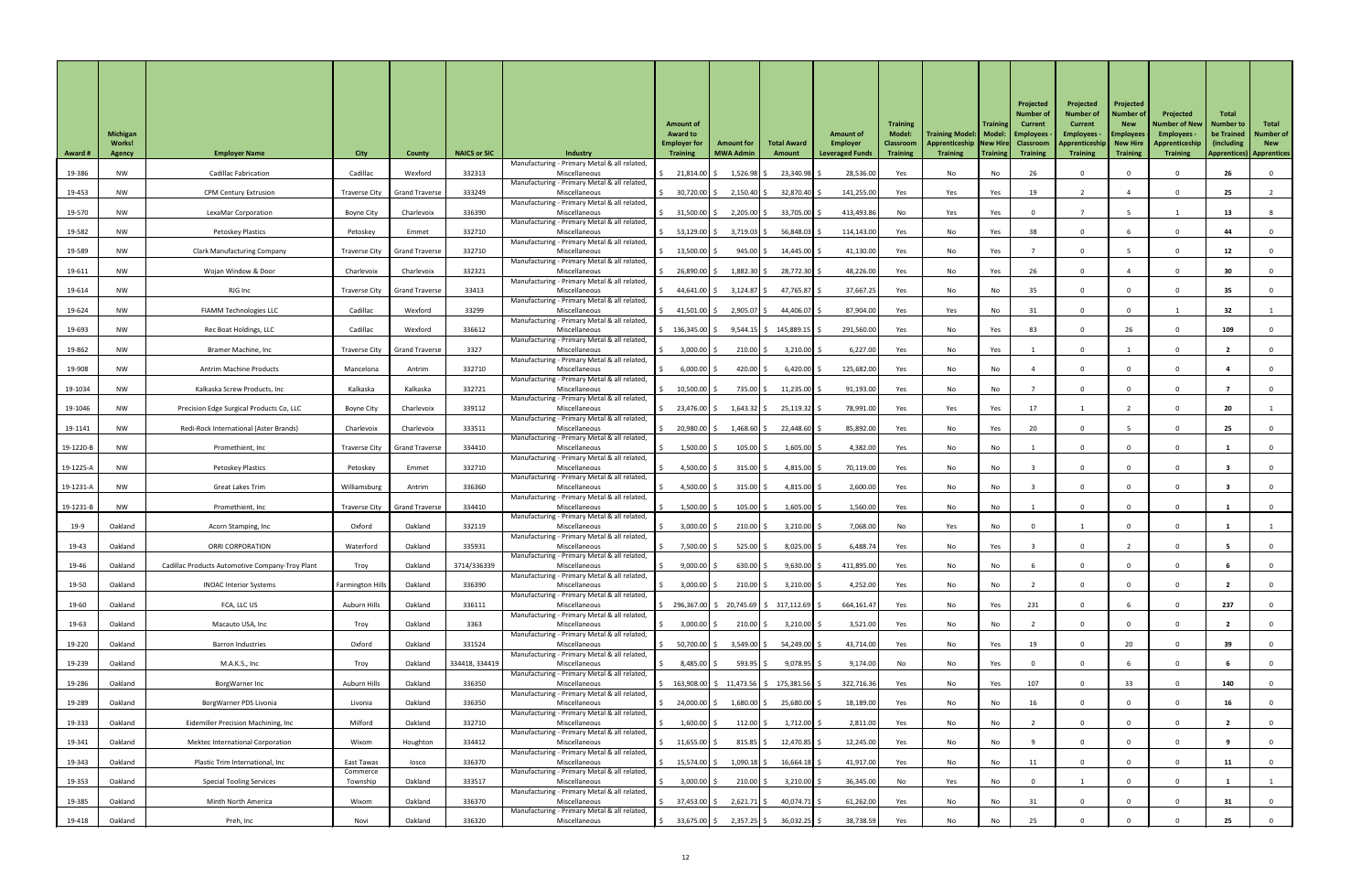| <b>Award #</b> | <b>Michigan</b><br><b>Works!</b><br><b>Agency</b> | <b>Employer Name</b>                            | <b>City</b>             | <b>County</b>                  | <b>NAICS or SIC</b> | <b>Industry</b><br>Manufacturing - Primary Metal & all related, | <b>Amount of</b><br><b>Award to</b><br><b>Employer for</b><br><b>Training</b>           | <b>Amount for</b><br><b>MWA Admin</b> | <b>Total Award</b><br>Amount | <b>Amount of</b><br>Employer<br><b>Leveraged Funds</b> | <b>Training</b><br><b>Model:</b><br><b>Classroom</b><br><b>Training</b> | Training Model:   Model:   Employees<br>Apprenticeship   New Hire   Classroom<br><b>Training</b> | <b>Training</b><br>  Training | Projected<br><b>Number of</b><br><b>Current</b><br><b>Training</b> | Projected<br><b>Number of</b><br><b>Current</b><br><b>Employees</b><br>Apprenticeship   New Hire<br><b>Training</b> | Projected<br><b>Number of</b><br><b>New</b><br><b>Employees</b><br><b>Training</b> | Projected<br><b>Number of New</b><br>Employees -<br>Apprenticeship<br><b>Training</b> | <b>Total</b><br><b>Number to</b><br>be Trained<br>(including)<br><b>Apprentices) Apprentices</b> | Total<br><b>Number of</b><br><b>New</b> |
|----------------|---------------------------------------------------|-------------------------------------------------|-------------------------|--------------------------------|---------------------|-----------------------------------------------------------------|-----------------------------------------------------------------------------------------|---------------------------------------|------------------------------|--------------------------------------------------------|-------------------------------------------------------------------------|--------------------------------------------------------------------------------------------------|-------------------------------|--------------------------------------------------------------------|---------------------------------------------------------------------------------------------------------------------|------------------------------------------------------------------------------------|---------------------------------------------------------------------------------------|--------------------------------------------------------------------------------------------------|-----------------------------------------|
| 19-386         | NW                                                | <b>Cadillac Fabrication</b>                     | Cadillac                | Wexford                        | 332313              | Miscellaneous                                                   | 21,814.00 \$                                                                            | $1,526.98$ \$                         | 23,340.98 \$                 | 28,536.00                                              | Yes                                                                     | No                                                                                               | No                            | 26                                                                 |                                                                                                                     |                                                                                    |                                                                                       | 26                                                                                               |                                         |
| 19-453         | <b>NW</b>                                         | <b>CPM Century Extrusion</b>                    | Traverse City           | <b>Grand Traverse</b>          | 333249              | Manufacturing - Primary Metal & all related,<br>Miscellaneous   | 30,720.00 \$                                                                            | $2,150.40$ \$                         | 32,870.40 \$                 | 141,255.00                                             | Yes                                                                     | Yes                                                                                              | Yes                           | 19                                                                 |                                                                                                                     |                                                                                    |                                                                                       | 25                                                                                               |                                         |
| 19-570         | <b>NW</b>                                         | LexaMar Corporation                             | Boyne City              | Charlevoix                     | 336390              | Manufacturing - Primary Metal & all related<br>Miscellaneous    | $31,500.00$ \$                                                                          | $2,205.00$ \$                         | 33,705.00 \$                 | 413,493.86                                             | No                                                                      | Yes                                                                                              | Yes                           |                                                                    |                                                                                                                     |                                                                                    |                                                                                       | 13                                                                                               |                                         |
| 19-582         | NW                                                | Petoskey Plastics                               | Petoskey                | Emmet                          | 332710              | Manufacturing - Primary Metal & all related<br>Miscellaneous    | 53,129.00 \$                                                                            | $3,719.03$ \$                         | 56,848.03 \$                 | 114,143.00                                             | Yes                                                                     | No                                                                                               | Yes                           | 38                                                                 |                                                                                                                     |                                                                                    |                                                                                       | 44                                                                                               |                                         |
| 19-589         | <b>NW</b>                                         | <b>Clark Manufacturing Company</b>              | Traverse City           | <b>Grand Traverse</b>          | 332710              | Manufacturing - Primary Metal & all related<br>Miscellaneous    | $13,500.00$ \$                                                                          | 945.00   \$                           | 14,445.00 \$                 | 41,130.00                                              | Yes                                                                     | No                                                                                               | Yes                           |                                                                    |                                                                                                                     |                                                                                    |                                                                                       | 12                                                                                               |                                         |
| 19-611         | NW                                                | Wojan Window & Door                             | Charlevoix              | Charlevoix                     | 332321              | Manufacturing - Primary Metal & all related<br>Miscellaneous    | 26,890.00 \$                                                                            | $1,882.30$ \$                         | 28,772.30 \$                 | 48,226.00                                              | Yes                                                                     | No                                                                                               | Yes                           | 26                                                                 |                                                                                                                     |                                                                                    |                                                                                       | 30                                                                                               |                                         |
| 19-614         | <b>NW</b>                                         | RJG Inc                                         | Traverse City           | <b>Grand Traverse</b>          | 33413               | Manufacturing - Primary Metal & all related<br>Miscellaneous    | 44,641.00 \$                                                                            | $3,124.87$ \$                         | 47,765.87 \$                 | 37,667.25                                              | Yes                                                                     | No                                                                                               | No                            | 35                                                                 |                                                                                                                     | $\Omega$                                                                           |                                                                                       | 35                                                                                               |                                         |
| 19-624         | NW                                                | <b>FIAMM Technologies LLC</b>                   | Cadillac                | Wexford                        | 33299               | Manufacturing - Primary Metal & all related<br>Miscellaneous    | 41,501.00   \$                                                                          | $2,905.07$ \$                         | 44,406.07 \$                 | 87,904.00                                              | Yes                                                                     | Yes                                                                                              | No                            | 31                                                                 |                                                                                                                     |                                                                                    |                                                                                       | 32                                                                                               |                                         |
|                |                                                   |                                                 |                         |                                | 336612              | Manufacturing - Primary Metal & all related                     |                                                                                         |                                       |                              |                                                        |                                                                         |                                                                                                  |                               |                                                                    |                                                                                                                     |                                                                                    |                                                                                       |                                                                                                  |                                         |
| 19-693         | <b>NW</b>                                         | Rec Boat Holdings, LLC                          | Cadillac                | Wexford                        |                     | Miscellaneous<br>Manufacturing - Primary Metal & all related    | $\frac{136,345.00}{5}$                                                                  |                                       | $9,544.15$ \$ 145,889.15 \$  | 291,560.00                                             | Yes                                                                     | No                                                                                               | Yes                           | 83                                                                 |                                                                                                                     | 26                                                                                 |                                                                                       | 109                                                                                              |                                         |
| 19-862         | <b>NW</b>                                         | Bramer Machine, Inc                             |                         | Traverse City   Grand Traverse | 3327                | Miscellaneous<br>Manufacturing - Primary Metal & all related    | $3,000.00$ \$                                                                           | $210.00$ \$                           | $3,210.00$ \$                | 6,227.00                                               | Yes                                                                     | No                                                                                               | Yes                           |                                                                    |                                                                                                                     |                                                                                    |                                                                                       |                                                                                                  |                                         |
| 19-908         | <b>NW</b>                                         | <b>Antrim Machine Products</b>                  | Mancelona               | Antrim                         | 332710              | Miscellaneous<br>Manufacturing - Primary Metal & all related    | 6,000.00                                                                                | 420.00 $\vert$ \$                     | $6,420.00$ \$                | 125,682.00                                             | Yes                                                                     | No                                                                                               | No                            |                                                                    |                                                                                                                     |                                                                                    |                                                                                       |                                                                                                  |                                         |
| 19-1034        | <b>NW</b>                                         | Kalkaska Screw Products, Inc                    | Kalkaska                | Kalkaska                       | 332721              | Miscellaneous<br>Manufacturing - Primary Metal & all related    | $10,500.00$ \$                                                                          | 735.00 \$                             | $11,235.00$ \$               | 91,193.00                                              | Yes                                                                     | No                                                                                               | No                            |                                                                    |                                                                                                                     |                                                                                    |                                                                                       |                                                                                                  |                                         |
| 19-1046        | NW                                                | Precision Edge Surgical Products Co, LLC        | <b>Boyne City</b>       | Charlevoix                     | 339112              | Miscellaneous<br>Manufacturing - Primary Metal & all related    | 23,476.00 \$                                                                            | $1,643.32$ \$                         | 25,119.32 \$                 | 78,991.00                                              | Yes                                                                     | Yes                                                                                              | Yes                           | 17                                                                 |                                                                                                                     |                                                                                    |                                                                                       | 20                                                                                               |                                         |
| 19-1141        | <b>NW</b>                                         | Redi-Rock International (Aster Brands)          | Charlevoix              | Charlevoix                     | 333511              | Miscellaneous<br>Manufacturing - Primary Metal & all related    | 20,980.00 \$                                                                            | $1,468.60$ \$                         | 22,448.60 \$                 | 85,892.00                                              | Yes                                                                     | No                                                                                               | Yes                           | 20                                                                 |                                                                                                                     |                                                                                    |                                                                                       | 25                                                                                               |                                         |
| 19-1220-B      | <b>NW</b>                                         | Promethient, Inc                                | Traverse City           | <b>Grand Traverse</b>          | 334410              | Miscellaneous<br>Manufacturing - Primary Metal & all related    | $1,500.00$ \$                                                                           | $105.00$ \$                           | $1,605.00$ \$                | 4,382.00                                               | Yes                                                                     | No                                                                                               | No                            |                                                                    |                                                                                                                     |                                                                                    |                                                                                       |                                                                                                  |                                         |
| 19-1225-A      | <b>NW</b>                                         | <b>Petoskey Plastics</b>                        | Petoskey                | Emmet                          | 332710              | Miscellaneous                                                   | 4,500.00 \$                                                                             | $315.00$ \$                           | $4,815.00$ \$                | 70,119.00                                              | Yes                                                                     | No                                                                                               | No                            |                                                                    |                                                                                                                     |                                                                                    |                                                                                       |                                                                                                  |                                         |
| 19-1231-A      | <b>NW</b>                                         | <b>Great Lakes Trim</b>                         | Williamsburg            | Antrim                         | 336360              | Manufacturing - Primary Metal & all related<br>Miscellaneous    | 4,500.00 \$                                                                             | $315.00$ \$                           | 4,815.00 \$                  | 2,600.00                                               | Yes                                                                     | No                                                                                               | No                            |                                                                    |                                                                                                                     |                                                                                    |                                                                                       |                                                                                                  |                                         |
| 19-1231-E      | <b>NW</b>                                         | Promethient, Inc                                | <b>Traverse City</b>    | <b>Grand Traverse</b>          | 334410              | Manufacturing - Primary Metal & all related<br>Miscellaneous    | $1,500.00$ \$                                                                           | $105.00$ \$                           | $1,605.00$ \$                | 1,560.00                                               | Yes                                                                     | No                                                                                               | No                            |                                                                    |                                                                                                                     |                                                                                    |                                                                                       |                                                                                                  |                                         |
| $19-9$         | Oakland                                           | Acorn Stamping, Inc                             | Oxford                  | Oakland                        | 332119              | Manufacturing - Primary Metal & all related<br>Miscellaneous    | $3,000.00$ \$                                                                           | $210.00$ \$                           | $3,210.00$ \$                | 7,068.00                                               | No                                                                      | Yes                                                                                              | No                            |                                                                    |                                                                                                                     |                                                                                    |                                                                                       |                                                                                                  |                                         |
| 19-43          | Oakland                                           | <b>ORRI CORPORATION</b>                         | Waterford               | Oakland                        | 335931              | Manufacturing - Primary Metal & all related<br>Miscellaneous    | 7,500.00                                                                                | $525.00$ \$                           | $8,025.00$ \$                | 6,488.74                                               | Yes                                                                     | No                                                                                               | Yes                           |                                                                    |                                                                                                                     |                                                                                    |                                                                                       |                                                                                                  |                                         |
| 19-46          | Oakland                                           | Cadillac Products Automotive Company-Troy Plant | Troy                    | Oakland                        | 3714/336339         | Manufacturing - Primary Metal & all related<br>Miscellaneous    | $9,000.00$ \$                                                                           | $630.00$ \$                           | $9,630.00$ \$                | 411,895.00                                             | Yes                                                                     | No                                                                                               | No                            |                                                                    |                                                                                                                     |                                                                                    |                                                                                       |                                                                                                  |                                         |
| 19-50          | Oakland                                           | <b>INOAC Interior Systems</b>                   | <b>Farmington Hills</b> | Oakland                        | 336390              | Manufacturing - Primary Metal & all related,<br>Miscellaneous   | $3,000.00$ \$                                                                           | $210.00$ \$                           | $3,210.00$ \$                | 4,252.00                                               | Yes                                                                     | No                                                                                               | No                            |                                                                    |                                                                                                                     |                                                                                    |                                                                                       |                                                                                                  |                                         |
| 19-60          | Oakland                                           | FCA, LLC US                                     | Auburn Hills            | Oakland                        | 336111              | Manufacturing - Primary Metal & all related<br>Miscellaneous    | $\frac{1}{2}$ 296,367.00 \$ 20,745.69 \$ 317,112.69 \$                                  |                                       |                              | 664,161.47                                             | Yes                                                                     | No                                                                                               | Yes                           | 231                                                                |                                                                                                                     |                                                                                    |                                                                                       | 237                                                                                              |                                         |
| 19-63          | Oakland                                           | Macauto USA, Inc                                | Troy                    | Oakland                        | 3363                | Manufacturing - Primary Metal & all related<br>Miscellaneous    | $3,000.00$ \$                                                                           | $210.00$ \$                           | $3,210.00$ \$                | 3,521.00                                               | Yes                                                                     | No                                                                                               | No                            |                                                                    |                                                                                                                     |                                                                                    |                                                                                       |                                                                                                  |                                         |
|                | Oakland                                           |                                                 | Oxford                  | Oakland                        | 331524              | Manufacturing - Primary Metal & all related,                    |                                                                                         |                                       |                              |                                                        |                                                                         |                                                                                                  |                               |                                                                    |                                                                                                                     | 20                                                                                 |                                                                                       | 39                                                                                               |                                         |
| 19-220         |                                                   | <b>Barron Industries</b>                        |                         |                                |                     | Miscellaneous<br>Manufacturing - Primary Metal & all related    | 50,700.00 \$                                                                            | $3,549.00$ \$                         | 54,249.00 \$                 | 43,714.00                                              | Yes                                                                     | No                                                                                               | Yes                           | 19                                                                 |                                                                                                                     |                                                                                    |                                                                                       |                                                                                                  |                                         |
| 19-239         | Oakland                                           | M.A.K.S., Inc                                   | Troy                    | Oakland                        | 334418, 334419      | Miscellaneous<br>Manufacturing - Primary Metal & all related,   | $8,485.00$ \$                                                                           | 593.95                                | $9,078.95$ \$                | 9,174.00                                               | No                                                                      | No                                                                                               | Yes                           |                                                                    |                                                                                                                     |                                                                                    |                                                                                       |                                                                                                  |                                         |
| 19-286         | Oakland                                           | BorgWarner Inc                                  | Auburn Hills            | Oakland                        | 336350              | Miscellaneous<br>Manufacturing - Primary Metal & all related,   | $\frac{1}{5}$ 163,908.00 $\frac{1}{5}$ 11,473.56 $\frac{1}{5}$ 175,381.56 $\frac{1}{5}$ |                                       |                              | 322,716.36                                             | Yes                                                                     | No                                                                                               | Yes                           | 107                                                                |                                                                                                                     | 33                                                                                 |                                                                                       | 140                                                                                              |                                         |
| 19-289         | Oakland                                           | BorgWarner PDS Livonia                          | Livonia                 | Oakland                        | 336350              | Miscellaneous<br>Manufacturing - Primary Metal & all related,   | 24,000.00 \$                                                                            | $1,680.00$ \$                         | 25,680.00 \$                 | 18,189.00                                              | Yes                                                                     | No                                                                                               | No                            | 16                                                                 |                                                                                                                     |                                                                                    |                                                                                       | 16                                                                                               |                                         |
| 19-333         | Oakland                                           | Eidemiller Precision Machining, Inc             | Milford                 | Oakland                        | 332710              | Miscellaneous<br>Manufacturing - Primary Metal & all related,   | $1,600.00$ \$                                                                           | $112.00$ \$                           | $1,712.00$ \$                | 2,811.00                                               | Yes                                                                     | No                                                                                               | No                            |                                                                    |                                                                                                                     |                                                                                    |                                                                                       |                                                                                                  |                                         |
| 19-341         | Oakland                                           | <b>Mektec International Corporation</b>         | Wixom                   | Houghton                       | 334412              | Miscellaneous<br>Manufacturing - Primary Metal & all related,   | $11,655.00$ \$                                                                          | $815.85$ \$                           | $12,470.85$ \$               | 12,245.00                                              | Yes                                                                     | No                                                                                               | No                            |                                                                    |                                                                                                                     |                                                                                    |                                                                                       |                                                                                                  |                                         |
| 19-343         | Oakland                                           | Plastic Trim International, Inc                 | East Tawas<br>Commerce  | losco                          | 336370              | Miscellaneous<br>Manufacturing - Primary Metal & all related,   | 15,574.00 \$                                                                            | $1,090.18$ \$                         | $16,664.18$ \$               | 41,917.00                                              | Yes                                                                     | No                                                                                               | No                            | 11                                                                 |                                                                                                                     |                                                                                    |                                                                                       | 11                                                                                               |                                         |
| 19-353         | Oakland                                           | <b>Special Tooling Services</b>                 | Township                | Oakland                        | 333517              | Miscellaneous<br>Manufacturing - Primary Metal & all related,   | $3,000.00$ \$                                                                           | $210.00$ \$                           | $3,210.00$ \$                | 36,345.00                                              | No                                                                      | Yes                                                                                              | No                            |                                                                    |                                                                                                                     |                                                                                    |                                                                                       |                                                                                                  |                                         |
| 19-385         | Oakland                                           | Minth North America                             | Wixom                   | Oakland                        | 336370              | Miscellaneous                                                   | 37,453.00 \$                                                                            | $2,621.71$ \$                         | $40,074.71$ \$               | 61,262.00                                              | Yes                                                                     | No                                                                                               | No                            | 31                                                                 |                                                                                                                     |                                                                                    |                                                                                       | 31                                                                                               |                                         |
| 19-418         | Oakland                                           | Preh, Inc                                       | Novi                    | Oakland                        | 336320              | Manufacturing - Primary Metal & all related,<br>Miscellaneous   | $\frac{1}{2}$ 33,675.00 \$                                                              | 2,357.25 \$                           | 36,032.25 \$                 | 38,738.59                                              | Yes                                                                     | No                                                                                               | No                            | 25                                                                 |                                                                                                                     |                                                                                    |                                                                                       | 25                                                                                               |                                         |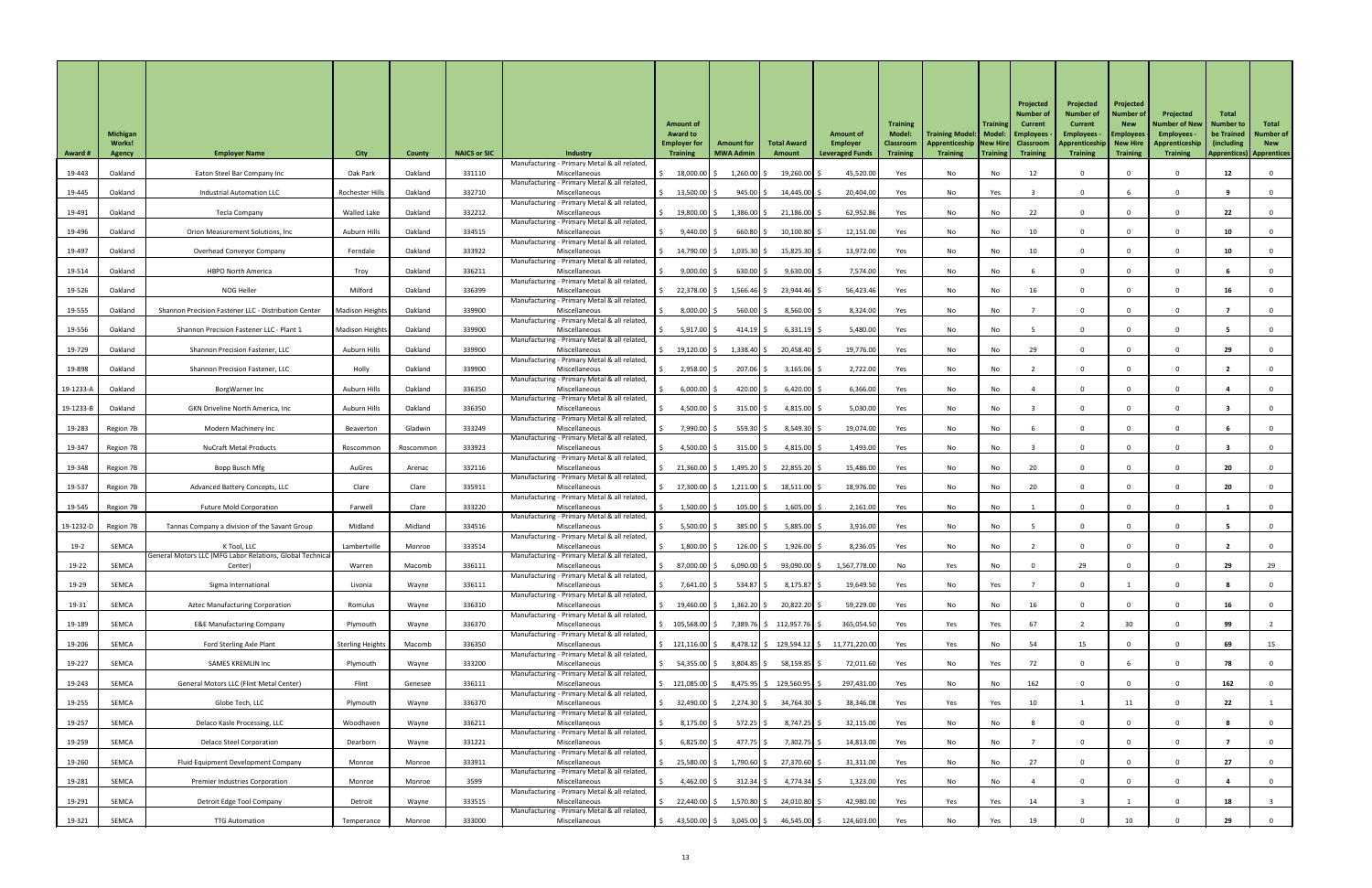|                |                                  |                                                                          |                         |               |                     |                                                                 | <b>Amount of</b>                       |                   |                          |                                           | <b>Training</b>                   |                                                                               | <b>Training</b> | Projected<br><b>Number of</b><br>Current | Projected<br><b>Number of</b><br><b>Current</b> | Projected<br><b>Number of</b><br><b>New</b> | Projected<br><b>Number of New</b>  | <b>Total</b><br><b>Number to</b> | Total                          |
|----------------|----------------------------------|--------------------------------------------------------------------------|-------------------------|---------------|---------------------|-----------------------------------------------------------------|----------------------------------------|-------------------|--------------------------|-------------------------------------------|-----------------------------------|-------------------------------------------------------------------------------|-----------------|------------------------------------------|-------------------------------------------------|---------------------------------------------|------------------------------------|----------------------------------|--------------------------------|
|                | <b>Michigan</b><br><b>Works!</b> |                                                                          |                         |               |                     |                                                                 | <b>Award to</b><br><b>Employer for</b> | <b>Amount for</b> | <b>Total Award</b>       | <b>Amount of</b><br>Employer              | <b>Model:</b><br><b>Classroom</b> | Training Model:   Model:   Employees<br>Apprenticeship   New Hire   Classroom |                 |                                          | <b>Employees</b><br>Apprenticeship   New Hire   | <b>Employees</b>                            | <b>Employees</b><br>Apprenticeship | be Trained<br>(including)        | <b>Number of</b><br><b>New</b> |
| <b>Award #</b> | <b>Agency</b>                    | <b>Employer Name</b>                                                     | <b>City</b>             | <b>County</b> | <b>NAICS or SIC</b> | <b>Industry</b><br>Manufacturing - Primary Metal & all related, | <b>Training</b>                        | <b>MWA Admin</b>  | Amount                   | <b>Leveraged Funds</b>                    | <b>Training</b>                   | <b>Training</b>                                                               | Training        | <b>Training</b>                          | <b>Training</b>                                 | <b>Training</b>                             | <b>Training</b>                    | <b>Apprentices) Apprentices</b>  |                                |
| 19-443         | Oakland                          | Eaton Steel Bar Company Inc                                              | Oak Park                | Oakland       | 331110              | Miscellaneous<br>Manufacturing - Primary Metal & all related,   | 18,000.00                              | $1,260.00$ \$     | $19,260.00$ \$           | 45,520.00                                 | Yes                               | No                                                                            | No              | 12                                       |                                                 |                                             |                                    | 12                               |                                |
| 19-445         | Oakland                          | <b>Industrial Automation LLC</b>                                         | Rochester Hills         | Oakland       | 332710              | Miscellaneous<br>Manufacturing - Primary Metal & all related    | $13,500.00$ \$                         | $945.00$ \$       | 14,445.00 \$             | 20,404.00                                 | Yes                               | No                                                                            | Yes             |                                          |                                                 |                                             |                                    |                                  |                                |
| 19-491         | Oakland                          | Tecla Company                                                            | Walled Lake             | Oakland       | 332212              | Miscellaneous                                                   | 19,800.00 \$                           | $1,386.00$ \$     | $21,186.00$ \$           | 62,952.86                                 | Yes                               | No                                                                            | No              | 22                                       |                                                 | $\Omega$                                    |                                    | 22                               |                                |
| 19-496         | Oakland                          | Orion Measurement Solutions, Inc                                         | Auburn Hills            | Oakland       | 334515              | Manufacturing - Primary Metal & all related<br>Miscellaneous    | $9,440.00$ \$                          | 660.80            | $10,100.80$ \$           | 12,151.00                                 | Yes                               | No                                                                            | No              | 10                                       |                                                 | <sup>n</sup>                                |                                    | 10                               |                                |
| 19-497         | Oakland                          | Overhead Conveyor Company                                                | Ferndale                | Oakland       | 333922              | Manufacturing - Primary Metal & all related,<br>Miscellaneous   | 14,790.00 \$                           | $1,035.30$ \$     | $15,825.30$ \$           | 13,972.00                                 | Yes                               | No                                                                            | No              | 10                                       |                                                 | $\Omega$                                    |                                    | 10                               |                                |
| 19-514         | Oakland                          | <b>HBPO North America</b>                                                | Troy                    | Oakland       | 336211              | Manufacturing - Primary Metal & all related<br>Miscellaneous    | $9,000.00$ \$                          | $630.00$ \$       | $9,630.00$ \$            | 7,574.00                                  | Yes                               | No                                                                            | No              |                                          |                                                 |                                             |                                    |                                  |                                |
| 19-526         | Oakland                          | NOG Heller                                                               | Milford                 | Oakland       | 336399              | Manufacturing - Primary Metal & all related<br>Miscellaneous    | 22,378.00 \$                           | $1,566.46$ \$     | 23,944.46 \$             | 56,423.46                                 | Yes                               | No                                                                            | No              | 16                                       |                                                 | $\Omega$                                    |                                    | 16                               |                                |
|                |                                  |                                                                          |                         |               |                     | Manufacturing - Primary Metal & all related                     |                                        |                   |                          |                                           |                                   |                                                                               |                 |                                          |                                                 |                                             |                                    |                                  |                                |
| 19-555         | Oakland                          | Shannon Precision Fastener LLC - Distribution Center                     | Madison Heights         | Oakland       | 339900              | Miscellaneous<br>Manufacturing - Primary Metal & all related    | $8,000.00$ \$                          | $560.00$ \$       | $8,560.00$ \$            | 8,324.00                                  | Yes                               | No                                                                            | No              |                                          |                                                 | 0                                           |                                    |                                  |                                |
| 19-556         | Oakland                          | Shannon Precision Fastener LLC - Plant 1                                 | Madison Heights         | Oakland       | 339900              | Miscellaneous<br>Manufacturing - Primary Metal & all related    | $5,917.00$ \$                          | $414.19$ \$       | $6,331.19$ \$            | 5,480.00                                  | Yes                               | No                                                                            | No              |                                          |                                                 | $\Omega$                                    |                                    |                                  |                                |
| 19-729         | Oakland                          | Shannon Precision Fastener, LLC                                          | Auburn Hills            | Oakland       | 339900              | Miscellaneous<br>Manufacturing - Primary Metal & all related    | $19,120.00$ \$                         | 1,338.40 \$       | 20,458.40 \$             | 19,776.00                                 | Yes                               | No                                                                            | No              | 29                                       |                                                 |                                             |                                    | 29                               |                                |
| 19-898         | Oakland                          | Shannon Precision Fastener, LLC                                          | Holly                   | Oakland       | 339900              | Miscellaneous<br>Manufacturing - Primary Metal & all related    | 2,958.00                               | 207.06            | $3,165.06$ \$            | 2,722.00                                  | Yes                               | No                                                                            | No              |                                          |                                                 |                                             |                                    |                                  |                                |
| 19-1233-A      | Oakland                          | BorgWarner Inc                                                           | Auburn Hills            | Oakland       | 336350              | Miscellaneous                                                   | $6,000.00$ \$                          | 420.00 \$         | 6,420.00                 | 6,366.00                                  | Yes                               | No                                                                            | No              |                                          |                                                 |                                             |                                    |                                  |                                |
| 19-1233-B      | Oakland                          | <b>GKN Driveline North America, Inc</b>                                  | Auburn Hills            | Oakland       | 336350              | Manufacturing - Primary Metal & all related<br>Miscellaneous    | 4,500.00 \$                            | $315.00$ \$       | 4,815.00 \$              | 5,030.00                                  | Yes                               | No                                                                            | No              |                                          |                                                 |                                             |                                    |                                  |                                |
| 19-283         | Region 7B                        | Modern Machinery Inc                                                     | Beaverton               | Gladwin       | 333249              | Manufacturing - Primary Metal & all related<br>Miscellaneous    | 7,990.00 \$                            | 559.30 \$         | $8,549.30$ \$            | 19,074.00                                 | Yes                               | No                                                                            | No              |                                          |                                                 | $\Omega$                                    |                                    |                                  |                                |
| 19-347         | Region 7B                        | <b>NuCraft Metal Products</b>                                            | Roscommon               | Roscommon     | 333923              | Manufacturing - Primary Metal & all related<br>Miscellaneous    | 4,500.00 \$                            | $315.00$ \$       | 4,815.00 \$              | 1,493.00                                  | Yes                               | No                                                                            | No              |                                          |                                                 |                                             |                                    |                                  |                                |
| 19-348         | Region 7B                        | Bopp Busch Mfg                                                           | AuGres                  | Arenac        | 332116              | Manufacturing - Primary Metal & all related<br>Miscellaneous    | $21,360.00$ \$                         | $1,495.20$ \$     | 22,855.20 \$             | 15,486.00                                 | Yes                               | No                                                                            | No              | 20                                       |                                                 |                                             |                                    | 20                               |                                |
|                |                                  |                                                                          |                         |               |                     | Manufacturing - Primary Metal & all related                     |                                        |                   |                          |                                           |                                   |                                                                               |                 |                                          |                                                 |                                             |                                    |                                  |                                |
| 19-537         | Region 7B                        | Advanced Battery Concepts, LLC                                           | Clare                   | Clare         | 335911              | Miscellaneous<br>Manufacturing - Primary Metal & all related    | $17,300.00$ \$                         | $1,211.00$ \$     | $18,511.00$ \$           | 18,976.00                                 | Yes                               | No                                                                            | No              | 20                                       |                                                 |                                             |                                    | 20                               |                                |
| 19-545         | Region 7B                        | <b>Future Mold Corporation</b>                                           | Farwell                 | Clare         | 333220              | Miscellaneous<br>Manufacturing - Primary Metal & all related    | $1,500.00$ \$                          | $105.00$ \$       | $1,605.00$ \$            | 2,161.00                                  | Yes                               | No                                                                            | No              |                                          |                                                 |                                             |                                    |                                  |                                |
| 19-1232-D      | Region 7B                        | Tannas Company a division of the Savant Group                            | Midland                 | Midland       | 334516              | Miscellaneous<br>Manufacturing - Primary Metal & all related    | $5,500.00$ $\uparrow$ \$               | 385.00 \$         | $5,885.00$ \$            | 3,916.00                                  | Yes                               | No                                                                            | No              |                                          |                                                 |                                             |                                    |                                  |                                |
| $19-2$         | SEMCA                            | K Tool, LLC<br>General Motors LLC (MFG Labor Relations, Global Technical | Lambertville            | Monroe        | 333514              | Miscellaneous<br>Manufacturing - Primary Metal & all related    | $1,800.00$ \$                          | $126.00$ \$       | $1,926.00$ \$            | 8,236.05                                  | Yes                               | No                                                                            | No              |                                          |                                                 |                                             |                                    |                                  |                                |
| 19-22          | SEMCA                            | Center)                                                                  | Warren                  | Macomb        | 336111              | Miscellaneous                                                   | 87,000.00 \$                           | 6,090.00          | 93,090.00 \$             | 1,567,778.00                              | No                                | Yes                                                                           | No              |                                          | 29                                              |                                             |                                    | 29                               | 29                             |
| 19-29          | SEMCA                            | Sigma International                                                      | Livonia                 | Wayne         | 336111              | Manufacturing - Primary Metal & all related<br>Miscellaneous    | 7,641.00 \$                            | 534.87            | $8,175.87$ \$            | 19,649.50                                 | Yes                               | No                                                                            | Yes             |                                          |                                                 |                                             |                                    |                                  |                                |
| 19-31          | SEMCA                            | <b>Aztec Manufacturing Corporation</b>                                   | Romulus                 | Wayne         | 336310              | Manufacturing - Primary Metal & all related<br>Miscellaneous    | $19,460.00$ \$                         | $1,362.20$ \$     | 20,822.20 \$             | 59,229.00                                 | Yes                               | No                                                                            | No              | 16                                       |                                                 |                                             |                                    | 16                               |                                |
| 19-189         | SEMCA                            | <b>E&amp;E Manufacturing Company</b>                                     | Plymouth                | Wayne         | 336370              | Manufacturing - Primary Metal & all related<br>Miscellaneous    | 105,568.00 \$                          |                   | 7,389.76 \$112,957.76 \$ | 365,054.50                                | Yes                               | Yes                                                                           | Yes             | 67                                       |                                                 | 30                                          |                                    | 99                               |                                |
| 19-206         | SEMCA                            | Ford Sterling Axle Plant                                                 | <b>Sterling Heights</b> | Macomb        | 336350              | Manufacturing - Primary Metal & all related<br>Miscellaneous    | $$121,116.00$ $$$                      |                   |                          | $8,478.12$ \$ 129,594.12 \$ 11,771,220.00 | Yes                               | Yes                                                                           | No              | 54                                       | 15                                              |                                             |                                    | 69                               | 15 <sub>1</sub>                |
| 19-227         | SEMCA                            | <b>SAMES KREMLIN Inc</b>                                                 | Plymouth                | Wayne         | 333200              | Manufacturing - Primary Metal & all related<br>Miscellaneous    | $54,355.00$ \$                         | $3,804.85$ \$     | $58,159.85$ \$           | 72,011.60                                 | Yes                               | No                                                                            | Yes             | 72                                       |                                                 |                                             |                                    | 78                               |                                |
|                |                                  |                                                                          |                         |               |                     | Manufacturing - Primary Metal & all related,                    |                                        |                   |                          |                                           |                                   |                                                                               |                 |                                          |                                                 |                                             |                                    |                                  |                                |
| 19-243         | SEMCA                            | General Motors LLC (Flint Metal Center)                                  | Flint                   | Genesee       | 336111              | Miscellaneous<br>Manufacturing - Primary Metal & all related,   | $\frac{121,085.00}{5}$                 |                   | 8,475.95 \$129,560.95 \$ | 297,431.00                                | Yes                               | No                                                                            | No              | 162                                      |                                                 | 0                                           |                                    | 162                              |                                |
| 19-255         | SEMCA                            | Globe Tech, LLC                                                          | Plymouth                | Wayne         | 336370              | Miscellaneous<br>Manufacturing - Primary Metal & all related,   | 32,490.00 \$                           | 2,274.30 \$       | 34,764.30 \$             | 38,346.08                                 | Yes                               | Yes                                                                           | Yes             | 10                                       |                                                 |                                             |                                    | 22                               |                                |
| 19-257         | SEMCA                            | Delaco Kasle Processing, LLC                                             | Woodhaven               | Wayne         | 336211              | Miscellaneous<br>Manufacturing - Primary Metal & all related,   | $8,175.00$ \$                          | 572.25   \$       | $8,747.25$ \$            | 32,115.00                                 | Yes                               | No                                                                            | No              |                                          |                                                 |                                             |                                    |                                  |                                |
| 19-259         | SEMCA                            | <b>Delaco Steel Corporation</b>                                          | Dearborn                | Wayne         | 331221              | Miscellaneous<br>Manufacturing - Primary Metal & all related,   | $6,825.00$ \$                          | $477.75$ \$       | $7,302.75$ \$            | 14,813.00                                 | Yes                               | No                                                                            | No              |                                          |                                                 |                                             |                                    |                                  |                                |
| 19-260         | SEMCA                            | Fluid Equipment Development Company                                      | Monroe                  | Monroe        | 333911              | Miscellaneous                                                   | 25,580.00 \$                           | $1,790.60$ \$     | 27,370.60 \$             | 31,311.00                                 | Yes                               | No                                                                            | No              | 27                                       |                                                 |                                             |                                    | 27                               |                                |
| 19-281         | SEMCA                            | <b>Premier Industries Corporation</b>                                    | Monroe                  | Monroe        | 3599                | Manufacturing - Primary Metal & all related,<br>Miscellaneous   | 4,462.00 \$                            | $312.34$ \$       | $4,774.34$ \$            | 1,323.00                                  | Yes                               | No                                                                            | No              |                                          |                                                 |                                             |                                    |                                  |                                |
| 19-291         | SEMCA                            | Detroit Edge Tool Company                                                | Detroit                 | Wayne         | 333515              | Manufacturing - Primary Metal & all related,<br>Miscellaneous   | 22,440.00 \$                           | 1,570.80 \$       | 24,010.80 \$             | 42,980.00                                 | Yes                               | Yes                                                                           | Yes             | 14                                       |                                                 |                                             |                                    | 18                               |                                |
| 19-321         | SEMCA                            | <b>TTG Automation</b>                                                    | Temperance              | Monroe        | 333000              | Manufacturing - Primary Metal & all related,<br>Miscellaneous   | 43,500.00 \$                           | $3,045.00$ \$     | 46,545.00 \$             | 124,603.00                                | Yes                               | No                                                                            | Yes             | 19                                       |                                                 | 10                                          |                                    | 29                               |                                |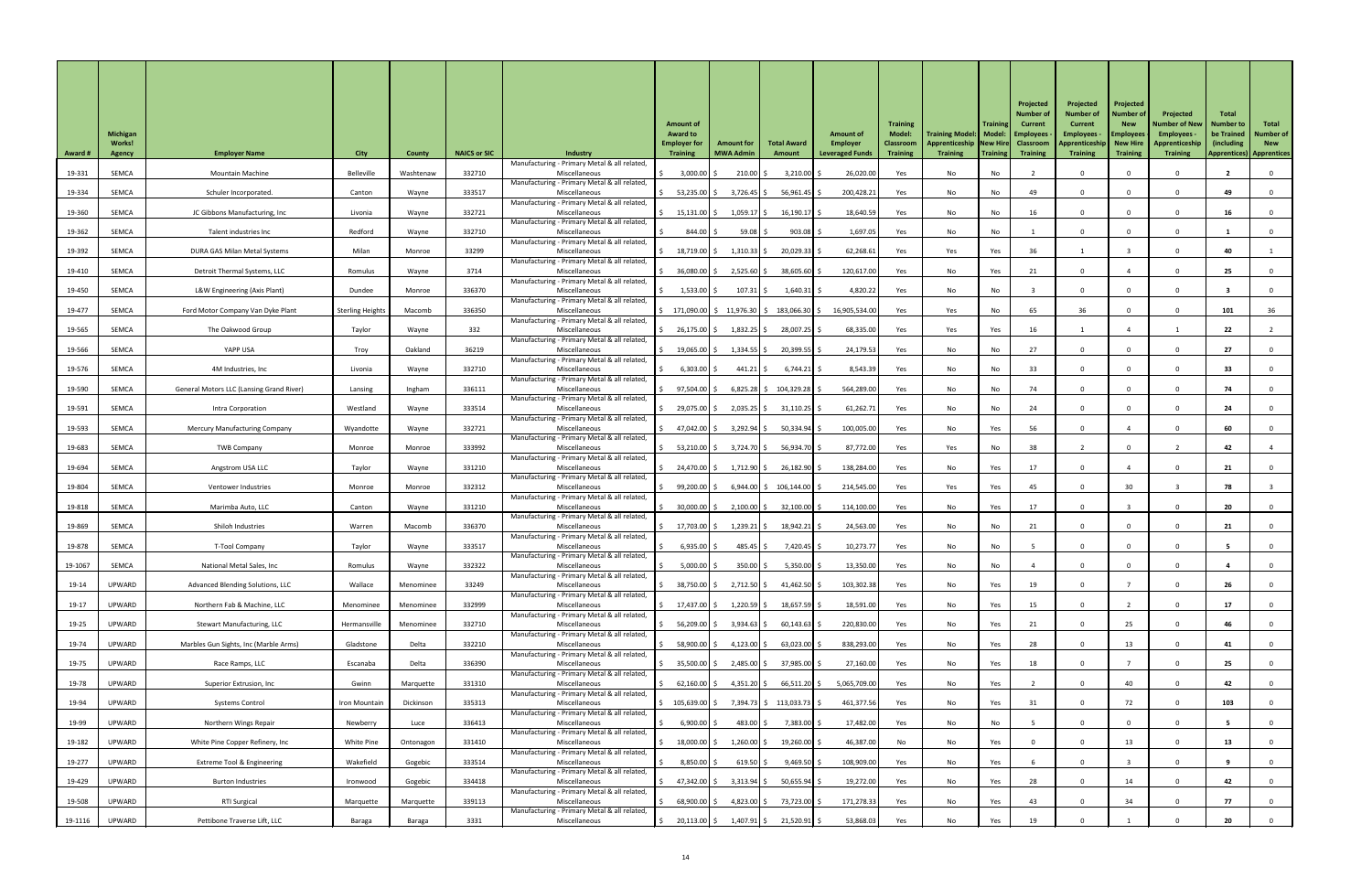| <b>Award #</b> | <b>Michigan</b><br><b>Works!</b><br><b>Agency</b> | <b>Employer Name</b>                            | <b>City</b>             | <b>County</b> | <b>NAICS or SIC</b> | <b>Industry</b>                                               | <b>Amount of</b><br><b>Award to</b><br><b>Employer for</b><br><b>Training</b>           | <b>Amount for</b><br><b>MWA Admin</b> | <b>Total Award</b><br>Amount | <b>Amount of</b><br><b>Employer</b><br><b>Leveraged Funds</b> | <b>Training</b><br><b>Model:</b><br><b>Classroom</b><br><b>Training</b> | Training Model:   Model:   Employees<br>Apprenticeship   New Hire   Classroom<br><b>Training</b> | <b>Training</b><br>  Training | Projected<br><b>Number of</b><br><b>Current</b><br><b>Training</b> | Projected<br><b>Number of</b><br><b>Current</b><br><b>Employees</b><br>Apprenticeship   New Hire<br><b>Training</b> | Projected<br><b>Number of</b><br><b>New</b><br><b>Employees</b><br><b>Training</b> | Projected<br><b>Number of New</b><br>Employees -<br>Apprenticeship<br><b>Training</b> | <b>Total</b><br><b>Number to</b><br>be Trained<br>(including)<br><b>Apprentices) Apprentices</b> | Total<br><b>Number of</b><br><b>New</b> |
|----------------|---------------------------------------------------|-------------------------------------------------|-------------------------|---------------|---------------------|---------------------------------------------------------------|-----------------------------------------------------------------------------------------|---------------------------------------|------------------------------|---------------------------------------------------------------|-------------------------------------------------------------------------|--------------------------------------------------------------------------------------------------|-------------------------------|--------------------------------------------------------------------|---------------------------------------------------------------------------------------------------------------------|------------------------------------------------------------------------------------|---------------------------------------------------------------------------------------|--------------------------------------------------------------------------------------------------|-----------------------------------------|
| 19-331         | SEMCA                                             | <b>Mountain Machine</b>                         | Belleville              | Washtenaw     | 332710              | Manufacturing - Primary Metal & all related<br>Miscellaneous  | $3,000.00$ \$                                                                           | $210.00$ \$                           | $3,210.00$ \$                | 26,020.00                                                     | Yes                                                                     | No                                                                                               | No                            |                                                                    |                                                                                                                     |                                                                                    |                                                                                       |                                                                                                  |                                         |
| 19-334         | SEMCA                                             | Schuler Incorporated.                           | Canton                  | Wayne         | 333517              | Manufacturing - Primary Metal & all related,<br>Miscellaneous | $53,235.00$ \$                                                                          | $3,726.45$ \$                         | $56,961.45$ \$               | 200,428.21                                                    | Yes                                                                     | No                                                                                               | No                            | 49                                                                 |                                                                                                                     |                                                                                    |                                                                                       | 49                                                                                               |                                         |
| 19-360         | SEMCA                                             | JC Gibbons Manufacturing, Inc                   | Livonia                 | Wayne         | 332721              | Manufacturing - Primary Metal & all related<br>Miscellaneous  | $15,131.00$ \$                                                                          | $1,059.17$ \$                         | $16,190.17$ \$               | 18,640.59                                                     | Yes                                                                     | No                                                                                               | No                            | 16                                                                 |                                                                                                                     |                                                                                    |                                                                                       | 16                                                                                               |                                         |
| 19-362         | SEMCA                                             | Talent industries Inc                           | Redford                 | Wayne         | 332710              | Manufacturing - Primary Metal & all related,<br>Miscellaneous | 844.00 \$                                                                               | 59.08                                 | $903.08$ \$                  | 1,697.05                                                      | Yes                                                                     | No                                                                                               | No                            |                                                                    |                                                                                                                     | $\Omega$                                                                           |                                                                                       |                                                                                                  |                                         |
| 19-392         | SEMCA                                             | DURA GAS Milan Metal Systems                    | Milan                   | Monroe        | 33299               | Manufacturing - Primary Metal & all related<br>Miscellaneous  | 18,719.00 \$                                                                            | $1,310.33$ \$                         | 20,029.33 \$                 | 62,268.61                                                     | Yes                                                                     | Yes                                                                                              | Yes                           | 36                                                                 |                                                                                                                     |                                                                                    |                                                                                       | 40                                                                                               |                                         |
| 19-410         | SEMCA                                             | Detroit Thermal Systems, LLC                    | Romulus                 | Wayne         | 3714                | Manufacturing - Primary Metal & all related<br>Miscellaneous  | 36,080.00 \$                                                                            | $2,525.60$ \$                         | 38,605.60 \$                 | 120,617.00                                                    | Yes                                                                     | No                                                                                               | Yes                           | 21                                                                 |                                                                                                                     |                                                                                    |                                                                                       | 25                                                                                               |                                         |
| 19-450         | SEMCA                                             | L&W Engineering (Axis Plant)                    | Dundee                  | Monroe        | 336370              | Manufacturing - Primary Metal & all related<br>Miscellaneous  | $1,533.00$ \$                                                                           | $107.31$ \$                           | $1,640.31$ \$                | 4,820.22                                                      | Yes                                                                     | No                                                                                               | No                            |                                                                    |                                                                                                                     | $\Omega$                                                                           |                                                                                       |                                                                                                  |                                         |
|                |                                                   |                                                 |                         |               |                     | Manufacturing - Primary Metal & all related                   |                                                                                         |                                       |                              |                                                               |                                                                         |                                                                                                  |                               |                                                                    |                                                                                                                     |                                                                                    |                                                                                       |                                                                                                  |                                         |
| 19-477         | SEMCA                                             | Ford Motor Company Van Dyke Plant               | <b>Sterling Heights</b> | Macomb        | 336350              | Miscellaneous<br>Manufacturing - Primary Metal & all related  | $\frac{1}{2}$ 171,090.00 $\frac{1}{2}$ 11,976.30 $\frac{1}{2}$ 183,066.30 $\frac{1}{2}$ |                                       |                              | 16,905,534.00                                                 | Yes                                                                     | Yes                                                                                              | No                            | 65                                                                 | 36                                                                                                                  |                                                                                    |                                                                                       | 101                                                                                              | 36                                      |
| 19-565         | SEMCA                                             | The Oakwood Group                               | Taylor                  | Wayne         | 332                 | Miscellaneous<br>Manufacturing - Primary Metal & all related  | 26,175.00 \$                                                                            | $1,832.25$ \$                         | 28,007.25 \$                 | 68,335.00                                                     | Yes                                                                     | Yes                                                                                              | Yes                           | 16                                                                 |                                                                                                                     |                                                                                    |                                                                                       | 22                                                                                               |                                         |
| 19-566         | SEMCA                                             | YAPP USA                                        | Troy                    | Oakland       | 36219               | Miscellaneous<br>Manufacturing - Primary Metal & all related  | $19,065.00$ \$                                                                          | $1,334.55$ \$                         | 20,399.55 \$                 | 24,179.53                                                     | Yes                                                                     | No                                                                                               | No                            | 27                                                                 |                                                                                                                     |                                                                                    |                                                                                       | 27                                                                                               |                                         |
| 19-576         | <b>SEMCA</b>                                      | 4M Industries, Inc                              | Livonia                 | Wayne         | 332710              | Miscellaneous<br>Manufacturing - Primary Metal & all related  | 6,303.00                                                                                | $441.21$ \$                           | $6,744.21$ \$                | 8,543.39                                                      | Yes                                                                     | No                                                                                               | No                            | 33                                                                 |                                                                                                                     |                                                                                    |                                                                                       | 33                                                                                               |                                         |
| 19-590         | SEMCA                                             | <b>General Motors LLC (Lansing Grand River)</b> | Lansing                 | Ingham        | 336111              | Miscellaneous<br>Manufacturing - Primary Metal & all related  | 97,504.00 \$                                                                            |                                       | $6,825.28$ \$ 104,329.28 \$  | 564,289.00                                                    | Yes                                                                     | No                                                                                               | No                            | 74                                                                 |                                                                                                                     |                                                                                    |                                                                                       | 74                                                                                               |                                         |
| 19-591         | SEMCA                                             | Intra Corporation                               | Westland                | Wayne         | 333514              | Miscellaneous<br>Manufacturing - Primary Metal & all related  | 29,075.00 \$                                                                            | $2,035.25$ \$                         | $31,110.25$ \$               | 61,262.71                                                     | Yes                                                                     | No                                                                                               | No                            | 24                                                                 |                                                                                                                     |                                                                                    |                                                                                       | 24                                                                                               |                                         |
| 19-593         | SEMCA                                             | <b>Mercury Manufacturing Company</b>            | Wyandotte               | Wayne         | 332721              | Miscellaneous<br>Manufacturing - Primary Metal & all related  | 47,042.00 \$                                                                            | 3,292.94 \$                           | $50,334.94$ \$               | 100,005.00                                                    | Yes                                                                     | No                                                                                               | Yes                           | 56                                                                 |                                                                                                                     |                                                                                    |                                                                                       | 60                                                                                               |                                         |
| 19-683         | SEMCA                                             | <b>TWB Company</b>                              | Monroe                  | Monroe        | 333992              | Miscellaneous<br>Manufacturing - Primary Metal & all related  | 53,210.00 \$                                                                            | 3,724.70 \$                           | 56,934.70 \$                 | 87,772.00                                                     | Yes                                                                     | Yes                                                                                              | No                            | 38                                                                 |                                                                                                                     |                                                                                    |                                                                                       | 42                                                                                               |                                         |
| 19-694         | <b>SEMCA</b>                                      | Angstrom USA LLC                                | Taylor                  | Wayne         | 331210              | Miscellaneous                                                 | 24,470.00 \$                                                                            | $1,712.90$ \$                         | 26,182.90 \$                 | 138,284.00                                                    | Yes                                                                     | No                                                                                               | Yes                           | 17                                                                 |                                                                                                                     |                                                                                    |                                                                                       |                                                                                                  |                                         |
| 19-804         | SEMCA                                             | Ventower Industries                             | Monroe                  | Monroe        | 332312              | Manufacturing - Primary Metal & all related<br>Miscellaneous  | 99,200.00 \$                                                                            |                                       | $6,944.00$ \$ 106,144.00 \$  | 214,545.00                                                    | Yes                                                                     | Yes                                                                                              | Yes                           | 45                                                                 |                                                                                                                     | 30                                                                                 |                                                                                       | 78                                                                                               |                                         |
| 19-818         | SEMCA                                             | Marimba Auto, LLC                               | Canton                  | Wayne         | 331210              | Manufacturing - Primary Metal & all related<br>Miscellaneous  | 30,000.00 \$                                                                            | $2,100.00$ \$                         | $32,100.00$ \$               | 114,100.00                                                    | Yes                                                                     | No                                                                                               | Yes                           | 17                                                                 |                                                                                                                     |                                                                                    |                                                                                       | 20                                                                                               |                                         |
| 19-869         | SEMCA                                             | Shiloh Industries                               | Warren                  | Macomb        | 336370              | Manufacturing - Primary Metal & all related<br>Miscellaneous  | 17,703.00 \$                                                                            | $1,239.21$   \$                       | 18,942.21 \$                 | 24,563.00                                                     | Yes                                                                     | No                                                                                               | No                            | 21                                                                 |                                                                                                                     |                                                                                    |                                                                                       | 21                                                                                               |                                         |
| 19-878         | SEMCA                                             | <b>T-Tool Company</b>                           | Taylor                  | Wayne         | 333517              | Manufacturing - Primary Metal & all related<br>Miscellaneous  | $6,935.00$ \$                                                                           | $485.45$ \$                           | 7,420.45 \$                  | 10,273.77                                                     | Yes                                                                     | No                                                                                               | No                            |                                                                    |                                                                                                                     |                                                                                    |                                                                                       |                                                                                                  |                                         |
| 19-1067        | <b>SEMCA</b>                                      | National Metal Sales, Inc                       | Romulus                 | Wayne         | 332322              | Manufacturing - Primary Metal & all related<br>Miscellaneous  | $5,000.00$ \$                                                                           | $350.00$ \$                           | $5,350.00$ \$                | 13,350.00                                                     | Yes                                                                     | No                                                                                               | No                            |                                                                    |                                                                                                                     |                                                                                    |                                                                                       |                                                                                                  |                                         |
| 19-14          | <b>UPWARD</b>                                     | Advanced Blending Solutions, LLC                | Wallace                 | Menominee     | 33249               | Manufacturing - Primary Metal & all related<br>Miscellaneous  | 38,750.00 \$                                                                            | $2,712.50$ \$                         | 41,462.50 $\vert$ \$         | 103,302.38                                                    | Yes                                                                     | No                                                                                               | Yes                           | 19                                                                 |                                                                                                                     |                                                                                    |                                                                                       | 26                                                                                               |                                         |
| $19-17$        | <b>UPWARD</b>                                     | Northern Fab & Machine, LLC                     | Menominee               | Menominee     | 332999              | Manufacturing - Primary Metal & all related<br>Miscellaneous  | 17,437.00 \$                                                                            | $1,220.59$ \$                         | $18,657.59$ \$               | 18,591.00                                                     | Yes                                                                     | No                                                                                               | Yes                           | 15                                                                 |                                                                                                                     |                                                                                    |                                                                                       |                                                                                                  |                                         |
| 19-25          | <b>UPWARD</b>                                     | <b>Stewart Manufacturing, LLC</b>               | Hermansville            | Menominee     | 332710              | Manufacturing - Primary Metal & all related<br>Miscellaneous  | 56,209.00 \$                                                                            | $3,934.63$ \$                         | $60,143.63$ \$               | 220,830.00                                                    | Yes                                                                     | No                                                                                               | Yes                           | 21                                                                 |                                                                                                                     | 25                                                                                 |                                                                                       | 46                                                                                               |                                         |
|                | UPWARD                                            |                                                 | Gladstone               | Delta         | 332210              | Manufacturing - Primary Metal & all related<br>Miscellaneous  |                                                                                         |                                       |                              | 838,293.00                                                    |                                                                         |                                                                                                  |                               |                                                                    |                                                                                                                     |                                                                                    |                                                                                       |                                                                                                  |                                         |
| 19-74          |                                                   | Marbles Gun Sights, Inc (Marble Arms)           |                         |               |                     | Manufacturing - Primary Metal & all related                   | 58,900.00 \$                                                                            | $4,123.00$ \$                         | $63,023.00$ \$               |                                                               | Yes                                                                     | No                                                                                               | Yes                           | 28                                                                 |                                                                                                                     | 13                                                                                 |                                                                                       | 41                                                                                               |                                         |
| 19-75          | <b>UPWARD</b>                                     | Race Ramps, LLC                                 | Escanaba                | Delta         | 336390              | Miscellaneous<br>Manufacturing - Primary Metal & all related, | 35,500.00 \$                                                                            | 2,485.00 \$                           | 37,985.00 \$                 | 27,160.00                                                     | Yes                                                                     | No                                                                                               | Yes                           | 18                                                                 |                                                                                                                     |                                                                                    |                                                                                       | 25                                                                                               |                                         |
| 19-78          | UPWARD                                            | Superior Extrusion, Inc                         | Gwinn                   | Marquette     | 331310              | Miscellaneous<br>Manufacturing - Primary Metal & all related, | 62,160.00 \$                                                                            | 4,351.20 \$                           | 66,511.20 \$                 | 5,065,709.00                                                  | Yes                                                                     | No                                                                                               | Yes                           |                                                                    |                                                                                                                     | 40                                                                                 |                                                                                       | 42                                                                                               |                                         |
| 19-94          | UPWARD                                            | <b>Systems Control</b>                          | Iron Mountain           | Dickinson     | 335313              | Miscellaneous<br>Manufacturing - Primary Metal & all related, | $\frac{1}{5}$ 105,639.00 $\frac{1}{5}$ 7,394.73 $\frac{1}{5}$ 113,033.73 $\frac{1}{5}$  |                                       |                              | 461,377.56                                                    | Yes                                                                     | No                                                                                               | Yes                           | 31                                                                 |                                                                                                                     | 72                                                                                 |                                                                                       | 103                                                                                              |                                         |
| 19-99          | <b>UPWARD</b>                                     | Northern Wings Repair                           | Newberry                | Luce          | 336413              | Miscellaneous<br>Manufacturing - Primary Metal & all related, | $6,900.00$ \$                                                                           | $483.00$ \$                           | $7,383.00$ \$                | 17,482.00                                                     | Yes                                                                     | No                                                                                               | No                            |                                                                    |                                                                                                                     |                                                                                    |                                                                                       |                                                                                                  |                                         |
| 19-182         | UPWARD                                            | White Pine Copper Refinery, Inc                 | White Pine              | Ontonagon     | 331410              | Miscellaneous<br>Manufacturing - Primary Metal & all related, | 18,000.00 \$                                                                            | $1,260.00$ \$                         | $19,260.00$ \$               | 46,387.00                                                     | No                                                                      | No                                                                                               | Yes                           |                                                                    |                                                                                                                     | 13                                                                                 |                                                                                       | 13                                                                                               |                                         |
| 19-277         | <b>UPWARD</b>                                     | <b>Extreme Tool &amp; Engineering</b>           | Wakefield               | Gogebic       | 333514              | Miscellaneous<br>Manufacturing - Primary Metal & all related, | $8,850.00$ \$                                                                           | $619.50$ \$                           | $9,469.50$ \$                | 108,909.00                                                    | Yes                                                                     | No                                                                                               | Yes                           |                                                                    |                                                                                                                     |                                                                                    |                                                                                       |                                                                                                  |                                         |
| 19-429         | UPWARD                                            | <b>Burton Industries</b>                        | Ironwood                | Gogebic       | 334418              | Miscellaneous<br>Manufacturing - Primary Metal & all related, | 47,342.00 \$                                                                            | $3,313.94$ \$                         | $50,655.94$ \$               | 19,272.00                                                     | Yes                                                                     | No                                                                                               | Yes                           | 28                                                                 |                                                                                                                     | 14                                                                                 |                                                                                       | 42                                                                                               |                                         |
| 19-508         | UPWARD                                            | <b>RTI Surgical</b>                             | Marquette               | Marquette     | 339113              | Miscellaneous                                                 | $68,900.00$ \$                                                                          | 4,823.00 \$                           | 73,723.00 \$                 | 171,278.33                                                    | Yes                                                                     | No                                                                                               | Yes                           | 43                                                                 |                                                                                                                     | 34                                                                                 |                                                                                       | 77                                                                                               |                                         |
| 19-1116        | UPWARD                                            | Pettibone Traverse Lift, LLC                    | Baraga                  | Baraga        | 3331                | Manufacturing - Primary Metal & all related,<br>Miscellaneous | 20,113.00 \$<br>\$                                                                      | $1,407.91$ \$                         | 21,520.91 \$                 | 53,868.03                                                     | Yes                                                                     | No                                                                                               | Yes                           | 19                                                                 |                                                                                                                     |                                                                                    |                                                                                       | 20                                                                                               |                                         |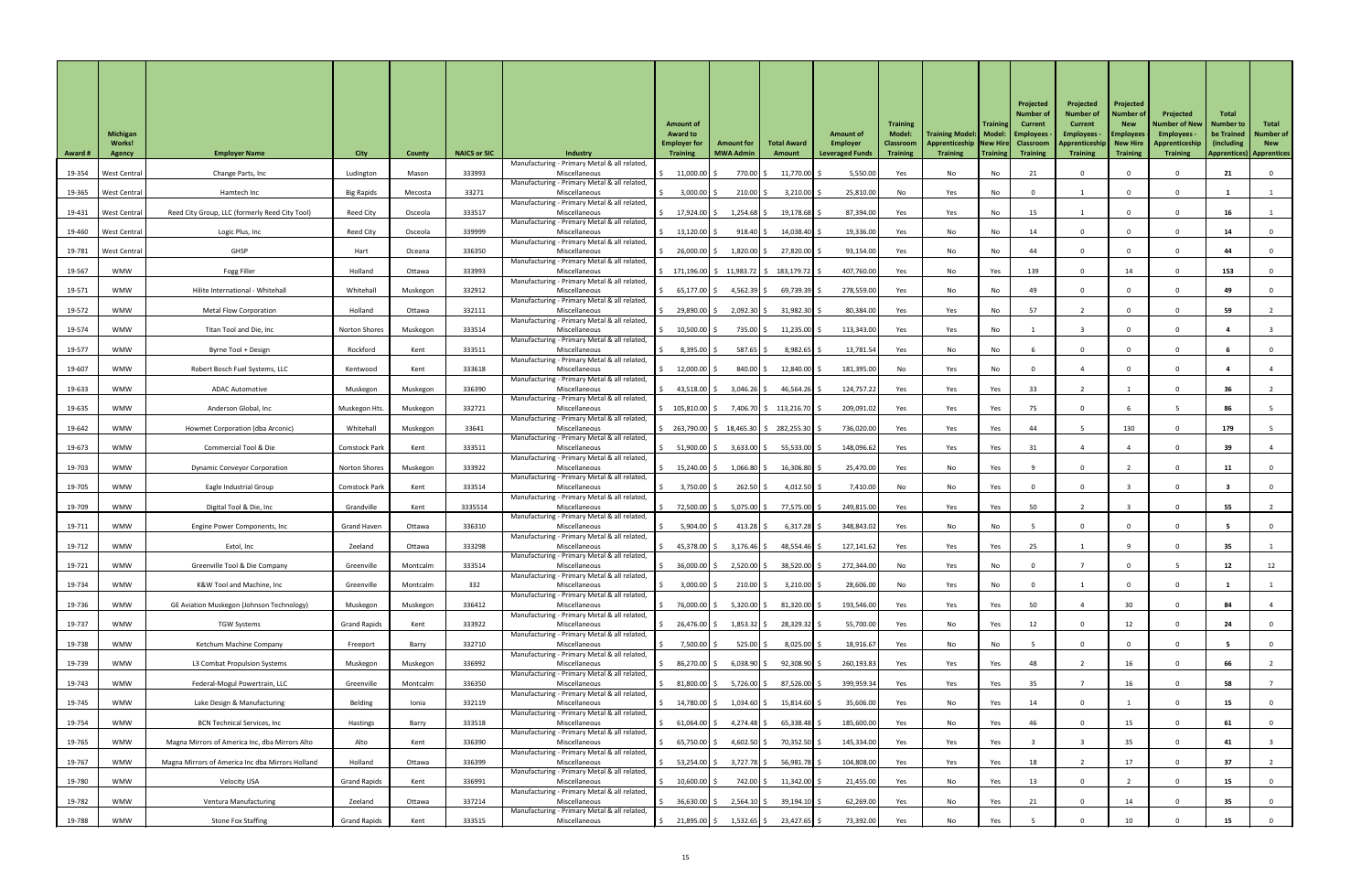|                |                                            |                                                  |                      |               |                     |                                                               |                                                           |                                          |                              |                                                               |                                     |                                                                                                  |                 | Projected                         | Projected                                                        | Projected                           |                                                  |                                                |                           |
|----------------|--------------------------------------------|--------------------------------------------------|----------------------|---------------|---------------------|---------------------------------------------------------------|-----------------------------------------------------------|------------------------------------------|------------------------------|---------------------------------------------------------------|-------------------------------------|--------------------------------------------------------------------------------------------------|-----------------|-----------------------------------|------------------------------------------------------------------|-------------------------------------|--------------------------------------------------|------------------------------------------------|---------------------------|
|                |                                            |                                                  |                      |               |                     |                                                               | <b>Amount of</b><br><b>Award to</b>                       |                                          |                              |                                                               | <b>Training</b><br><b>Model:</b>    |                                                                                                  | <b>Training</b> | <b>Number o</b><br><b>Current</b> | <b>Number of</b><br><b>Current</b>                               | <b>Number of</b><br><b>New</b>      | Projected<br><b>Number of New</b>                | Total<br><b>Number to</b><br>be Trained        | Total<br><b>Number of</b> |
| <b>Award #</b> | <b>Michigan</b><br><b>Works!</b><br>Agency | <b>Employer Name</b>                             | <b>City</b>          | <b>County</b> | <b>NAICS or SIC</b> | <b>Industry</b>                                               | <b>Employer for</b><br><b>Training</b>                    | <b>Amount for</b><br><b>MWA Admin</b>    | <b>Total Award</b><br>Amount | <b>Amount of</b><br><b>Employer</b><br><b>Leveraged Funds</b> | <b>Classroom</b><br><b>Training</b> | Training Model:   Model:   Employees<br>Apprenticeship   New Hire   Classroom<br><b>Training</b> | Training        | <b>Training</b>                   | <b>Employees</b><br>Apprenticeship   New Hire<br><b>Training</b> | <b>Employees</b><br><b>Training</b> | Employees -<br>Apprenticeship<br><b>Training</b> | (including)<br><b>Apprentices) Apprentices</b> | <b>New</b>                |
| 19-354         | <b>West Centra</b>                         | Change Parts, Inc                                | Ludington            | Mason         | 333993              | Manufacturing - Primary Metal & all related,<br>Miscellaneous | 11,000.00                                                 | 770.00 \$                                | 11,770.00                    | 5,550.00                                                      | Yes                                 | No                                                                                               | No              | 21                                |                                                                  |                                     |                                                  | 21                                             |                           |
| 19-365         | <b>West Central</b>                        | Hamtech Inc                                      | <b>Big Rapids</b>    | Mecosta       | 33271               | Manufacturing - Primary Metal & all related,<br>Miscellaneous | 3,000.00                                                  | $210.00$ \$                              | $3,210.00$ \$                | 25,810.00                                                     | No                                  | Yes                                                                                              | No              |                                   |                                                                  |                                     |                                                  |                                                |                           |
|                |                                            |                                                  |                      |               |                     | Manufacturing - Primary Metal & all related                   |                                                           |                                          |                              |                                                               |                                     |                                                                                                  |                 |                                   |                                                                  |                                     |                                                  |                                                |                           |
| 19-431         | West Central                               | Reed City Group, LLC (formerly Reed City Tool)   | Reed City            | Osceola       | 333517              | Miscellaneous<br>Manufacturing - Primary Metal & all related  | 17,924.00 \$                                              | $1,254.68$ \$                            | $19,178.68$ \$               | 87,394.00                                                     | Yes                                 | Yes                                                                                              | No              | 15                                |                                                                  |                                     |                                                  | 16                                             |                           |
| 19-460         | West Central                               | Logic Plus, Inc                                  | Reed City            | Osceola       | 339999              | Miscellaneous<br>Manufacturing - Primary Metal & all related, | $13,120.00$ \$                                            | $918.40$ \$                              | $14,038.40$ \$               | 19,336.00                                                     | Yes                                 | No                                                                                               | No              | 14                                |                                                                  | $\Omega$                            |                                                  | 14                                             |                           |
| 19-781         | West Central                               | GHSP                                             | Hart                 | Oceana        | 336350              | Miscellaneous<br>Manufacturing - Primary Metal & all related  | 26,000.00 \$                                              | $1,820.00$ \$                            | 27,820.00 \$                 | 93,154.00                                                     | Yes                                 | No                                                                                               | No              | 44                                |                                                                  |                                     |                                                  | 44                                             |                           |
| 19-567         | <b>WMW</b>                                 | Fogg Filler                                      | Holland              | Ottawa        | 333993              | Miscellaneous<br>Manufacturing - Primary Metal & all related, | $\binom{171,196.00}{ }$ \$ 11,983.72   \$ 183,179.72   \$ |                                          |                              | 407,760.00                                                    | Yes                                 | No                                                                                               | Yes             | 139                               |                                                                  | 14                                  |                                                  | 153                                            |                           |
| 19-571         | <b>WMW</b>                                 | Hilite International - Whitehall                 | Whitehall            | Muskegon      | 332912              | Miscellaneous<br>Manufacturing - Primary Metal & all related  | 65,177.00 \$                                              | 4,562.39 \$                              | $69,739.39$ \$               | 278,559.00                                                    | Yes                                 | No                                                                                               | No              | 49                                |                                                                  |                                     |                                                  | 49                                             |                           |
| 19-572         | <b>WMW</b>                                 | <b>Metal Flow Corporation</b>                    | Holland              | Ottawa        | 332111              | Miscellaneous<br>Manufacturing - Primary Metal & all related, | 29,890.00 \$                                              | 2,092.30 \$                              | 31,982.30 \$                 | 80,384.00                                                     | Yes                                 | Yes                                                                                              | No              | 57                                |                                                                  |                                     |                                                  | 59                                             |                           |
| 19-574         | <b>WMW</b>                                 | Titan Tool and Die, Inc                          | <b>Norton Shores</b> | Muskegon      | 333514              | Miscellaneous<br>Manufacturing - Primary Metal & all related, | 10,500.00                                                 | 735.00 \$                                | $11,235.00$ \$               | 113,343.00                                                    | Yes                                 | Yes                                                                                              | No              |                                   |                                                                  | $\Omega$                            |                                                  |                                                |                           |
| 19-577         | <b>WMW</b>                                 | Byrne Tool + Design                              | Rockford             | Kent          | 333511              | Miscellaneous<br>Manufacturing - Primary Metal & all related  | $8,395.00$ \$                                             | $587.65$ \$                              | $8,982.65$ \$                | 13,781.54                                                     | Yes                                 | No                                                                                               | No              |                                   |                                                                  |                                     |                                                  |                                                |                           |
| 19-607         | <b>WMW</b>                                 | Robert Bosch Fuel Systems, LLC                   | Kentwood             | Kent          | 333618              | Miscellaneous<br>Manufacturing - Primary Metal & all related  | 12,000.00                                                 | 840.00                                   | $12,840.00$ \$               | 181,395.00                                                    | No                                  | Yes                                                                                              | No              |                                   |                                                                  |                                     |                                                  |                                                |                           |
| 19-633         | <b>WMW</b>                                 | <b>ADAC Automotive</b>                           | Muskegon             | Muskegon      | 336390              | Miscellaneous                                                 | 43,518.00 \$                                              | $3,046.26$ \$                            | $46,564.26$ \$               | 124,757.22                                                    | Yes                                 | Yes                                                                                              | Yes             | 33                                |                                                                  |                                     |                                                  | 36                                             |                           |
| 19-635         | <b>WMW</b>                                 | Anderson Global, Inc                             | Muskegon Hts.        | Muskegon      | 332721              | Manufacturing - Primary Metal & all related<br>Miscellaneous  | \$105,810.00 \$                                           |                                          | 7,406.70 \$113,216.70 \$     | 209,091.02                                                    | Yes                                 | Yes                                                                                              | Yes             | 75                                |                                                                  |                                     |                                                  | 86                                             |                           |
| 19-642         | <b>WMW</b>                                 | Howmet Corporation (dba Arconic)                 | Whitehall            | Muskegon      | 33641               | Manufacturing - Primary Metal & all related,<br>Miscellaneous |                                                           | 263,790.00 \$ 18,465.30 \$ 282,255.30 \$ |                              | 736,020.00                                                    | Yes                                 | Yes                                                                                              | Yes             | 44                                |                                                                  | 130                                 |                                                  | 179                                            |                           |
| 19-673         | <b>WMW</b>                                 | Commercial Tool & Die                            | <b>Comstock Park</b> | Kent          | 333511              | Manufacturing - Primary Metal & all related<br>Miscellaneous  | 51,900.00 \$                                              | $3,633.00$ \$                            | 55,533.00 \$                 | 148,096.62                                                    | Yes                                 | Yes                                                                                              | Yes             | 31                                |                                                                  |                                     |                                                  | 39                                             |                           |
| 19-703         | <b>WMW</b>                                 | <b>Dynamic Conveyor Corporation</b>              | <b>Norton Shores</b> | Muskegon      | 333922              | Manufacturing - Primary Metal & all related<br>Miscellaneous  | $15,240.00$ \$                                            | 1,066.80                                 | $16,306.80$ \$               | 25,470.00                                                     | Yes                                 | No                                                                                               | Yes             |                                   |                                                                  |                                     |                                                  |                                                |                           |
| 19-705         | <b>WMW</b>                                 | Eagle Industrial Group                           | <b>Comstock Park</b> | Kent          | 333514              | Manufacturing - Primary Metal & all related<br>Miscellaneous  | $3,750.00$ \$                                             | $262.50$ \$                              | $4,012.50$ \$                | 7,410.00                                                      | No                                  | No                                                                                               | Yes             |                                   |                                                                  |                                     |                                                  |                                                |                           |
| 19-709         | <b>WMW</b>                                 | Digital Tool & Die, Inc                          | Grandville           | Kent          | 3335514             | Manufacturing - Primary Metal & all related<br>Miscellaneous  | 72,500.00 \$                                              | 5,075.00 \$                              | 77,575.00 \$                 | 249,815.00                                                    | Yes                                 | Yes                                                                                              | Yes             | 50                                |                                                                  |                                     |                                                  | 55                                             |                           |
| 19-711         | <b>WMW</b>                                 | Engine Power Components, Inc                     | <b>Grand Haven</b>   | Ottawa        | 336310              | Manufacturing - Primary Metal & all related<br>Miscellaneous  | $5,904.00$ \$                                             | $413.28$ \$                              | $6,317.28$ \$                | 348,843.02                                                    | Yes                                 | No                                                                                               | No              |                                   |                                                                  |                                     |                                                  |                                                |                           |
| 19-712         | <b>WMW</b>                                 | Extol, Inc                                       | Zeeland              | Ottawa        | 333298              | Manufacturing - Primary Metal & all related<br>Miscellaneous  | 45,378.00 \$                                              | $3,176.46$ \$                            | $48,554.46$ \$               | 127,141.62                                                    | Yes                                 | Yes                                                                                              | Yes             | 25                                |                                                                  |                                     |                                                  | 35                                             |                           |
| 19-721         | <b>WMW</b>                                 | Greenville Tool & Die Company                    | Greenville           | Montcalm      | 333514              | Manufacturing - Primary Metal & all related<br>Miscellaneous  | $36,000.00$ \$                                            | $2,520.00$ \$                            | 38,520.00 \$                 | 272,344.00                                                    | No                                  | Yes                                                                                              | No              |                                   |                                                                  |                                     |                                                  | 12                                             | 12                        |
| 19-734         | <b>WMW</b>                                 | K&W Tool and Machine, Inc                        | Greenville           | Montcalm      | 332                 | Manufacturing - Primary Metal & all related<br>Miscellaneous  | $3,000.00$ \$                                             | $210.00$ \$                              | $3,210.00$ \$                | 28,606.00                                                     | No                                  | Yes                                                                                              | No              |                                   |                                                                  |                                     |                                                  |                                                |                           |
| 19-736         | <b>WMW</b>                                 | GE Aviation Muskegon (Johnson Technology)        | Muskegon             | Muskegon      | 336412              | Manufacturing - Primary Metal & all related<br>Miscellaneous  | 76,000.00 \$                                              | $5,320.00$ \$                            | 81,320.00 \$                 | 193,546.00                                                    | Yes                                 | Yes                                                                                              | Yes             | 50                                |                                                                  | 30                                  |                                                  | 84                                             |                           |
| 19-737         | <b>WMW</b>                                 | <b>TGW Systems</b>                               | <b>Grand Rapids</b>  | Kent          | 333922              | Manufacturing - Primary Metal & all related<br>Miscellaneous  | 26,476.00 \$                                              | $1,853.32$ \$                            | 28,329.32 \$                 | 55,700.00                                                     | Yes                                 | No                                                                                               | Yes             | 12                                |                                                                  | 12                                  |                                                  | 24                                             |                           |
|                |                                            |                                                  |                      |               |                     | Manufacturing - Primary Metal & all related                   |                                                           |                                          |                              |                                                               |                                     |                                                                                                  |                 |                                   |                                                                  |                                     |                                                  |                                                |                           |
| 19-738         | <b>WMW</b>                                 | Ketchum Machine Company                          | Freeport             | Barry         | 332710              | Miscellaneous<br>Manufacturing - Primary Metal & all related, | 7,500.00 \$                                               | $525.00$ \$                              | $8,025.00$ \$                | 18,916.67                                                     | Yes                                 | No                                                                                               | No              |                                   |                                                                  |                                     |                                                  |                                                |                           |
| 19-739         | <b>WMW</b>                                 | L3 Combat Propulsion Systems                     | Muskegon             | Muskegon      | 336992              | Miscellaneous<br>Manufacturing - Primary Metal & all related, | 86,270.00 \$                                              | $6,038.90$ \$                            | $92,308.90$ \$               | 260,193.83                                                    | Yes                                 | Yes                                                                                              | Yes             | 48                                |                                                                  | 16                                  |                                                  | 66                                             |                           |
| 19-743         | <b>WMW</b>                                 | Federal-Mogul Powertrain, LLC                    | Greenville           | Montcalm      | 336350              | Miscellaneous<br>Manufacturing - Primary Metal & all related, |                                                           | $81,800.00$ \$ 5,726.00 \$               | 87,526.00 \$                 | 399,959.34                                                    | Yes                                 | Yes                                                                                              | Yes             | 35                                |                                                                  | 16                                  |                                                  | 58                                             |                           |
| 19-745         | <b>WMW</b>                                 | Lake Design & Manufacturing                      | Belding              | Ionia         | 332119              | Miscellaneous<br>Manufacturing - Primary Metal & all related  | 14,780.00 \$                                              | 1,034.60 \$                              | $15,814.60$ \$               | 35,606.00                                                     | Yes                                 | No                                                                                               | Yes             | 14                                |                                                                  |                                     |                                                  | 15                                             |                           |
| 19-754         | <b>WMW</b>                                 | <b>BCN Technical Services, Inc.</b>              | Hastings             | Barry         | 333518              | Miscellaneous<br>Manufacturing - Primary Metal & all related, | 61,064.00 \$                                              | 4,274.48   \$                            | 65,338.48 \$                 | 185,600.00                                                    | Yes                                 | No                                                                                               | Yes             | 46                                |                                                                  | 15                                  |                                                  | 61                                             | - 0                       |
| 19-765         | <b>WMW</b>                                 | Magna Mirrors of America Inc, dba Mirrors Alto   | Alto                 | Kent          | 336390              | Miscellaneous<br>Manufacturing - Primary Metal & all related, | 65,750.00 \$                                              | 4,602.50 \$                              | 70,352.50 \$                 | 145,334.00                                                    | Yes                                 | Yes                                                                                              | Yes             |                                   |                                                                  | 35                                  |                                                  | 41                                             |                           |
| 19-767         | <b>WMW</b>                                 | Magna Mirrors of America Inc dba Mirrors Holland | Holland              | Ottawa        | 336399              | Miscellaneous<br>Manufacturing - Primary Metal & all related, | 53,254.00 \$                                              | 3,727.78 \$                              | 56,981.78 \$                 | 104,808.00                                                    | Yes                                 | Yes                                                                                              | Yes             | 18                                |                                                                  | 17                                  |                                                  | 37                                             |                           |
| 19-780         | <b>WMW</b>                                 | Velocity USA                                     | <b>Grand Rapids</b>  | Kent          | 336991              | Miscellaneous<br>Manufacturing - Primary Metal & all related, | $10,600.00$ \$                                            | 742.00 \$                                | $11,342.00$ \$               | 21,455.00                                                     | Yes                                 | No                                                                                               | Yes             | 13                                |                                                                  |                                     |                                                  | 15                                             |                           |
| 19-782         | <b>WMW</b>                                 | <b>Ventura Manufacturing</b>                     | Zeeland              | Ottawa        | 337214              | Miscellaneous<br>Manufacturing - Primary Metal & all related, | 36,630.00 \$                                              | $2,564.10$ \$                            | $39,194.10$ \$               | 62,269.00                                                     | Yes                                 | No                                                                                               | Yes             | 21                                |                                                                  | 14                                  |                                                  | 35 <sub>2</sub>                                |                           |
| 19-788         | WMW                                        | <b>Stone Fox Staffing</b>                        | <b>Grand Rapids</b>  | Kent          | 333515              | Miscellaneous                                                 | $\vert$ \$ 21,895.00   \$ 1,532.65   \$                   |                                          | 23,427.65 \$                 | 73,392.00                                                     | Yes                                 | No                                                                                               | Yes             |                                   |                                                                  | 10                                  |                                                  | 15                                             |                           |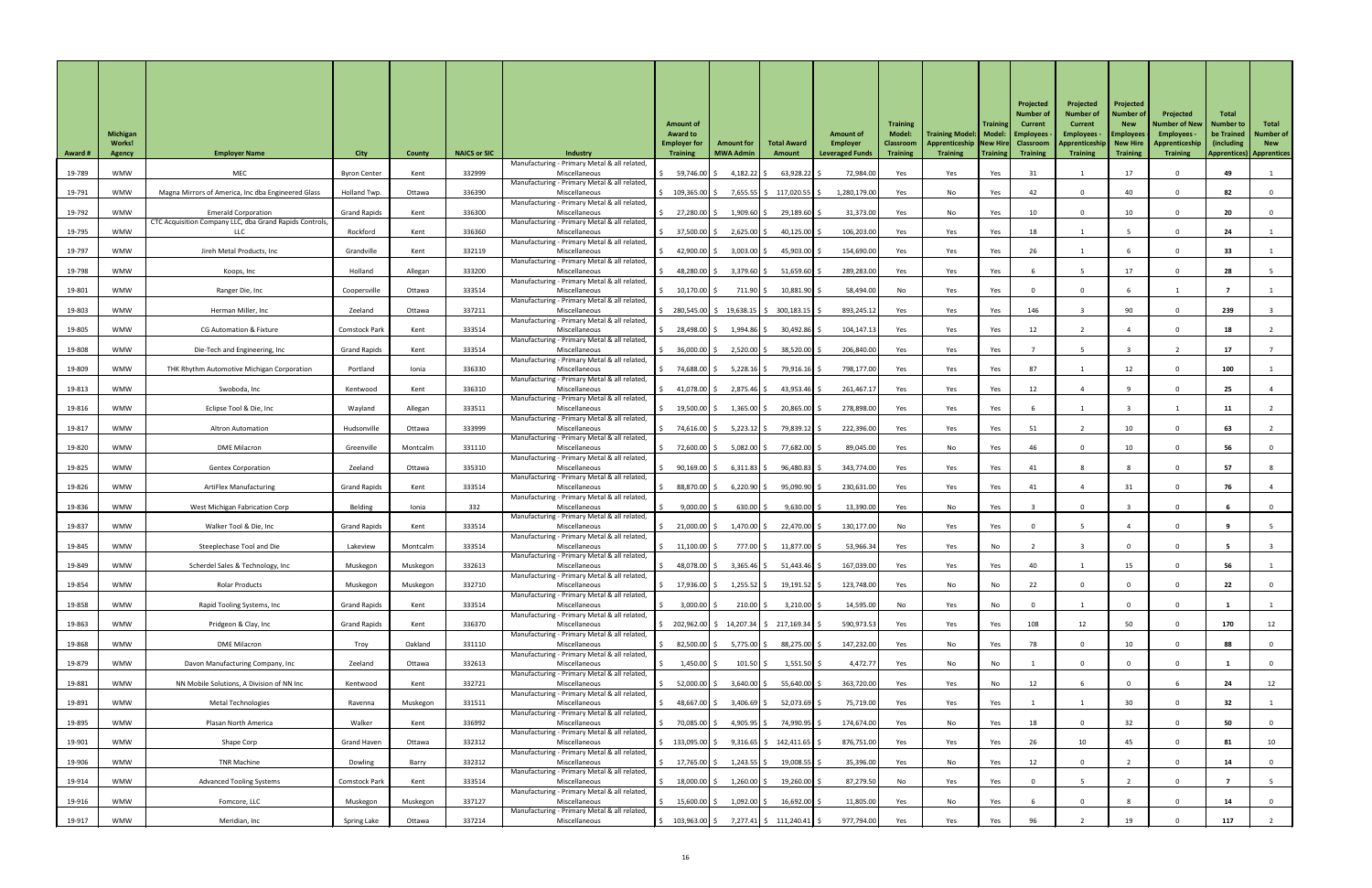|                |                                  |                                                                |                      |               |                     |                                                                | <b>Amount of</b>                                                                                                                                                                          |                                                                                         |                             |                                     | <b>Training</b>                   |                                                                               | <b>Training</b> | Projected<br>Number o<br><b>Current</b> | Projected<br><b>Number of</b><br><b>Current</b> | Projected<br><b>Number of</b><br><b>New</b> | Projected<br><b>Number of New</b> | Total<br>Number to               | Total                          |
|----------------|----------------------------------|----------------------------------------------------------------|----------------------|---------------|---------------------|----------------------------------------------------------------|-------------------------------------------------------------------------------------------------------------------------------------------------------------------------------------------|-----------------------------------------------------------------------------------------|-----------------------------|-------------------------------------|-----------------------------------|-------------------------------------------------------------------------------|-----------------|-----------------------------------------|-------------------------------------------------|---------------------------------------------|-----------------------------------|----------------------------------|--------------------------------|
|                | <b>Michigan</b><br><b>Works!</b> |                                                                |                      |               |                     |                                                                | <b>Award to</b><br><b>Employer for</b>                                                                                                                                                    | <b>Amount for</b>                                                                       | <b>Total Award</b>          | <b>Amount of</b><br><b>Employer</b> | <b>Model:</b><br><b>Classroom</b> | Training Model:   Model:   Employees<br>Apprenticeship   New Hire   Classroom |                 |                                         | <b>Employees</b><br>Apprenticeship   New Hire   | Employees                                   | Employees -<br>Apprenticeship     | <b>be Trained</b><br>(including) | <b>Number of</b><br><b>New</b> |
| <b>Award #</b> | <b>Agency</b>                    | <b>Employer Name</b>                                           | <b>City</b>          | <b>County</b> | <b>NAICS or SIC</b> | <b>Industry</b><br>Manufacturing - Primary Metal & all related | <b>Training</b>                                                                                                                                                                           | <b>MWA Admin</b>                                                                        | Amount                      | <b>Leveraged Funds</b>              | <b>Training</b>                   | <b>Training</b>                                                               | Training        | <b>Training</b>                         | <b>Training</b>                                 | <b>Training</b>                             | <b>Training</b>                   | <b>Apprentices) Apprentices</b>  |                                |
| 19-789         | <b>WMW</b>                       | MEC                                                            | <b>Byron Center</b>  | Kent          | 332999              | Miscellaneous                                                  | 59,746.00 \$                                                                                                                                                                              | $4,182.22$ \$                                                                           | $63,928.22$ \$              | 72,984.00                           | Yes                               | Yes                                                                           | Yes             | 31                                      |                                                 | 17                                          |                                   | 49                               |                                |
| 19-791         | <b>WMW</b>                       | Magna Mirrors of America, Inc dba Engineered Glass             | Holland Twp.         | Ottawa        | 336390              | Manufacturing - Primary Metal & all related,<br>Miscellaneous  | 109,365.00 \$                                                                                                                                                                             |                                                                                         | 7,655.55 \$ 117,020.55 \$   | 1,280,179.00                        | Yes                               | No                                                                            | Yes             | 42                                      |                                                 | 40                                          |                                   | 82                               |                                |
| 19-792         | <b>WMW</b>                       | <b>Emerald Corporation</b>                                     | <b>Grand Rapids</b>  | Kent          | 336300              | Manufacturing - Primary Metal & all related<br>Miscellaneous   | $$27,280.00$ \$                                                                                                                                                                           | 1,909.60 \$                                                                             | 29,189.60 \$                | 31,373.00                           | Yes                               | No                                                                            | Yes             | 10 <sup>°</sup>                         |                                                 | 10                                          |                                   | 20                               |                                |
| 19-795         | <b>WMW</b>                       | CTC Acquisition Company LLC, dba Grand Rapids Controls,<br>LLC | Rockford             | Kent          | 336360              | Manufacturing - Primary Metal & all related<br>Miscellaneous   | 37,500.00 \$                                                                                                                                                                              | $2,625.00$ \$                                                                           | $40,125.00$ \$              | 106,203.00                          | Yes                               | Yes                                                                           | Yes             | 18                                      |                                                 |                                             |                                   | 24                               |                                |
| 19-797         | <b>WMW</b>                       | Jireh Metal Products, Inc                                      | Grandville           | Kent          | 332119              | Manufacturing - Primary Metal & all related,<br>Miscellaneous  | 42,900.00 \$                                                                                                                                                                              | $3,003.00$ \$                                                                           | $45,903.00$ \$              | 154,690.00                          | Yes                               | Yes                                                                           | Yes             | 26                                      |                                                 |                                             |                                   | 33                               |                                |
| 19-798         | <b>WMW</b>                       | Koops, Inc                                                     | Holland              | Allegan       | 333200              | Manufacturing - Primary Metal & all related<br>Miscellaneous   | 48,280.00                                                                                                                                                                                 | $3,379.60$ \$                                                                           | $51,659.60$ \$              | 289,283.00                          | Yes                               | Yes                                                                           | Yes             |                                         |                                                 | 17                                          |                                   | 28                               |                                |
| 19-801         | <b>WMW</b>                       |                                                                |                      |               | 333514              | Manufacturing - Primary Metal & all related<br>Miscellaneous   | $10,170.00$ \$                                                                                                                                                                            | 711.90 \$                                                                               | $10,881.90$ \$              | 58,494.00                           |                                   |                                                                               |                 |                                         |                                                 |                                             |                                   |                                  |                                |
|                |                                  | Ranger Die, Inc                                                | Coopersville         | Ottawa        |                     | Manufacturing - Primary Metal & all related                    |                                                                                                                                                                                           |                                                                                         |                             |                                     | No                                | Yes                                                                           | Yes             |                                         |                                                 |                                             |                                   |                                  |                                |
| 19-803         | <b>WMW</b>                       | Herman Miller, Inc                                             | Zeeland              | Ottawa        | 337211              | Miscellaneous<br>Manufacturing - Primary Metal & all related,  |                                                                                                                                                                                           | $\frac{1}{2}$ 280,545.00 $\frac{1}{2}$ 19,638.15 $\frac{1}{2}$ 300,183.15 $\frac{1}{2}$ |                             | 893,245.12                          | Yes                               | Yes                                                                           | Yes             | 146                                     |                                                 | 90                                          |                                   | 239                              |                                |
| 19-805         | <b>WMW</b>                       | <b>CG Automation &amp; Fixture</b>                             | <b>Comstock Park</b> | Kent          | 333514              | Miscellaneous<br>Manufacturing - Primary Metal & all related,  | 28,498.00 \$                                                                                                                                                                              | 1,994.86 \$                                                                             | $30,492.86$ \$              | 104,147.13                          | Yes                               | Yes                                                                           | Yes             | 12                                      |                                                 |                                             |                                   | 18                               |                                |
| 19-808         | <b>WMW</b>                       | Die-Tech and Engineering, Inc                                  | <b>Grand Rapids</b>  | Kent          | 333514              | Miscellaneous<br>Manufacturing - Primary Metal & all related   | 36,000.00 \$                                                                                                                                                                              | 2,520.00 \$                                                                             | 38,520.00 \$                | 206,840.00                          | Yes                               | Yes                                                                           | Yes             |                                         |                                                 |                                             |                                   | 17                               |                                |
| 19-809         | <b>WMW</b>                       | THK Rhythm Automotive Michigan Corporation                     | Portland             | Ionia         | 336330              | Miscellaneous<br>Manufacturing - Primary Metal & all related   | 74,688.00 \$                                                                                                                                                                              | $5,228.16$ \$                                                                           | 79,916.16 \$                | 798,177.00                          | Yes                               | Yes                                                                           | Yes             | 87                                      |                                                 |                                             |                                   | 100                              |                                |
| 19-813         | <b>WMW</b>                       | Swoboda, Inc                                                   | Kentwood             | Kent          | 336310              | Miscellaneous<br>Manufacturing - Primary Metal & all related   | 41,078.00 \$                                                                                                                                                                              | 2,875.46 \$                                                                             | $43,953.46$ \$              | 261,467.17                          | Yes                               | Yes                                                                           | Yes             | 12                                      |                                                 |                                             |                                   | 25                               |                                |
| 19-816         | <b>WMW</b>                       | Eclipse Tool & Die, Inc                                        | Wayland              | Allegan       | 333511              | Miscellaneous                                                  | 19,500.00 \$                                                                                                                                                                              | $1,365.00$ \$                                                                           | $20,865.00$ \$              | 278,898.00                          | Yes                               | Yes                                                                           | Yes             |                                         |                                                 |                                             |                                   |                                  |                                |
| 19-817         | <b>WMW</b>                       | <b>Altron Automation</b>                                       | Hudsonville          | Ottawa        | 333999              | Manufacturing - Primary Metal & all related<br>Miscellaneous   | 74,616.00 \$                                                                                                                                                                              | $5,223.12$ \$                                                                           | 79,839.12 \$                | 222,396.00                          | Yes                               | Yes                                                                           | Yes             | 51                                      |                                                 | 10                                          |                                   | 63                               |                                |
| 19-820         | <b>WMW</b>                       | <b>DME Milacron</b>                                            | Greenville           | Montcalm      | 331110              | Manufacturing - Primary Metal & all related<br>Miscellaneous   | 72,600.00 \$                                                                                                                                                                              | $5,082.00$ \$                                                                           | 77,682.00 \$                | 89,045.00                           | Yes                               | No                                                                            | Yes             | 46                                      |                                                 | 10                                          |                                   | 56                               |                                |
| 19-825         | <b>WMW</b>                       | <b>Gentex Corporation</b>                                      | Zeeland              | Ottawa        | 335310              | Manufacturing - Primary Metal & all related<br>Miscellaneous   | $90,169.00$ \$                                                                                                                                                                            | 6,311.83                                                                                | $96,480.83$ \$              | 343,774.00                          | Yes                               | Yes                                                                           | Yes             | 41                                      |                                                 |                                             |                                   | 57                               |                                |
| 19-826         | <b>WMW</b>                       | <b>ArtiFlex Manufacturing</b>                                  | <b>Grand Rapids</b>  | Kent          | 333514              | Manufacturing - Primary Metal & all related<br>Miscellaneous   | 88,870.00 \$                                                                                                                                                                              | $6,220.90$ \$                                                                           | $95,090.90$ \$              | 230,631.00                          | Yes                               | Yes                                                                           | Yes             | 41                                      |                                                 | 31                                          |                                   | 76                               |                                |
| 19-836         | <b>WMW</b>                       | West Michigan Fabrication Corp                                 | Belding              | Ionia         | 332                 | Manufacturing - Primary Metal & all related<br>Miscellaneous   | $9,000.00$ \$                                                                                                                                                                             | $630.00$ \$                                                                             | $9,630.00$ \$               | 13,390.00                           | Yes                               | No                                                                            | Yes             |                                         |                                                 |                                             |                                   |                                  |                                |
| 19-837         | <b>WMW</b>                       | Walker Tool & Die, Inc                                         | <b>Grand Rapids</b>  | Kent          | 333514              | Manufacturing - Primary Metal & all related<br>Miscellaneous   | $21,000.00$ \$                                                                                                                                                                            | 1,470.00 \$                                                                             | 22,470.00 \$                | 130,177.00                          | No                                | Yes                                                                           | Yes             |                                         |                                                 |                                             |                                   |                                  |                                |
| 19-845         | <b>WMW</b>                       | Steeplechase Tool and Die                                      | Lakeview             | Montcalm      | 333514              | Manufacturing - Primary Metal & all related<br>Miscellaneous   | 11,100.00                                                                                                                                                                                 | 777.00 \$                                                                               | $11,877.00$ \$              | 53,966.34                           | Yes                               | Yes                                                                           | No              |                                         |                                                 |                                             |                                   |                                  |                                |
|                |                                  |                                                                |                      |               |                     | Manufacturing - Primary Metal & all related                    |                                                                                                                                                                                           |                                                                                         |                             |                                     |                                   |                                                                               |                 |                                         |                                                 |                                             |                                   |                                  |                                |
| 19-849         | <b>WMW</b>                       | Scherdel Sales & Technology, Inc                               | Muskegon             | Muskegon      | 332613              | Miscellaneous<br>Manufacturing - Primary Metal & all related   | 48,078.00 \$                                                                                                                                                                              | $3,365.46$ \$                                                                           | $51,443.46$ \$              | 167,039.00                          | Yes                               | Yes                                                                           | Yes             | 40                                      |                                                 | 15                                          |                                   | 56                               |                                |
| 19-854         | <b>WMW</b>                       | <b>Rolar Products</b>                                          | Muskegon             | Muskegon      | 332710              | Miscellaneous<br>Manufacturing - Primary Metal & all related   | 17,936.00 \$                                                                                                                                                                              | $1,255.52$ \$                                                                           | $19,191.52$ \$              | 123,748.00                          | Yes                               | No                                                                            | No              | 22                                      |                                                 |                                             |                                   | 22                               |                                |
| 19-858         | <b>WMW</b>                       | Rapid Tooling Systems, Inc                                     | <b>Grand Rapids</b>  | Kent          | 333514              | Miscellaneous<br>Manufacturing - Primary Metal & all related   | $3,000.00$ \$                                                                                                                                                                             | $210.00$ \$                                                                             | $3,210.00$ \$               | 14,595.00                           | No                                | Yes                                                                           | No              |                                         |                                                 | $\Omega$                                    |                                   |                                  |                                |
| 19-863         | <b>WMW</b>                       | Pridgeon & Clay, Inc                                           | <b>Grand Rapids</b>  | Kent          | 336370              | Miscellaneous<br>Manufacturing - Primary Metal & all related   |                                                                                                                                                                                           | 202,962.00 \$ 14,207.34 \$ 217,169.34 \$                                                |                             | 590,973.53                          | Yes                               | Yes                                                                           | Yes             | 108                                     | 12                                              | 50                                          |                                   | 170                              | 12                             |
| 19-868         | <b>WMW</b>                       | <b>DME Milacron</b>                                            | Troy                 | Oakland       | 331110              | Miscellaneous<br>Manufacturing - Primary Metal & all related,  | 82,500.00 \$                                                                                                                                                                              | 5,775.00 \$                                                                             | 88,275.00 \$                | 147,232.00                          | Yes                               | No                                                                            | Yes             | 78                                      |                                                 | 10                                          |                                   | 88                               |                                |
| 19-879         | <b>WMW</b>                       | Davon Manufacturing Company, Inc                               | Zeeland              | Ottawa        | 332613              | Miscellaneous<br>Manufacturing - Primary Metal & all related,  | $1,450.00$ \$                                                                                                                                                                             | $101.50$ \$                                                                             | $1,551.50$ \$               | 4,472.77                            | Yes                               | No                                                                            | No              |                                         |                                                 |                                             |                                   |                                  |                                |
| 19-881         | <b>WMW</b>                       | NN Mobile Solutions, A Division of NN Inc                      | Kentwood             | Kent          | 332721              | Miscellaneous<br>Manufacturing - Primary Metal & all related,  | 52,000.00 \$                                                                                                                                                                              | 3,640.00 \$                                                                             | 55,640.00 \$                | 363,720.00                          | Yes                               | Yes                                                                           | No              | 12                                      |                                                 | $\mathbf{0}$                                |                                   | 24                               | 12                             |
| 19-891         | <b>WMW</b>                       | <b>Metal Technologies</b>                                      | Ravenna              | Muskegon      | 331511              | Miscellaneous                                                  |                                                                                                                                                                                           | $48,667.00$ \$ 3,406.69 \$                                                              | 52,073.69 \$                | 75,719.00                           | Yes                               | Yes                                                                           | Yes             |                                         |                                                 | 30                                          |                                   | 32                               |                                |
| 19-895         | <b>WMW</b>                       | Plasan North America                                           | Walker               | Kent          | 336992              | Manufacturing - Primary Metal & all related<br>Miscellaneous   | 70,085.00 \$                                                                                                                                                                              | 4,905.95 \$                                                                             | 74,990.95 S                 | 174,674.00                          | Yes                               | No                                                                            | Yes             | 18                                      |                                                 | 32                                          |                                   | 50                               | - 0                            |
| 19-901         | <b>WMW</b>                       | Shape Corp                                                     | <b>Grand Haven</b>   | Ottawa        | 332312              | Manufacturing - Primary Metal & all related,<br>Miscellaneous  | $\frac{133,095.00}{5}$                                                                                                                                                                    |                                                                                         | $9,316.65$ \$ 142,411.65 \$ | 876,751.00                          | Yes                               | Yes                                                                           | Yes             | 26                                      | 10 <sup>1</sup>                                 | 45                                          |                                   | 81                               | 10                             |
| 19-906         | <b>WMW</b>                       | <b>TNR Machine</b>                                             | Dowling              | Barry         | 332312              | Manufacturing - Primary Metal & all related,<br>Miscellaneous  | 17,765.00 \$                                                                                                                                                                              | $1,243.55$ \$                                                                           | $19,008.55$ \$              | 35,396.00                           | Yes                               | No                                                                            | Yes             | 12                                      |                                                 |                                             |                                   | 14                               | $\mathbf 0$                    |
| 19-914         | <b>WMW</b>                       | <b>Advanced Tooling Systems</b>                                | <b>Comstock Park</b> | Kent          | 333514              | Manufacturing - Primary Metal & all related<br>Miscellaneous   | 18,000.00 \$                                                                                                                                                                              | 1,260.00 \$                                                                             | 19,260.00 \$                | 87,279.50                           | No                                | Yes                                                                           | Yes             |                                         |                                                 |                                             |                                   |                                  |                                |
| 19-916         | <b>WMW</b>                       | Fomcore, LLC                                                   | Muskegon             | Muskegon      | 337127              | Manufacturing - Primary Metal & all related,<br>Miscellaneous  | $15,600.00$ \$                                                                                                                                                                            | 1,092.00 \$                                                                             | 16,692.00 \$                | 11,805.00                           | Yes                               | No                                                                            | Yes             |                                         |                                                 |                                             |                                   | 14                               |                                |
| 19-917         | WMW                              | Meridian, Inc                                                  | <b>Spring Lake</b>   | Ottawa        | 337214              | Manufacturing - Primary Metal & all related,<br>Miscellaneous  | $\begin{bmatrix} 5 & 103,963.00 \end{bmatrix}$ $\begin{bmatrix} 5 & 7,277.41 \end{bmatrix}$ $\begin{bmatrix} 5 & 111,240.41 \end{bmatrix}$ $\begin{bmatrix} 5 & 111,240.41 \end{bmatrix}$ |                                                                                         |                             | 977,794.00                          | Yes                               | Yes                                                                           | Yes             | 96                                      |                                                 | 19                                          |                                   | 117                              |                                |
|                |                                  |                                                                |                      |               |                     |                                                                |                                                                                                                                                                                           |                                                                                         |                             |                                     |                                   |                                                                               |                 |                                         |                                                 |                                             |                                   |                                  |                                |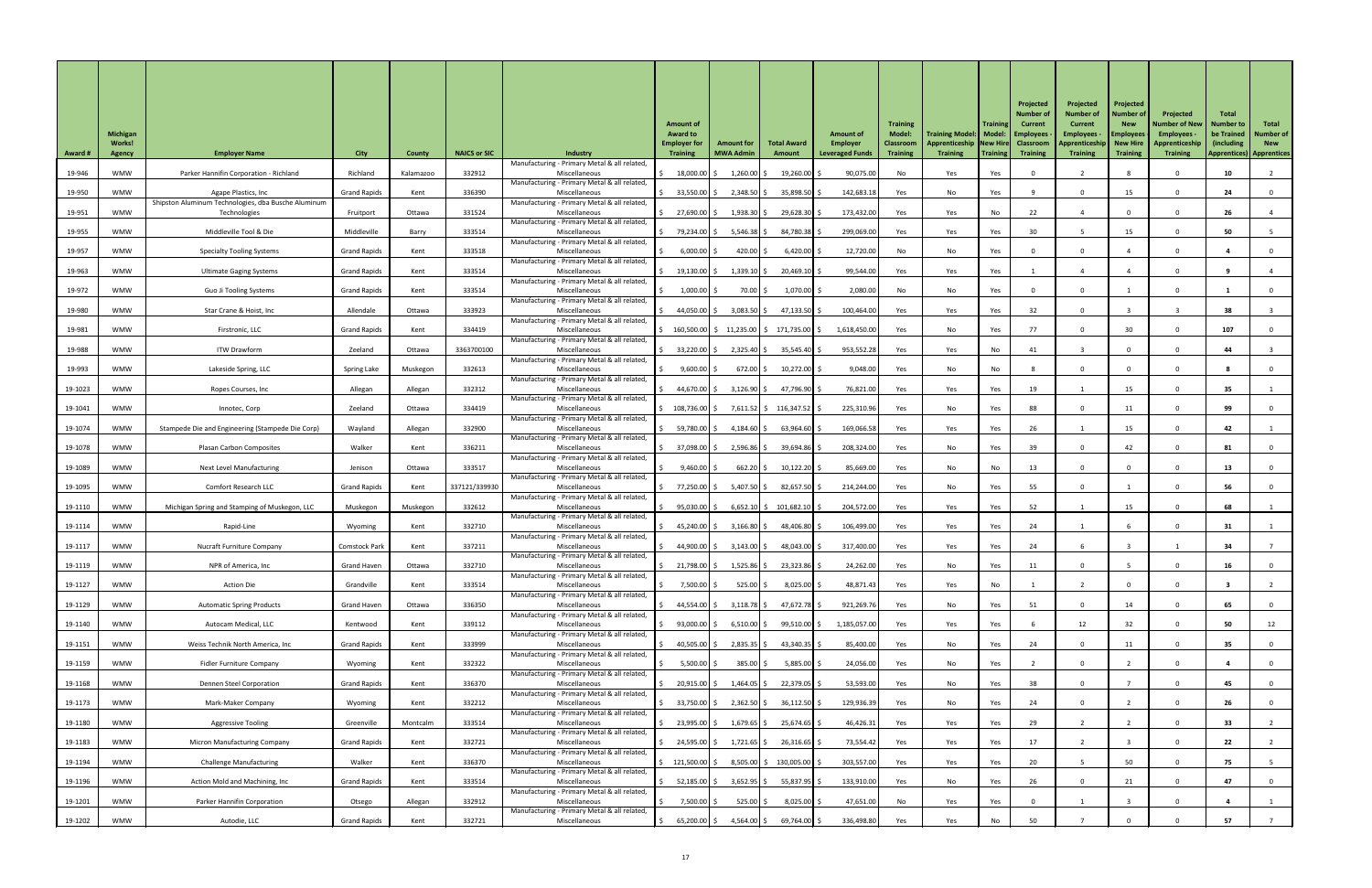|                |                                  |                                                                            |                      |               |                     |                                                                |                                        |                                          |                             |                                     |                                   |                                                                               |                 | Projected                  | Projected                                     | Projected                      |                                   |                           |                                |
|----------------|----------------------------------|----------------------------------------------------------------------------|----------------------|---------------|---------------------|----------------------------------------------------------------|----------------------------------------|------------------------------------------|-----------------------------|-------------------------------------|-----------------------------------|-------------------------------------------------------------------------------|-----------------|----------------------------|-----------------------------------------------|--------------------------------|-----------------------------------|---------------------------|--------------------------------|
|                |                                  |                                                                            |                      |               |                     |                                                                | <b>Amount of</b>                       |                                          |                             |                                     | <b>Training</b>                   |                                                                               | <b>Training</b> | Number o<br><b>Current</b> | <b>Number of</b><br><b>Current</b>            | <b>Number of</b><br><b>New</b> | Projected<br><b>Number of New</b> | Total<br><b>Number to</b> | Total                          |
|                | <b>Michigan</b><br><b>Works!</b> |                                                                            |                      |               |                     |                                                                | <b>Award to</b><br><b>Employer for</b> | <b>Amount for</b>                        | <b>Total Award</b>          | <b>Amount of</b><br><b>Employer</b> | <b>Model:</b><br><b>Classroom</b> | Training Model:   Model:   Employees<br>Apprenticeship   New Hire   Classroom |                 |                            | <b>Employees</b><br>Apprenticeship   New Hire | <b>Employees</b>               | Employees -<br>Apprenticeship     | be Trained<br>(including) | <b>Number of</b><br><b>New</b> |
| <b>Award #</b> | <b>Agency</b>                    | <b>Employer Name</b>                                                       | <b>City</b>          | <b>County</b> | <b>NAICS or SIC</b> | <b>Industry</b><br>Manufacturing - Primary Metal & all related | <b>Training</b>                        | <b>MWA Admin</b>                         | Amount                      | <b>Leveraged Funds</b>              | <b>Training</b>                   | <b>Training</b>                                                               | Training        | <b>Training</b>            | <b>Training</b>                               | <b>Training</b>                | <b>Training</b>                   | <b>Apprentices</b> )      | <b>Apprentices</b>             |
| 19-946         | <b>WMW</b>                       | Parker Hannifin Corporation - Richland                                     | Richland             | Kalamazoo     | 332912              | Miscellaneous<br>Manufacturing - Primary Metal & all related,  | 18,000.00                              | $1,260.00$ \$                            | $19,260.00$ \$              | 90,075.00                           | No                                | Yes                                                                           | Yes             |                            |                                               |                                |                                   | 10                        |                                |
| 19-950         | <b>WMW</b>                       | Agape Plastics, Inc<br>Shipston Aluminum Technologies, dba Busche Aluminum | <b>Grand Rapids</b>  | Kent          | 336390              | Miscellaneous<br>Manufacturing - Primary Metal & all related   | $33,550.00$ \$                         | 2,348.50                                 | 35,898.50 \$                | 142,683.18                          | Yes                               | No                                                                            | Yes             |                            |                                               | 15                             |                                   | 24                        |                                |
| 19-951         | WMW                              | Technologies                                                               | Fruitport            | Ottawa        | 331524              | Miscellaneous<br>Manufacturing - Primary Metal & all related   | 27,690.00 \$                           | 1,938.30 \$                              | 29,628.30 \$                | 173,432.00                          | Yes                               | Yes                                                                           | No              | 22                         |                                               |                                |                                   | 26                        |                                |
| 19-955         | <b>WMW</b>                       | Middleville Tool & Die                                                     | Middleville          | Barry         | 333514              | Miscellaneous<br>Manufacturing - Primary Metal & all related,  | 79,234.00 \$                           | $5,546.38$ \$                            | 84,780.38 \$                | 299,069.00                          | Yes                               | Yes                                                                           | Yes             | 30 <sub>o</sub>            |                                               | 15                             |                                   | 50                        |                                |
| 19-957         | <b>WMW</b>                       | <b>Specialty Tooling Systems</b>                                           | <b>Grand Rapids</b>  | Kent          | 333518              | Miscellaneous<br>Manufacturing - Primary Metal & all related   | $6,000.00$ \$                          | $420.00$ \$                              | $6,420.00$ \$               | 12,720.00                           | No                                | No                                                                            | Yes             |                            |                                               |                                |                                   |                           |                                |
| 19-963         | <b>WMW</b>                       | <b>Ultimate Gaging Systems</b>                                             | <b>Grand Rapids</b>  | Kent          | 333514              | Miscellaneous<br>Manufacturing - Primary Metal & all related   | $19,130.00$ \$                         | $1,339.10$ \$                            | $20,469.10$ \$              | 99,544.00                           | Yes                               | Yes                                                                           | Yes             |                            |                                               |                                |                                   |                           |                                |
| 19-972         | <b>WMW</b>                       | <b>Guo Ji Tooling Systems</b>                                              | <b>Grand Rapids</b>  | Kent          | 333514              | Miscellaneous<br>Manufacturing - Primary Metal & all related   | $1,000.00$ \$                          | 70.00 \$                                 | $1,070.00$ \$               | 2,080.00                            | No                                | No                                                                            | Yes             |                            |                                               |                                |                                   |                           |                                |
| 19-980         | <b>WMW</b>                       | Star Crane & Hoist, Inc                                                    | Allendale            | Ottawa        | 333923              | Miscellaneous<br>Manufacturing - Primary Metal & all related,  | 44,050.00 \$                           | $3,083.50$ \$                            | 47,133.50 \$                | 100,464.00                          | Yes                               | Yes                                                                           | Yes             | 32                         |                                               |                                |                                   | 38                        |                                |
| 19-981         | <b>WMW</b>                       | Firstronic, LLC                                                            | <b>Grand Rapids</b>  | Kent          | 334419              | Miscellaneous<br>Manufacturing - Primary Metal & all related,  |                                        | 160,500.00 \$ 11,235.00 \$ 171,735.00 \$ |                             | 1,618,450.00                        | Yes                               | No                                                                            | Yes             | 77                         |                                               | 30                             |                                   | 107                       |                                |
| 19-988         | <b>WMW</b>                       | <b>ITW Drawform</b>                                                        | Zeeland              | Ottawa        | 3363700100          | Miscellaneous<br>Manufacturing - Primary Metal & all related   | 33,220.00 \$                           | 2,325.40 \$                              | 35,545.40 \$                | 953,552.28                          | Yes                               | Yes                                                                           | No              | 41                         |                                               |                                |                                   | 44                        |                                |
| 19-993         | <b>WMW</b>                       | Lakeside Spring, LLC                                                       | <b>Spring Lake</b>   | Muskegon      | 332613              | Miscellaneous                                                  | 9,600.00                               | $672.00$ \$                              | $10,272.00$ \$              | 9,048.00                            | Yes                               | No                                                                            | No              |                            |                                               |                                |                                   |                           |                                |
| 19-1023        | <b>WMW</b>                       | Ropes Courses, Inc                                                         | Allegan              | Allegan       | 332312              | Manufacturing - Primary Metal & all related<br>Miscellaneous   | 44,670.00 \$                           | $3,126.90$ \$                            | 47,796.90 \$                | 76,821.00                           | Yes                               | Yes                                                                           | Yes             | 19                         |                                               | 15                             |                                   | 35                        |                                |
| 19-1041        | <b>WMW</b>                       | Innotec, Corp                                                              | Zeeland              | Ottawa        | 334419              | Manufacturing - Primary Metal & all related<br>Miscellaneous   | \$108,736.00 \$                        |                                          | 7,611.52 \$116,347.52 \$    | 225,310.96                          | Yes                               | No                                                                            | Yes             | 88                         |                                               |                                |                                   | 99                        |                                |
| 19-1074        | <b>WMW</b>                       | Stampede Die and Engineering (Stampede Die Corp)                           | Wayland              | Allegan       | 332900              | Manufacturing - Primary Metal & all related<br>Miscellaneous   | 59,780.00 \$                           | 4,184.60 \$                              | 63,964.60 \$                | 169,066.58                          | Yes                               | Yes                                                                           | Yes             | 26                         |                                               | 15                             |                                   | 42                        |                                |
| 19-1078        | <b>WMW</b>                       | <b>Plasan Carbon Composites</b>                                            | Walker               | Kent          | 336211              | Manufacturing - Primary Metal & all related<br>Miscellaneous   | 37,098.00 \$                           | $2,596.86$ \$                            | 39,694.86 \$                | 208,324.00                          | Yes                               | No                                                                            | Yes             | 39                         |                                               | 42                             |                                   | 81                        |                                |
| 19-1089        | <b>WMW</b>                       | <b>Next Level Manufacturing</b>                                            | Jenison              | Ottawa        | 333517              | Manufacturing - Primary Metal & all related<br>Miscellaneous   | 9,460.00                               | 662.20 \$                                | $10,122.20$ \$              | 85,669.00                           | Yes                               | No                                                                            | No              | 13                         |                                               |                                |                                   | 13                        |                                |
| 19-1095        | <b>WMW</b>                       | Comfort Research LLC                                                       | <b>Grand Rapids</b>  | Kent          | 337121/339930       | Manufacturing - Primary Metal & all related<br>Miscellaneous   | 77,250.00 \$                           | $5,407.50$ \$                            | $82,657.50$ \$              | 214,244.00                          | Yes                               | No                                                                            | Yes             | 55                         |                                               |                                |                                   | 56                        |                                |
| 19-1110        | <b>WMW</b>                       | Michigan Spring and Stamping of Muskegon, LLC                              | Muskegon             | Muskegon      | 332612              | Manufacturing - Primary Metal & all related<br>Miscellaneous   | $95,030.00$ $\uparrow$                 |                                          | $6,652.10$ \$ 101,682.10 \$ | 204,572.00                          | Yes                               | Yes                                                                           | Yes             | 52                         |                                               | 15 <sub>1</sub>                |                                   | 68                        |                                |
| 19-1114        | <b>WMW</b>                       | Rapid-Line                                                                 | Wyoming              | Kent          | 332710              | Manufacturing - Primary Metal & all related<br>Miscellaneous   | 45,240.00 \$                           | $3,166.80$ \$                            | 48,406.80 \$                | 106,499.00                          | Yes                               | Yes                                                                           | Yes             | 24                         |                                               |                                |                                   | 31                        |                                |
| 19-1117        | <b>WMW</b>                       | <b>Nucraft Furniture Company</b>                                           | <b>Comstock Park</b> | Kent          | 337211              | Manufacturing - Primary Metal & all related<br>Miscellaneous   | 44,900.00 \$                           | $3,143.00$ \$                            | 48,043.00 \$                | 317,400.00                          | Yes                               | Yes                                                                           | Yes             | 24                         |                                               |                                |                                   | 34                        |                                |
| 19-1119        | <b>WMW</b>                       | NPR of America, Inc                                                        | <b>Grand Haven</b>   | Ottawa        | 332710              | Manufacturing - Primary Metal & all related<br>Miscellaneous   | 21,798.00 \$                           | $1,525.86$ \$                            | 23,323.86 \$                | 24,262.00                           | Yes                               | No                                                                            | Yes             | 11                         |                                               |                                |                                   | 16                        |                                |
| 19-1127        | <b>WMW</b>                       | <b>Action Die</b>                                                          | Grandville           | Kent          | 333514              | Manufacturing - Primary Metal & all related<br>Miscellaneous   | 7,500.00 \$                            | $525.00$ \$                              | $8,025.00$ \$               | 48,871.43                           | Yes                               | Yes                                                                           | No              |                            |                                               |                                |                                   |                           |                                |
| 19-1129        | <b>WMW</b>                       | <b>Automatic Spring Products</b>                                           | <b>Grand Haven</b>   | Ottawa        | 336350              | Manufacturing - Primary Metal & all related<br>Miscellaneous   | 44,554.00 \$                           | $3,118.78$ \$                            | 47,672.78 \$                | 921,269.76                          | Yes                               | No                                                                            | Yes             | 51                         |                                               | 14                             |                                   | 65                        |                                |
|                |                                  |                                                                            |                      |               | 339112              | Manufacturing - Primary Metal & all related<br>Miscellaneous   |                                        |                                          |                             |                                     |                                   |                                                                               |                 |                            | 12                                            |                                |                                   |                           |                                |
| 19-1140        | <b>WMW</b>                       | Autocam Medical, LLC                                                       | Kentwood             | Kent          |                     | Manufacturing - Primary Metal & all related                    | 93,000.00 \$                           | $6,510.00$ \$                            | 99,510.00 \$                | 1,185,057.00                        | Yes                               | Yes                                                                           | Yes             |                            |                                               | 32                             |                                   | 50                        | 12                             |
| 19-1151        | <b>WMW</b>                       | Weiss Technik North America, Inc                                           | <b>Grand Rapids</b>  | Kent          | 333999              | Miscellaneous<br>Manufacturing - Primary Metal & all related   | 40,505.00 $\frac{1}{2}$                | $2,835.35$ \$                            | $43,340.35$ \$              | 85,400.00                           | Yes                               | No                                                                            | Yes             | 24                         |                                               |                                |                                   | 35 <sub>2</sub>           |                                |
| 19-1159        | <b>WMW</b>                       | <b>Fidler Furniture Company</b>                                            | Wyoming              | Kent          | 332322              | Miscellaneous<br>Manufacturing - Primary Metal & all related,  | $5,500.00$ \$                          | $385.00$ \$                              | $5,885.00$ \$               | 24,056.00                           | Yes                               | No                                                                            | Yes             |                            |                                               |                                |                                   |                           |                                |
| 19-1168        | <b>WMW</b>                       | <b>Dennen Steel Corporation</b>                                            | <b>Grand Rapids</b>  | Kent          | 336370              | Miscellaneous<br>Manufacturing - Primary Metal & all related   | 20,915.00┃\$                           | $1,464.05$ \$                            | 22,379.05 \$                | 53,593.00                           | Yes                               | No                                                                            | Yes             | 38                         |                                               |                                |                                   | 45                        |                                |
| 19-1173        | <b>WMW</b>                       | Mark-Maker Company                                                         | Wyoming              | Kent          | 332212              | Miscellaneous<br>Manufacturing - Primary Metal & all related   | 33,750.00 \$                           | 2,362.50 \$                              | $36,112.50$ \$              | 129,936.39                          | Yes                               | No                                                                            | Yes             | 24                         |                                               |                                |                                   | 26                        |                                |
| 19-1180        | <b>WMW</b>                       | <b>Aggressive Tooling</b>                                                  | Greenville           | Montcalm      | 333514              | Miscellaneous<br>Manufacturing - Primary Metal & all related,  | 23,995.00 \$                           | 1,679.65 \$                              | 25,674.65 \$                | 46,426.31                           | Yes                               | Yes                                                                           | Yes             | 29                         |                                               |                                |                                   | 33                        |                                |
| 19-1183        | <b>WMW</b>                       | <b>Micron Manufacturing Company</b>                                        | <b>Grand Rapids</b>  | Kent          | 332721              | Miscellaneous<br>Manufacturing - Primary Metal & all related,  | 24,595.00 \$                           | $1,721.65$ \$                            | 26,316.65 \$                | 73,554.42                           | Yes                               | Yes                                                                           | Yes             | 17                         |                                               |                                |                                   | 22                        |                                |
| 19-1194        | <b>WMW</b>                       | <b>Challenge Manufacturing</b>                                             | Walker               | Kent          | 336370              | Miscellaneous<br>Manufacturing - Primary Metal & all related   | $\frac{121,500.00}{5}$                 |                                          | 8,505.00 \$ 130,005.00 \$   | 303,557.00                          | Yes                               | Yes                                                                           | Yes             | 20                         |                                               | 50                             |                                   | 75                        |                                |
| 19-1196        | <b>WMW</b>                       | Action Mold and Machining, Inc                                             | <b>Grand Rapids</b>  | Kent          | 333514              | Miscellaneous<br>Manufacturing - Primary Metal & all related,  | 52,185.00 \$                           | $3,652.95$ \$                            | 55,837.95 \$                | 133,910.00                          | Yes                               | No                                                                            | Yes             | 26                         |                                               | 21                             |                                   | 47                        |                                |
| 19-1201        | <b>WMW</b>                       | Parker Hannifin Corporation                                                | Otsego               | Allegan       | 332912              | Miscellaneous<br>Manufacturing - Primary Metal & all related,  | 7,500.00 \$                            | 525.00 \$                                | $8,025.00$ \$               | 47,651.00                           | No                                | Yes                                                                           | Yes             |                            |                                               |                                |                                   |                           |                                |
| 19-1202        | WMW                              | Autodie, LLC                                                               | <b>Grand Rapids</b>  | Kent          | 332721              | Miscellaneous                                                  |                                        | 65,200.00 \$4,564.00 \$                  | 69,764.00 \$                | 336,498.80                          | Yes                               | Yes                                                                           | No              | 50                         |                                               |                                |                                   | 57                        |                                |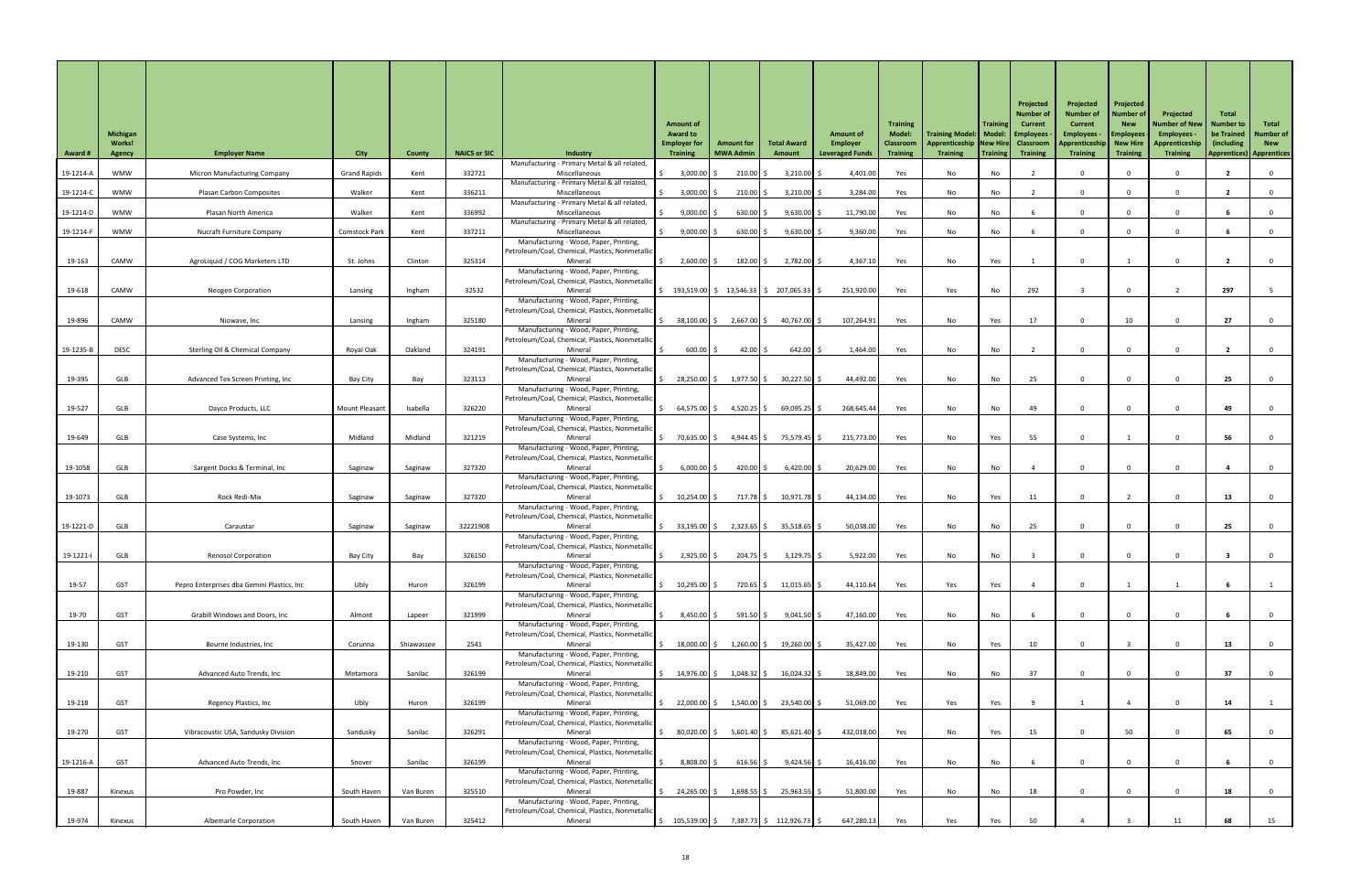| <b>Award #</b> | Michigan<br><b>Works!</b><br>Agency | <b>Employer Name</b>                        | <b>City</b>           | <b>County</b> | <b>NAICS or SIC</b> | <b>Industry</b><br>Manufacturing - Primary Metal & all related,                            | <b>Amount of</b><br><b>Award to</b><br><b>Employer for</b><br><b>Training</b> | <b>Amount for</b><br><b>MWA Admin</b> | <b>Total Award</b><br>Amount                                                            | <b>Amount of</b><br>Employer<br><b>Leveraged Funds</b> | <b>Training</b><br><b>Model:</b><br>Classroom<br><b>Training</b> | Training Model:   Model:   Employees<br>Apprenticeship   New Hire   Classroom<br><b>Training</b> | <b>Training</b><br>Training | Projected<br>Number o<br><b>Current</b><br><b>Training</b> | Projected<br><b>Number of</b><br><b>Current</b><br><b>Employees -</b><br>Apprenticeship<br><b>Training</b> | Projected<br><b>Number of</b><br><b>New</b><br><b>Employees</b><br><b>New Hire</b><br><b>Training</b> | Projected<br>Number of New<br><b>Employees</b><br>Apprenticeshi<br><b>Training</b> | <b>Total</b><br><b>Number to</b><br>be Trained<br>(including)<br><b>Apprentices) Apprentices</b> | Total<br>Number of<br><b>New</b> |
|----------------|-------------------------------------|---------------------------------------------|-----------------------|---------------|---------------------|--------------------------------------------------------------------------------------------|-------------------------------------------------------------------------------|---------------------------------------|-----------------------------------------------------------------------------------------|--------------------------------------------------------|------------------------------------------------------------------|--------------------------------------------------------------------------------------------------|-----------------------------|------------------------------------------------------------|------------------------------------------------------------------------------------------------------------|-------------------------------------------------------------------------------------------------------|------------------------------------------------------------------------------------|--------------------------------------------------------------------------------------------------|----------------------------------|
| 19-1214-A      | WMW                                 | <b>Micron Manufacturing Company</b>         | <b>Grand Rapids</b>   | Kent          | 332721              | Miscellaneous                                                                              | 3,000.00                                                                      | $210.00$ \$                           | $3,210.00$ \$                                                                           | 4,401.00                                               | Yes                                                              | No                                                                                               | No                          |                                                            | $\Omega$                                                                                                   |                                                                                                       |                                                                                    |                                                                                                  |                                  |
| 19-1214-C      | WMW                                 | Plasan Carbon Composites                    | Walker                | Kent          | 336211              | Manufacturing - Primary Metal & all related,<br>Miscellaneous                              | 3,000.00                                                                      | $210.00$ \$                           | $3,210.00$ \$                                                                           | 3,284.00                                               | Yes                                                              | No                                                                                               | No                          |                                                            | $\Omega$                                                                                                   |                                                                                                       |                                                                                    |                                                                                                  |                                  |
| 19-1214-D      | WMW                                 | Plasan North America                        | Walker                | Kent          | 336992              | Manufacturing - Primary Metal & all related,<br>Miscellaneous                              | 9,000.00                                                                      | 630.00 \$                             | $9,630.00$ \$                                                                           | 11,790.00                                              | Yes                                                              | No                                                                                               | No                          |                                                            | $\mathbf 0$                                                                                                |                                                                                                       |                                                                                    |                                                                                                  |                                  |
| 19-1214-F      | <b>WMW</b>                          | <b>Nucraft Furniture Company</b>            | <b>Comstock Park</b>  | Kent          | 337211              | Manufacturing - Primary Metal & all related,<br>Miscellaneous                              | 9,000.00                                                                      | $630.00$ \$                           | $9,630.00$ \$                                                                           | 9,360.00                                               | Yes                                                              | No                                                                                               | No                          |                                                            | $\Omega$                                                                                                   |                                                                                                       |                                                                                    |                                                                                                  |                                  |
|                |                                     |                                             |                       |               |                     | Manufacturing - Wood, Paper, Printing,                                                     |                                                                               |                                       |                                                                                         |                                                        |                                                                  |                                                                                                  |                             |                                                            |                                                                                                            |                                                                                                       |                                                                                    |                                                                                                  |                                  |
| 19-163         | CAMW                                | AgroLiquid / COG Marketers LTD              | St. Johns             | Clinton       | 325314              | Petroleum/Coal, Chemical, Plastics, Nonmetallic<br>Mineral                                 | $2,600.00$ \$                                                                 | 182.00 \$                             | $2,782.00$ \$                                                                           | 4,367.10                                               | Yes                                                              | No                                                                                               | Yes                         |                                                            | $\Omega$                                                                                                   |                                                                                                       |                                                                                    |                                                                                                  |                                  |
|                |                                     |                                             |                       |               |                     | Manufacturing - Wood, Paper, Printing,<br>Petroleum/Coal, Chemical, Plastics, Nonmetallic  |                                                                               |                                       |                                                                                         |                                                        |                                                                  |                                                                                                  |                             |                                                            |                                                                                                            |                                                                                                       |                                                                                    |                                                                                                  |                                  |
| 19-618         | CAMW                                | <b>Neogen Corporation</b>                   | Lansing               | Ingham        | 32532               | Mineral<br>Manufacturing - Wood, Paper, Printing,                                          |                                                                               |                                       | $\frac{1}{2}$ 193,519.00 $\frac{1}{2}$ 13,546.33 $\frac{1}{2}$ 207,065.33 $\frac{1}{2}$ | 251,920.00                                             | Yes                                                              | Yes                                                                                              | No                          | 292                                                        |                                                                                                            |                                                                                                       |                                                                                    | 297                                                                                              |                                  |
|                | CAMW                                |                                             |                       |               | 325180              | Petroleum/Coal, Chemical, Plastics, Nonmetallic<br>Mineral                                 |                                                                               |                                       |                                                                                         | 107,264.91                                             |                                                                  |                                                                                                  |                             | 17                                                         | $\Omega$                                                                                                   |                                                                                                       |                                                                                    | 27                                                                                               |                                  |
| 19-896         |                                     | Niowave, Inc                                | Lansing               | Ingham        |                     | Manufacturing - Wood, Paper, Printing,                                                     | 38,100.00 \$                                                                  | 2,667.00 \$                           | 40,767.00 \$                                                                            |                                                        | Yes                                                              | No                                                                                               | Yes                         |                                                            |                                                                                                            | 10                                                                                                    |                                                                                    |                                                                                                  |                                  |
| 19-1235-B      | <b>DESC</b>                         | <b>Sterling Oil &amp; Chemical Company</b>  | Royal Oak             | Oakland       | 324191              | Petroleum/Coal, Chemical, Plastics, Nonmetallic<br>Mineral                                 | 600.00                                                                        | 42.00 \$                              | $642.00$ \$                                                                             | 1,464.00                                               | Yes                                                              | No                                                                                               | No                          |                                                            | $\Omega$                                                                                                   |                                                                                                       |                                                                                    |                                                                                                  |                                  |
|                |                                     |                                             |                       |               |                     | Manufacturing - Wood, Paper, Printing,<br>Petroleum/Coal, Chemical, Plastics, Nonmetallic  |                                                                               |                                       |                                                                                         |                                                        |                                                                  |                                                                                                  |                             |                                                            |                                                                                                            |                                                                                                       |                                                                                    |                                                                                                  |                                  |
| 19-395         | GLB                                 | Advanced Tex Screen Printing, Inc           | Bay City              | Bay           | 323113              | Mineral<br>Manufacturing - Wood, Paper, Printing,                                          | 28,250.00 \$                                                                  |                                       | $1,977.50$ \$ 30,227.50 \$                                                              | 44,492.00                                              | Yes                                                              | No                                                                                               | No                          | 25                                                         | $\Omega$                                                                                                   |                                                                                                       |                                                                                    | 25                                                                                               |                                  |
|                |                                     |                                             |                       |               |                     | Petroleum/Coal, Chemical, Plastics, Nonmetallic                                            |                                                                               |                                       |                                                                                         |                                                        |                                                                  |                                                                                                  |                             |                                                            |                                                                                                            |                                                                                                       |                                                                                    |                                                                                                  |                                  |
| 19-527         | GLB                                 | Dayco Products, LLC                         | <b>Mount Pleasant</b> | Isabella      | 326220              | Mineral<br>Manufacturing - Wood, Paper, Printing,                                          | 64,575.00 \$                                                                  | $4,520.25$ \$                         | $69,095.25$ \$                                                                          | 268,645.44                                             | Yes                                                              | No                                                                                               | No                          | 49                                                         | $\Omega$                                                                                                   |                                                                                                       |                                                                                    | 49                                                                                               |                                  |
| 19-649         | GLB                                 | Case Systems, Inc                           | Midland               | Midland       | 321219              | Petroleum/Coal, Chemical, Plastics, Nonmetallic<br>Mineral                                 | 70,635.00 \$                                                                  | 4,944.45 \$                           | 75,579.45 \$                                                                            | 215,773.00                                             | Yes                                                              | No                                                                                               | Yes                         | 55                                                         | $\mathbf 0$                                                                                                |                                                                                                       |                                                                                    | 56                                                                                               |                                  |
|                |                                     |                                             |                       |               |                     | Manufacturing - Wood, Paper, Printing,<br>Petroleum/Coal, Chemical, Plastics, Nonmetallic  |                                                                               |                                       |                                                                                         |                                                        |                                                                  |                                                                                                  |                             |                                                            |                                                                                                            |                                                                                                       |                                                                                    |                                                                                                  |                                  |
| 19-1058        | GLB                                 | Sargent Docks & Terminal, Inc               | Saginaw               | Saginaw       | 327320              | Mineral                                                                                    | $6,000.00$ :                                                                  | 420.00 $\vert$ \$                     | $6,420.00$ \$                                                                           | 20,629.00                                              | Yes                                                              | No                                                                                               | No                          |                                                            | $\Omega$                                                                                                   |                                                                                                       |                                                                                    |                                                                                                  |                                  |
|                |                                     |                                             |                       |               |                     | Manufacturing - Wood, Paper, Printing,<br>Petroleum/Coal, Chemical, Plastics, Nonmetallic  |                                                                               |                                       |                                                                                         |                                                        |                                                                  |                                                                                                  |                             |                                                            |                                                                                                            |                                                                                                       |                                                                                    |                                                                                                  |                                  |
| 19-1073        | GLB                                 | Rock Redi-Mix                               | Saginaw               | Saginaw       | 327320              | Mineral<br>Manufacturing - Wood, Paper, Printing,                                          | $10,254.00$ :                                                                 | 717.78 \$                             | 10,971.78 \$                                                                            | 44,134.00                                              | Yes                                                              | No                                                                                               | Yes                         | 11                                                         | $\Omega$                                                                                                   |                                                                                                       |                                                                                    | 13                                                                                               |                                  |
| 19-1221-D      | GLB                                 | Caraustar                                   | Saginaw               | Saginaw       | 32221908            | Petroleum/Coal, Chemical, Plastics, Nonmetallio<br>Mineral                                 | 33,195.00 \$                                                                  |                                       | $2,323.65$   \$ 35,518.65   \$                                                          | 50,038.00                                              | Yes                                                              | No                                                                                               | No                          | 25                                                         | $\Omega$                                                                                                   |                                                                                                       |                                                                                    | 25                                                                                               |                                  |
|                |                                     |                                             |                       |               |                     | Manufacturing - Wood, Paper, Printing,                                                     |                                                                               |                                       |                                                                                         |                                                        |                                                                  |                                                                                                  |                             |                                                            |                                                                                                            |                                                                                                       |                                                                                    |                                                                                                  |                                  |
| 19-1221-l      | GLB                                 | <b>Renosol Corporation</b>                  | Bay City              | Bay           | 326150              | Petroleum/Coal, Chemical, Plastics, Nonmetallid<br>Mineral                                 | 2,925.00                                                                      | $204.75$ \$                           | $3,129.75$ \$                                                                           | 5,922.00                                               | Yes                                                              | No                                                                                               | No                          |                                                            | $\Omega$                                                                                                   |                                                                                                       |                                                                                    |                                                                                                  |                                  |
|                |                                     |                                             |                       |               |                     | Manufacturing - Wood, Paper, Printing,<br>Petroleum/Coal, Chemical, Plastics, Nonmetallion |                                                                               |                                       |                                                                                         |                                                        |                                                                  |                                                                                                  |                             |                                                            |                                                                                                            |                                                                                                       |                                                                                    |                                                                                                  |                                  |
| 19-57          | <b>GST</b>                          | Pepro Enterprises dba Gemini Plastics, Inc. | Ubly                  | Huron         | 326199              | Mineral<br>Manufacturing - Wood, Paper, Printing,                                          | $10,295.00$ :                                                                 | $720.65$ \$                           | $11,015.65$ \$                                                                          | 44,110.64                                              | Yes                                                              | Yes                                                                                              | Yes                         |                                                            | $\Omega$                                                                                                   |                                                                                                       |                                                                                    |                                                                                                  |                                  |
| 19-70          | <b>GST</b>                          | <b>Grabill Windows and Doors, Inc</b>       | Almont                |               | 321999              | Petroleum/Coal, Chemical, Plastics, Nonmetallid<br>Mineral                                 | $8,450.00$ :                                                                  | $591.50$ \$                           | $9,041.50$ \$                                                                           | 47,160.00                                              |                                                                  | No                                                                                               |                             |                                                            | $\Omega$                                                                                                   |                                                                                                       |                                                                                    |                                                                                                  |                                  |
|                |                                     |                                             |                       | Lapeer        |                     | Manufacturing - Wood, Paper, Printing,                                                     |                                                                               |                                       |                                                                                         |                                                        | Yes                                                              |                                                                                                  | No                          |                                                            |                                                                                                            |                                                                                                       |                                                                                    |                                                                                                  |                                  |
| 19-130         | <b>GST</b>                          | Bourne Industries, Inc                      | Corunna               | Shiawassee    | 2541                | Petroleum/Coal, Chemical, Plastics, Nonmetallic<br>Mineral                                 | 18,000.00 \$                                                                  | $1,260.00$ \$                         | $19,260.00$ \$                                                                          | 35,427.00                                              | Yes                                                              | No                                                                                               | Yes                         | 10                                                         | $\Omega$                                                                                                   |                                                                                                       |                                                                                    | 13                                                                                               |                                  |
|                |                                     |                                             |                       |               |                     | Manufacturing - Wood, Paper, Printing,<br>Petroleum/Coal, Chemical, Plastics, Nonmetallic  |                                                                               |                                       |                                                                                         |                                                        |                                                                  |                                                                                                  |                             |                                                            |                                                                                                            |                                                                                                       |                                                                                    |                                                                                                  |                                  |
| 19-210         | GST                                 | Advanced Auto Trends, Inc                   | Metamora              | Sanilac       | 326199              | Mineral<br>Manufacturing - Wood, Paper, Printing,                                          | 14,976.00│ \$                                                                 | 1,048.32   \$                         | 16,024.32   \$                                                                          | 18,849.00                                              | Yes                                                              | No                                                                                               | No                          | 37                                                         |                                                                                                            |                                                                                                       |                                                                                    | 37                                                                                               |                                  |
|                |                                     |                                             |                       |               |                     | Petroleum/Coal, Chemical, Plastics, Nonmetallion                                           |                                                                               |                                       |                                                                                         |                                                        |                                                                  |                                                                                                  |                             |                                                            |                                                                                                            |                                                                                                       |                                                                                    |                                                                                                  |                                  |
| 19-218         | GST                                 | Regency Plastics, Inc                       | Ubly                  | Huron         | 326199              | Mineral<br>Manufacturing - Wood, Paper, Printing,                                          | 22,000.00 \$                                                                  |                                       | $1,540.00$ \$ 23,540.00 \$                                                              | 51,069.00                                              | Yes                                                              | Yes                                                                                              | Yes                         |                                                            |                                                                                                            |                                                                                                       |                                                                                    | 14                                                                                               |                                  |
| 19-270         | <b>GST</b>                          | Vibracoustic USA, Sandusky Division         | Sandusky              | Sanilac       | 326291              | Petroleum/Coal, Chemical, Plastics, Nonmetallic<br>Mineral                                 | 80,020.00 \$                                                                  | $5,601.40$ \$                         | 85,621.40 \$                                                                            | 432,018.00                                             | Yes                                                              | No                                                                                               | Yes                         | 15                                                         | $\Omega$                                                                                                   | 50                                                                                                    |                                                                                    | 65                                                                                               | - 0                              |
|                |                                     |                                             |                       |               |                     | Manufacturing - Wood, Paper, Printing,<br>Petroleum/Coal, Chemical, Plastics, Nonmetallic  |                                                                               |                                       |                                                                                         |                                                        |                                                                  |                                                                                                  |                             |                                                            |                                                                                                            |                                                                                                       |                                                                                    |                                                                                                  |                                  |
| 19-1216-A      | <b>GST</b>                          | Advanced Auto Trends, Inc                   | Snover                | Sanilac       | 326199              | Mineral                                                                                    | 8,808.00 \$                                                                   | $616.56$ \$                           | $9,424.56$ \$                                                                           | 16,416.00                                              | Yes                                                              | No                                                                                               | No                          |                                                            | $\mathbf 0$                                                                                                |                                                                                                       |                                                                                    |                                                                                                  |                                  |
|                |                                     |                                             |                       |               |                     | Manufacturing - Wood, Paper, Printing,<br>Petroleum/Coal, Chemical, Plastics, Nonmetallion |                                                                               |                                       |                                                                                         |                                                        |                                                                  |                                                                                                  |                             |                                                            |                                                                                                            |                                                                                                       |                                                                                    |                                                                                                  |                                  |
| 19-887         | Kinexus                             | Pro Powder, Inc                             | South Haven           | Van Buren     | 325510              | Mineral<br>Manufacturing - Wood, Paper, Printing,                                          | 24,265.00 \$                                                                  | 1,698.55   \$                         | $25,963.55$ \$                                                                          | 51,800.00                                              | Yes                                                              | No                                                                                               | No                          | 18                                                         | $\Omega$                                                                                                   |                                                                                                       |                                                                                    | 18                                                                                               |                                  |
| 19-974         | Kinexus                             | <b>Albemarle Corporation</b>                | South Haven           | Van Buren     | 325412              | Petroleum/Coal, Chemical, Plastics, Nonmetallic<br>Mineral                                 | $\frac{105,539.00}{5}$                                                        |                                       | 7,387.73 \$112,926.73 \$                                                                | 647,280.13                                             | Yes                                                              | Yes                                                                                              | Yes                         | 50                                                         |                                                                                                            |                                                                                                       | 11                                                                                 | 68                                                                                               | 15                               |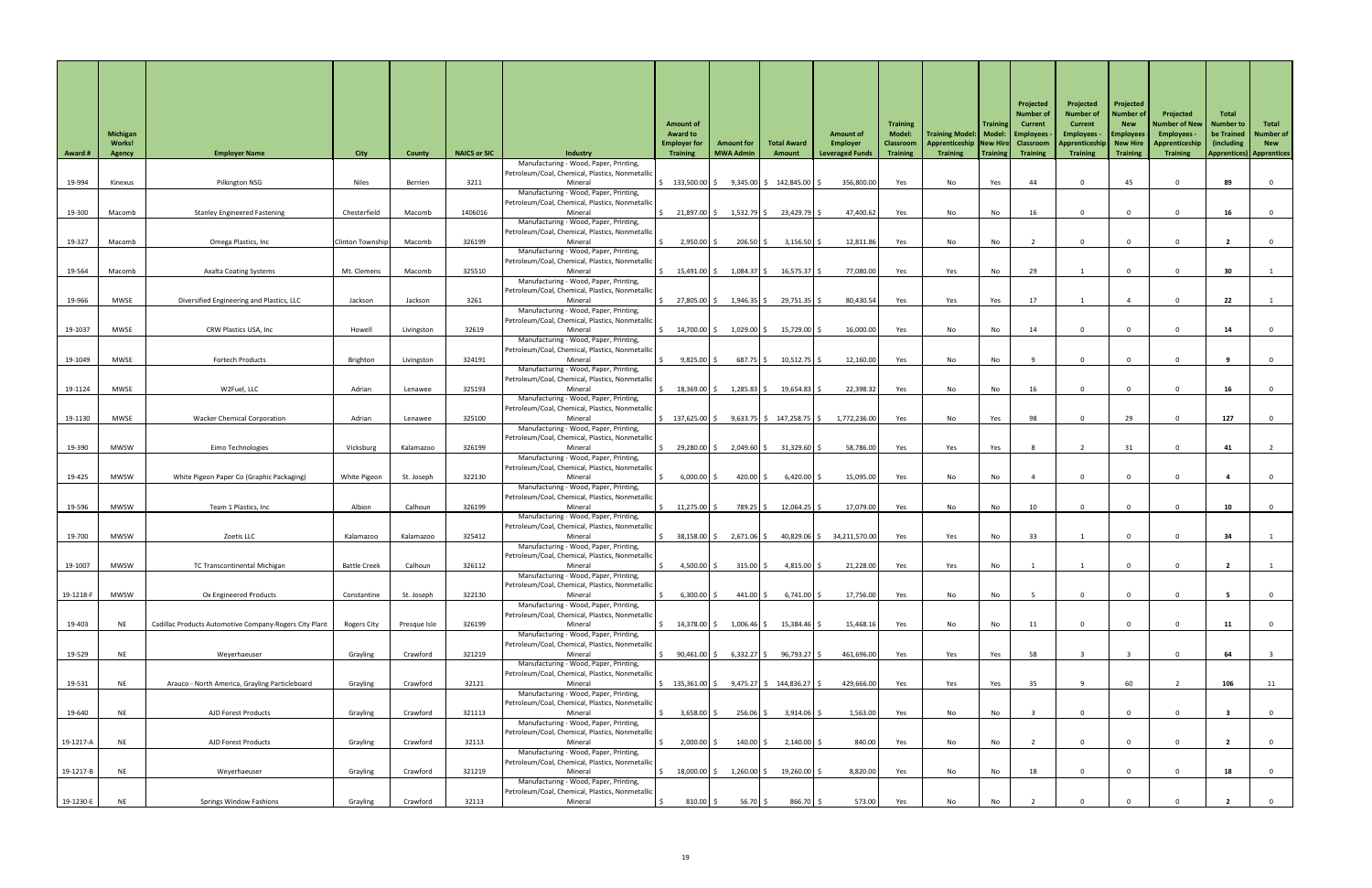| <b>Award #</b> | <b>Michigan</b><br><b>Works!</b><br><b>Agency</b> | <b>Employer Name</b>                                   | <b>City</b>             | <b>County</b> | <b>NAICS or SIC</b> | Industry<br>Manufacturing - Wood, Paper, Printing,                                                   | <b>Amount of</b><br><b>Award to</b><br><b>Employer for</b><br><b>Training</b> | <b>Amount for</b><br><b>MWA Admin</b> | <b>Total Award</b><br>Amount | <b>Amount of</b><br>Employer<br><b>Leveraged Funds</b> | <b>Training</b><br><b>Model:</b><br>Classroom<br><b>Training</b> | Training Model:   Model:   Employees<br><b>Apprenticeship New Hire</b><br><b>Training</b> | <b>Training</b><br>Training | Projected<br>Number o<br><b>Current</b><br><b>Classroom</b><br><b>Training</b> | Projected<br><b>Number of</b><br><b>Current</b><br><b>Employees</b> -<br>Apprenticeship<br><b>Training</b> | Projected<br><b>Number of</b><br><b>New</b><br><b>Employees</b><br>New Hire<br><b>Training</b> | Projected<br>Number of New  <br><b>Employees</b><br>Apprenticeship<br><b>Training</b> | <b>Total</b><br><b>Number to</b><br>be Trained<br>(including) | Total<br>Number of<br><b>New</b><br><b>Apprentices) Apprentices</b> |
|----------------|---------------------------------------------------|--------------------------------------------------------|-------------------------|---------------|---------------------|------------------------------------------------------------------------------------------------------|-------------------------------------------------------------------------------|---------------------------------------|------------------------------|--------------------------------------------------------|------------------------------------------------------------------|-------------------------------------------------------------------------------------------|-----------------------------|--------------------------------------------------------------------------------|------------------------------------------------------------------------------------------------------------|------------------------------------------------------------------------------------------------|---------------------------------------------------------------------------------------|---------------------------------------------------------------|---------------------------------------------------------------------|
| 19-994         | Kinexus                                           | Pilkington NSG                                         | <b>Niles</b>            | Berrien       | 3211                | Petroleum/Coal, Chemical, Plastics, Nonmetallio<br>Mineral                                           | $\frac{133,500.00}{5}$                                                        |                                       | $9,345.00$ \$ 142,845.00 \.  | 356,800.00                                             | Yes                                                              | No                                                                                        | Yes                         | 44                                                                             | $\mathbf{0}$                                                                                               | 45                                                                                             |                                                                                       | 89                                                            |                                                                     |
| 19-300         | Macomb                                            | <b>Stanley Engineered Fastening</b>                    | Chesterfield            | Macomb        | 1406016             | Manufacturing - Wood, Paper, Printing,<br>Petroleum/Coal, Chemical, Plastics, Nonmetallic<br>Mineral | 21,897.00 \$                                                                  | $1,532.79$ \$                         | 23,429.79                    | 47,400.62                                              | Yes                                                              | No                                                                                        | No                          | 16                                                                             |                                                                                                            |                                                                                                |                                                                                       |                                                               |                                                                     |
| 19-327         | Macomb                                            | Omega Plastics, Inc                                    | <b>Clinton Township</b> | Macomb        | 326199              | Manufacturing - Wood, Paper, Printing,<br>Petroleum/Coal, Chemical, Plastics, Nonmetallid<br>Mineral | 2,950.00                                                                      | $206.50$ \$                           | $3,156.50$ \$                | 12,811.86                                              | Yes                                                              | No                                                                                        | No                          |                                                                                | $\overline{0}$                                                                                             |                                                                                                |                                                                                       |                                                               |                                                                     |
| 19-564         | Macomb                                            | <b>Axalta Coating Systems</b>                          | Mt. Clemens             | Macomb        | 325510              | Manufacturing - Wood, Paper, Printing,<br>Petroleum/Coal, Chemical, Plastics, Nonmetallic<br>Mineral | $15,491.00$ \$                                                                | $1,084.37$ \$                         | $16,575.37$ \$               | 77,080.00                                              | Yes                                                              | Yes                                                                                       | No                          | 29                                                                             |                                                                                                            |                                                                                                |                                                                                       | 30                                                            |                                                                     |
| 19-966         | <b>MWSE</b>                                       | Diversified Engineering and Plastics, LLC              | Jackson                 | Jackson       | 3261                | Manufacturing - Wood, Paper, Printing,<br>Petroleum/Coal, Chemical, Plastics, Nonmetallic<br>Mineral | 27,805.00 \$                                                                  | $1,946.35$ \$                         | 29,751.35 \$                 | 80,430.54                                              | Yes                                                              | Yes                                                                                       | Yes                         | 17                                                                             |                                                                                                            |                                                                                                |                                                                                       | 22                                                            |                                                                     |
| 19-1037        | MWSE                                              | CRW Plastics USA, Inc                                  | Howell                  | Livingston    | 32619               | Manufacturing - Wood, Paper, Printing,<br>Petroleum/Coal, Chemical, Plastics, Nonmetallic<br>Mineral | 14,700.00 \$                                                                  | 1,029.00 \$                           | 15,729.00                    | 16,000.00                                              | Yes                                                              | No                                                                                        | No                          | 14                                                                             | $\Omega$                                                                                                   |                                                                                                |                                                                                       | 14                                                            |                                                                     |
|                |                                                   |                                                        |                         |               |                     | Manufacturing - Wood, Paper, Printing,<br>Petroleum/Coal, Chemical, Plastics, Nonmetallid            |                                                                               |                                       |                              |                                                        |                                                                  |                                                                                           |                             |                                                                                |                                                                                                            |                                                                                                |                                                                                       |                                                               |                                                                     |
| 19-1049        | <b>MWSE</b>                                       | <b>Fortech Products</b>                                | Brighton                | Livingston    | 324191              | Mineral<br>Manufacturing - Wood, Paper, Printing,<br>Petroleum/Coal, Chemical, Plastics, Nonmetallic | $9,825.00$ \$                                                                 | $687.75$ \$                           | $10,512.75$ \$               | 12,160.00                                              | Yes                                                              | No                                                                                        | No                          |                                                                                |                                                                                                            |                                                                                                |                                                                                       |                                                               |                                                                     |
| 19-1124        | <b>MWSE</b>                                       | W2Fuel, LLC                                            | Adrian                  | Lenawee       | 325193              | Mineral<br>Manufacturing - Wood, Paper, Printing,<br>Petroleum/Coal, Chemical, Plastics, Nonmetallic | $18,369.00$ \$                                                                | $1,285.83$ \$                         | $19,654.83$ \$               | 22,398.32                                              | Yes                                                              | No                                                                                        | No                          | 16                                                                             |                                                                                                            |                                                                                                |                                                                                       | 16                                                            |                                                                     |
| 19-1130        | MWSE                                              | <b>Wacker Chemical Corporation</b>                     | Adrian                  | Lenawee       | 325100              | Mineral<br>Manufacturing - Wood, Paper, Printing,<br>Petroleum/Coal, Chemical, Plastics, Nonmetallic | $\frac{137,625.00}{\sqrt{2}}$                                                 |                                       | $9,633.75$ \$ 147,258.75 \$  | 1,772,236.00                                           | Yes                                                              | No                                                                                        | Yes                         | 98                                                                             | $\Omega$                                                                                                   | 29                                                                                             |                                                                                       | 127                                                           |                                                                     |
| 19-390         | <b>MWSW</b>                                       | Eimo Technologies                                      | Vicksburg               | Kalamazoo     | 326199              | Mineral<br>Manufacturing - Wood, Paper, Printing,<br>Petroleum/Coal, Chemical, Plastics, Nonmetallic | 29,280.00 \$                                                                  | $2,049.60$ \$                         | $31,329.60$ \$               | 58,786.00                                              | Yes                                                              | Yes                                                                                       | Yes                         |                                                                                |                                                                                                            | 31                                                                                             |                                                                                       | 41                                                            |                                                                     |
| 19-425         | <b>MWSW</b>                                       | White Pigeon Paper Co (Graphic Packaging)              | White Pigeon            | St. Joseph    | 322130              | Mineral<br>Manufacturing - Wood, Paper, Printing,<br>Petroleum/Coal, Chemical, Plastics, Nonmetallic | $6,000.00$ \$                                                                 | $420.00$ \$                           | $6,420.00$ \$                | 15,095.00                                              | Yes                                                              | No                                                                                        | No                          |                                                                                | $\Omega$                                                                                                   |                                                                                                |                                                                                       |                                                               |                                                                     |
| 19-596         | <b>MWSW</b>                                       | Team 1 Plastics, Inc                                   | Albion                  | Calhoun       | 326199              | Mineral<br>Manufacturing - Wood, Paper, Printing,                                                    | 11,275.00                                                                     | 789.25 \$                             | $12,064.25$ \$               | 17,079.00                                              | Yes                                                              | No                                                                                        | No                          | 10                                                                             | $\Omega$                                                                                                   |                                                                                                |                                                                                       | 10                                                            |                                                                     |
| 19-700         | <b>MWSW</b>                                       | Zoetis LLC                                             | Kalamazoo               | Kalamazoo     | 325412              | Petroleum/Coal, Chemical, Plastics, Nonmetallic<br>Mineral<br>Manufacturing - Wood, Paper, Printing, | $38,158.00$ \$                                                                | $2,671.06$ \$                         |                              | 40,829.06 \$ 34,211,570.00                             | Yes                                                              | Yes                                                                                       | No                          | 33                                                                             |                                                                                                            |                                                                                                |                                                                                       | 34                                                            |                                                                     |
| 19-1007        | <b>MWSW</b>                                       | TC Transcontinental Michigan                           | <b>Battle Creek</b>     | Calhoun       | 326112              | Petroleum/Coal, Chemical, Plastics, Nonmetallic<br>Mineral<br>Manufacturing - Wood, Paper, Printing, | 4,500.00 \$                                                                   | $315.00$ \$                           | $4,815.00$ \$                | 21,228.00                                              | Yes                                                              | Yes                                                                                       | No                          |                                                                                |                                                                                                            |                                                                                                |                                                                                       |                                                               |                                                                     |
| 19-1218-F      | <b>MWSW</b>                                       | Ox Engineered Products                                 | Constantine             | St. Joseph    | 322130              | Petroleum/Coal, Chemical, Plastics, Nonmetallic<br>Mineral<br>Manufacturing - Wood, Paper, Printing, | $6,300.00$ \$                                                                 | $441.00$ \$                           | $6,741.00$ \$                | 17,756.00                                              | Yes                                                              | No                                                                                        | No                          |                                                                                | $\Omega$                                                                                                   |                                                                                                |                                                                                       |                                                               |                                                                     |
| 19-403         | <b>NF</b>                                         | Cadillac Products Automotive Company-Rogers City Plant | <b>Rogers City</b>      | Presque Isle  | 326199              | Petroleum/Coal, Chemical, Plastics, Nonmetallic<br>Mineral<br>Manufacturing - Wood, Paper, Printing, | 14,378.00 \$                                                                  | $1,006.46$ \$                         | 15,384.46 \$                 | 15,468.16                                              | Yes                                                              | No                                                                                        | No                          | 11                                                                             | $\Omega$                                                                                                   |                                                                                                |                                                                                       | 11                                                            |                                                                     |
| 19-529         | <b>NE</b>                                         | Weyerhaeuser                                           | Grayling                | Crawford      | 321219              | Petroleum/Coal, Chemical, Plastics, Nonmetallic<br>Mineral<br>Manufacturing - Wood, Paper, Printing, | 90,461.00 \$                                                                  | $6,332.27$ \$                         | 96,793.27 \$                 | 461,696.00                                             | Yes                                                              | Yes                                                                                       | Yes                         | 58                                                                             |                                                                                                            |                                                                                                |                                                                                       | 64                                                            |                                                                     |
| 19-531         | <b>NE</b>                                         | Arauco - North America, Grayling Particleboard         | Grayling                | Crawford      | 32121               | Petroleum/Coal, Chemical, Plastics, Nonmetallic<br>Mineral                                           | 135,361.00 \$                                                                 |                                       | $9,475.27$ \$ 144,836.27 \$  | 429,666.00                                             | Yes                                                              | Yes                                                                                       | Yes                         | 35 <sub>2</sub>                                                                | -9                                                                                                         | 60                                                                                             |                                                                                       | 106                                                           | 11                                                                  |
| 19-640         | <b>NE</b>                                         | <b>AJD Forest Products</b>                             | Grayling                | Crawford      | 321113              | Manufacturing - Wood, Paper, Printing,<br>Petroleum/Coal, Chemical, Plastics, Nonmetallic<br>Mineral | $3,658.00$ \$                                                                 | $256.06$ \$                           | $3,914.06$ \$                | 1,563.00                                               | Yes                                                              | No                                                                                        | No                          |                                                                                | $\mathbf 0$                                                                                                |                                                                                                |                                                                                       |                                                               |                                                                     |
| 19-1217-A      | <b>NE</b>                                         | <b>AJD Forest Products</b>                             | Grayling                | Crawford      | 32113               | Manufacturing - Wood, Paper, Printing,<br>Petroleum/Coal, Chemical, Plastics, Nonmetallic<br>Mineral | $2,000.00$ \$                                                                 | 140.00 \$                             | $2,140.00$ \$                | 840.00                                                 | Yes                                                              | No                                                                                        | No                          |                                                                                | $\mathbf 0$                                                                                                |                                                                                                |                                                                                       |                                                               |                                                                     |
| 19-1217-B      | <b>NE</b>                                         | Weyerhaeuser                                           | Grayling                | Crawford      | 321219              | Manufacturing - Wood, Paper, Printing,<br>Petroleum/Coal, Chemical, Plastics, Nonmetallic<br>Mineral | $18,000.00$ \$                                                                | $1,260.00$ \$                         | 19,260.00 \$                 | 8,820.00                                               | Yes                                                              | No                                                                                        | No                          | 18                                                                             | $\mathbf 0$                                                                                                |                                                                                                |                                                                                       | 18                                                            |                                                                     |
| 19-1230-E      | <b>NE</b>                                         | <b>Springs Window Fashions</b>                         | Grayling                | Crawford      | 32113               | Manufacturing - Wood, Paper, Printing,<br>Petroleum/Coal, Chemical, Plastics, Nonmetallic<br>Mineral | $810.00$ \$                                                                   | 56.70 \$                              | $866.70$ \$                  | 573.00                                                 | Yes                                                              | No                                                                                        | No                          |                                                                                |                                                                                                            |                                                                                                |                                                                                       |                                                               |                                                                     |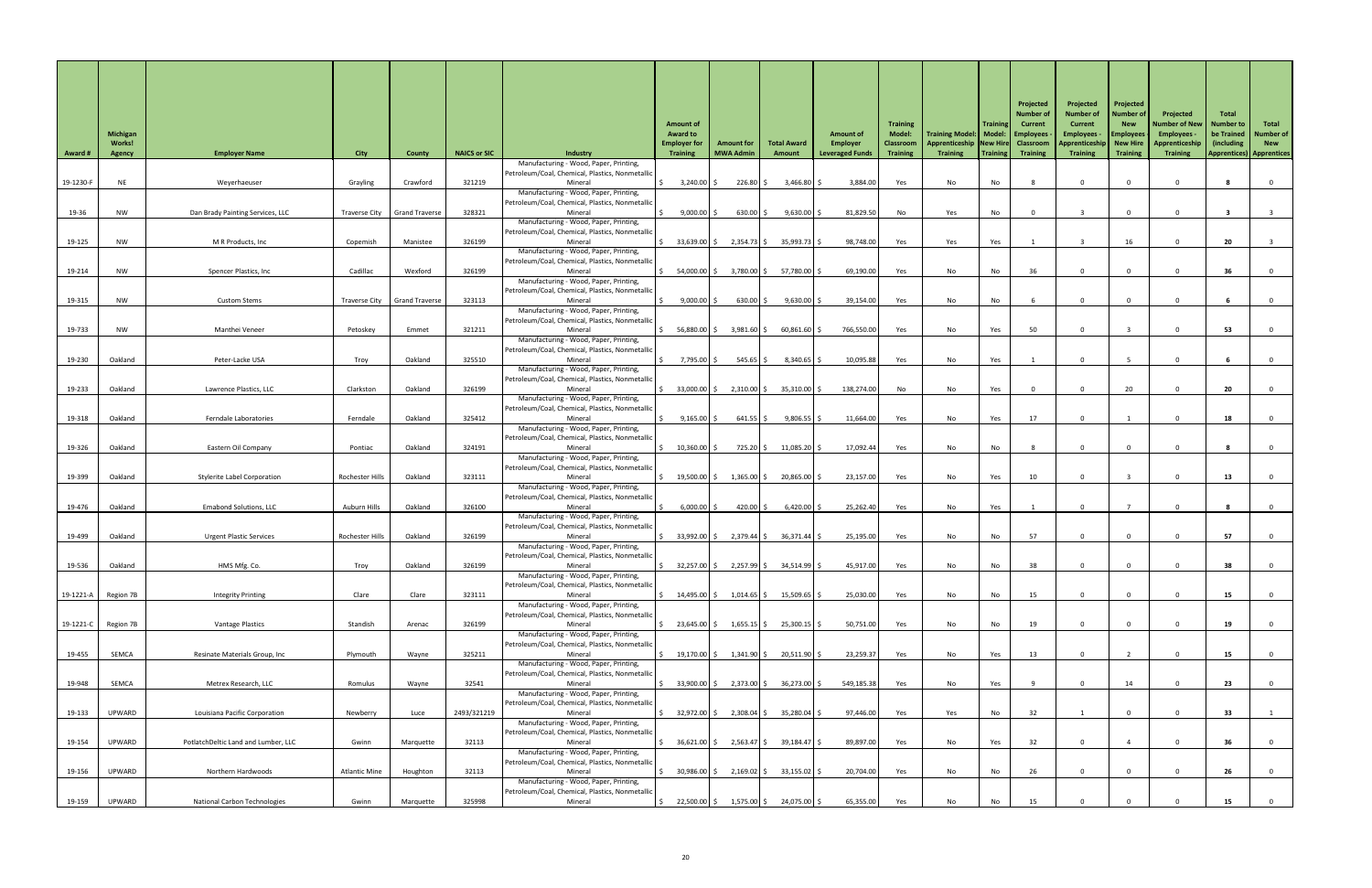| <b>Award #</b> | <b>Michigan</b><br><b>Works!</b><br><b>Agency</b> | <b>Employer Name</b>                | <b>City</b>          | <b>County</b>         | <b>NAICS or SIC</b> | <b>Industry</b><br>Manufacturing - Wood, Paper, Printing,                                            | <b>Amount of</b><br><b>Award to</b><br><b>Employer for</b><br><b>Training</b> | <b>Amount for</b><br><b>MWA Admin</b> | <b>Total Award</b><br>Amount          | <b>Amount of</b><br>Employer<br><b>Leveraged Funds</b> | <b>Training</b><br><b>Model:</b><br>Classroom<br><b>Training</b> | Training Model:   Model:   Employees<br>Apprenticeship   New Hire   Classroom<br><b>Training</b> | <b>Training</b><br>Training | Projected<br>Number o<br><b>Current</b><br><b>Training</b> | Projected<br><b>Number of</b><br><b>Current</b><br><b>Employees</b><br>Apprenticeship   New Hire<br><b>Training</b> | Projected<br><b>Number of</b><br><b>New</b><br><b>Employees</b><br><b>Training</b> | Projected<br><b>Number of New</b><br>Employees -<br>Apprenticeship<br><b>Training</b> | <b>Total</b><br><b>Number to</b><br>be Trained<br>(including) | Total<br><b>Number of</b><br><b>New</b><br><b>Apprentices)</b> Apprentices |
|----------------|---------------------------------------------------|-------------------------------------|----------------------|-----------------------|---------------------|------------------------------------------------------------------------------------------------------|-------------------------------------------------------------------------------|---------------------------------------|---------------------------------------|--------------------------------------------------------|------------------------------------------------------------------|--------------------------------------------------------------------------------------------------|-----------------------------|------------------------------------------------------------|---------------------------------------------------------------------------------------------------------------------|------------------------------------------------------------------------------------|---------------------------------------------------------------------------------------|---------------------------------------------------------------|----------------------------------------------------------------------------|
| 19-1230-F      | <b>NE</b>                                         | Weyerhaeuser                        | Grayling             | Crawford              | 321219              | Petroleum/Coal, Chemical, Plastics, Nonmetallic<br>Mineral                                           | $3,240.00$ $\mid$ \$                                                          | $226.80$ \$                           | $3,466.80$ \$                         | 3,884.00                                               | Yes                                                              | No                                                                                               | No                          |                                                            | $\Omega$                                                                                                            |                                                                                    |                                                                                       |                                                               |                                                                            |
| 19-36          | <b>NW</b>                                         | Dan Brady Painting Services, LLC    | Traverse City        | <b>Grand Traverse</b> | 328321              | Manufacturing - Wood, Paper, Printing,<br>Petroleum/Coal, Chemical, Plastics, Nonmetallid<br>Mineral | 9,000.00                                                                      | $630.00$ \$                           | $9,630.00$ \$                         | 81,829.50                                              | No                                                               | Yes                                                                                              | No                          |                                                            |                                                                                                                     |                                                                                    |                                                                                       |                                                               |                                                                            |
|                |                                                   |                                     |                      |                       |                     | Manufacturing - Wood, Paper, Printing,<br>Petroleum/Coal, Chemical, Plastics, Nonmetallic            |                                                                               |                                       |                                       |                                                        |                                                                  |                                                                                                  |                             |                                                            |                                                                                                                     |                                                                                    |                                                                                       |                                                               |                                                                            |
| 19-125         | <b>NW</b>                                         | M R Products, Inc                   | Copemish             | Manistee              | 326199              | Mineral<br>Manufacturing - Wood, Paper, Printing,                                                    | $33,639.00$ \$                                                                | $2,354.73$ \$                         | 35,993.73                             | 98,748.00                                              | Yes                                                              | Yes                                                                                              | Yes                         |                                                            |                                                                                                                     | 16                                                                                 |                                                                                       | 20                                                            |                                                                            |
| 19-214         | <b>NW</b>                                         | Spencer Plastics, Inc               | Cadillac             | Wexford               | 326199              | Petroleum/Coal, Chemical, Plastics, Nonmetallid<br>Mineral                                           | 54,000.00 \$                                                                  | 3,780.00 \$                           | 57,780.00 \$                          | 69,190.00                                              | Yes                                                              | No                                                                                               | No                          | 36                                                         | $\mathbf{0}$                                                                                                        |                                                                                    |                                                                                       | 36                                                            |                                                                            |
|                |                                                   |                                     |                      |                       |                     | Manufacturing - Wood, Paper, Printing,<br>Petroleum/Coal, Chemical, Plastics, Nonmetallid            |                                                                               |                                       |                                       |                                                        |                                                                  |                                                                                                  |                             |                                                            |                                                                                                                     |                                                                                    |                                                                                       |                                                               |                                                                            |
| 19-315         | <b>NW</b>                                         | <b>Custom Stems</b>                 | Traverse City        | <b>Grand Traverse</b> | 323113              | Mineral<br>Manufacturing - Wood, Paper, Printing,                                                    | 9,000.00                                                                      | $630.00$ \$                           | $9,630.00$ \$                         | 39,154.00                                              | Yes                                                              | No                                                                                               | No                          |                                                            | $\Omega$                                                                                                            |                                                                                    |                                                                                       |                                                               |                                                                            |
| 19-733         | <b>NW</b>                                         | Manthei Veneer                      | Petoskey             | Emmet                 | 321211              | Petroleum/Coal, Chemical, Plastics, Nonmetallic<br>Mineral                                           | 56,880.00 \$                                                                  | 3,981.60 \$                           | $60,861.60$ \$                        | 766,550.00                                             | Yes                                                              | No                                                                                               | Yes                         | 50                                                         | $\Omega$                                                                                                            |                                                                                    |                                                                                       | 53                                                            |                                                                            |
|                |                                                   |                                     |                      |                       |                     | Manufacturing - Wood, Paper, Printing,<br>Petroleum/Coal, Chemical, Plastics, Nonmetalli             |                                                                               |                                       |                                       |                                                        |                                                                  |                                                                                                  |                             |                                                            |                                                                                                                     |                                                                                    |                                                                                       |                                                               |                                                                            |
| 19-230         | Oakland                                           | Peter-Lacke USA                     | Troy                 | Oakland               | 325510              | Mineral<br>Manufacturing - Wood, Paper, Printing,<br>Petroleum/Coal, Chemical, Plastics, Nonmetallic | 7,795.00 \$                                                                   | $545.65$ \$                           | $8,340.65$ \$                         | 10,095.88                                              | Yes                                                              | No                                                                                               | Yes                         |                                                            |                                                                                                                     |                                                                                    |                                                                                       |                                                               |                                                                            |
| 19-233         | Oakland                                           | Lawrence Plastics, LLC              | Clarkston            | Oakland               | 326199              | Mineral<br>Manufacturing - Wood, Paper, Printing,                                                    | $33,000.00$ \$                                                                | $2,310.00$ \$                         | $35,310.00$ \$                        | 138,274.00                                             | No                                                               | No                                                                                               | Yes                         |                                                            |                                                                                                                     | 20                                                                                 |                                                                                       | 20                                                            |                                                                            |
| 19-318         | Oakland                                           | Ferndale Laboratories               | Ferndale             | Oakland               | 325412              | Petroleum/Coal, Chemical, Plastics, Nonmetallic<br>Mineral                                           | $9,165.00$ \$                                                                 | $641.55$ \$                           | $9,806.55$ \$                         | 11,664.00                                              | Yes                                                              | No                                                                                               | Yes                         | 17                                                         |                                                                                                                     |                                                                                    |                                                                                       | 18                                                            |                                                                            |
|                |                                                   |                                     |                      |                       |                     | Manufacturing - Wood, Paper, Printing,<br>Petroleum/Coal, Chemical, Plastics, Nonmetallic            |                                                                               |                                       |                                       |                                                        |                                                                  |                                                                                                  |                             |                                                            |                                                                                                                     |                                                                                    |                                                                                       |                                                               |                                                                            |
| 19-326         | Oakland                                           | Eastern Oil Company                 | Pontiac              | Oakland               | 324191              | Mineral<br>Manufacturing - Wood, Paper, Printing,                                                    | 10,360.00                                                                     | $725.20$ \$                           | $11,085.20$ \$                        | 17,092.44                                              | Yes                                                              | No                                                                                               | No                          |                                                            | $\Omega$                                                                                                            |                                                                                    |                                                                                       |                                                               |                                                                            |
| 19-399         | Oakland                                           | <b>Stylerite Label Corporation</b>  | Rochester Hills      | Oakland               | 323111              | Petroleum/Coal, Chemical, Plastics, Nonmetallic<br>Mineral                                           | 19,500.00 \$                                                                  | $1,365.00$ \$                         | 20,865.00 \$                          | 23,157.00                                              | Yes                                                              | No                                                                                               | Yes                         | 10                                                         | $\Omega$                                                                                                            |                                                                                    |                                                                                       | 13                                                            |                                                                            |
| 19-476         | Oakland                                           | <b>Emabond Solutions, LLC</b>       | Auburn Hills         | Oakland               | 326100              | Manufacturing - Wood, Paper, Printing,<br>Petroleum/Coal, Chemical, Plastics, Nonmetallio<br>Mineral | 6,000.00                                                                      | 420.00 \$                             | $6,420.00$ \$                         | 25,262.40                                              |                                                                  | No                                                                                               | Yes                         |                                                            |                                                                                                                     |                                                                                    |                                                                                       |                                                               |                                                                            |
|                |                                                   |                                     |                      |                       |                     | Manufacturing - Wood, Paper, Printing,<br>Petroleum/Coal, Chemical, Plastics, Nonmetallid            |                                                                               |                                       |                                       |                                                        | Yes                                                              |                                                                                                  |                             |                                                            |                                                                                                                     |                                                                                    |                                                                                       |                                                               |                                                                            |
| 19-499         | Oakland                                           | <b>Urgent Plastic Services</b>      | Rochester Hills      | Oakland               | 326199              | Mineral<br>Manufacturing - Wood, Paper, Printing,                                                    | $33,992.00$ \$                                                                | $2,379.44$ \$                         | $36,371.44$ \$                        | 25,195.00                                              | Yes                                                              | No                                                                                               | No                          | 57                                                         | $\Omega$                                                                                                            |                                                                                    |                                                                                       | 57                                                            |                                                                            |
| 19-536         | Oakland                                           | HMS Mfg. Co.                        | Troy                 | Oakland               | 326199              | Petroleum/Coal, Chemical, Plastics, Nonmetallic<br>Mineral                                           | 32,257.00 \$                                                                  | $2,257.99$ \$                         | $34,514.99$ \$                        | 45,917.00                                              | Yes                                                              | No                                                                                               | No                          | 38                                                         |                                                                                                                     |                                                                                    |                                                                                       | 38                                                            |                                                                            |
|                |                                                   |                                     |                      |                       |                     | Manufacturing - Wood, Paper, Printing,<br>Petroleum/Coal, Chemical, Plastics, Nonmetallid            |                                                                               |                                       |                                       |                                                        |                                                                  |                                                                                                  |                             |                                                            |                                                                                                                     |                                                                                    |                                                                                       |                                                               |                                                                            |
| 19-1221-A      | Region 7B                                         | <b>Integrity Printing</b>           | Clare                | Clare                 | 323111              | Mineral<br>Manufacturing - Wood, Paper, Printing,                                                    | 14,495.00 \$                                                                  | $1,014.65$ \$                         | $15,509.65$ \$                        | 25,030.00                                              | Yes                                                              | No                                                                                               | No                          | 15                                                         | $\Omega$                                                                                                            |                                                                                    |                                                                                       | 15                                                            |                                                                            |
| 19-1221-C      | Region 7B                                         | <b>Vantage Plastics</b>             | Standish             | Arenac                | 326199              | Petroleum/Coal, Chemical, Plastics, Nonmetallic<br>Mineral                                           | 23,645.00 \$                                                                  | $1,655.15$ \$                         | $25,300.15$ \$                        | 50,751.00                                              | Yes                                                              | No                                                                                               | No                          | 19                                                         | $\Omega$                                                                                                            |                                                                                    |                                                                                       | 19                                                            |                                                                            |
| 19-455         | SEMCA                                             | Resinate Materials Group, Inc       | Plymouth             | Wayne                 | 325211              | Manufacturing - Wood, Paper, Printing,<br>Petroleum/Coal, Chemical, Plastics, Nonmetallic<br>Mineral | 19,170.00 \$                                                                  | $1,341.90$ \$                         | 20,511.90 \$                          | 23,259.37                                              | Yes                                                              | No                                                                                               | Yes                         | 13                                                         | $\Omega$                                                                                                            |                                                                                    |                                                                                       | 15 <sub>1</sub>                                               |                                                                            |
|                |                                                   |                                     |                      |                       |                     | Manufacturing - Wood, Paper, Printing,<br>Petroleum/Coal, Chemical, Plastics, Nonmetallic            |                                                                               |                                       |                                       |                                                        |                                                                  |                                                                                                  |                             |                                                            |                                                                                                                     |                                                                                    |                                                                                       |                                                               |                                                                            |
| 19-948         | SEMCA                                             | Metrex Research, LLC                | Romulus              | Wayne                 | 32541               | Mineral<br>Manufacturing - Wood, Paper, Printing,                                                    | 33,900.00 \$                                                                  | 2,373.00 \$                           | $36,273.00$ \$                        | 549,185.38                                             | Yes                                                              | No                                                                                               | Yes                         |                                                            | $\overline{0}$                                                                                                      | 14                                                                                 |                                                                                       | 23                                                            |                                                                            |
| 19-133         | UPWARD                                            | Louisiana Pacific Corporation       | Newberry             | Luce                  | 2493/321219         | Petroleum/Coal, Chemical, Plastics, Nonmetallic<br>Mineral                                           | 32,972.00 \$                                                                  | $2,308.04$ \$                         | 35,280.04 \$                          | 97,446.00                                              | Yes                                                              | Yes                                                                                              | No                          | 32                                                         |                                                                                                                     |                                                                                    |                                                                                       | 33                                                            |                                                                            |
|                |                                                   |                                     |                      |                       |                     | Manufacturing - Wood, Paper, Printing,<br>Petroleum/Coal, Chemical, Plastics, Nonmetallio            |                                                                               |                                       |                                       |                                                        |                                                                  |                                                                                                  |                             |                                                            |                                                                                                                     |                                                                                    |                                                                                       |                                                               |                                                                            |
| 19-154         | UPWARD                                            | PotlatchDeltic Land and Lumber, LLC | Gwinn                | Marquette             | 32113               | Mineral<br>Manufacturing - Wood, Paper, Printing,<br>Petroleum/Coal, Chemical, Plastics, Nonmetallic | $36,621.00$ \$                                                                | $2,563.47$ \$                         | 39,184.47 \$                          | 89,897.00                                              | Yes                                                              | No                                                                                               | Yes                         | 32                                                         | $\overline{0}$                                                                                                      |                                                                                    |                                                                                       | 36                                                            |                                                                            |
| 19-156         | UPWARD                                            | Northern Hardwoods                  | <b>Atlantic Mine</b> | Houghton              | 32113               | Mineral<br>Manufacturing - Wood, Paper, Printing,                                                    | $30,986.00$ \$                                                                | $2,169.02$ \$                         | $33,155.02$ \$                        | 20,704.00                                              | Yes                                                              | No                                                                                               | No                          | 26                                                         | $\Omega$                                                                                                            |                                                                                    |                                                                                       | 26                                                            |                                                                            |
| 19-159         | UPWARD                                            | <b>National Carbon Technologies</b> | Gwinn                | Marquette             | 325998              | Petroleum/Coal, Chemical, Plastics, Nonmetallic<br>Mineral                                           | S.                                                                            |                                       | 22,500.00 \$ 1,575.00 \$ 24,075.00 \$ | 65,355.00                                              | Yes                                                              | No                                                                                               | No                          | 15                                                         |                                                                                                                     |                                                                                    |                                                                                       | 15                                                            |                                                                            |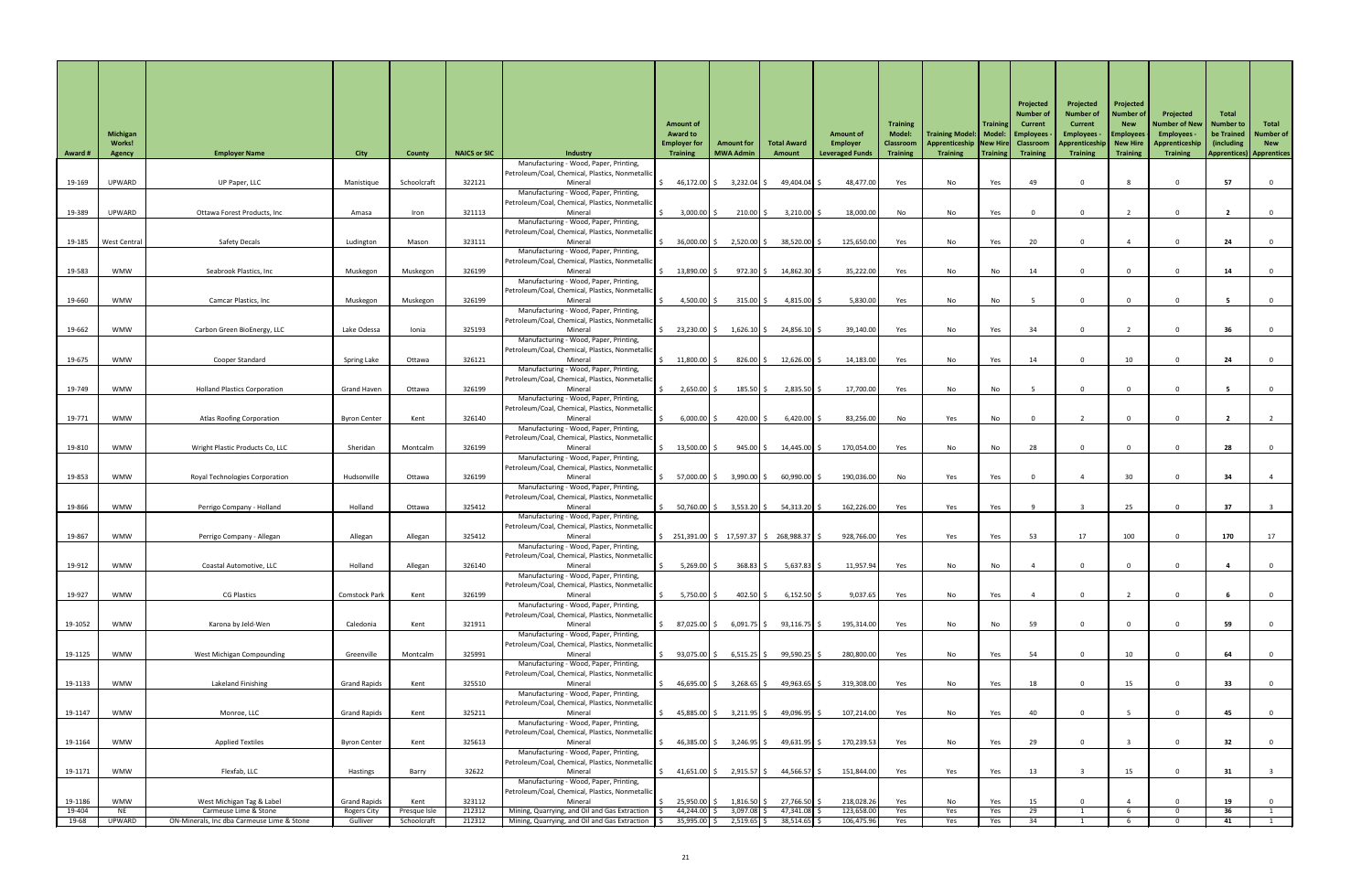| <b>Award #</b>  | <b>Michigan</b><br><b>Works!</b><br><b>Agency</b> | <b>Employer Name</b>                                                | <b>City</b>                    | <b>County</b>               | <b>NAICS or SIC</b> | <b>Industry</b><br>Manufacturing - Wood, Paper, Printing,                                      | <b>Amount of</b><br><b>Award to</b><br><b>Employer for</b><br><b>Training</b> | <b>Amount for</b><br><b>MWA Admin</b> | <b>Total Award</b><br>Amount                                                            | <b>Amount of</b><br><b>Employer</b><br><b>Leveraged Funds</b> | <b>Training</b><br><b>Model:</b><br>Classroom<br><b>Training</b> | Training Model:   Model:   Employees<br>Apprenticeship   New Hire  <br><b>Training</b> | <b>Training</b><br>Training | Projected<br>Number<br><b>Current</b><br><b>Classroom</b><br><b>Training</b> | Projected<br><b>Number of</b><br><b>Current</b><br><b>Employees</b><br>Apprenticeship  <br>Training | Projected<br><b>Number of</b><br><b>New</b><br><b>Employees</b><br>New Hire<br><b>Training</b> | Projected<br>Number of New<br><b>Employees</b><br>Apprenticeship<br><b>Training</b> | Total<br><b>Number to</b><br>be Trained<br>(including<br><b>Apprentices</b> ) | Total<br><b>Number of</b><br><b>New</b><br><b>Apprentices</b> |
|-----------------|---------------------------------------------------|---------------------------------------------------------------------|--------------------------------|-----------------------------|---------------------|------------------------------------------------------------------------------------------------|-------------------------------------------------------------------------------|---------------------------------------|-----------------------------------------------------------------------------------------|---------------------------------------------------------------|------------------------------------------------------------------|----------------------------------------------------------------------------------------|-----------------------------|------------------------------------------------------------------------------|-----------------------------------------------------------------------------------------------------|------------------------------------------------------------------------------------------------|-------------------------------------------------------------------------------------|-------------------------------------------------------------------------------|---------------------------------------------------------------|
| 19-169          | UPWARD                                            | UP Paper, LLC                                                       | Manistique                     | Schoolcraft                 | 322121              | Petroleum/Coal, Chemical, Plastics, Nonmetallic<br>Mineral                                     | 46,172.00 \$                                                                  | $3,232.04$ \$                         | 49,404.04 \$                                                                            | 48,477.00                                                     | Yes                                                              | No                                                                                     | Yes                         | 49                                                                           | $\mathbf{0}$                                                                                        |                                                                                                |                                                                                     | 57                                                                            |                                                               |
|                 |                                                   |                                                                     |                                |                             |                     | Manufacturing - Wood, Paper, Printing,<br>Petroleum/Coal, Chemical, Plastics, Nonmetallic      |                                                                               |                                       |                                                                                         |                                                               |                                                                  |                                                                                        |                             |                                                                              |                                                                                                     |                                                                                                |                                                                                     |                                                                               |                                                               |
| 19-389          | UPWARD                                            | Ottawa Forest Products, Inc                                         | Amasa                          | Iron                        | 321113              | Mineral<br>Manufacturing - Wood, Paper, Printing,                                              | 3,000.00                                                                      | $210.00$ \$                           | $3,210.00$ \$                                                                           | 18,000.00                                                     | No                                                               | No                                                                                     | Yes                         |                                                                              | $\Omega$                                                                                            |                                                                                                |                                                                                     |                                                                               |                                                               |
|                 |                                                   |                                                                     |                                |                             |                     | Petroleum/Coal, Chemical, Plastics, Nonmetallic                                                |                                                                               |                                       |                                                                                         |                                                               |                                                                  |                                                                                        |                             |                                                                              |                                                                                                     |                                                                                                |                                                                                     |                                                                               |                                                               |
| 19-185          | West Central                                      | <b>Safety Decals</b>                                                | Ludington                      | Mason                       | 323111              | Mineral<br>Manufacturing - Wood, Paper, Printing,                                              | $36,000.00$ \$                                                                | 2,520.00 \$                           | 38,520.00 \$                                                                            | 125,650.00                                                    | Yes                                                              | No                                                                                     | Yes                         | 20                                                                           | $\Omega$                                                                                            |                                                                                                |                                                                                     | 24                                                                            |                                                               |
| 19-583          | <b>WMW</b>                                        | Seabrook Plastics, Inc                                              | Muskegon                       | Muskegon                    | 326199              | Petroleum/Coal, Chemical, Plastics, Nonmetallic<br>Mineral                                     | $13,890.00$ $\vert$ \$                                                        | 972.30 \$                             | 14,862.30 \$                                                                            | 35,222.00                                                     | Yes                                                              | No                                                                                     | No                          | 14                                                                           | $\Omega$                                                                                            |                                                                                                |                                                                                     | 14                                                                            |                                                               |
|                 |                                                   |                                                                     |                                |                             |                     | Manufacturing - Wood, Paper, Printing,<br>Petroleum/Coal, Chemical, Plastics, Nonmetallion     |                                                                               |                                       |                                                                                         |                                                               |                                                                  |                                                                                        |                             |                                                                              |                                                                                                     |                                                                                                |                                                                                     |                                                                               |                                                               |
| 19-660          | WMW                                               | <b>Camcar Plastics, Inc</b>                                         | Muskegon                       | Muskegon                    | 326199              | Mineral                                                                                        | 4,500.00 \$                                                                   | $315.00$ \$                           | $4,815.00$ \$                                                                           | 5,830.00                                                      | Yes                                                              | No                                                                                     | No                          |                                                                              | $\mathbf{0}$                                                                                        |                                                                                                |                                                                                     |                                                                               |                                                               |
|                 |                                                   |                                                                     |                                |                             |                     | Manufacturing - Wood, Paper, Printing,<br>Petroleum/Coal, Chemical, Plastics, Nonmetallic      |                                                                               |                                       |                                                                                         |                                                               |                                                                  |                                                                                        |                             |                                                                              |                                                                                                     |                                                                                                |                                                                                     |                                                                               |                                                               |
| 19-662          | <b>WMW</b>                                        | Carbon Green BioEnergy, LLC                                         | Lake Odessa                    | Ionia                       | 325193              | Mineral<br>Manufacturing - Wood, Paper, Printing,                                              | 23,230.00 \$                                                                  | $1,626.10$ \$                         | $24,856.10$ \$                                                                          | 39,140.00                                                     | Yes                                                              | No                                                                                     | Yes                         | 34                                                                           | $\Omega$                                                                                            |                                                                                                |                                                                                     | 36                                                                            |                                                               |
| 19-675          | <b>WMW</b>                                        | Cooper Standard                                                     | Spring Lake                    | Ottawa                      | 326121              | Petroleum/Coal, Chemical, Plastics, Nonmetallid<br>Mineral                                     | 11,800.00                                                                     | $826.00$ \$                           | $12,626.00$ \$                                                                          | 14,183.00                                                     | Yes                                                              | No                                                                                     | Yes                         | 14                                                                           |                                                                                                     |                                                                                                |                                                                                     | 24                                                                            |                                                               |
|                 |                                                   |                                                                     |                                |                             |                     | Manufacturing - Wood, Paper, Printing,                                                         |                                                                               |                                       |                                                                                         |                                                               |                                                                  |                                                                                        |                             |                                                                              |                                                                                                     |                                                                                                |                                                                                     |                                                                               |                                                               |
| 19-749          | <b>WMW</b>                                        | <b>Holland Plastics Corporation</b>                                 | <b>Grand Haven</b>             | Ottawa                      | 326199              | Petroleum/Coal, Chemical, Plastics, Nonmetallic<br>Mineral                                     | 2,650.00                                                                      | $185.50$ \$                           | $2,835.50$ \$                                                                           | 17,700.00                                                     | Yes                                                              | No                                                                                     | No                          |                                                                              | $\Omega$                                                                                            |                                                                                                |                                                                                     |                                                                               |                                                               |
|                 |                                                   |                                                                     |                                |                             |                     | Manufacturing - Wood, Paper, Printing,<br>Petroleum/Coal, Chemical, Plastics, Nonmetallic      |                                                                               |                                       |                                                                                         |                                                               |                                                                  |                                                                                        |                             |                                                                              |                                                                                                     |                                                                                                |                                                                                     |                                                                               |                                                               |
| 19-771          | <b>WMW</b>                                        | <b>Atlas Roofing Corporation</b>                                    | <b>Byron Center</b>            | Kent                        | 326140              | Mineral<br>Manufacturing - Wood, Paper, Printing,                                              | 6,000.00                                                                      | $420.00$ \$                           | $6,420.00$ \$                                                                           | 83,256.00                                                     | No                                                               | Yes                                                                                    | No                          |                                                                              |                                                                                                     |                                                                                                |                                                                                     |                                                                               |                                                               |
|                 |                                                   |                                                                     |                                |                             |                     | Petroleum/Coal, Chemical, Plastics, Nonmetallic                                                |                                                                               |                                       |                                                                                         |                                                               |                                                                  |                                                                                        |                             |                                                                              |                                                                                                     |                                                                                                |                                                                                     |                                                                               |                                                               |
| 19-810          | <b>WMW</b>                                        | Wright Plastic Products Co, LLC                                     | Sheridan                       | Montcalm                    | 326199              | Mineral<br>Manufacturing - Wood, Paper, Printing,                                              | 13,500.00                                                                     | $945.00$ \$                           | 14,445.00 \$                                                                            | 170,054.00                                                    | Yes                                                              | No                                                                                     | No                          | 28                                                                           |                                                                                                     |                                                                                                |                                                                                     | 28                                                                            |                                                               |
| 19-853          | <b>WMW</b>                                        | <b>Royal Technologies Corporation</b>                               | Hudsonville                    | Ottawa                      | 326199              | Petroleum/Coal, Chemical, Plastics, Nonmetallio<br>Mineral                                     | 57,000.00 \$                                                                  | $3,990.00$ \$                         | $60,990.00$ \$                                                                          | 190,036.00                                                    | No                                                               | Yes                                                                                    | Yes                         |                                                                              |                                                                                                     | 30                                                                                             |                                                                                     | 34                                                                            |                                                               |
|                 |                                                   |                                                                     |                                |                             |                     | Manufacturing - Wood, Paper, Printing,<br>Petroleum/Coal, Chemical, Plastics, Nonmetallic      |                                                                               |                                       |                                                                                         |                                                               |                                                                  |                                                                                        |                             |                                                                              |                                                                                                     |                                                                                                |                                                                                     |                                                                               |                                                               |
| 19-866          | <b>WMW</b>                                        | Perrigo Company - Holland                                           | Holland                        | Ottawa                      | 325412              | Mineral<br>Manufacturing - Wood, Paper, Printing,                                              | 50,760.00 \$                                                                  | 3,553.20 \$                           | $54,313.20$ \$                                                                          | 162,226.00                                                    | Yes                                                              | Yes                                                                                    | Yes                         |                                                                              |                                                                                                     | 25                                                                                             |                                                                                     | 37                                                                            |                                                               |
|                 |                                                   |                                                                     |                                |                             |                     | Petroleum/Coal, Chemical, Plastics, Nonmetallic                                                |                                                                               |                                       |                                                                                         |                                                               |                                                                  |                                                                                        |                             |                                                                              |                                                                                                     |                                                                                                |                                                                                     |                                                                               |                                                               |
| 19-867          | <b>WMW</b>                                        | Perrigo Company - Allegan                                           | Allegan                        | Allegan                     | 325412              | Mineral<br>Manufacturing - Wood, Paper, Printing,                                              |                                                                               |                                       | $\frac{1}{2}$ 251,391.00 $\frac{1}{2}$ 17,597.37 $\frac{1}{2}$ 268,988.37 $\frac{1}{2}$ | 928,766.00                                                    | Yes                                                              | Yes                                                                                    | Yes                         | 53                                                                           | 17                                                                                                  | 100                                                                                            |                                                                                     | 170                                                                           | 17                                                            |
| 19-912          | <b>WMW</b>                                        | Coastal Automotive, LLC                                             | Holland                        | Allegan                     | 326140              | Petroleum/Coal, Chemical, Plastics, Nonmetallic<br>Mineral                                     | 5,269.00                                                                      | $368.83$ \$                           | $5,637.83$ \$                                                                           | 11,957.94                                                     | Yes                                                              | No                                                                                     | No                          |                                                                              | $\Omega$                                                                                            |                                                                                                |                                                                                     |                                                                               |                                                               |
|                 |                                                   |                                                                     |                                |                             |                     | Manufacturing - Wood, Paper, Printing,<br>Petroleum/Coal, Chemical, Plastics, Nonmetallic      |                                                                               |                                       |                                                                                         |                                                               |                                                                  |                                                                                        |                             |                                                                              |                                                                                                     |                                                                                                |                                                                                     |                                                                               |                                                               |
| 19-927          | <b>WMW</b>                                        | <b>CG Plastics</b>                                                  | <b>Comstock Park</b>           | Kent                        | 326199              | Mineral                                                                                        | 5,750.00                                                                      | $402.50$ \$                           | $6,152.50$ \$                                                                           | 9,037.65                                                      | Yes                                                              | No                                                                                     | Yes                         |                                                                              | $\Omega$                                                                                            |                                                                                                |                                                                                     |                                                                               |                                                               |
|                 |                                                   |                                                                     |                                |                             |                     | Manufacturing - Wood, Paper, Printing,<br>Petroleum/Coal, Chemical, Plastics, Nonmetallion     |                                                                               |                                       |                                                                                         |                                                               |                                                                  |                                                                                        |                             |                                                                              |                                                                                                     |                                                                                                |                                                                                     |                                                                               |                                                               |
| 19-1052         | <b>WMW</b>                                        | Karona by Jeld-Wen                                                  | Caledonia                      | Kent                        | 321911              | Mineral<br>Manufacturing - Wood, Paper, Printing,                                              | 87,025.00 \$                                                                  | $6,091.75$ \$                         | $93,116.75$ \$                                                                          | 195,314.00                                                    | Yes                                                              | No                                                                                     | No                          | 59                                                                           |                                                                                                     |                                                                                                |                                                                                     | 59                                                                            |                                                               |
| 19-1125         | <b>WMW</b>                                        | West Michigan Compounding                                           | Greenville                     | Montcalm                    | 325991              | Petroleum/Coal, Chemical, Plastics, Nonmetallic<br>Mineral                                     | 93,075.00 \$                                                                  | $6,515.25$ \$                         | 99,590.25 \$                                                                            | 280,800.00                                                    | Yes                                                              | No                                                                                     | Yes                         | 54                                                                           |                                                                                                     | 10                                                                                             |                                                                                     | 64                                                                            |                                                               |
|                 |                                                   |                                                                     |                                |                             |                     | Manufacturing - Wood, Paper, Printing,                                                         |                                                                               |                                       |                                                                                         |                                                               |                                                                  |                                                                                        |                             |                                                                              |                                                                                                     |                                                                                                |                                                                                     |                                                                               |                                                               |
| 19-1133         | <b>WMW</b>                                        | Lakeland Finishing                                                  | <b>Grand Rapids</b>            | Kent                        | 325510              | Petroleum/Coal, Chemical, Plastics, Nonmetallic<br>Mineral                                     | 46,695.00 \$                                                                  | $3,268.65$ \$                         | 49,963.65 \$                                                                            | 319,308.00                                                    | Yes                                                              | No                                                                                     | Yes                         | 18                                                                           | $\mathbf 0$                                                                                         | 15                                                                                             |                                                                                     | 33 <sup>2</sup>                                                               |                                                               |
|                 |                                                   |                                                                     |                                |                             |                     | Manufacturing - Wood, Paper, Printing,<br>Petroleum/Coal, Chemical, Plastics, Nonmetallic      |                                                                               |                                       |                                                                                         |                                                               |                                                                  |                                                                                        |                             |                                                                              |                                                                                                     |                                                                                                |                                                                                     |                                                                               |                                                               |
| 19-1147         | <b>WMW</b>                                        | Monroe, LLC                                                         | <b>Grand Rapids</b>            | Kent                        | 325211              | Mineral<br>Manufacturing - Wood, Paper, Printing,                                              | 45,885.00 \$                                                                  | $3,211.95$ \$                         | 49,096.95 \$                                                                            | 107,214.00                                                    | Yes                                                              | No                                                                                     | Yes                         | 40                                                                           | $\mathbf 0$                                                                                         |                                                                                                |                                                                                     | 45                                                                            |                                                               |
|                 |                                                   |                                                                     |                                |                             |                     | Petroleum/Coal, Chemical, Plastics, Nonmetallic                                                |                                                                               |                                       |                                                                                         |                                                               |                                                                  |                                                                                        |                             |                                                                              |                                                                                                     |                                                                                                |                                                                                     |                                                                               |                                                               |
| 19-1164         | <b>WMW</b>                                        | <b>Applied Textiles</b>                                             | <b>Byron Center</b>            | Kent                        | 325613              | Mineral<br>Manufacturing - Wood, Paper, Printing,                                              | 46,385.00 \$                                                                  | 3,246.95 \$                           | 49,631.95 \$                                                                            | 170,239.53                                                    | Yes                                                              | No                                                                                     | Yes                         | 29                                                                           | $\Omega$                                                                                            |                                                                                                |                                                                                     | 32                                                                            |                                                               |
| 19-1171         | <b>WMW</b>                                        | Flexfab, LLC                                                        | Hastings                       | Barry                       | 32622               | Petroleum/Coal, Chemical, Plastics, Nonmetallic<br>Mineral                                     | 41,651.00 \$                                                                  | $2,915.57$ \$                         | 44,566.57 \$                                                                            | 151,844.00                                                    | Yes                                                              | Yes                                                                                    | Yes                         | 13                                                                           |                                                                                                     | 15                                                                                             |                                                                                     | 31                                                                            |                                                               |
|                 |                                                   |                                                                     |                                |                             |                     | Manufacturing - Wood, Paper, Printing,<br>Petroleum/Coal, Chemical, Plastics, Nonmetallion     |                                                                               |                                       |                                                                                         |                                                               |                                                                  |                                                                                        |                             |                                                                              |                                                                                                     |                                                                                                |                                                                                     |                                                                               |                                                               |
| 19-1186         | <b>WMW</b>                                        | West Michigan Tag & Label                                           | <b>Grand Rapids</b>            | Kent                        | 323112              | Mineral                                                                                        | 25,950.00 \$                                                                  | $1,816.50$ \$                         | 27,766.50 \$                                                                            | 218,028.26                                                    | Yes                                                              | No                                                                                     | Yes                         | 15                                                                           | $\overline{0}$                                                                                      |                                                                                                |                                                                                     | 19                                                                            |                                                               |
| 19-404<br>19-68 | <b>NE</b><br>UPWARD                               | Carmeuse Lime & Stone<br>ON-Minerals, Inc dba Carmeuse Lime & Stone | <b>Rogers City</b><br>Gulliver | Presque Isle<br>Schoolcraft | 212312<br>212312    | Mining, Quarrying, and Oil and Gas Extraction<br>Mining, Quarrying, and Oil and Gas Extraction | 44,244.00<br>35,995.00 \$                                                     | $3,097.08$ $\mid$<br>$2,519.65$ \$    | 47,341.08<br>38,514.65 \$                                                               | 123,658.00<br>106,475.96                                      | Yes<br>Yes                                                       | Yes<br>Yes                                                                             | Yes<br>Yes                  | 29<br>34                                                                     |                                                                                                     |                                                                                                |                                                                                     | 36<br>41                                                                      |                                                               |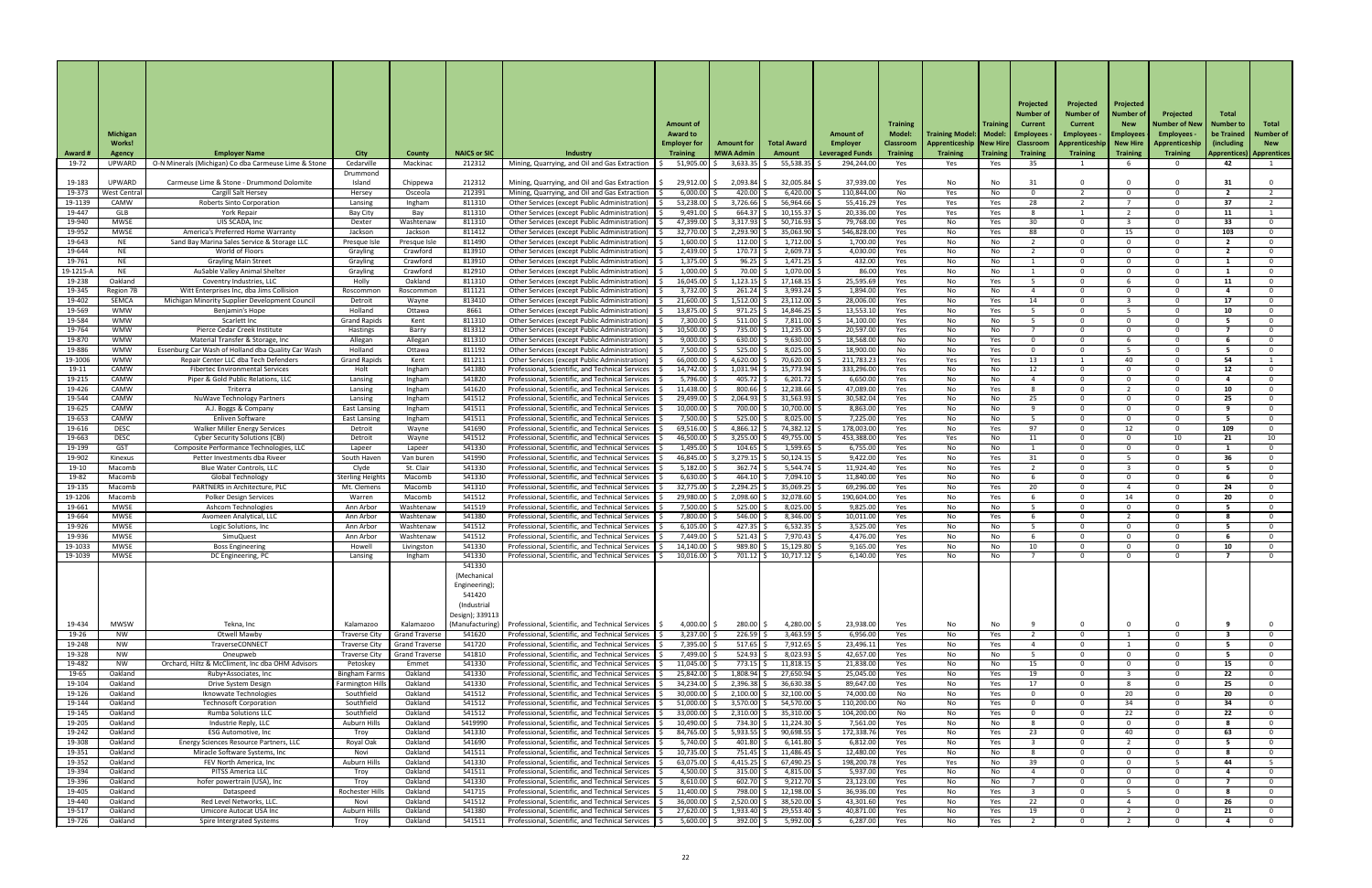|                    | <b>Michigan</b>                |                                                                                            |                                                |                                    |                           |                                                                                                      | <b>Amount of</b><br><b>Award to</b>    |                                       |                                | <b>Amount of</b>                          | <b>Training</b><br>Model:           | Training Model:   Model:   Employees           | Trainin    | Projected<br>Number of<br><b>Current</b> | Projected<br>Number of<br>Current<br>Employees $\cdot$ | Projected<br>Number o<br><b>New</b><br><b>Employees</b> | Projected<br>Number of New<br>Employees $\cdot$ | <b>Total</b><br>Number to<br>be Trained | Total<br>Number o           |
|--------------------|--------------------------------|--------------------------------------------------------------------------------------------|------------------------------------------------|------------------------------------|---------------------------|------------------------------------------------------------------------------------------------------|----------------------------------------|---------------------------------------|--------------------------------|-------------------------------------------|-------------------------------------|------------------------------------------------|------------|------------------------------------------|--------------------------------------------------------|---------------------------------------------------------|-------------------------------------------------|-----------------------------------------|-----------------------------|
| <b>Award #</b>     | <b>Works!</b><br><b>Agency</b> | <b>Employer Name</b>                                                                       | <b>City</b>                                    | County                             | <b>NAICS or SIC</b>       | <b>Industry</b>                                                                                      | <b>Employer for</b><br><b>Training</b> | <b>Amount for</b><br><b>MWA Admin</b> | <b>Total Award</b><br>Amount   | <b>Employer</b><br><b>Leveraged Funds</b> | <b>Classroom</b><br><b>Training</b> | Apprenticeship   New Hire  <br><b>Training</b> | Training   | <b>Classroom</b><br><b>Training</b>      | Apprenticeship<br><b>Training</b>                      | <b>New Hire</b><br><b>Training</b>                      | Apprenticeship<br><b>Training</b>               | (including)<br>  Apprentices)           | <b>New</b><br>  Apprentices |
| 19-72              | UPWARD                         | O-N Minerals (Michigan) Co dba Carmeuse Lime & Stone                                       | Cedarville                                     | Mackinac                           | 212312                    | Mining, Quarrying, and Oil and Gas Extraction                                                        | 51,905.00                              | 3,633.35                              | 55,538.35                      | 294,244.00                                | Yes                                 | Yes                                            | Yes        | 35                                       |                                                        |                                                         |                                                 | 42                                      |                             |
| 19-183             | UPWARD                         | Carmeuse Lime & Stone - Drummond Dolomite                                                  | Drummond<br>Island                             | Chippewa                           | 212312                    | Mining, Quarrying, and Oil and Gas Extraction                                                        | 29,912.00                              | 2,093.84                              | 32,005.84                      | 37,939.00                                 | Yes                                 | No                                             | No         | 31                                       |                                                        |                                                         |                                                 |                                         |                             |
| 19-373             | West Centra                    | <b>Cargill Salt Hersey</b>                                                                 | Hersey                                         | Osceola                            | 212391                    | Mining, Quarrying, and Oil and Gas Extraction                                                        | 6,000.00                               | 420.00                                | 6,420.00                       | 110,844.00                                | No                                  | Yes                                            | No         | $\Omega$                                 |                                                        | $\Omega$                                                |                                                 |                                         |                             |
| 19-1139            | CAMW                           | <b>Roberts Sinto Corporation</b>                                                           | Lansing                                        | Ingham                             | 811310                    | Other Services (except Public Administration)                                                        | 53,238.00                              | 3,726.66                              | 56,964.66                      | 55,416.29                                 | Yes                                 | Yes                                            | Yes        | 28                                       |                                                        |                                                         |                                                 | 37                                      |                             |
| 19-447<br>19-940   | GLB<br><b>MWSE</b>             | <b>York Repair</b><br>UIS SCADA, Inc                                                       | Bay City<br>Dexter                             | Bay<br>Washtenaw                   | 811310<br>811310          | Other Services (except Public Administration)<br>Other Services (except Public Administration)       | 9,491.00<br>47,399.00                  | 664.37<br>3,317.93                    | 10,155.37<br>50,716.93         | 20,336.00<br>79,768.00                    | Yes<br>Yes                          | Yes<br>No                                      | Yes<br>Yes | 30 <sup>°</sup>                          |                                                        |                                                         |                                                 | 11<br>33                                |                             |
| 19-952             | <b>MWSE</b>                    | America's Preferred Home Warranty                                                          | Jackson                                        | Jackson                            | 811412                    | Other Services (except Public Administration)                                                        | 32,770.00                              | 2,293.90                              | 35,063.90                      | 546,828.00                                | Yes                                 | No                                             | Yes        | 88                                       |                                                        | 15                                                      |                                                 | 103                                     | ი.                          |
| 19-643             | NE                             | Sand Bay Marina Sales Service & Storage LLC                                                | Presque Isle                                   | Presque Isle                       | 811490                    | Other Services (except Public Administration)                                                        | 1,600.00                               | 112.00                                | 1,712.00                       | 1,700.00                                  | Yes                                 | No                                             | No         |                                          |                                                        | $\Omega$                                                |                                                 | $\overline{\mathbf{z}}$                 | $\Omega$                    |
| 19-644<br>19-761   | <b>NE</b><br><b>NE</b>         | World of Floors<br><b>Grayling Main Street</b>                                             | Grayling<br>Grayling                           | Crawford<br>Crawford               | 813910<br>813910          | Other Services (except Public Administration)<br>Other Services (except Public Administration)       | 2,439.00<br>1,375.00                   | 170.73<br>96.25                       | $2,609.73$ \$<br>$1,471.25$ \$ | 4,030.00<br>432.00                        | Yes<br>Yes                          | No<br>No                                       | No.<br>No  |                                          |                                                        | $\Omega$<br>$\Omega$                                    |                                                 |                                         | $\Omega$<br>$\Omega$        |
| 19-1215-A          | NE                             | AuSable Valley Animal Shelter                                                              | Grayling                                       | Crawford                           | 812910                    | Other Services (except Public Administration)                                                        | 1,000.00                               | 70.00                                 | $1,070.00$ :                   | 86.00                                     | Yes                                 | No                                             | No.        |                                          |                                                        | $\Omega$                                                |                                                 |                                         | $\Omega$                    |
| 19-238             | Oakland                        | Coventry Industries, LLC                                                                   | Holly                                          | Oakland                            | 811310                    | Other Services (except Public Administration)                                                        | $16,045.00$ $\mid$                     | 1,123.15                              | $17,168.15$ \$                 | 25,595.69                                 | Yes                                 | No                                             | Yes        |                                          |                                                        |                                                         |                                                 | 11                                      | $\Omega$                    |
| 19-345<br>19-402   | Region 7B<br>SEMCA             | Witt Enterprises Inc, dba Jims Collision<br>Michigan Minority Supplier Development Council | Roscommor<br>Detroit                           | Roscommon<br>Wayne                 | 811121<br>813410          | Other Services (except Public Administration)<br>Other Services (except Public Administration)       | 3,732.00<br>21,600.00                  | 261.24<br>1,512.00                    | $3,993.24$ \$<br>23,112.00     | 1,894.00<br>28,006.00                     | Yes<br>Yes                          | No<br>No                                       | No.<br>Yes | 14                                       |                                                        | $\Omega$                                                |                                                 | 17                                      | $\Omega$<br>$\Omega$        |
| 19-569             | <b>WMW</b>                     | Benjamin's Hope                                                                            | Holland                                        | Ottawa                             | 8661                      | Other Services (except Public Administration)                                                        | 13,875.00                              | 971.25                                | 14,846.25                      | 13,553.10                                 | Yes                                 | No                                             | Yes        |                                          |                                                        |                                                         |                                                 | 10                                      | $\Omega$                    |
| 19-584             | <b>WMW</b>                     | Scarlett Inc                                                                               | <b>Grand Rapids</b>                            | Kent                               | 811310                    | Other Services (except Public Administration)                                                        | 7,300.00                               | 511.00                                | 7,811.00                       | 14,100.00                                 | Yes                                 | No                                             | No.        |                                          |                                                        | $\Omega$                                                |                                                 |                                         | $\Omega$                    |
| 19-764<br>19-870   | <b>WMW</b><br><b>WMW</b>       | Pierce Cedar Creek Institute<br>Material Transfer & Storage, Inc                           | Hastings<br>Allegan                            | Barry<br>Allegan                   | 813312<br>811310          | Other Services (except Public Administration)<br>Other Services (except Public Administration)       | 10,500.00<br>9,000.00                  | 735.00<br>630.00                      | 11,235.00<br>9,630.00          | 20,597.00<br>18,568.00                    | Yes<br>No                           | No<br>No                                       | No<br>Yes  | റ                                        |                                                        | റ                                                       |                                                 |                                         | റ<br>$\Omega$               |
| 19-886             | <b>WMW</b>                     | Essenburg Car Wash of Holland dba Quality Car Wash                                         | Holland                                        | Ottawa                             | 811192                    | Other Services (except Public Administration)                                                        | 7,500.00                               | 525.00                                | 8,025.00                       | 18,900.00                                 | No                                  | No                                             | Yes        |                                          |                                                        |                                                         |                                                 |                                         |                             |
| 19-1006            | <b>WMW</b>                     | Repair Center LLC dba Tech Defenders                                                       | <b>Grand Rapids</b>                            | Kent                               | 811211                    | Other Services (except Public Administration)                                                        | 66,000.00                              | 4,620.00                              | 70,620.00                      | 211,783.23                                | Yes.                                | Yes                                            | Yes        | 13                                       |                                                        | 40                                                      |                                                 | 54                                      |                             |
| 19-11              | CAMW<br>CAMW                   | <b>Fibertec Environmental Services</b><br>Piper & Gold Public Relations, LLC               | Holt                                           | Ingham                             | 541380<br>541820          | Professional, Scientific, and Technical Services<br>Professional, Scientific, and Technical Services | 14,742.00<br>$5,796.00$ $\mid$ \$      | 1,031.94<br>405.72                    | 15,773.94<br>$6,201.72$ \$     | 333,296.00<br>6,650.00                    | Yes                                 | No                                             | No         | 12                                       |                                                        | $\Omega$<br>$\Omega$                                    |                                                 | 12                                      |                             |
| 19-215<br>19-426   | CAMW                           | Triterra                                                                                   | Lansing<br>Lansing                             | Ingham<br>Ingham                   | 541620                    | Professional, Scientific, and Technical Services                                                     | 11,438.00                              | 800.66                                | 12,238.66                      | 47,089.00                                 | Yes<br>Yes                          | No<br>No                                       | No<br>Yes  |                                          |                                                        |                                                         |                                                 | 10                                      |                             |
| 19-544             | CAMW                           | <b>NuWave Technology Partners</b>                                                          | Lansing                                        | Ingham                             | 541512                    | Professional, Scientific, and Technical Services                                                     | 29,499.00                              | 2,064.93                              | 31,563.93                      | 30,582.04                                 | Yes                                 | No                                             | No.        | 25                                       |                                                        | റ                                                       |                                                 | 25                                      |                             |
| 19-625             | CAMW                           | A.J. Boggs & Company                                                                       | <b>East Lansing</b>                            | Ingham                             | 541511                    | Professional, Scientific, and Technical Services                                                     | 10,000.00                              | 700.00                                | 10,700.00                      | 8,863.00                                  | Yes                                 | No                                             | No.        |                                          |                                                        | റ                                                       |                                                 |                                         |                             |
| 19-653<br>19-616   | CAMW<br><b>DESC</b>            | Enliven Software<br><b>Walker Miller Energy Services</b>                                   | East Lansing<br>Detroit                        | Ingham<br>Wayne                    | 541511<br>541690          | Professional, Scientific, and Technical Services<br>Professional, Scientific, and Technical Services | 7,500.00<br>69,516.00                  | 525.00<br>4,866.12                    | 8,025.00<br>74,382.12          | 7,225.00<br>178,003.00                    | Yes<br>Yes                          | No<br>No                                       | No<br>Yes  | 97                                       |                                                        | റ<br>12                                                 |                                                 | 109                                     |                             |
| 19-663             | <b>DESC</b>                    | <b>Cyber Security Solutions (CBI)</b>                                                      | Detroit                                        | Wayne                              | 541512                    | Professional, Scientific, and Technical Services                                                     | 46,500.00                              | 3,255.00                              | 49,755.00                      | 453,388.00                                | Yes                                 | Yes                                            | No.        | 11                                       |                                                        | റ                                                       | 10                                              | 21                                      | 10                          |
| 19-199             | <b>GST</b>                     | Composite Performance Technologies, LLC                                                    | Lapeer                                         | Lapeer                             | 541330                    | Professional, Scientific, and Technical Services                                                     | 1,495.00                               | 104.65                                | 1,599.65                       | 6,755.00                                  | Yes                                 | No                                             | No         |                                          |                                                        | $\Omega$                                                |                                                 |                                         |                             |
| 19-902<br>19-10    | Kinexus<br>Macomb              | Petter Investments dba Riveer<br>Blue Water Controls, LLC                                  | South Haven<br>Clyde                           | Van buren<br>St. Clair             | 541990<br>541330          | Professional, Scientific, and Technical Services<br>Professional, Scientific, and Technical Services | 46,845.00<br>5,182.00                  | 3,279.15<br>362.74                    | 50,124.15<br>5,544.74          | 9,422.00<br>11,924.40                     | Yes<br>Yes                          | No<br>No                                       | Yes<br>Yes | 31                                       |                                                        |                                                         |                                                 | 36                                      |                             |
| 19-82              | Macomb                         | <b>Global Technology</b>                                                                   | <b>Sterling Heights</b>                        | Macomb                             | 541330                    | Professional, Scientific, and Technical Services                                                     | 6,630.00                               | 464.10                                | 7,094.10                       | 11,840.00                                 | Yes                                 | No                                             | No.        |                                          |                                                        | $\Omega$                                                |                                                 |                                         |                             |
| 19-135             | Macomb                         | PARTNERS in Architecture, PLC                                                              | Mt. Clemens                                    | Macomb                             | 541310                    | Professional, Scientific, and Technical Services                                                     | 32,775.00                              | 2,294.25                              | 35,069.25                      | 69,296.00                                 | Yes                                 | No                                             | Yes        | 20                                       |                                                        |                                                         |                                                 | 24                                      |                             |
| 19-1206            | Macomb                         | <b>Polker Design Services</b>                                                              | Warren                                         | Macomb                             | 541512                    | Professional, Scientific, and Technical Services                                                     | 29,980.00                              | 2,098.60                              | 32,078.60                      | 190,604.00                                | Yes                                 | No                                             | Yes        |                                          |                                                        | 14                                                      |                                                 | 20                                      |                             |
| 19-661<br>19-664   | <b>MWSE</b><br><b>MWSE</b>     | Ashcom Technologies<br>Avomeen Analytical, LLC                                             | Ann Arbor<br>Ann Arbor                         | Washtenaw<br>Washtenaw             | 541519<br>541380          | Professional, Scientific, and Technical Services<br>Professional, Scientific, and Technical Services | 7,500.00<br>7,800.00                   | 525.00<br>546.00                      | 8,025.00<br>8,346.00           | 9,825.00<br>10,011.00                     | Yes<br>Yes                          | No<br>No                                       | No.<br>Yes |                                          |                                                        | റ                                                       |                                                 |                                         | റ                           |
| 19-926             | <b>MWSE</b>                    | Logic Solutions, Inc                                                                       | Ann Arbor                                      | Washtenaw                          | 541512                    | Professional, Scientific, and Technical Services                                                     | 6,105.00                               | 427.35                                | $6,532.35$ \$                  | 3,525.00                                  | Yes                                 | No                                             | No         |                                          |                                                        | റ                                                       |                                                 |                                         |                             |
| 19-936             | <b>MWSE</b>                    | SimuQuest                                                                                  | Ann Arbor                                      | Washtenaw                          | 541512                    | Professional, Scientific, and Technical Services                                                     | 7,449.00                               | 521.43                                | 7,970.43                       | 4,476.00                                  | Yes                                 | No                                             | No.        |                                          |                                                        | $\Omega$                                                |                                                 |                                         |                             |
| 19-1033<br>19-1039 | <b>MWSE</b><br><b>MWSE</b>     | <b>Boss Engineering</b><br>DC Engineering, PC                                              | Howell<br>Lansing                              | Livingston<br>Ingham               | 541330<br>541330          | Professional, Scientific, and Technical Services<br>Professional, Scientific, and Technical Services | 14,140.00<br>10,016.00                 | 989.80<br>701.12                      | 15,129.80<br>10,717.12         | 9,165.00<br>6,140.00                      | Yes<br>Yes                          | No<br>No                                       | No.<br>No. | 10                                       |                                                        | റ<br>റ                                                  |                                                 | 10                                      |                             |
|                    |                                |                                                                                            |                                                |                                    | 541330                    |                                                                                                      |                                        |                                       |                                |                                           |                                     |                                                |            |                                          |                                                        |                                                         |                                                 |                                         |                             |
|                    |                                |                                                                                            |                                                |                                    | (Mechanica                |                                                                                                      |                                        |                                       |                                |                                           |                                     |                                                |            |                                          |                                                        |                                                         |                                                 |                                         |                             |
|                    |                                |                                                                                            |                                                |                                    | Engineering);<br>541420   |                                                                                                      |                                        |                                       |                                |                                           |                                     |                                                |            |                                          |                                                        |                                                         |                                                 |                                         |                             |
|                    |                                |                                                                                            |                                                |                                    | (Industrial               |                                                                                                      |                                        |                                       |                                |                                           |                                     |                                                |            |                                          |                                                        |                                                         |                                                 |                                         |                             |
|                    |                                |                                                                                            |                                                |                                    | Design); 339113           |                                                                                                      |                                        |                                       |                                |                                           |                                     |                                                |            |                                          |                                                        |                                                         |                                                 |                                         |                             |
| 19-434<br>19-26    | <b>MWSW</b><br>NW.             | Tekna, Inc<br><b>Otwell Mawby</b>                                                          | Kalamazoo<br>Traverse City                     | Kalamazoo<br><b>Grand Traverse</b> | (Manufacturing)<br>541620 | Professional, Scientific, and Technical Services<br>Professional, Scientific, and Technical Services | $4,000.00$ \$<br>3,237.00              | 280.00<br>226.59                      | 4,280.00 \$<br>3,463.59        | 23,938.00<br>6,956.00                     | Yes<br>Yes                          | No<br>No                                       | No<br>Yes  |                                          |                                                        |                                                         |                                                 |                                         |                             |
| 19-248             | NW                             | TraverseCONNECT                                                                            | <b>Traverse City</b>                           | <b>Grand Traverse</b>              | 541720                    | Professional, Scientific, and Technical Services                                                     | 7,395.00                               | 517.65                                | $7,912.65$ \$                  | 23,496.11                                 | Yes                                 | No                                             | Yes        |                                          |                                                        |                                                         |                                                 |                                         |                             |
| 19-328             | NW                             | Oneupweb                                                                                   | <b>Traverse City</b>                           | <b>Grand Traverse</b>              | 541810                    | Professional, Scientific, and Technical Services                                                     | 7,499.00                               | 524.93                                | 8,023.93                       | 42,657.00                                 | Yes                                 | No                                             | No.        |                                          |                                                        |                                                         |                                                 |                                         |                             |
| 19-482             | NW.                            | Orchard, Hiltz & McCliment, Inc dba OHM Advisors                                           | Petoskey                                       | Emmet                              | 541330                    | Professional, Scientific, and Technical Services                                                     | 11,045.00                              | 773.15                                | 11,818.15                      | 21,838.00                                 | Yes                                 | No                                             | No.        | 15                                       |                                                        | റ                                                       |                                                 | 15                                      |                             |
| 19-65<br>19-104    | Oakland<br>Oakland             | Ruby+Associates, Inc<br>Drive System Design                                                | <b>Bingham Farms</b><br><b>Farmington Hill</b> | Oakland<br>Oakland                 | 541330<br>541330          | Professional, Scientific, and Technical Services<br>Professional, Scientific, and Technical Services | 25,842.00 \$<br>34,234.00              | $1,808.94$ \$<br>2,396.38             | 27,650.94 \$<br>$36,630.38$ \$ | 25,045.00<br>89,647.00                    | Yes<br>Yes                          | No<br>No                                       | Yes<br>Yes | 19<br>17                                 |                                                        |                                                         |                                                 | 22<br>25                                | $\Omega$                    |
| 19-126             | Oakland                        | Iknowvate Technologies                                                                     | Southfield                                     | Oakland                            | 541512                    | Professional, Scientific, and Technical Services                                                     | 30,000.00                              | 2,100.00                              | 32,100.00                      | 74,000.00                                 | No                                  | No                                             | Yes        |                                          |                                                        | 20                                                      |                                                 | 20                                      |                             |
| 19-144             | Oakland                        | <b>Technosoft Corporation</b>                                                              | Southfield                                     | Oakland                            | 541512                    | Professional, Scientific, and Technical Services                                                     | $51,000.00$ $\mid$ \$                  | 3,570.00                              | 54,570.00                      | 110,200.00                                | No                                  | No                                             | Yes        |                                          |                                                        | 34                                                      |                                                 | 34                                      | $\Omega$                    |
| 19-145<br>19-205   | Oakland<br>Oakland             | <b>Rumba Solutions LLC</b><br>Industrie Reply, LLC                                         | Southfield<br><b>Auburn Hills</b>              | Oakland<br>Oakland                 | 541512<br>5419990         | Professional, Scientific, and Technical Services<br>Professional, Scientific, and Technical Services | 33,000.00<br>10,490.00                 | 2,310.00<br>734.30                    | 35,310.00<br>11,224.30         | 104,200.00<br>7,561.00                    | No<br>Yes                           | No<br>No                                       | Yes<br>No  |                                          |                                                        | 22<br>$\Omega$                                          |                                                 | 22                                      | $\mathbf{0}$                |
| 19-242             | Oakland                        | <b>ESG Automotive, Inc</b>                                                                 | Troy                                           | Oakland                            | 541330                    | Professional, Scientific, and Technical Services                                                     | 84,765.00                              | 5,933.55                              | 90,698.55                      | 172,338.76                                | Yes                                 | No                                             | Yes        | 23                                       |                                                        | 40                                                      |                                                 | 63                                      | $\mathbf{0}$                |
| 19-308             | Oakland                        | Energy Sciences Resource Partners, LLC                                                     | Royal Oak                                      | Oakland                            | 541690                    | Professional, Scientific, and Technical Services                                                     | 5,740.00                               | 401.80                                | 6,141.80                       | 6,812.00                                  | Yes                                 | No                                             | Yes        |                                          |                                                        |                                                         |                                                 |                                         | $\Omega$                    |
| 19-351<br>19-352   | Oakland<br>Oakland             | Miracle Software Systems, Inc.<br>FEV North America, Inc                                   | Novi<br>Auburn Hills                           | Oakland<br>Oakland                 | 541511<br>541330          | Professional, Scientific, and Technical Services<br>Professional, Scientific, and Technical Services | $10,735.00$ $\mid$ \$<br>63,075.00     | 751.45<br>4,415.25                    | $11,486.45$ \$<br>67,490.25    | 12,480.00<br>198,200.78                   | Yes<br>Yes                          | No<br>Yes                                      | No.<br>No. | 39                                       |                                                        | $\Omega$<br>$\Omega$                                    |                                                 | 44                                      | $\Omega$                    |
| 19-394             | Oakland                        | PITSS America LLC                                                                          | Troy                                           | Oakland                            | 541511                    | Professional, Scientific, and Technical Services                                                     | 4,500.00                               | 315.00                                | 4,815.00                       | 5,937.00                                  | Yes                                 | No                                             | No         |                                          |                                                        | $\Omega$                                                |                                                 |                                         | $\mathbf{0}$                |
| 19-396             | Oakland                        | hofer powertrain (USA), Inc                                                                | Troy                                           | Oakland                            | 541330                    | Professional, Scientific, and Technical Services                                                     | 8,610.00                               | 602.70                                | $9,212.70$ \$                  | 23,123.00                                 | Yes                                 | No                                             | No         |                                          |                                                        | $\Omega$                                                |                                                 |                                         | $\Omega$                    |
| 19-405             | Oakland                        | Dataspeed                                                                                  | Rochester Hills                                | Oakland                            | 541715                    | Professional, Scientific, and Technical Services                                                     | 11,400.00                              | 798.00                                | 12,198.00                      | 36,936.00                                 | Yes                                 | No                                             | Yes        |                                          |                                                        |                                                         |                                                 |                                         | $\Omega$                    |
| 19-440<br>19-517   | Oakland<br>Oakland             | Red Level Networks, LLC.<br>Umicore Autocat USA Inc                                        | Novi<br>Auburn Hills                           | Oakland<br>Oakland                 | 541512<br>541380          | Professional, Scientific, and Technical Services<br>Professional, Scientific, and Technical Services | 36,000.00<br>27,620.00                 | 2,520.00<br>1,933.40                  | 38,520.00<br>29,553.40         | 43,301.60<br>40,871.00                    | Yes<br>Yes                          | No<br>No                                       | Yes<br>Yes | 22<br>19                                 |                                                        |                                                         |                                                 | 26<br>21                                |                             |
| 19-726             | Oakland                        | <b>Spire Intergrated Systems</b>                                                           | Troy                                           | Oakland                            | 541511                    | Professional, Scientific, and Technical Services                                                     | 5,600.00                               | 392.00                                | $5,992.00$ \$                  | 6,287.00                                  | Yes                                 | No                                             | Yes        |                                          |                                                        |                                                         |                                                 |                                         | $\Omega$                    |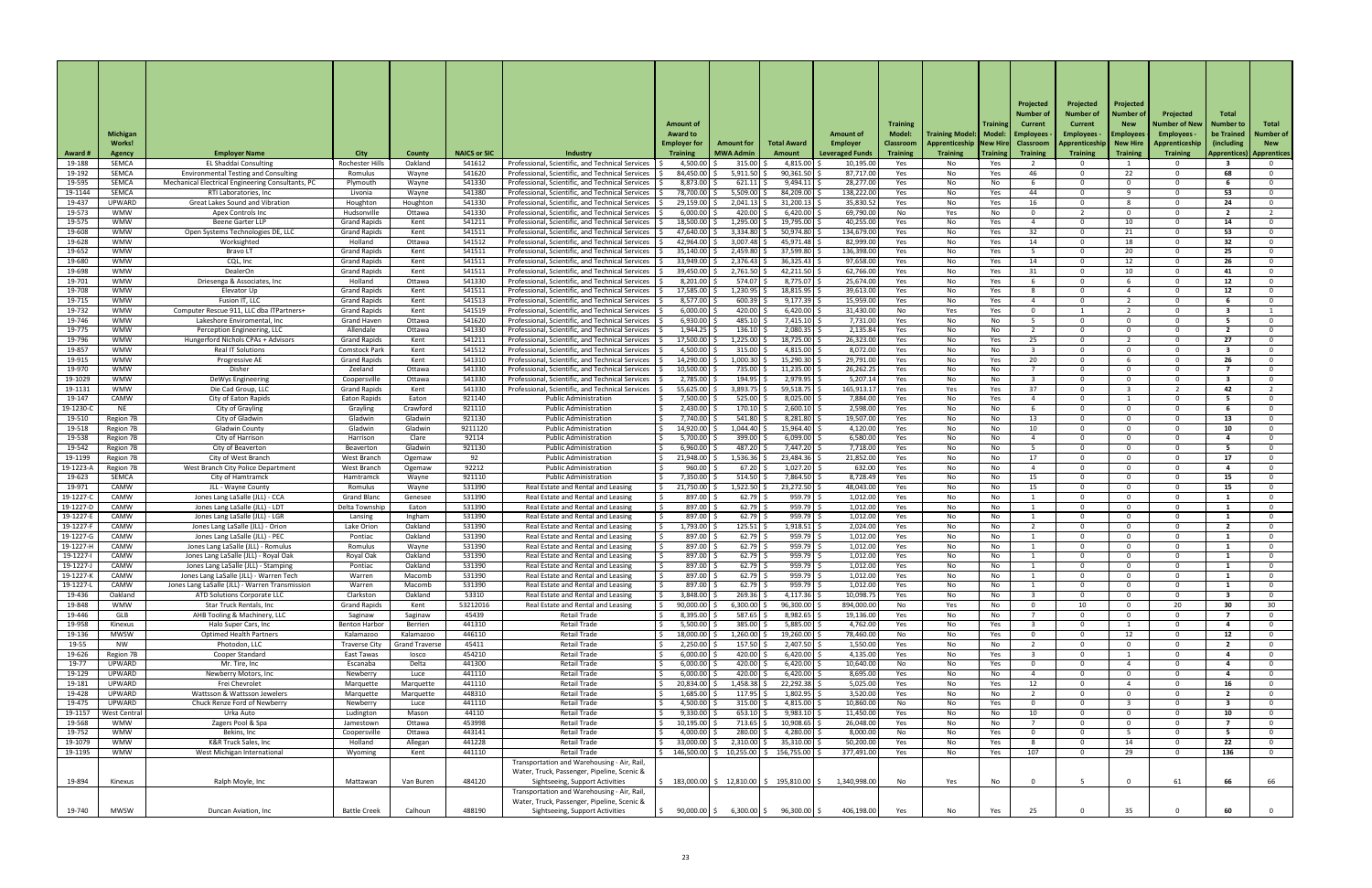|                |                 |                                                   |                      |                       |                     |                                                  |                       |                   |                              |                        |                  |                                             |                 | Projected        | Projected        | Projected       |                   |                 |                                   |
|----------------|-----------------|---------------------------------------------------|----------------------|-----------------------|---------------------|--------------------------------------------------|-----------------------|-------------------|------------------------------|------------------------|------------------|---------------------------------------------|-----------------|------------------|------------------|-----------------|-------------------|-----------------|-----------------------------------|
|                |                 |                                                   |                      |                       |                     |                                                  |                       |                   |                              |                        |                  |                                             |                 | Number (         | Number of        | Number o        | Projected         | <b>Total</b>    |                                   |
|                |                 |                                                   |                      |                       |                     |                                                  | <b>Amount of</b>      |                   |                              |                        | <b>Training</b>  |                                             | <b>Training</b> | <b>Current</b>   | Current          | <b>New</b>      | Number of New     | Number to       | Total                             |
|                | <b>Michigan</b> |                                                   |                      |                       |                     |                                                  | <b>Award to</b>       |                   |                              | Amount of              | <b>Model:</b>    | <b>Training Model:   Model:   Employees</b> |                 |                  | <b>Employees</b> | Employees       | Employees $\cdot$ | be Trained      | Number o                          |
|                | <b>Works!</b>   |                                                   |                      |                       |                     |                                                  | <b>Employer for</b>   | <b>Amount for</b> | <b>Total Award</b>           | Employer               |                  |                                             |                 |                  |                  | <b>New Hire</b> | Apprenticeship    | lincluding      | <b>New</b>                        |
|                |                 |                                                   |                      |                       |                     |                                                  |                       |                   |                              |                        | <b>Classroom</b> | Apprenticeship<br><b>Training</b>           | <b>New Hire</b> | <b>Classroom</b> | Apprenticeship   |                 |                   |                 |                                   |
| <b>Award #</b> | <b>Agency</b>   | <b>Employer Name</b>                              | <b>City</b>          | <b>County</b>         | <b>NAICS or SIC</b> | Industry                                         | <b>Training</b>       | <b>MWA Admir</b>  | Amount                       | <b>Leveraged Funds</b> | <b>Training</b>  |                                             | <b>Training</b> | <b>Training</b>  | <b>Training</b>  | <b>Training</b> | <b>Training</b>   |                 | <b>Apprentices)   Apprentices</b> |
| 19-188         | <b>SEMCA</b>    | <b>EL Shaddai Consulting</b>                      | Rochester Hills      | Oakland               | 541612              | Professional, Scientific, and Technical Services | 4,500.00              | 315.00            | 4,815.00                     | 10,195.00              | Yes              | No                                          | Yes             |                  |                  |                 |                   |                 |                                   |
| 19-192         | <b>SEMCA</b>    | <b>Environmental Testing and Consulting</b>       | Romulus              | Wayne                 | 541620              | Professional, Scientific, and Technical Services | 84,450.00             | 5,911.50          | 90,361.50                    | 87,717.00              | Yes              | No                                          | Yes             | 46               |                  | 22              |                   | 68.             |                                   |
| 19-595         | <b>SEMCA</b>    | Mechanical Electrical Engineering Consultants, PC | Plymouth             | Wayne                 | 541330              | Professional, Scientific, and Technical Services | 8,873.00              | 621.11            | 9,494.11                     | 28,277.00              | Yes              | No                                          | No              |                  |                  | റ               |                   |                 |                                   |
| 19-1144        | <b>SEMCA</b>    | RTI Laboratories, Inc                             | Livonia              | Wayne                 | 541380              | Professional, Scientific, and Technical Services | 78,700.00             | 5,509.00          | 84,209.00                    | 138,222.00             | Yes              | No                                          | Yes             | 44               |                  |                 |                   | 53              |                                   |
| 19-437         | UPWARD          | <b>Great Lakes Sound and Vibration</b>            | Houghton             | Houghton              | 541330              | Professional, Scientific, and Technical Services | 29,159.00             | 2,041.13          | 31,200.13                    | 35,830.52              | Yes              | No                                          | Yes             | 16               |                  |                 |                   | 24              |                                   |
| 19-573         | <b>WMW</b>      | Apex Controls Inc                                 | Hudsonville          | Ottawa                | 541330              | Professional, Scientific, and Technical Services | 6,000.00              | 420.00            | 6,420.00                     | 69,790.00              | No               | Yes                                         | No              |                  |                  |                 |                   |                 |                                   |
| 19-575         | <b>WMW</b>      | Beene Garter LLP                                  | <b>Grand Rapids</b>  | Kent                  | 541211              | Professional, Scientific, and Technical Services | 18,500.00             | 1,295.00          | 19,795.00                    | 40,255.00              | Yes              | No                                          | Yes             |                  |                  | 10              |                   | 14              |                                   |
| 19-608         | <b>WMW</b>      | Open Systems Technologies DE, LLC                 | <b>Grand Rapids</b>  | Kent                  | 541511              | Professional, Scientific, and Technical Services | 47,640.00             | 3,334.80          | 50,974.80                    | 134,679.00             | Yes              | No                                          | Yes             | 32 <sup>2</sup>  |                  | 21              |                   | 53              |                                   |
| 19-628         | <b>WMW</b>      | Worksighted                                       | Holland              | Ottawa                | 541512              | Professional, Scientific, and Technical Services | 42,964.00             | 3,007.48          | 45,971.48                    | 82,999.00              | Yes              | No                                          | Yes             | 14               |                  | 18              |                   | 32              |                                   |
| 19-652         | <b>WMW</b>      | <b>Bravo LT</b>                                   | <b>Grand Rapids</b>  | Kent                  | 541511              | Professional, Scientific, and Technical Services | 35,140.00             | 2,459.80          | 37,599.80                    | 136,398.00             | Yes              | No                                          | Yes             |                  |                  | 20              |                   | 25              |                                   |
| 19-680         | <b>WMW</b>      | CQL, Inc                                          | <b>Grand Rapids</b>  | Kent                  | 541511              | Professional, Scientific, and Technical Services | $33,949.00$ $\mid$ \$ | 2,376.43          | $36,325.43$ \$               | 97,658.00              | Yes              | No                                          | Yes             | 14               |                  | 12              |                   | 26              |                                   |
| 19-698         | <b>WMW</b>      | DealerOn                                          | <b>Grand Rapids</b>  | Kent                  | 541511              | Professional, Scientific, and Technical Services | 39,450.00             | 2,761.50          | 42,211.50                    | 62,766.00              | Yes              | No                                          | Yes             | 31               |                  | 10              |                   | -41             |                                   |
| 19-701         | <b>WMW</b>      | Driesenga & Associates, Inc.                      | Holland              | Ottawa                | 541330              | Professional, Scientific, and Technical Services | 8,201.00              | 574.07            | 8,775.07                     | 25,674.00              | Yes              | No                                          | Yes             |                  |                  |                 |                   | 12 <sup>7</sup> |                                   |
| 19-708         | <b>WMW</b>      | Elevator Up                                       | <b>Grand Rapids</b>  | Kent                  | 541511              | Professional, Scientific, and Technical Services | 17,585.00             | 1,230.95          | 18,815.95                    | 39,613.00              | Yes              | No                                          | Yes             |                  |                  |                 |                   | 12 <sup>2</sup> |                                   |
| 19-715         | <b>WMW</b>      | Fusion IT, LLC                                    | <b>Grand Rapids</b>  | Kent                  | 541513              | Professional, Scientific, and Technical Services | 8,577.00              | 600.39            | $9,177.39$ \$                | 15,959.00              | Yes              | No                                          | Yes             |                  |                  |                 |                   |                 |                                   |
| 19-732         | <b>WMW</b>      | Computer Rescue 911, LLC dba ITPartners+          | <b>Grand Rapids</b>  | Kent                  | 541519              | Professional, Scientific, and Technical Services | 6,000.00              | 420.00            | 6,420.00                     | 31,430.00              | No               | Yes                                         | Yes             |                  |                  |                 |                   |                 |                                   |
| 19-746         | <b>WMW</b>      |                                                   |                      |                       | 541620              | Professional, Scientific, and Technical Services | 6,930.00              | 485.10            | $7,415.10$ \$                |                        |                  |                                             |                 |                  |                  |                 |                   |                 |                                   |
|                |                 | Lakeshore Enviromental, Inc                       | Grand Haven          | Ottawa                |                     |                                                  |                       |                   |                              | 7,731.00               | Yes              | No                                          | No              |                  |                  |                 |                   |                 |                                   |
| 19-775         | <b>WMW</b>      | Perception Engineering, LLC                       | Allendale            | Ottawa                | 541330              | Professional, Scientific, and Technical Services | 1,944.25              | 136.10            | 2,080.35                     | 2,135.84               | Yes              | No                                          | No              |                  |                  |                 |                   |                 |                                   |
| 19-796         | WMW             | Hungerford Nichols CPAs + Advisors                | <b>Grand Rapids</b>  | Kent                  | 541211              | Professional, Scientific, and Technical Services | 17,500.00             | 1,225.00          | 18,725.00 \$                 | 26,323.00              | Yes              | No                                          | Yes             | 25               |                  |                 |                   | 27              | റ                                 |
| 19-857         | <b>WMW</b>      | <b>Real IT Solutions</b>                          | <b>Comstock Park</b> | Kent                  | 541512              | Professional, Scientific, and Technical Services | 4,500.00              | 315.00            | 4,815.00                     | 8,072.00               | Yes              | No                                          | No.             |                  |                  |                 |                   |                 |                                   |
| 19-915         | <b>WMW</b>      | Progressive AE                                    | <b>Grand Rapids</b>  | Kent                  | 541310              | Professional, Scientific, and Technical Services | 14,290.00             | 1,000.30          | 15,290.30                    | 29,791.00              | Yes.             | No.                                         | Yes             | 20               |                  |                 |                   | 26              |                                   |
| 19-970         | <b>WMW</b>      | Disher                                            | Zeeland              | Ottawa                | 541330              | Professional, Scientific, and Technical Services | 10,500.00             | 735.00            | 11,235.00                    | 26,262.25              | Yes              | No.                                         | No.             |                  |                  |                 |                   |                 |                                   |
| 19-1029        | <b>WMW</b>      | DeWys Engineering                                 | Coopersville         | Ottawa                | 541330              | Professional, Scientific, and Technical Services | 2,785.00              | 194.95            | 2,979.95                     | 5,207.14               | Yes              | No                                          | No              |                  |                  |                 |                   |                 |                                   |
| 19-1131        | <b>WMW</b>      | Die Cad Group, LLC                                | <b>Grand Rapids</b>  | Kent                  | 541330              | Professional, Scientific, and Technical Services | 55,625.00             | 3,893.75          | 59,518.75                    | 165,913.17             | Yes              | Yes                                         | Yes             | 37               |                  |                 |                   | 42              |                                   |
| 19-147         | CAMW            | City of Eaton Rapids                              | <b>Eaton Rapids</b>  | Eaton                 | 921140              | <b>Public Administration</b>                     | 7,500.00              | 525.00            | 8,025.00                     | 7,884.00               | Yes              | No                                          | Yes             |                  |                  |                 |                   |                 |                                   |
| 19-1230-0      | <b>NF</b>       | City of Grayling                                  | Grayling             | Crawford              | 921110              | <b>Public Administration</b>                     | 2,430.00              | 170.10            | 2,600.10                     | 2,598.00               | Yes              | No                                          | No.             |                  |                  |                 |                   |                 |                                   |
| 19-510         | Region 7B       | City of Gladwin                                   | Gladwin              | Gladwin               | 921130              | <b>Public Administration</b>                     | 7,740.00              | 541.80            | 8,281.80                     | 19,507.00              | Yes              | No                                          | No              | 13               |                  |                 |                   | 13              |                                   |
| 19-518         | Region 7B       | <b>Gladwin County</b>                             | Gladwin              | Gladwin               | 9211120             | <b>Public Administration</b>                     | 14,920.00             | 1,044.40          | 15,964.40                    | 4,120.00               | Yes              | No                                          | No.             | 10               |                  |                 |                   | 10              |                                   |
| 19-538         | Region 7B       | City of Harrison                                  | Harrison             | Clare                 | 92114               | <b>Public Administration</b>                     | 5,700.00              | 399.00            | 6,099.00                     | 6,580.00               | Yes              | No                                          | No              |                  |                  | $\Omega$        |                   |                 |                                   |
| 19-542         | Region 7B       | City of Beaverton                                 | Beaverton            | Gladwin               | 921130              | <b>Public Administration</b>                     | 6,960.00              | 487.20            | 7,447.20                     | 7,718.00               | Yes              | No                                          | No              |                  |                  |                 |                   |                 |                                   |
| 19-1199        | Region 7B       | City of West Branch                               | West Branch          | Ogemaw                | 92                  | <b>Public Administration</b>                     | 21,948.00             | 1,536.36          | $23,484.36$ \$               | 21,852.00              | Yes              | No                                          | No              | 17               |                  |                 |                   | 17              |                                   |
| 19-1223-       | Region 7B       | West Branch City Police Department                | West Branch          | Ogemaw                | 92212               | <b>Public Administration</b>                     | 960.00                | 67.20             | 1,027.20                     | 632.00                 | Yes              | No                                          | No.             |                  |                  |                 |                   |                 |                                   |
| 19-623         | <b>SEMCA</b>    | City of Hamtramck                                 | Hamtramck            | Wayne                 | 921110              | <b>Public Administration</b>                     | 7,350.00              | 514.50            | 7,864.50 \$                  | 8,728.49               | Yes              | No                                          | No              | 15               |                  | $\cap$          |                   | 15              |                                   |
| 19-971         | CAMW            | JLL - Wayne County                                | Romulus              | Wayne                 | 531390              | Real Estate and Rental and Leasing               | 21,750.00             | 1,522.50          | 23,272.50                    | 48,043.00              | Yes              | No                                          | No              | 15               |                  |                 |                   | 15              |                                   |
| 19-1227-       | CAMW            | Jones Lang LaSalle (JLL) - CCA                    | <b>Grand Blanc</b>   | Genesee               | 531390              | Real Estate and Rental and Leasing               | 897.00                | 62.79             | 959.79                       | 1,012.00               | Yes              | No                                          | No              |                  |                  |                 |                   |                 |                                   |
| 19-1227-D      | CAMW            | Jones Lang LaSalle (JLL) - LDT                    | Delta Township       | Eaton                 | 531390              | Real Estate and Rental and Leasing               | 897.00                | 62.79             | $959.79$ \$                  | 1,012.00               | Yes              | No                                          | No.             |                  |                  |                 |                   |                 |                                   |
| 19-1227-       | CAMW            | Jones Lang LaSalle (JLL) - LGR                    | Lansing              | Ingham                | 531390              | Real Estate and Rental and Leasing               | 897.00                | 62.79             | $959.79$ \$                  | 1,012.00               | Yes              | No                                          | No.             |                  |                  |                 |                   |                 |                                   |
| 19-1227-F      | CAMW            | Jones Lang LaSalle (JLL) - Orion                  | Lake Orion           | Oakland               | 531390              | Real Estate and Rental and Leasing               | 1,793.00              | 125.51            | 1,918.51                     | 2,024.00               | Yes              | No                                          | No              |                  |                  |                 |                   |                 |                                   |
|                | CAMW            |                                                   |                      | Oakland               | 531390              | Real Estate and Rental and Leasing               | 897.00                | 62.79             | $959.79$ \$                  | 1,012.00               |                  |                                             |                 |                  |                  |                 |                   |                 |                                   |
| 19-1227-G      |                 | Jones Lang LaSalle (JLL) - PEC                    | Pontiac              |                       |                     |                                                  | 897.00                |                   |                              |                        | Yes              | No                                          | No              |                  |                  |                 |                   |                 |                                   |
| 19-1227-       | CAMW            | Jones Lang LaSalle (JLL) - Romulus                | Romulus              | Wayne                 | 531390              | Real Estate and Rental and Leasing               |                       | 62.79             | $959.79$ \$                  | 1,012.00               | Yes              | No                                          | No.             |                  |                  |                 |                   |                 |                                   |
| 19-1227        | CAMW            | Jones Lang LaSalle (JLL) - Royal Oak              | Royal Oak            | Oakland               | 531390              | Real Estate and Rental and Leasing               | 897.00                | 62.79             | $959.79$ $\mid$              | 1,012.00               | Yes              | No                                          | No              |                  |                  |                 |                   |                 |                                   |
| 19-1227-       | CAMW            | Jones Lang LaSalle (JLL) - Stamping               | Pontiac              | Oakland               | 531390              | Real Estate and Rental and Leasing               | 897.00                | 62.79             | 959.79                       | 1,012.00               | Yes              | No                                          | No.             |                  |                  |                 |                   |                 |                                   |
| 19-1227-1      | CAMW            | Jones Lang LaSalle (JLL) - Warren Tech            | Warren               | Macomb                | 531390              | Real Estate and Rental and Leasing               | 897.00                | 62.79             | $959.79$ \$                  | 1,012.00               | Yes              | No                                          | No              |                  |                  |                 |                   |                 |                                   |
| 19-1227-       | CAMW            | Jones Lang LaSalle (JLL) - Warren Transmission    | Warren               | Macomb                | 531390              | Real Estate and Rental and Leasing               | 897.00                | 62.79             | $959.79$ \$                  | 1,012.00               | Yes              | No                                          | No.             |                  |                  |                 |                   |                 |                                   |
| 19-436         | Oakland         | <b>ATD Solutions Corporate LLC</b>                | Clarkston            | Oakland               | 53310               | Real Estate and Rental and Leasing               | 3,848.00              | 269.36            | $4,117.36$ ;                 | 10,098.75              | Yes              | No                                          | No.             |                  |                  |                 |                   |                 |                                   |
| 19-848         | <b>WMW</b>      | <b>Star Truck Rentals, Inc</b>                    | <b>Grand Rapids</b>  | Kent                  | 53212016            | Real Estate and Rental and Leasing               | 90,000.00             | 6,300.00          | 96,300.00                    | 894,000.00             | No               | Yes                                         | No              |                  | 10               |                 | 20                | 30              | 30                                |
| 19-446         | <b>GLB</b>      | AHB Tooling & Machinery, LLC                      | Saginaw              | Saginaw               | 45439               | <b>Retail Trade</b>                              | 8,395.00              | 587.65            | 8,982.65                     | 19,136.00              | Yes              | No                                          | No              |                  |                  |                 |                   |                 |                                   |
| 19-958         | Kinexus         | Halo Super Cars, Inc.                             | <b>Benton Harbor</b> | Berrien               | 441310              | <b>Retail Trade</b>                              | 5,500.00              | 385.00            | 5,885.00                     | 4,762.00               | Yes              | No                                          | Yes             |                  |                  |                 |                   |                 |                                   |
| 19-136         | <b>MWSW</b>     | <b>Optimed Health Partners</b>                    | Kalamazoo            | Kalamazoo             | 446110              | <b>Retail Trade</b>                              | 18,000.00             | 1,260.00          | 19,260.00                    | 78,460.00              | No               | No                                          | Yes             |                  |                  | 12              |                   | 12              |                                   |
| 19-55          | NW.             | Photodon, LLC                                     | Traverse City        | <b>Grand Traverse</b> | 45411               | <b>Retail Trade</b>                              | 2,250.00              | 157.50            | $2,407.50$ \$                | 1,550.00               | Yes              | No                                          | No.             |                  |                  |                 |                   |                 |                                   |
| 19-626         | Region 7B       | Cooper Standard                                   | East Tawas           | losco                 | 454210              | <b>Retail Trade</b>                              | 6,000.00              | 420.00            | 6,420.00                     | 4,135.00               | Yes              | No                                          | Yes             |                  |                  |                 |                   |                 |                                   |
| 19-77          | UPWARD          | Mr. Tire, Inc                                     | Escanaba             | Delta                 | 441300              | <b>Retail Trade</b>                              | 6,000.00              | 420.00            | 6,420.00                     | 10,640.00              | No               | No                                          | Yes             |                  |                  |                 |                   |                 |                                   |
| 19-129         | UPWARD          | Newberry Motors, Inc                              | Newberry             | Luce                  | 441110              | Retail Trade                                     | 6,000.00              | 420.00 \$         | $6,420.00$ \$                | 8,695.00               | Yes              | No                                          | No              |                  |                  |                 |                   |                 |                                   |
| 19-181         | <b>UPWARD</b>   | Frei Chevrolet                                    | Marquette            | Marquette             | 441110              | <b>Retail Trade</b>                              | 20,834.00 \$          | $1,458.38$ \$     | $22,292.38$ \$               | 5,025.00               | Yes              | No                                          | Yes             | 12               |                  |                 |                   | 16              | $\Omega$                          |
| 19-428         | <b>UPWARD</b>   | Wattsson & Wattsson Jewelers                      | Marquette            | Marquette             | 448310              | <b>Retail Trade</b>                              | 1,685.00              | 117.95            | $1,802.95$ \$                | 3,520.00               | Yes              | No                                          | No              |                  |                  |                 |                   |                 |                                   |
| 19-475         | <b>UPWARD</b>   | Chuck Renze Ford of Newberry                      | Newberry             | Luce                  | 441110              | Retail Trade                                     | $4,500.00$ \;         | $315.00$ \$       | 4,815.00 \$                  | 10,860.00              | No               | No                                          | Yes             |                  |                  |                 |                   |                 | - 0                               |
| 19-1157        | West Central    | Urka Auto                                         | Ludington            | Mason                 | 44110               | <b>Retail Trade</b>                              | $9,330.00$ $\mid$     | $653.10$ \$       | $9,983.10$ \$                | 11,450.00              | Yes              | No                                          | No              | 10 <sup>°</sup>  |                  |                 |                   | 10              | $\cap$                            |
| 19-568         | <b>WMW</b>      | Zagers Pool & Spa                                 | Jamestown            | Ottawa                | 453998              | Retail Trade                                     | $10,195.00$ $\mid$ \$ | $713.65$ \$       | $10,908.65$ \$               | 26,048.00              | Yes              | No                                          | No              |                  |                  | റ               |                   |                 | - 0                               |
| 19-752         | <b>WMW</b>      | Bekins, Inc                                       | Coopersville         | Ottawa                | 443141              | Retail Trade                                     | 4,000.00              | $280.00$ \$       | $4,280.00$ \$                | 8,000.00               | No               | No                                          | Yes             |                  |                  |                 |                   |                 |                                   |
| 19-1079        | <b>WMW</b>      | <b>K&amp;R Truck Sales, Inc</b>                   | Holland              | Allegan               | 441228              | Retail Trade                                     | 33,000.00             | 2,310.00          | $35,310.00$ \$               | 50,200.00              | Yes              | No                                          | Yes             |                  |                  | 14              |                   | 22              | - 0                               |
| 19-1195        | <b>WMW</b>      | West Michigan International                       | Wyoming              | Kent                  | 441110              | <b>Retail Trade</b>                              | 146,500.00 \$         | $10,255.00$ \$    | 156,755.00                   | 377,491.00             | Yes              | No                                          | Yes             | 107              |                  | 29              |                   | 136             | $\Omega$                          |
|                |                 |                                                   |                      |                       |                     | Transportation and Warehousing - Air, Rail,      |                       |                   |                              |                        |                  |                                             |                 |                  |                  |                 |                   |                 |                                   |
|                |                 |                                                   |                      |                       |                     | Water, Truck, Passenger, Pipeline, Scenic &      |                       |                   |                              |                        |                  |                                             |                 |                  |                  |                 |                   |                 |                                   |
| 19-894         | Kinexus         | Ralph Moyle, Inc                                  | Mattawan             | Van Buren             | 484120              | Sightseeing, Support Activities                  | 183,000.00 \$         |                   | $12,810.00$ \$ 195,810.00 \$ | 1,340,998.00           | No               | Yes                                         | No              | . റ              |                  |                 | 61                | 66              | 66                                |
|                |                 |                                                   |                      |                       |                     | Transportation and Warehousing - Air, Rail,      |                       |                   |                              |                        |                  |                                             |                 |                  |                  |                 |                   |                 |                                   |
|                |                 |                                                   |                      |                       |                     |                                                  |                       |                   |                              |                        |                  |                                             |                 |                  |                  |                 |                   |                 |                                   |
|                |                 |                                                   |                      |                       | 488190              | Water, Truck, Passenger, Pipeline, Scenic &      |                       |                   |                              |                        |                  |                                             |                 | 25               |                  | 35              |                   | 60              |                                   |
| 19-740         | MWSW            | Duncan Aviation, Inc                              | <b>Battle Creek</b>  | Calhoun               |                     | Sightseeing, Support Activities                  | 90,000.00 \$          | $6,300.00$ \$     | $96,300.00$ \$               | 406,198.00             | Yes              | No                                          | Yes             |                  |                  |                 |                   |                 |                                   |